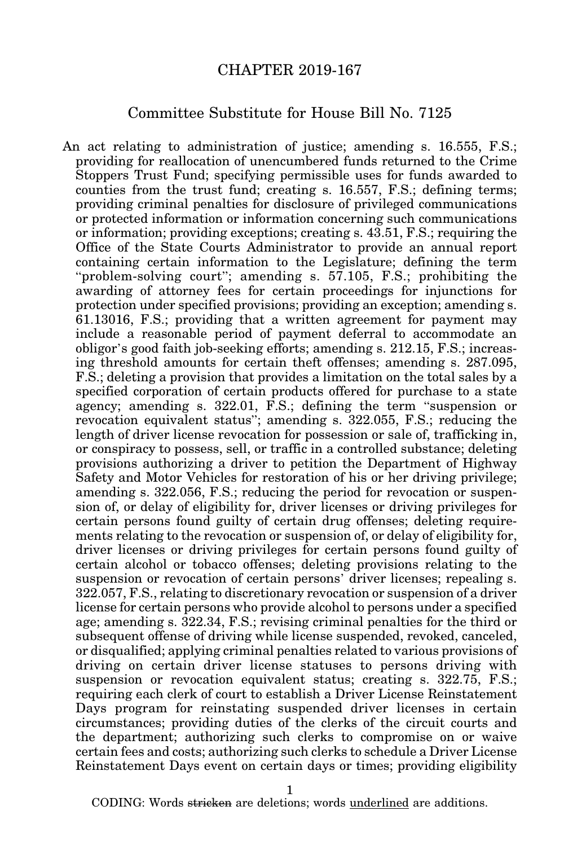## CHAPTER 2019-167

## Committee Substitute for House Bill No. 7125

An act relating to administration of justice; amending s. 16.555, F.S.; providing for reallocation of unencumbered funds returned to the Crime Stoppers Trust Fund; specifying permissible uses for funds awarded to counties from the trust fund; creating s. 16.557, F.S.; defining terms; providing criminal penalties for disclosure of privileged communications or protected information or information concerning such communications or information; providing exceptions; creating s. 43.51, F.S.; requiring the Office of the State Courts Administrator to provide an annual report containing certain information to the Legislature; defining the term "problem-solving court"; amending s. 57.105, F.S.; prohibiting the awarding of attorney fees for certain proceedings for injunctions for protection under specified provisions; providing an exception; amending s. 61.13016, F.S.; providing that a written agreement for payment may include a reasonable period of payment deferral to accommodate an obligor's good faith job-seeking efforts; amending s. 212.15, F.S.; increasing threshold amounts for certain theft offenses; amending s. 287.095, F.S.; deleting a provision that provides a limitation on the total sales by a specified corporation of certain products offered for purchase to a state agency; amending s. 322.01, F.S.; defining the term "suspension or revocation equivalent status"; amending s. 322.055, F.S.; reducing the length of driver license revocation for possession or sale of, trafficking in, or conspiracy to possess, sell, or traffic in a controlled substance; deleting provisions authorizing a driver to petition the Department of Highway Safety and Motor Vehicles for restoration of his or her driving privilege; amending s. 322.056, F.S.; reducing the period for revocation or suspension of, or delay of eligibility for, driver licenses or driving privileges for certain persons found guilty of certain drug offenses; deleting requirements relating to the revocation or suspension of, or delay of eligibility for, driver licenses or driving privileges for certain persons found guilty of certain alcohol or tobacco offenses; deleting provisions relating to the suspension or revocation of certain persons' driver licenses; repealing s. 322.057, F.S., relating to discretionary revocation or suspension of a driver license for certain persons who provide alcohol to persons under a specified age; amending s. 322.34, F.S.; revising criminal penalties for the third or subsequent offense of driving while license suspended, revoked, canceled, or disqualified; applying criminal penalties related to various provisions of driving on certain driver license statuses to persons driving with suspension or revocation equivalent status; creating s. 322.75, F.S.; requiring each clerk of court to establish a Driver License Reinstatement Days program for reinstating suspended driver licenses in certain circumstances; providing duties of the clerks of the circuit courts and the department; authorizing such clerks to compromise on or waive certain fees and costs; authorizing such clerks to schedule a Driver License Reinstatement Days event on certain days or times; providing eligibility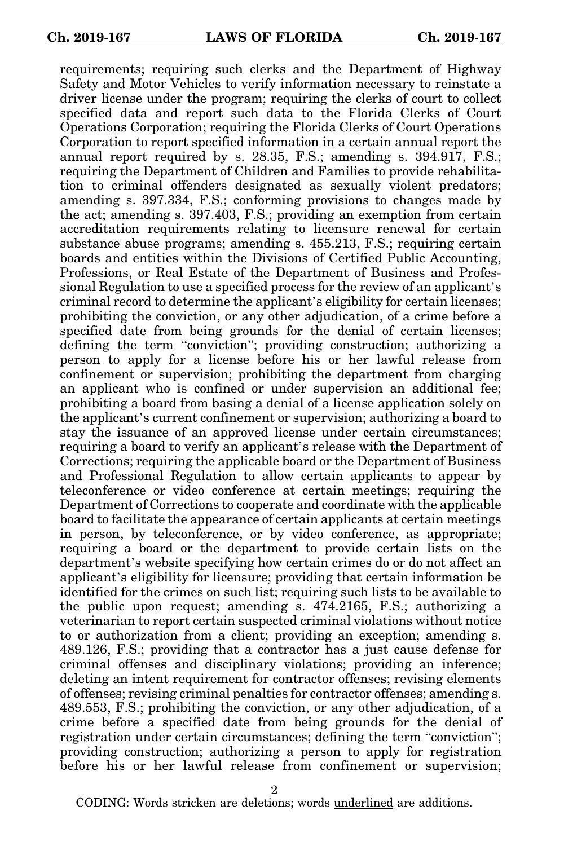requirements; requiring such clerks and the Department of Highway Safety and Motor Vehicles to verify information necessary to reinstate a driver license under the program; requiring the clerks of court to collect specified data and report such data to the Florida Clerks of Court Operations Corporation; requiring the Florida Clerks of Court Operations Corporation to report specified information in a certain annual report the annual report required by s. 28.35, F.S.; amending s. 394.917, F.S.; requiring the Department of Children and Families to provide rehabilitation to criminal offenders designated as sexually violent predators; amending s. 397.334, F.S.; conforming provisions to changes made by the act; amending s. 397.403, F.S.; providing an exemption from certain accreditation requirements relating to licensure renewal for certain substance abuse programs; amending s. 455.213, F.S.; requiring certain boards and entities within the Divisions of Certified Public Accounting, Professions, or Real Estate of the Department of Business and Professional Regulation to use a specified process for the review of an applicant's criminal record to determine the applicant's eligibility for certain licenses; prohibiting the conviction, or any other adjudication, of a crime before a specified date from being grounds for the denial of certain licenses; defining the term "conviction"; providing construction; authorizing a person to apply for a license before his or her lawful release from confinement or supervision; prohibiting the department from charging an applicant who is confined or under supervision an additional fee; prohibiting a board from basing a denial of a license application solely on the applicant's current confinement or supervision; authorizing a board to stay the issuance of an approved license under certain circumstances; requiring a board to verify an applicant's release with the Department of Corrections; requiring the applicable board or the Department of Business and Professional Regulation to allow certain applicants to appear by teleconference or video conference at certain meetings; requiring the Department of Corrections to cooperate and coordinate with the applicable board to facilitate the appearance of certain applicants at certain meetings in person, by teleconference, or by video conference, as appropriate; requiring a board or the department to provide certain lists on the department's website specifying how certain crimes do or do not affect an applicant's eligibility for licensure; providing that certain information be identified for the crimes on such list; requiring such lists to be available to the public upon request; amending s. 474.2165, F.S.; authorizing a veterinarian to report certain suspected criminal violations without notice to or authorization from a client; providing an exception; amending s. 489.126, F.S.; providing that a contractor has a just cause defense for criminal offenses and disciplinary violations; providing an inference; deleting an intent requirement for contractor offenses; revising elements of offenses; revising criminal penalties for contractor offenses; amending s. 489.553, F.S.; prohibiting the conviction, or any other adjudication, of a crime before a specified date from being grounds for the denial of registration under certain circumstances; defining the term "conviction"; providing construction; authorizing a person to apply for registration before his or her lawful release from confinement or supervision;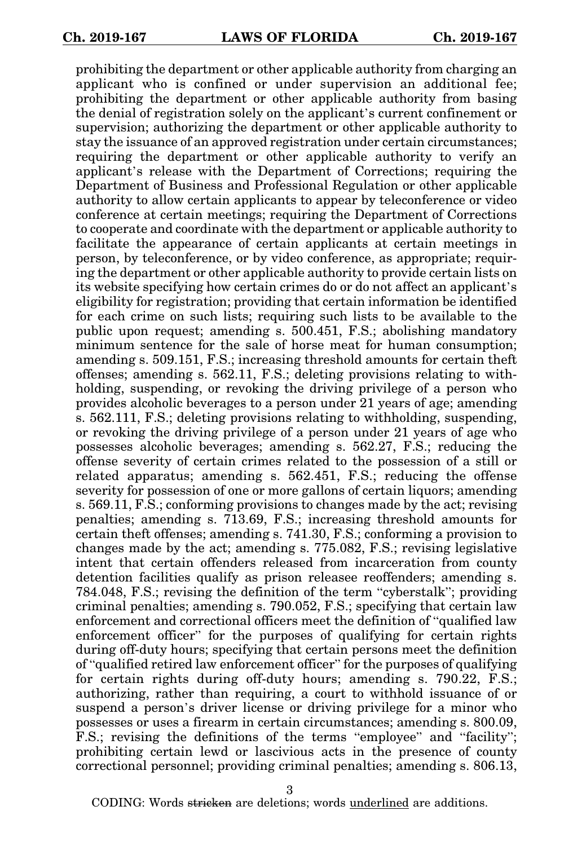prohibiting the department or other applicable authority from charging an applicant who is confined or under supervision an additional fee; prohibiting the department or other applicable authority from basing the denial of registration solely on the applicant's current confinement or supervision; authorizing the department or other applicable authority to stay the issuance of an approved registration under certain circumstances; requiring the department or other applicable authority to verify an applicant's release with the Department of Corrections; requiring the Department of Business and Professional Regulation or other applicable authority to allow certain applicants to appear by teleconference or video conference at certain meetings; requiring the Department of Corrections to cooperate and coordinate with the department or applicable authority to facilitate the appearance of certain applicants at certain meetings in person, by teleconference, or by video conference, as appropriate; requiring the department or other applicable authority to provide certain lists on its website specifying how certain crimes do or do not affect an applicant's eligibility for registration; providing that certain information be identified for each crime on such lists; requiring such lists to be available to the public upon request; amending s. 500.451, F.S.; abolishing mandatory minimum sentence for the sale of horse meat for human consumption; amending s. 509.151, F.S.; increasing threshold amounts for certain theft offenses; amending s. 562.11, F.S.; deleting provisions relating to withholding, suspending, or revoking the driving privilege of a person who provides alcoholic beverages to a person under 21 years of age; amending s. 562.111, F.S.; deleting provisions relating to withholding, suspending, or revoking the driving privilege of a person under 21 years of age who possesses alcoholic beverages; amending s. 562.27, F.S.; reducing the offense severity of certain crimes related to the possession of a still or related apparatus; amending s. 562.451, F.S.; reducing the offense severity for possession of one or more gallons of certain liquors; amending s. 569.11, F.S.; conforming provisions to changes made by the act; revising penalties; amending s. 713.69, F.S.; increasing threshold amounts for certain theft offenses; amending s. 741.30, F.S.; conforming a provision to changes made by the act; amending s. 775.082, F.S.; revising legislative intent that certain offenders released from incarceration from county detention facilities qualify as prison releasee reoffenders; amending s. 784.048, F.S.; revising the definition of the term "cyberstalk"; providing criminal penalties; amending s. 790.052, F.S.; specifying that certain law enforcement and correctional officers meet the definition of "qualified law enforcement officer" for the purposes of qualifying for certain rights during off-duty hours; specifying that certain persons meet the definition of "qualified retired law enforcement officer" for the purposes of qualifying for certain rights during off-duty hours; amending s. 790.22, F.S.; authorizing, rather than requiring, a court to withhold issuance of or suspend a person's driver license or driving privilege for a minor who possesses or uses a firearm in certain circumstances; amending s. 800.09, F.S.; revising the definitions of the terms "employee" and "facility"; prohibiting certain lewd or lascivious acts in the presence of county correctional personnel; providing criminal penalties; amending s. 806.13,

3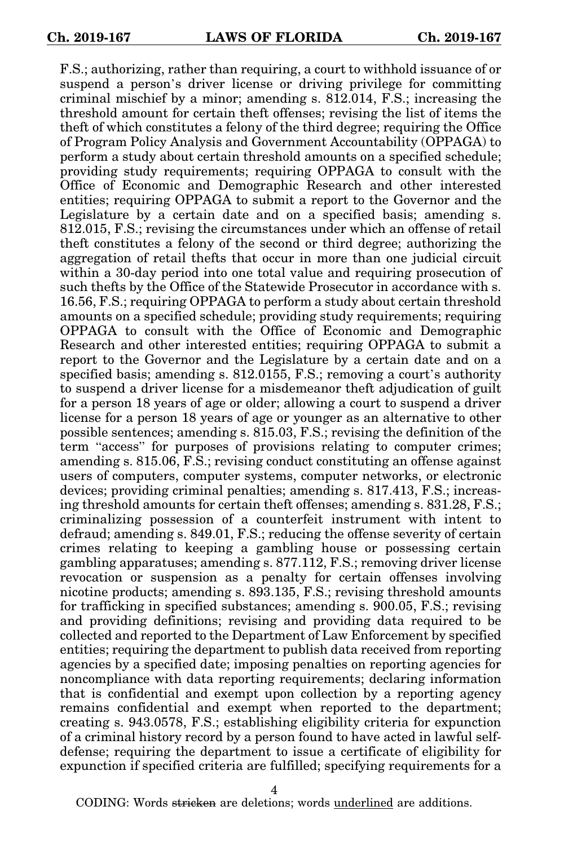F.S.; authorizing, rather than requiring, a court to withhold issuance of or suspend a person's driver license or driving privilege for committing criminal mischief by a minor; amending s. 812.014, F.S.; increasing the threshold amount for certain theft offenses; revising the list of items the theft of which constitutes a felony of the third degree; requiring the Office of Program Policy Analysis and Government Accountability (OPPAGA) to perform a study about certain threshold amounts on a specified schedule; providing study requirements; requiring OPPAGA to consult with the Office of Economic and Demographic Research and other interested entities; requiring OPPAGA to submit a report to the Governor and the Legislature by a certain date and on a specified basis; amending s. 812.015, F.S.; revising the circumstances under which an offense of retail theft constitutes a felony of the second or third degree; authorizing the aggregation of retail thefts that occur in more than one judicial circuit within a 30-day period into one total value and requiring prosecution of such thefts by the Office of the Statewide Prosecutor in accordance with s. 16.56, F.S.; requiring OPPAGA to perform a study about certain threshold amounts on a specified schedule; providing study requirements; requiring OPPAGA to consult with the Office of Economic and Demographic Research and other interested entities; requiring OPPAGA to submit a report to the Governor and the Legislature by a certain date and on a specified basis; amending s. 812.0155, F.S.; removing a court's authority to suspend a driver license for a misdemeanor theft adjudication of guilt for a person 18 years of age or older; allowing a court to suspend a driver license for a person 18 years of age or younger as an alternative to other possible sentences; amending s. 815.03, F.S.; revising the definition of the term "access" for purposes of provisions relating to computer crimes; amending s. 815.06, F.S.; revising conduct constituting an offense against users of computers, computer systems, computer networks, or electronic devices; providing criminal penalties; amending s. 817.413, F.S.; increasing threshold amounts for certain theft offenses; amending s. 831.28, F.S.; criminalizing possession of a counterfeit instrument with intent to defraud; amending s. 849.01, F.S.; reducing the offense severity of certain crimes relating to keeping a gambling house or possessing certain gambling apparatuses; amending s. 877.112, F.S.; removing driver license revocation or suspension as a penalty for certain offenses involving nicotine products; amending s. 893.135, F.S.; revising threshold amounts for trafficking in specified substances; amending s. 900.05, F.S.; revising and providing definitions; revising and providing data required to be collected and reported to the Department of Law Enforcement by specified entities; requiring the department to publish data received from reporting agencies by a specified date; imposing penalties on reporting agencies for noncompliance with data reporting requirements; declaring information that is confidential and exempt upon collection by a reporting agency remains confidential and exempt when reported to the department; creating s. 943.0578, F.S.; establishing eligibility criteria for expunction of a criminal history record by a person found to have acted in lawful selfdefense; requiring the department to issue a certificate of eligibility for expunction if specified criteria are fulfilled; specifying requirements for a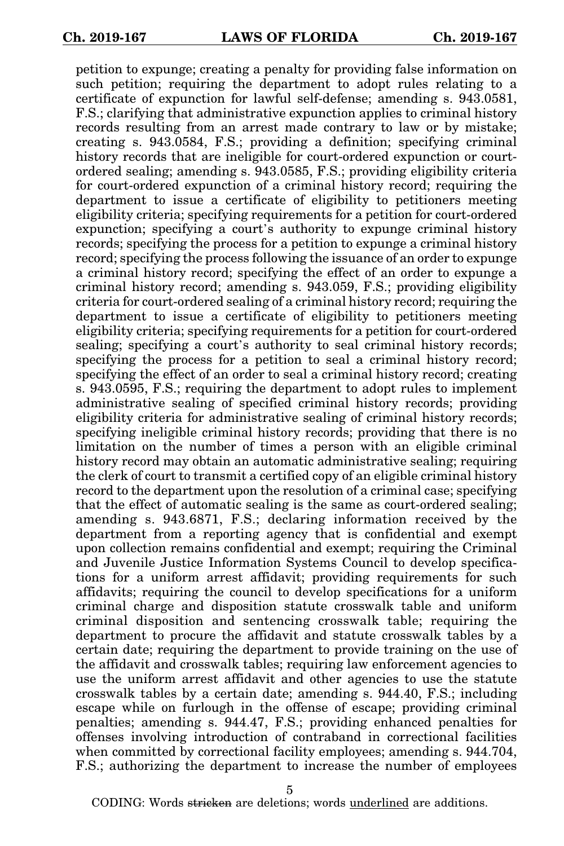petition to expunge; creating a penalty for providing false information on such petition; requiring the department to adopt rules relating to a certificate of expunction for lawful self-defense; amending s. 943.0581, F.S.; clarifying that administrative expunction applies to criminal history records resulting from an arrest made contrary to law or by mistake; creating s. 943.0584, F.S.; providing a definition; specifying criminal history records that are ineligible for court-ordered expunction or courtordered sealing; amending s. 943.0585, F.S.; providing eligibility criteria for court-ordered expunction of a criminal history record; requiring the department to issue a certificate of eligibility to petitioners meeting eligibility criteria; specifying requirements for a petition for court-ordered expunction; specifying a court's authority to expunge criminal history records; specifying the process for a petition to expunge a criminal history record; specifying the process following the issuance of an order to expunge a criminal history record; specifying the effect of an order to expunge a criminal history record; amending s. 943.059, F.S.; providing eligibility criteria for court-ordered sealing of a criminal history record; requiring the department to issue a certificate of eligibility to petitioners meeting eligibility criteria; specifying requirements for a petition for court-ordered sealing; specifying a court's authority to seal criminal history records; specifying the process for a petition to seal a criminal history record; specifying the effect of an order to seal a criminal history record; creating s. 943.0595, F.S.; requiring the department to adopt rules to implement administrative sealing of specified criminal history records; providing eligibility criteria for administrative sealing of criminal history records; specifying ineligible criminal history records; providing that there is no limitation on the number of times a person with an eligible criminal history record may obtain an automatic administrative sealing; requiring the clerk of court to transmit a certified copy of an eligible criminal history record to the department upon the resolution of a criminal case; specifying that the effect of automatic sealing is the same as court-ordered sealing; amending s. 943.6871, F.S.; declaring information received by the department from a reporting agency that is confidential and exempt upon collection remains confidential and exempt; requiring the Criminal and Juvenile Justice Information Systems Council to develop specifications for a uniform arrest affidavit; providing requirements for such affidavits; requiring the council to develop specifications for a uniform criminal charge and disposition statute crosswalk table and uniform criminal disposition and sentencing crosswalk table; requiring the department to procure the affidavit and statute crosswalk tables by a certain date; requiring the department to provide training on the use of the affidavit and crosswalk tables; requiring law enforcement agencies to use the uniform arrest affidavit and other agencies to use the statute crosswalk tables by a certain date; amending s. 944.40, F.S.; including escape while on furlough in the offense of escape; providing criminal penalties; amending s. 944.47, F.S.; providing enhanced penalties for offenses involving introduction of contraband in correctional facilities when committed by correctional facility employees; amending s. 944.704, F.S.; authorizing the department to increase the number of employees

5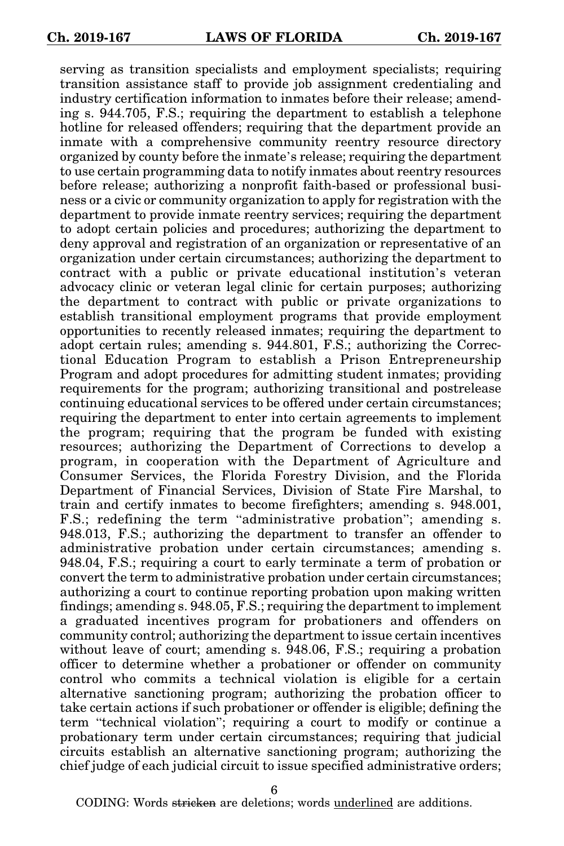serving as transition specialists and employment specialists; requiring transition assistance staff to provide job assignment credentialing and industry certification information to inmates before their release; amending s. 944.705, F.S.; requiring the department to establish a telephone hotline for released offenders; requiring that the department provide an inmate with a comprehensive community reentry resource directory organized by county before the inmate's release; requiring the department to use certain programming data to notify inmates about reentry resources before release; authorizing a nonprofit faith-based or professional business or a civic or community organization to apply for registration with the department to provide inmate reentry services; requiring the department to adopt certain policies and procedures; authorizing the department to deny approval and registration of an organization or representative of an organization under certain circumstances; authorizing the department to contract with a public or private educational institution's veteran advocacy clinic or veteran legal clinic for certain purposes; authorizing the department to contract with public or private organizations to establish transitional employment programs that provide employment opportunities to recently released inmates; requiring the department to adopt certain rules; amending s. 944.801, F.S.; authorizing the Correctional Education Program to establish a Prison Entrepreneurship Program and adopt procedures for admitting student inmates; providing requirements for the program; authorizing transitional and postrelease continuing educational services to be offered under certain circumstances; requiring the department to enter into certain agreements to implement the program; requiring that the program be funded with existing resources; authorizing the Department of Corrections to develop a program, in cooperation with the Department of Agriculture and Consumer Services, the Florida Forestry Division, and the Florida Department of Financial Services, Division of State Fire Marshal, to train and certify inmates to become firefighters; amending s. 948.001, F.S.; redefining the term "administrative probation"; amending s. 948.013, F.S.; authorizing the department to transfer an offender to administrative probation under certain circumstances; amending s. 948.04, F.S.; requiring a court to early terminate a term of probation or convert the term to administrative probation under certain circumstances; authorizing a court to continue reporting probation upon making written findings; amending s. 948.05, F.S.; requiring the department to implement a graduated incentives program for probationers and offenders on community control; authorizing the department to issue certain incentives without leave of court; amending s. 948.06, F.S.; requiring a probation officer to determine whether a probationer or offender on community control who commits a technical violation is eligible for a certain alternative sanctioning program; authorizing the probation officer to take certain actions if such probationer or offender is eligible; defining the term "technical violation"; requiring a court to modify or continue a probationary term under certain circumstances; requiring that judicial circuits establish an alternative sanctioning program; authorizing the chief judge of each judicial circuit to issue specified administrative orders;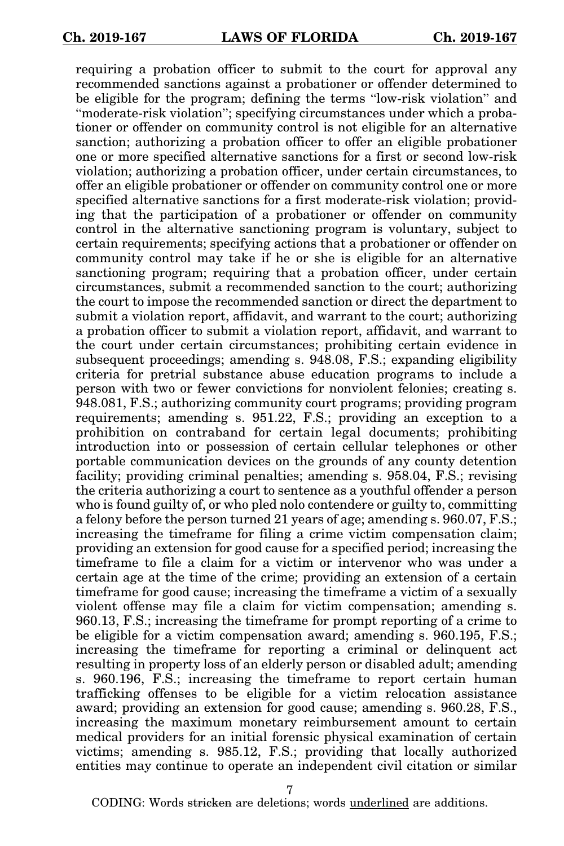requiring a probation officer to submit to the court for approval any recommended sanctions against a probationer or offender determined to be eligible for the program; defining the terms "low-risk violation" and "moderate-risk violation"; specifying circumstances under which a probationer or offender on community control is not eligible for an alternative sanction; authorizing a probation officer to offer an eligible probationer one or more specified alternative sanctions for a first or second low-risk violation; authorizing a probation officer, under certain circumstances, to offer an eligible probationer or offender on community control one or more specified alternative sanctions for a first moderate-risk violation; providing that the participation of a probationer or offender on community control in the alternative sanctioning program is voluntary, subject to certain requirements; specifying actions that a probationer or offender on community control may take if he or she is eligible for an alternative sanctioning program; requiring that a probation officer, under certain circumstances, submit a recommended sanction to the court; authorizing the court to impose the recommended sanction or direct the department to submit a violation report, affidavit, and warrant to the court; authorizing a probation officer to submit a violation report, affidavit, and warrant to the court under certain circumstances; prohibiting certain evidence in subsequent proceedings; amending s. 948.08, F.S.; expanding eligibility criteria for pretrial substance abuse education programs to include a person with two or fewer convictions for nonviolent felonies; creating s. 948.081, F.S.; authorizing community court programs; providing program requirements; amending s. 951.22, F.S.; providing an exception to a prohibition on contraband for certain legal documents; prohibiting introduction into or possession of certain cellular telephones or other portable communication devices on the grounds of any county detention facility; providing criminal penalties; amending s. 958.04, F.S.; revising the criteria authorizing a court to sentence as a youthful offender a person who is found guilty of, or who pled nolo contendere or guilty to, committing a felony before the person turned 21 years of age; amending s. 960.07, F.S.; increasing the timeframe for filing a crime victim compensation claim; providing an extension for good cause for a specified period; increasing the timeframe to file a claim for a victim or intervenor who was under a certain age at the time of the crime; providing an extension of a certain timeframe for good cause; increasing the timeframe a victim of a sexually violent offense may file a claim for victim compensation; amending s. 960.13, F.S.; increasing the timeframe for prompt reporting of a crime to be eligible for a victim compensation award; amending s. 960.195, F.S.; increasing the timeframe for reporting a criminal or delinquent act resulting in property loss of an elderly person or disabled adult; amending s. 960.196, F.S.; increasing the timeframe to report certain human trafficking offenses to be eligible for a victim relocation assistance award; providing an extension for good cause; amending s. 960.28, F.S., increasing the maximum monetary reimbursement amount to certain medical providers for an initial forensic physical examination of certain victims; amending s. 985.12, F.S.; providing that locally authorized entities may continue to operate an independent civil citation or similar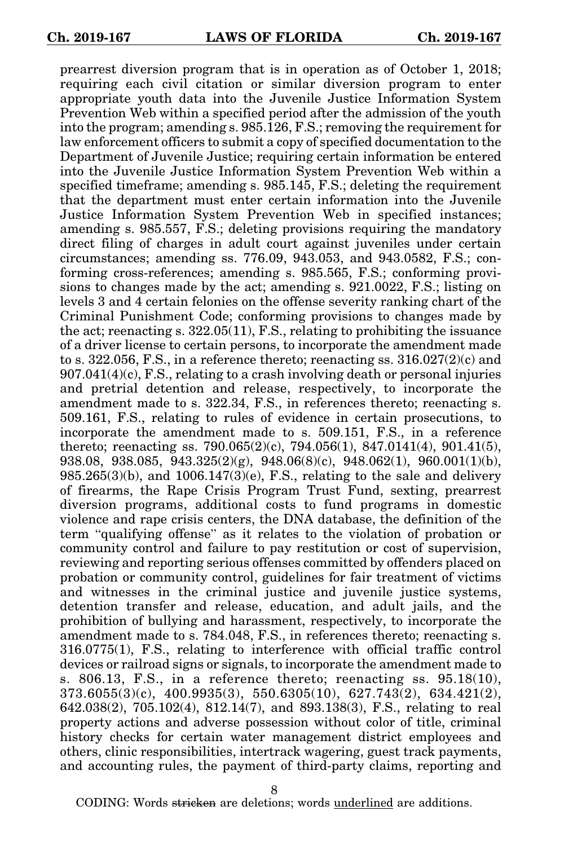prearrest diversion program that is in operation as of October 1, 2018; requiring each civil citation or similar diversion program to enter appropriate youth data into the Juvenile Justice Information System Prevention Web within a specified period after the admission of the youth into the program; amending s. 985.126, F.S.; removing the requirement for law enforcement officers to submit a copy of specified documentation to the Department of Juvenile Justice; requiring certain information be entered into the Juvenile Justice Information System Prevention Web within a specified timeframe; amending s. 985.145, F.S.; deleting the requirement that the department must enter certain information into the Juvenile Justice Information System Prevention Web in specified instances; amending s. 985.557, F.S.; deleting provisions requiring the mandatory direct filing of charges in adult court against juveniles under certain circumstances; amending ss. 776.09, 943.053, and 943.0582, F.S.; conforming cross-references; amending s. 985.565, F.S.; conforming provisions to changes made by the act; amending s. 921.0022, F.S.; listing on levels 3 and 4 certain felonies on the offense severity ranking chart of the Criminal Punishment Code; conforming provisions to changes made by the act; reenacting s. 322.05(11), F.S., relating to prohibiting the issuance of a driver license to certain persons, to incorporate the amendment made to s.  $322.056$ , F.S., in a reference thereto; reenacting ss.  $316.027(2)(c)$  and  $907.041(4)(c)$ , F.S., relating to a crash involving death or personal injuries and pretrial detention and release, respectively, to incorporate the amendment made to s. 322.34, F.S., in references thereto; reenacting s. 509.161, F.S., relating to rules of evidence in certain prosecutions, to incorporate the amendment made to s. 509.151, F.S., in a reference thereto; reenacting ss. 790.065(2)(c), 794.056(1), 847.0141(4), 901.41(5), 938.08, 938.085, 943.325(2)(g), 948.06(8)(c), 948.062(1), 960.001(1)(b),  $985.265(3)(b)$ , and  $1006.147(3)(e)$ , F.S., relating to the sale and delivery of firearms, the Rape Crisis Program Trust Fund, sexting, prearrest diversion programs, additional costs to fund programs in domestic violence and rape crisis centers, the DNA database, the definition of the term "qualifying offense" as it relates to the violation of probation or community control and failure to pay restitution or cost of supervision, reviewing and reporting serious offenses committed by offenders placed on probation or community control, guidelines for fair treatment of victims and witnesses in the criminal justice and juvenile justice systems, detention transfer and release, education, and adult jails, and the prohibition of bullying and harassment, respectively, to incorporate the amendment made to s. 784.048, F.S., in references thereto; reenacting s. 316.0775(1), F.S., relating to interference with official traffic control devices or railroad signs or signals, to incorporate the amendment made to s. 806.13, F.S., in a reference thereto; reenacting ss. 95.18(10), 373.6055(3)(c), 400.9935(3), 550.6305(10), 627.743(2), 634.421(2), 642.038(2), 705.102(4), 812.14(7), and 893.138(3), F.S., relating to real property actions and adverse possession without color of title, criminal history checks for certain water management district employees and others, clinic responsibilities, intertrack wagering, guest track payments, and accounting rules, the payment of third-party claims, reporting and

8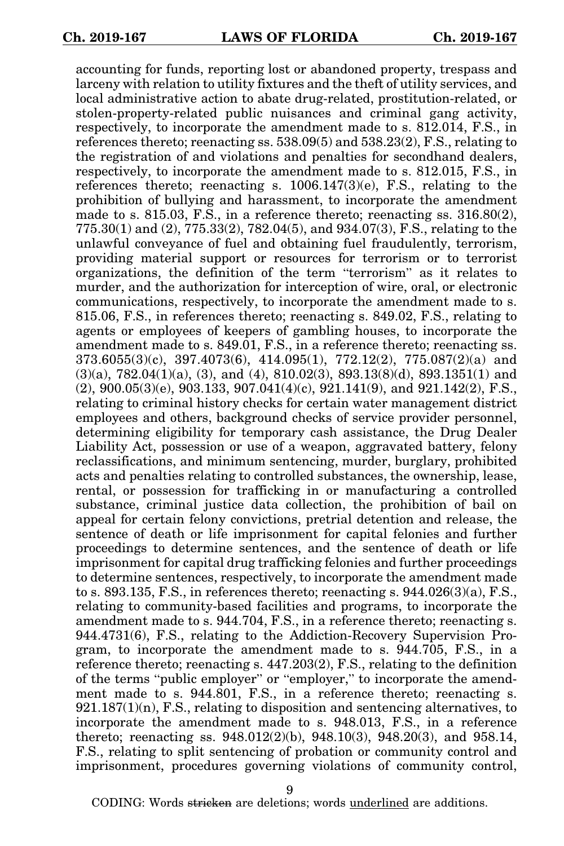accounting for funds, reporting lost or abandoned property, trespass and larceny with relation to utility fixtures and the theft of utility services, and local administrative action to abate drug-related, prostitution-related, or stolen-property-related public nuisances and criminal gang activity, respectively, to incorporate the amendment made to s. 812.014, F.S., in references thereto; reenacting ss. 538.09(5) and 538.23(2), F.S., relating to the registration of and violations and penalties for secondhand dealers, respectively, to incorporate the amendment made to s. 812.015, F.S., in references thereto; reenacting s.  $1006.147(3)(e)$ , F.S., relating to the prohibition of bullying and harassment, to incorporate the amendment made to s. 815.03, F.S., in a reference thereto; reenacting ss. 316.80(2), 775.30(1) and (2), 775.33(2), 782.04(5), and 934.07(3), F.S., relating to the unlawful conveyance of fuel and obtaining fuel fraudulently, terrorism, providing material support or resources for terrorism or to terrorist organizations, the definition of the term "terrorism" as it relates to murder, and the authorization for interception of wire, oral, or electronic communications, respectively, to incorporate the amendment made to s. 815.06, F.S., in references thereto; reenacting s. 849.02, F.S., relating to agents or employees of keepers of gambling houses, to incorporate the amendment made to s. 849.01, F.S., in a reference thereto; reenacting ss. 373.6055(3)(c), 397.4073(6), 414.095(1), 772.12(2), 775.087(2)(a) and  $(3)(a)$ ,  $782.04(1)(a)$ ,  $(3)$ , and  $(4)$ ,  $810.02(3)$ ,  $893.13(8)(d)$ ,  $893.1351(1)$  and  $(2), 900.05(3)(e), 903.133, 907.041(4)(c), 921.141(9), and 921.142(2), F.S.,$ relating to criminal history checks for certain water management district employees and others, background checks of service provider personnel, determining eligibility for temporary cash assistance, the Drug Dealer Liability Act, possession or use of a weapon, aggravated battery, felony reclassifications, and minimum sentencing, murder, burglary, prohibited acts and penalties relating to controlled substances, the ownership, lease, rental, or possession for trafficking in or manufacturing a controlled substance, criminal justice data collection, the prohibition of bail on appeal for certain felony convictions, pretrial detention and release, the sentence of death or life imprisonment for capital felonies and further proceedings to determine sentences, and the sentence of death or life imprisonment for capital drug trafficking felonies and further proceedings to determine sentences, respectively, to incorporate the amendment made to s. 893.135, F.S., in references thereto; reenacting s.  $944.026(3)(a)$ , F.S., relating to community-based facilities and programs, to incorporate the amendment made to s. 944.704, F.S., in a reference thereto; reenacting s. 944.4731(6), F.S., relating to the Addiction-Recovery Supervision Program, to incorporate the amendment made to s. 944.705, F.S., in a reference thereto; reenacting s. 447.203(2), F.S., relating to the definition of the terms "public employer" or "employer," to incorporate the amendment made to s. 944.801, F.S., in a reference thereto; reenacting s.  $921.187(1)(n)$ , F.S., relating to disposition and sentencing alternatives, to incorporate the amendment made to s. 948.013, F.S., in a reference thereto; reenacting ss. 948.012(2)(b), 948.10(3), 948.20(3), and 958.14, F.S., relating to split sentencing of probation or community control and imprisonment, procedures governing violations of community control,

9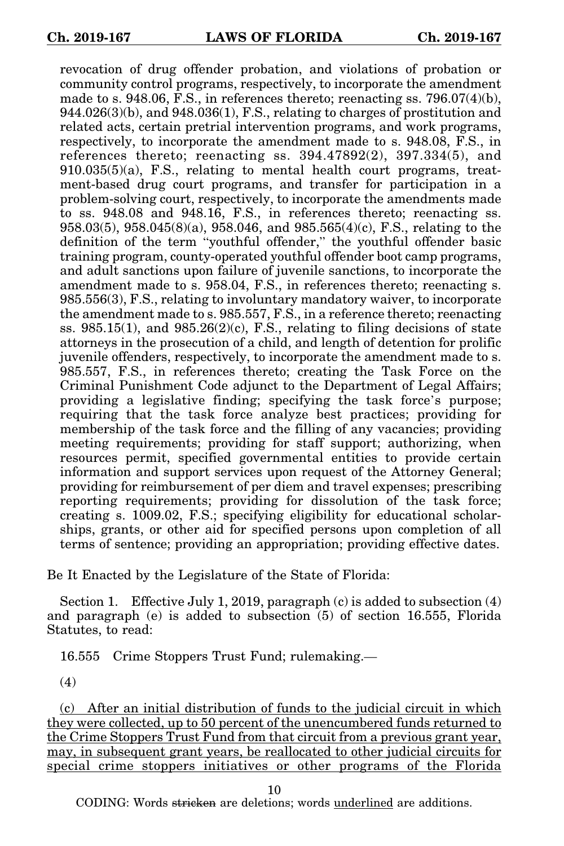revocation of drug offender probation, and violations of probation or community control programs, respectively, to incorporate the amendment made to s. 948.06, F.S., in references thereto; reenacting ss.  $796.07(4)(b)$ , 944.026(3)(b), and 948.036(1), F.S., relating to charges of prostitution and related acts, certain pretrial intervention programs, and work programs, respectively, to incorporate the amendment made to s. 948.08, F.S., in references thereto; reenacting ss.  $394.47892(2)$ ,  $397.334(5)$ , and 910.035(5)(a), F.S., relating to mental health court programs, treatment-based drug court programs, and transfer for participation in a problem-solving court, respectively, to incorporate the amendments made to ss. 948.08 and 948.16, F.S., in references thereto; reenacting ss. 958.03(5), 958.045(8)(a), 958.046, and 985.565(4)(c), F.S., relating to the definition of the term "youthful offender," the youthful offender basic training program, county-operated youthful offender boot camp programs, and adult sanctions upon failure of juvenile sanctions, to incorporate the amendment made to s. 958.04, F.S., in references thereto; reenacting s. 985.556(3), F.S., relating to involuntary mandatory waiver, to incorporate the amendment made to s. 985.557, F.S., in a reference thereto; reenacting ss.  $985.15(1)$ , and  $985.26(2)(c)$ , F.S., relating to filing decisions of state attorneys in the prosecution of a child, and length of detention for prolific juvenile offenders, respectively, to incorporate the amendment made to s. 985.557, F.S., in references thereto; creating the Task Force on the Criminal Punishment Code adjunct to the Department of Legal Affairs; providing a legislative finding; specifying the task force's purpose; requiring that the task force analyze best practices; providing for membership of the task force and the filling of any vacancies; providing meeting requirements; providing for staff support; authorizing, when resources permit, specified governmental entities to provide certain information and support services upon request of the Attorney General; providing for reimbursement of per diem and travel expenses; prescribing reporting requirements; providing for dissolution of the task force; creating s. 1009.02, F.S.; specifying eligibility for educational scholarships, grants, or other aid for specified persons upon completion of all terms of sentence; providing an appropriation; providing effective dates.

Be It Enacted by the Legislature of the State of Florida:

Section 1. Effective July 1, 2019, paragraph (c) is added to subsection (4) and paragraph (e) is added to subsection (5) of section 16.555, Florida Statutes, to read:

16.555 Crime Stoppers Trust Fund; rulemaking.—

(4)

(c) After an initial distribution of funds to the judicial circuit in which they were collected, up to 50 percent of the unencumbered funds returned to the Crime Stoppers Trust Fund from that circuit from a previous grant year, may, in subsequent grant years, be reallocated to other judicial circuits for special crime stoppers initiatives or other programs of the Florida

10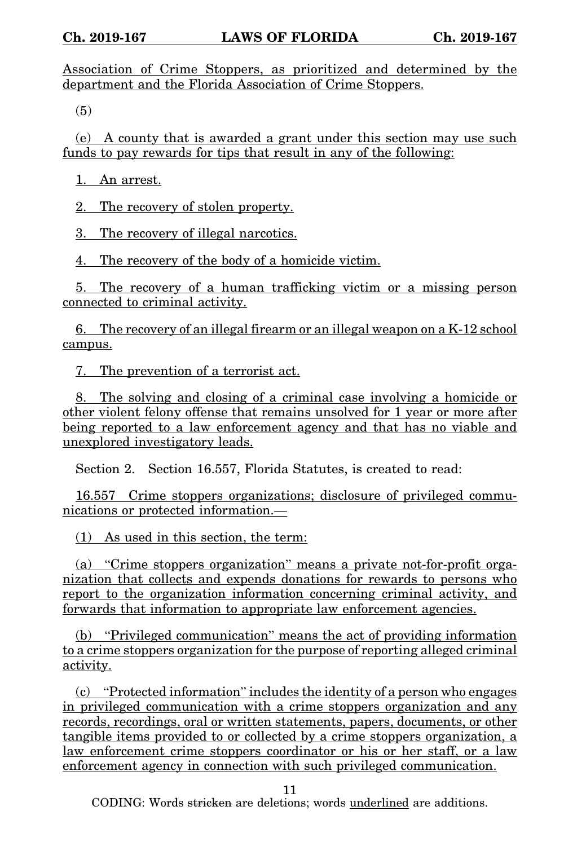Association of Crime Stoppers, as prioritized and determined by the department and the Florida Association of Crime Stoppers.

(5)

(e) A county that is awarded a grant under this section may use such funds to pay rewards for tips that result in any of the following:

1. An arrest.

2. The recovery of stolen property.

3. The recovery of illegal narcotics.

4. The recovery of the body of a homicide victim.

5. The recovery of a human trafficking victim or a missing person connected to criminal activity.

6. The recovery of an illegal firearm or an illegal weapon on a K-12 school campus.

7. The prevention of a terrorist act.

8. The solving and closing of a criminal case involving a homicide or other violent felony offense that remains unsolved for 1 year or more after being reported to a law enforcement agency and that has no viable and unexplored investigatory leads.

Section 2. Section 16.557, Florida Statutes, is created to read:

16.557 Crime stoppers organizations; disclosure of privileged communications or protected information.—

(1) As used in this section, the term:

(a) "Crime stoppers organization" means a private not-for-profit organization that collects and expends donations for rewards to persons who report to the organization information concerning criminal activity, and forwards that information to appropriate law enforcement agencies.

(b) "Privileged communication" means the act of providing information to a crime stoppers organization for the purpose of reporting alleged criminal activity.

(c) "Protected information" includes the identity of a person who engages in privileged communication with a crime stoppers organization and any records, recordings, oral or written statements, papers, documents, or other tangible items provided to or collected by a crime stoppers organization, a law enforcement crime stoppers coordinator or his or her staff, or a law enforcement agency in connection with such privileged communication.

11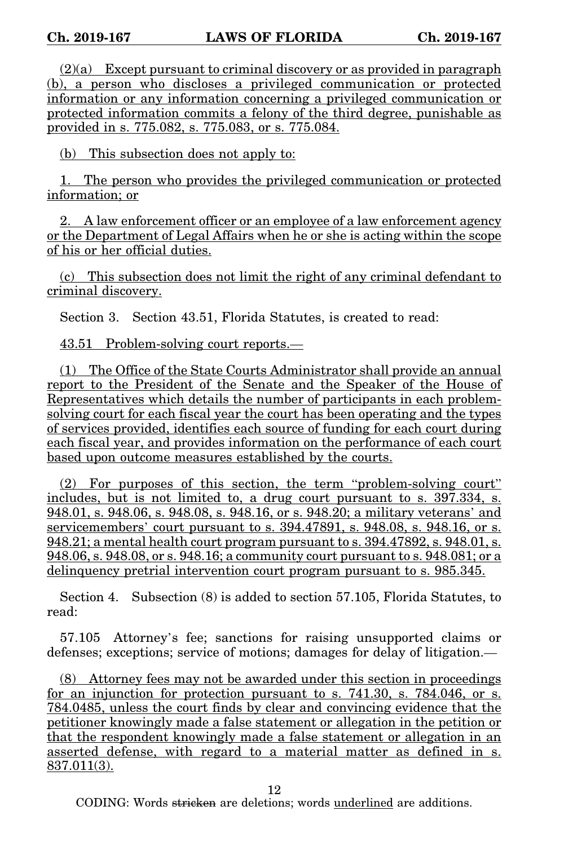$(2)(a)$  Except pursuant to criminal discovery or as provided in paragraph (b), a person who discloses a privileged communication or protected information or any information concerning a privileged communication or protected information commits a felony of the third degree, punishable as provided in s. 775.082, s. 775.083, or s. 775.084.

(b) This subsection does not apply to:

1. The person who provides the privileged communication or protected information; or

2. A law enforcement officer or an employee of a law enforcement agency or the Department of Legal Affairs when he or she is acting within the scope of his or her official duties.

(c) This subsection does not limit the right of any criminal defendant to criminal discovery.

Section 3. Section 43.51, Florida Statutes, is created to read:

43.51 Problem-solving court reports.—

(1) The Office of the State Courts Administrator shall provide an annual report to the President of the Senate and the Speaker of the House of Representatives which details the number of participants in each problemsolving court for each fiscal year the court has been operating and the types of services provided, identifies each source of funding for each court during each fiscal year, and provides information on the performance of each court based upon outcome measures established by the courts.

(2) For purposes of this section, the term "problem-solving court" includes, but is not limited to, a drug court pursuant to s. 397.334, s. 948.01, s. 948.06, s. 948.08, s. 948.16, or s. 948.20; a military veterans' and servicemembers' court pursuant to s. 394.47891, s. 948.08, s. 948.16, or s. 948.21; a mental health court program pursuant to s. 394.47892, s. 948.01, s. 948.06, s. 948.08, or s. 948.16; a community court pursuant to s. 948.081; or a delinquency pretrial intervention court program pursuant to s. 985.345.

Section 4. Subsection (8) is added to section 57.105, Florida Statutes, to read:

57.105 Attorney's fee; sanctions for raising unsupported claims or defenses; exceptions; service of motions; damages for delay of litigation.—

(8) Attorney fees may not be awarded under this section in proceedings for an injunction for protection pursuant to s. 741.30, s. 784.046, or s. 784.0485, unless the court finds by clear and convincing evidence that the petitioner knowingly made a false statement or allegation in the petition or that the respondent knowingly made a false statement or allegation in an asserted defense, with regard to a material matter as defined in s. 837.011(3).

12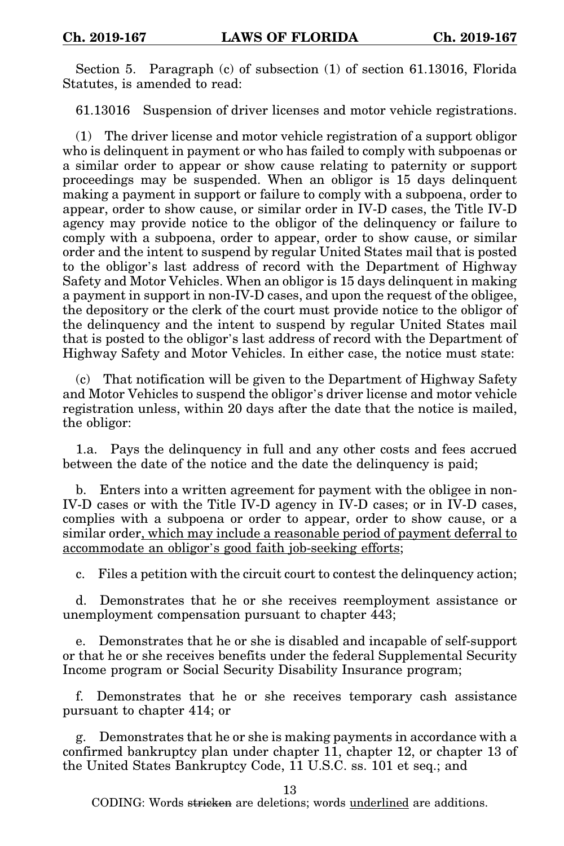Section 5. Paragraph (c) of subsection (1) of section 61.13016, Florida Statutes, is amended to read:

61.13016 Suspension of driver licenses and motor vehicle registrations.

(1) The driver license and motor vehicle registration of a support obligor who is delinquent in payment or who has failed to comply with subpoenas or a similar order to appear or show cause relating to paternity or support proceedings may be suspended. When an obligor is 15 days delinquent making a payment in support or failure to comply with a subpoena, order to appear, order to show cause, or similar order in IV-D cases, the Title IV-D agency may provide notice to the obligor of the delinquency or failure to comply with a subpoena, order to appear, order to show cause, or similar order and the intent to suspend by regular United States mail that is posted to the obligor's last address of record with the Department of Highway Safety and Motor Vehicles. When an obligor is 15 days delinquent in making a payment in support in non-IV-D cases, and upon the request of the obligee, the depository or the clerk of the court must provide notice to the obligor of the delinquency and the intent to suspend by regular United States mail that is posted to the obligor's last address of record with the Department of Highway Safety and Motor Vehicles. In either case, the notice must state:

(c) That notification will be given to the Department of Highway Safety and Motor Vehicles to suspend the obligor's driver license and motor vehicle registration unless, within 20 days after the date that the notice is mailed, the obligor:

1.a. Pays the delinquency in full and any other costs and fees accrued between the date of the notice and the date the delinquency is paid;

b. Enters into a written agreement for payment with the obligee in non-IV-D cases or with the Title IV-D agency in IV-D cases; or in IV-D cases, complies with a subpoena or order to appear, order to show cause, or a similar order, which may include a reasonable period of payment deferral to accommodate an obligor's good faith job-seeking efforts;

c. Files a petition with the circuit court to contest the delinquency action;

d. Demonstrates that he or she receives reemployment assistance or unemployment compensation pursuant to chapter 443;

e. Demonstrates that he or she is disabled and incapable of self-support or that he or she receives benefits under the federal Supplemental Security Income program or Social Security Disability Insurance program;

f. Demonstrates that he or she receives temporary cash assistance pursuant to chapter 414; or

g. Demonstrates that he or she is making payments in accordance with a confirmed bankruptcy plan under chapter 11, chapter 12, or chapter 13 of the United States Bankruptcy Code, 11 U.S.C. ss. 101 et seq.; and

13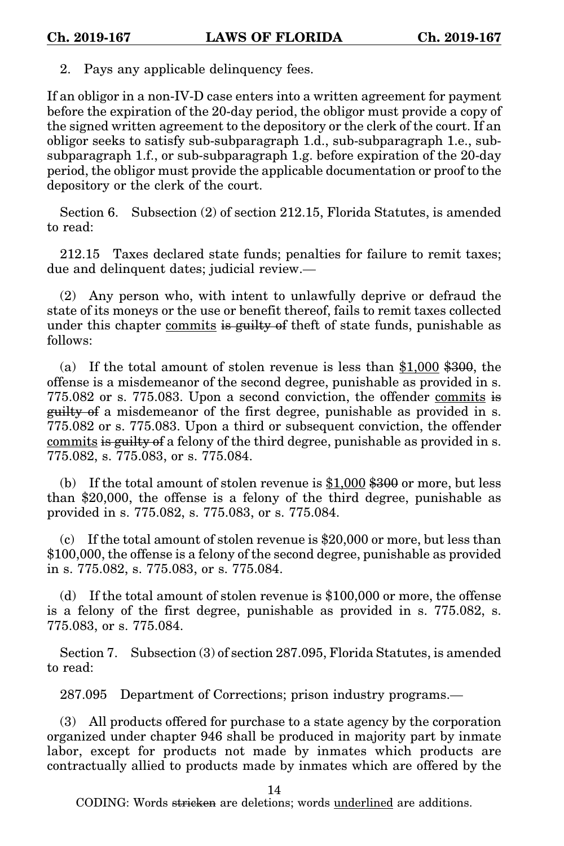2. Pays any applicable delinquency fees.

If an obligor in a non-IV-D case enters into a written agreement for payment before the expiration of the 20-day period, the obligor must provide a copy of the signed written agreement to the depository or the clerk of the court. If an obligor seeks to satisfy sub-subparagraph 1.d., sub-subparagraph 1.e., subsubparagraph 1.f., or sub-subparagraph 1.g. before expiration of the 20-day period, the obligor must provide the applicable documentation or proof to the depository or the clerk of the court.

Section 6. Subsection (2) of section 212.15, Florida Statutes, is amended to read:

212.15 Taxes declared state funds; penalties for failure to remit taxes; due and delinquent dates; judicial review.—

(2) Any person who, with intent to unlawfully deprive or defraud the state of its moneys or the use or benefit thereof, fails to remit taxes collected under this chapter commits is guilty of theft of state funds, punishable as follows:

(a) If the total amount of stolen revenue is less than \$1,000 \$300, the offense is a misdemeanor of the second degree, punishable as provided in s. 775.082 or s. 775.083. Upon a second conviction, the offender commits is guilty of a misdemeanor of the first degree, punishable as provided in s. 775.082 or s. 775.083. Upon a third or subsequent conviction, the offender commits is guilty of a felony of the third degree, punishable as provided in s. 775.082, s. 775.083, or s. 775.084.

(b) If the total amount of stolen revenue is  $$1,000$   $$300$  or more, but less than \$20,000, the offense is a felony of the third degree, punishable as provided in s. 775.082, s. 775.083, or s. 775.084.

(c) If the total amount of stolen revenue is \$20,000 or more, but less than \$100,000, the offense is a felony of the second degree, punishable as provided in s. 775.082, s. 775.083, or s. 775.084.

(d) If the total amount of stolen revenue is \$100,000 or more, the offense is a felony of the first degree, punishable as provided in s. 775.082, s. 775.083, or s. 775.084.

Section 7. Subsection (3) of section 287.095, Florida Statutes, is amended to read:

287.095 Department of Corrections; prison industry programs.—

(3) All products offered for purchase to a state agency by the corporation organized under chapter 946 shall be produced in majority part by inmate labor, except for products not made by inmates which products are contractually allied to products made by inmates which are offered by the

14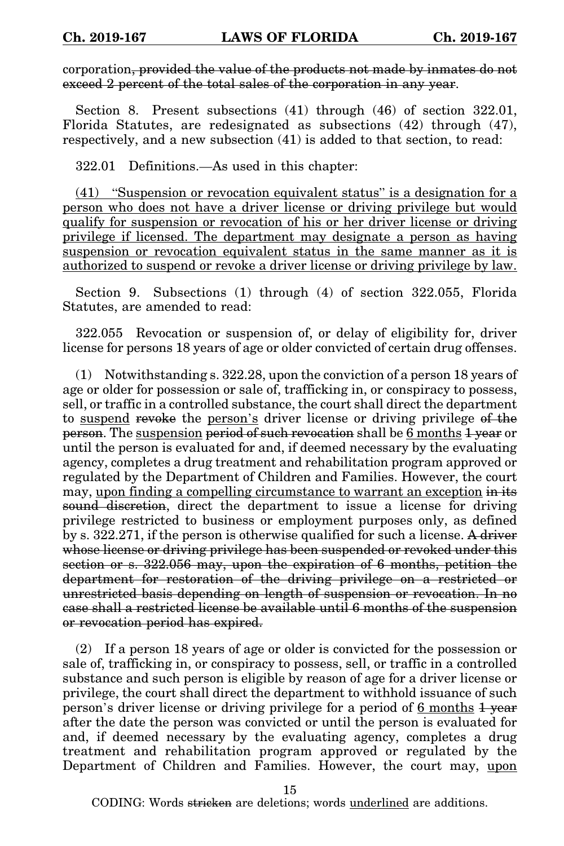corporation, provided the value of the products not made by inmates do not exceed 2 percent of the total sales of the corporation in any year.

Section 8. Present subsections (41) through (46) of section 322.01, Florida Statutes, are redesignated as subsections (42) through (47), respectively, and a new subsection (41) is added to that section, to read:

322.01 Definitions.—As used in this chapter:

(41) "Suspension or revocation equivalent status" is a designation for a person who does not have a driver license or driving privilege but would qualify for suspension or revocation of his or her driver license or driving privilege if licensed. The department may designate a person as having suspension or revocation equivalent status in the same manner as it is authorized to suspend or revoke a driver license or driving privilege by law.

Section 9. Subsections (1) through (4) of section 322.055, Florida Statutes, are amended to read:

322.055 Revocation or suspension of, or delay of eligibility for, driver license for persons 18 years of age or older convicted of certain drug offenses.

(1) Notwithstanding s. 322.28, upon the conviction of a person 18 years of age or older for possession or sale of, trafficking in, or conspiracy to possess, sell, or traffic in a controlled substance, the court shall direct the department to suspend revoke the person's driver license or driving privilege of the person. The suspension period of such revocation shall be 6 months 1 year or until the person is evaluated for and, if deemed necessary by the evaluating agency, completes a drug treatment and rehabilitation program approved or regulated by the Department of Children and Families. However, the court may, upon finding a compelling circumstance to warrant an exception in its sound discretion, direct the department to issue a license for driving privilege restricted to business or employment purposes only, as defined by s. 322.271, if the person is otherwise qualified for such a license. A driver whose license or driving privilege has been suspended or revoked under this section or s. 322.056 may, upon the expiration of 6 months, petition the department for restoration of the driving privilege on a restricted or unrestricted basis depending on length of suspension or revocation. In no case shall a restricted license be available until 6 months of the suspension or revocation period has expired.

(2) If a person 18 years of age or older is convicted for the possession or sale of, trafficking in, or conspiracy to possess, sell, or traffic in a controlled substance and such person is eligible by reason of age for a driver license or privilege, the court shall direct the department to withhold issuance of such person's driver license or driving privilege for a period of 6 months  $\frac{1}{1}$  year after the date the person was convicted or until the person is evaluated for and, if deemed necessary by the evaluating agency, completes a drug treatment and rehabilitation program approved or regulated by the Department of Children and Families. However, the court may, upon

15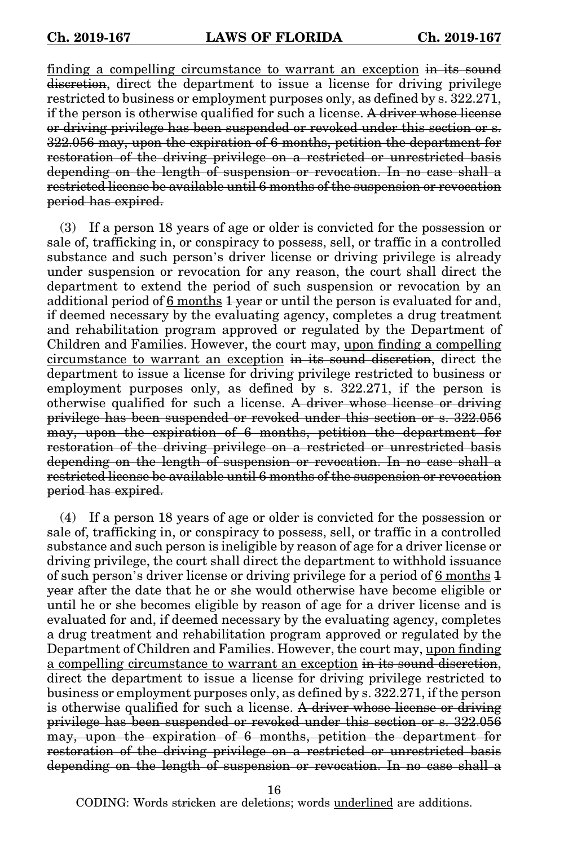finding a compelling circumstance to warrant an exception in its sound discretion, direct the department to issue a license for driving privilege restricted to business or employment purposes only, as defined by s. 322.271, if the person is otherwise qualified for such a license. A driver whose license or driving privilege has been suspended or revoked under this section or s. 322.056 may, upon the expiration of 6 months, petition the department for restoration of the driving privilege on a restricted or unrestricted basis depending on the length of suspension or revocation. In no case shall a restricted license be available until 6 months of the suspension or revocation period has expired.

(3) If a person 18 years of age or older is convicted for the possession or sale of, trafficking in, or conspiracy to possess, sell, or traffic in a controlled substance and such person's driver license or driving privilege is already under suspension or revocation for any reason, the court shall direct the department to extend the period of such suspension or revocation by an additional period of  $6$  months  $1$  year or until the person is evaluated for and, if deemed necessary by the evaluating agency, completes a drug treatment and rehabilitation program approved or regulated by the Department of Children and Families. However, the court may, upon finding a compelling circumstance to warrant an exception in its sound discretion, direct the department to issue a license for driving privilege restricted to business or employment purposes only, as defined by s. 322.271, if the person is otherwise qualified for such a license. A driver whose license or driving privilege has been suspended or revoked under this section or s. 322.056 may, upon the expiration of 6 months, petition the department for restoration of the driving privilege on a restricted or unrestricted basis depending on the length of suspension or revocation. In no case shall a restricted license be available until 6 months of the suspension or revocation period has expired.

(4) If a person 18 years of age or older is convicted for the possession or sale of, trafficking in, or conspiracy to possess, sell, or traffic in a controlled substance and such person is ineligible by reason of age for a driver license or driving privilege, the court shall direct the department to withhold issuance of such person's driver license or driving privilege for a period of  $6$  months  $1$ year after the date that he or she would otherwise have become eligible or until he or she becomes eligible by reason of age for a driver license and is evaluated for and, if deemed necessary by the evaluating agency, completes a drug treatment and rehabilitation program approved or regulated by the Department of Children and Families. However, the court may, upon finding a compelling circumstance to warrant an exception in its sound discretion, direct the department to issue a license for driving privilege restricted to business or employment purposes only, as defined by s. 322.271, if the person is otherwise qualified for such a license. A driver whose license or driving privilege has been suspended or revoked under this section or s. 322.056 may, upon the expiration of 6 months, petition the department for restoration of the driving privilege on a restricted or unrestricted basis depending on the length of suspension or revocation. In no case shall a

16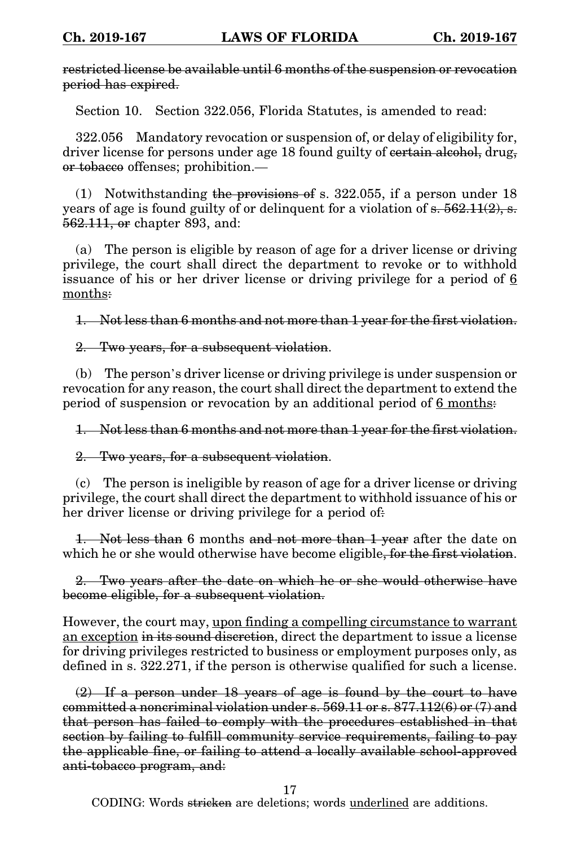restricted license be available until 6 months of the suspension or revocation period has expired.

Section 10. Section 322.056, Florida Statutes, is amended to read:

322.056 Mandatory revocation or suspension of, or delay of eligibility for, driver license for persons under age 18 found guilty of eertain alcohol, drug, or tobacco offenses; prohibition.—

(1) Notwithstanding the provisions of s. 322.055, if a person under  $18$ years of age is found guilty of or delinquent for a violation of  $s. 562.11(2), s.$ 562.111, or chapter 893, and:

(a) The person is eligible by reason of age for a driver license or driving privilege, the court shall direct the department to revoke or to withhold issuance of his or her driver license or driving privilege for a period of 6 months:

1. Not less than 6 months and not more than 1 year for the first violation.

2. Two years, for a subsequent violation.

(b) The person's driver license or driving privilege is under suspension or revocation for any reason, the court shall direct the department to extend the period of suspension or revocation by an additional period of 6 months:

1. Not less than 6 months and not more than 1 year for the first violation.

2. Two years, for a subsequent violation.

(c) The person is ineligible by reason of age for a driver license or driving privilege, the court shall direct the department to withhold issuance of his or her driver license or driving privilege for a period of.

Not less than 6 months and not more than 1 year after the date on which he or she would otherwise have become eligible, for the first violation.

2. Two years after the date on which he or she would otherwise have become eligible, for a subsequent violation.

However, the court may, upon finding a compelling circumstance to warrant an exception in its sound discretion, direct the department to issue a license for driving privileges restricted to business or employment purposes only, as defined in s. 322.271, if the person is otherwise qualified for such a license.

(2) If a person under 18 years of age is found by the court to have committed a noncriminal violation under s. 569.11 or s. 877.112(6) or (7) and that person has failed to comply with the procedures established in that section by failing to fulfill community service requirements, failing to pay the applicable fine, or failing to attend a locally available school-approved anti-tobacco program, and:

17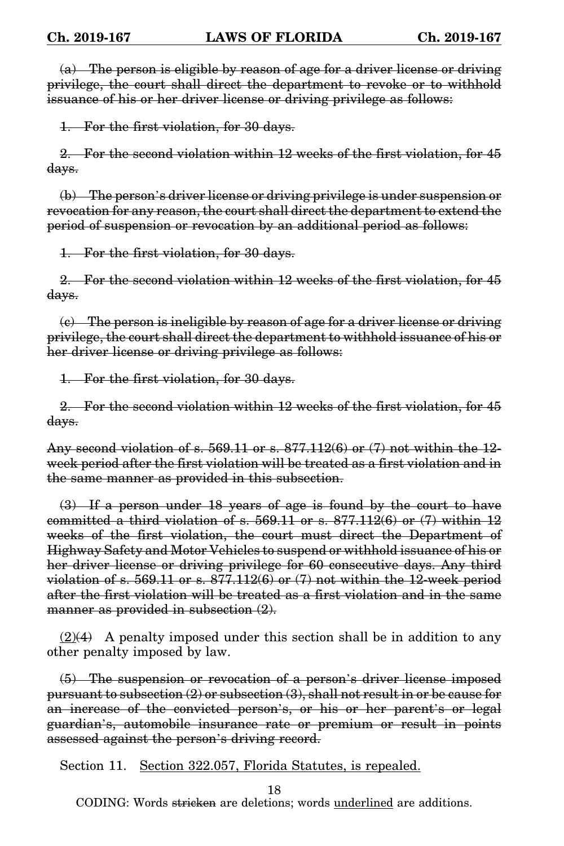(a) The person is eligible by reason of age for a driver license or driving privilege, the court shall direct the department to revoke or to withhold issuance of his or her driver license or driving privilege as follows:

1. For the first violation, for 30 days.

2. For the second violation within 12 weeks of the first violation, for 45 days.

(b) The person's driver license or driving privilege is under suspension or revocation for any reason, the court shall direct the department to extend the period of suspension or revocation by an additional period as follows:

1. For the first violation, for 30 days.

2. For the second violation within 12 weeks of the first violation, for 45 days.

(c) The person is ineligible by reason of age for a driver license or driving privilege, the court shall direct the department to withhold issuance of his or her driver license or driving privilege as follows:

1. For the first violation, for 30 days.

2. For the second violation within 12 weeks of the first violation, for 45 days.

Any second violation of s.  $569.11$  or s.  $877.112(6)$  or  $(7)$  not within the 12week period after the first violation will be treated as a first violation and in the same manner as provided in this subsection.

(3) If a person under 18 years of age is found by the court to have committed a third violation of s.  $569.11$  or s.  $877.112(6)$  or  $(7)$  within 12 weeks of the first violation, the court must direct the Department of Highway Safety and Motor Vehicles to suspend or withhold issuance of his or her driver license or driving privilege for 60 consecutive days. Any third violation of s.  $569.11$  or s.  $877.112(6)$  or  $(7)$  not within the 12-week period after the first violation will be treated as a first violation and in the same manner as provided in subsection  $(2)$ .

 $(2)(4)$  A penalty imposed under this section shall be in addition to any other penalty imposed by law.

(5) The suspension or revocation of a person's driver license imposed pursuant to subsection (2) or subsection (3), shall not result in or be cause for an increase of the convicted person's, or his or her parent's or legal guardian's, automobile insurance rate or premium or result in points assessed against the person's driving record.

Section 11. Section 322.057, Florida Statutes, is repealed.

18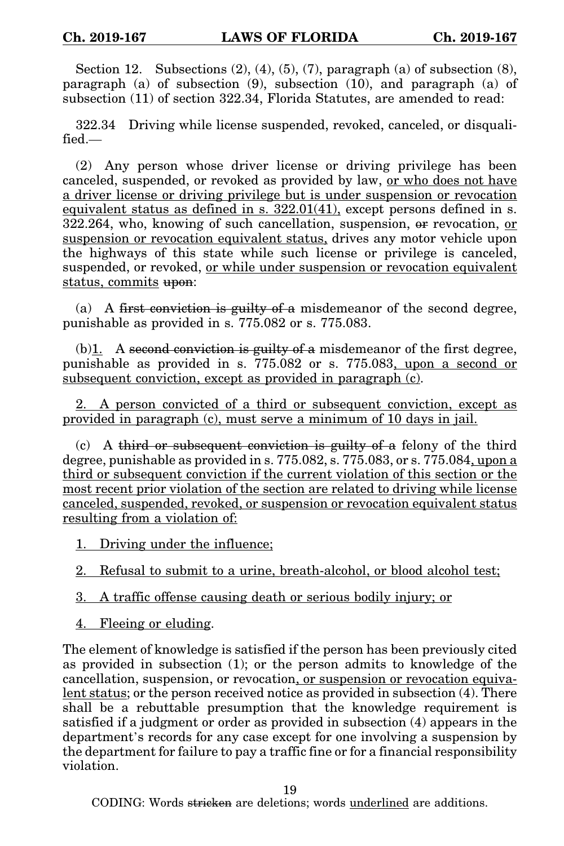Section 12. Subsections  $(2)$ ,  $(4)$ ,  $(5)$ ,  $(7)$ , paragraph  $(a)$  of subsection  $(8)$ , paragraph (a) of subsection (9), subsection (10), and paragraph (a) of subsection (11) of section 322.34, Florida Statutes, are amended to read:

322.34 Driving while license suspended, revoked, canceled, or disqualified.—

(2) Any person whose driver license or driving privilege has been canceled, suspended, or revoked as provided by law, or who does not have a driver license or driving privilege but is under suspension or revocation equivalent status as defined in s. 322.01(41), except persons defined in s. 322.264, who, knowing of such cancellation, suspension, or revocation, or suspension or revocation equivalent status, drives any motor vehicle upon the highways of this state while such license or privilege is canceled, suspended, or revoked, or while under suspension or revocation equivalent status, commits upon:

(a) A first conviction is guilty of a misdemeanor of the second degree, punishable as provided in s. 775.082 or s. 775.083.

(b) $\mathbf{I}$ . A second conviction is guilty of a misdemeanor of the first degree, punishable as provided in s. 775.082 or s. 775.083, upon a second or subsequent conviction, except as provided in paragraph (c).

2. A person convicted of a third or subsequent conviction, except as provided in paragraph (c), must serve a minimum of 10 days in jail.

(c) A third or subsequent conviction is guilty of a felony of the third degree, punishable as provided in s. 775.082, s. 775.083, or s. 775.084, upon a third or subsequent conviction if the current violation of this section or the most recent prior violation of the section are related to driving while license canceled, suspended, revoked, or suspension or revocation equivalent status resulting from a violation of:

1. Driving under the influence;

- 3. A traffic offense causing death or serious bodily injury; or
- 4. Fleeing or eluding.

The element of knowledge is satisfied if the person has been previously cited as provided in subsection (1); or the person admits to knowledge of the cancellation, suspension, or revocation, or suspension or revocation equivalent status; or the person received notice as provided in subsection (4). There shall be a rebuttable presumption that the knowledge requirement is satisfied if a judgment or order as provided in subsection (4) appears in the department's records for any case except for one involving a suspension by the department for failure to pay a traffic fine or for a financial responsibility violation.

19

<sup>2.</sup> Refusal to submit to a urine, breath-alcohol, or blood alcohol test;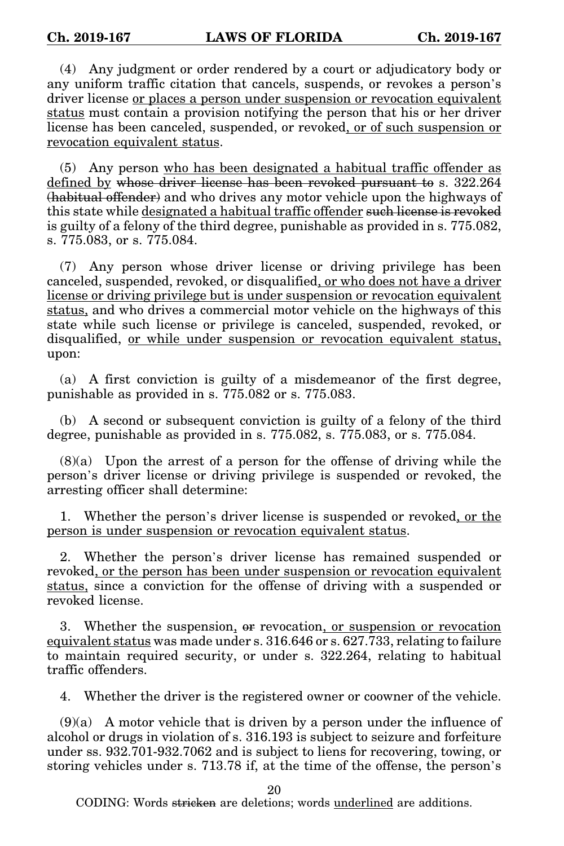(4) Any judgment or order rendered by a court or adjudicatory body or any uniform traffic citation that cancels, suspends, or revokes a person's driver license or places a person under suspension or revocation equivalent status must contain a provision notifying the person that his or her driver license has been canceled, suspended, or revoked, or of such suspension or revocation equivalent status.

(5) Any person who has been designated a habitual traffic offender as defined by whose driver license has been revoked pursuant to s. 322.264 (habitual offender) and who drives any motor vehicle upon the highways of this state while designated a habitual traffic offender such license is revoked is guilty of a felony of the third degree, punishable as provided in s. 775.082, s. 775.083, or s. 775.084.

(7) Any person whose driver license or driving privilege has been canceled, suspended, revoked, or disqualified, or who does not have a driver license or driving privilege but is under suspension or revocation equivalent status, and who drives a commercial motor vehicle on the highways of this state while such license or privilege is canceled, suspended, revoked, or disqualified, or while under suspension or revocation equivalent status, upon:

(a) A first conviction is guilty of a misdemeanor of the first degree, punishable as provided in s. 775.082 or s. 775.083.

(b) A second or subsequent conviction is guilty of a felony of the third degree, punishable as provided in s. 775.082, s. 775.083, or s. 775.084.

(8)(a) Upon the arrest of a person for the offense of driving while the person's driver license or driving privilege is suspended or revoked, the arresting officer shall determine:

1. Whether the person's driver license is suspended or revoked, or the person is under suspension or revocation equivalent status.

2. Whether the person's driver license has remained suspended or revoked, or the person has been under suspension or revocation equivalent status, since a conviction for the offense of driving with a suspended or revoked license.

3. Whether the suspension, or revocation, or suspension or revocation equivalent status was made under s. 316.646 or s. 627.733, relating to failure to maintain required security, or under s. 322.264, relating to habitual traffic offenders.

4. Whether the driver is the registered owner or coowner of the vehicle.

 $(9)(a)$  A motor vehicle that is driven by a person under the influence of alcohol or drugs in violation of s. 316.193 is subject to seizure and forfeiture under ss. 932.701-932.7062 and is subject to liens for recovering, towing, or storing vehicles under s. 713.78 if, at the time of the offense, the person's

20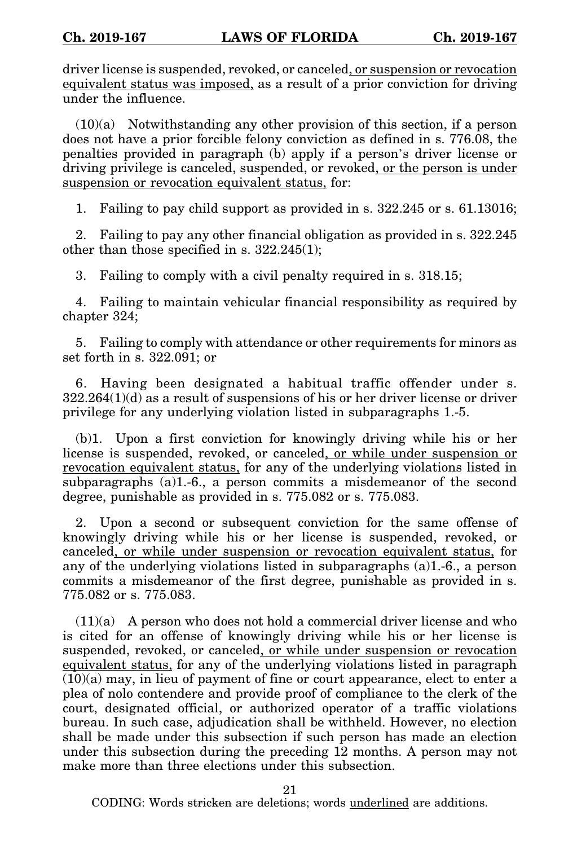driver license is suspended, revoked, or canceled, or suspension or revocation equivalent status was imposed, as a result of a prior conviction for driving under the influence.

 $(10)(a)$  Notwithstanding any other provision of this section, if a person does not have a prior forcible felony conviction as defined in s. 776.08, the penalties provided in paragraph (b) apply if a person's driver license or driving privilege is canceled, suspended, or revoked, or the person is under suspension or revocation equivalent status, for:

1. Failing to pay child support as provided in s. 322.245 or s. 61.13016;

2. Failing to pay any other financial obligation as provided in s. 322.245 other than those specified in s. 322.245(1);

3. Failing to comply with a civil penalty required in s. 318.15;

4. Failing to maintain vehicular financial responsibility as required by chapter 324;

5. Failing to comply with attendance or other requirements for minors as set forth in s. 322.091; or

6. Having been designated a habitual traffic offender under s.  $322.264(1)(d)$  as a result of suspensions of his or her driver license or driver privilege for any underlying violation listed in subparagraphs 1.-5.

(b)1. Upon a first conviction for knowingly driving while his or her license is suspended, revoked, or canceled, or while under suspension or revocation equivalent status, for any of the underlying violations listed in subparagraphs (a)1.-6., a person commits a misdemeanor of the second degree, punishable as provided in s. 775.082 or s. 775.083.

2. Upon a second or subsequent conviction for the same offense of knowingly driving while his or her license is suspended, revoked, or canceled, or while under suspension or revocation equivalent status, for any of the underlying violations listed in subparagraphs (a)1.-6., a person commits a misdemeanor of the first degree, punishable as provided in s. 775.082 or s. 775.083.

 $(11)(a)$  A person who does not hold a commercial driver license and who is cited for an offense of knowingly driving while his or her license is suspended, revoked, or canceled, or while under suspension or revocation equivalent status, for any of the underlying violations listed in paragraph  $(10)(a)$  may, in lieu of payment of fine or court appearance, elect to enter a plea of nolo contendere and provide proof of compliance to the clerk of the court, designated official, or authorized operator of a traffic violations bureau. In such case, adjudication shall be withheld. However, no election shall be made under this subsection if such person has made an election under this subsection during the preceding 12 months. A person may not make more than three elections under this subsection.

21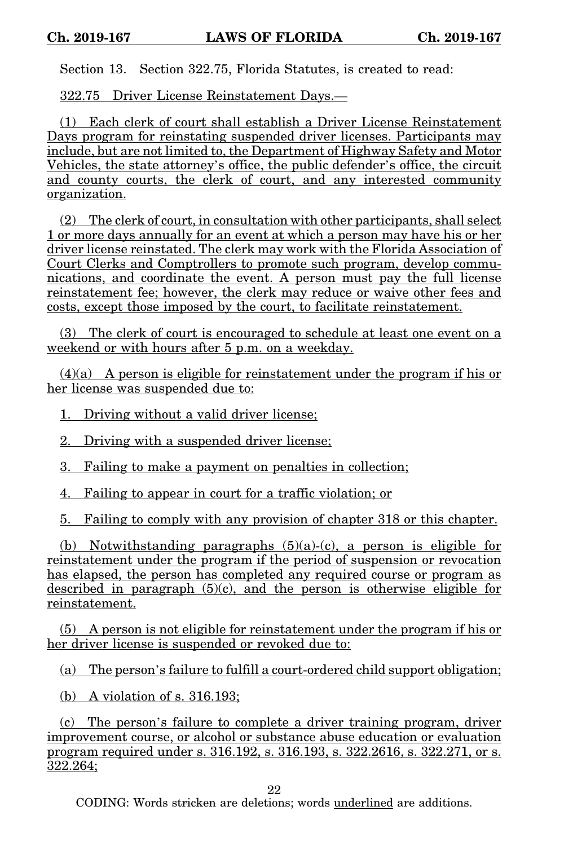Section 13. Section 322.75, Florida Statutes, is created to read:

322.75 Driver License Reinstatement Days.—

(1) Each clerk of court shall establish a Driver License Reinstatement Days program for reinstating suspended driver licenses. Participants may include, but are not limited to, the Department of Highway Safety and Motor Vehicles, the state attorney's office, the public defender's office, the circuit and county courts, the clerk of court, and any interested community organization.

(2) The clerk of court, in consultation with other participants, shall select 1 or more days annually for an event at which a person may have his or her driver license reinstated. The clerk may work with the Florida Association of Court Clerks and Comptrollers to promote such program, develop communications, and coordinate the event. A person must pay the full license reinstatement fee; however, the clerk may reduce or waive other fees and costs, except those imposed by the court, to facilitate reinstatement.

(3) The clerk of court is encouraged to schedule at least one event on a weekend or with hours after 5 p.m. on a weekday.

(4)(a) A person is eligible for reinstatement under the program if his or her license was suspended due to:

1. Driving without a valid driver license;

2. Driving with a suspended driver license;

3. Failing to make a payment on penalties in collection;

4. Failing to appear in court for a traffic violation; or

5. Failing to comply with any provision of chapter 318 or this chapter.

(b) Notwithstanding paragraphs  $(5)(a)-(c)$ , a person is eligible for reinstatement under the program if the period of suspension or revocation has elapsed, the person has completed any required course or program as described in paragraph  $(5)(c)$ , and the person is otherwise eligible for reinstatement.

(5) A person is not eligible for reinstatement under the program if his or her driver license is suspended or revoked due to:

(a) The person's failure to fulfill a court-ordered child support obligation;

(b) A violation of s. 316.193;

(c) The person's failure to complete a driver training program, driver improvement course, or alcohol or substance abuse education or evaluation program required under s. 316.192, s. 316.193, s. 322.2616, s. 322.271, or s. 322.264;

22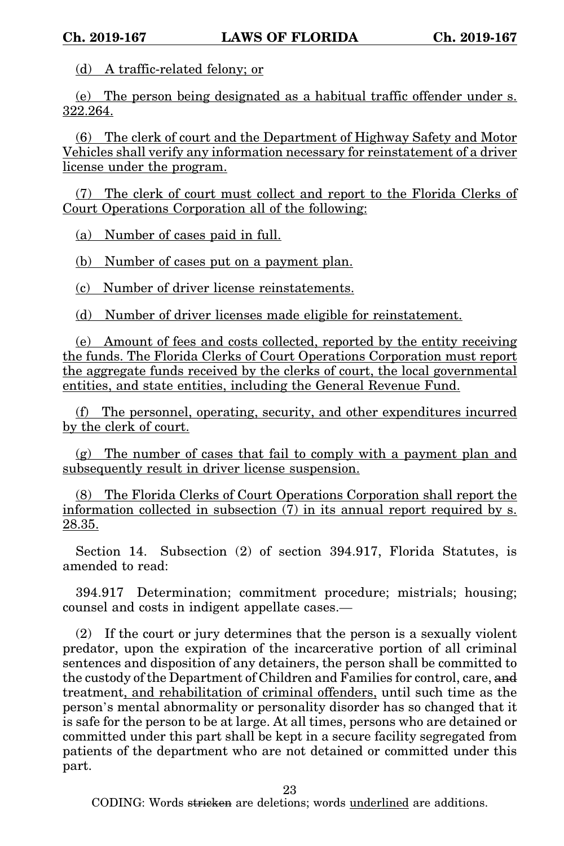(d) A traffic-related felony; or

(e) The person being designated as a habitual traffic offender under s. 322.264.

(6) The clerk of court and the Department of Highway Safety and Motor Vehicles shall verify any information necessary for reinstatement of a driver license under the program.

(7) The clerk of court must collect and report to the Florida Clerks of Court Operations Corporation all of the following:

(a) Number of cases paid in full.

(b) Number of cases put on a payment plan.

(c) Number of driver license reinstatements.

(d) Number of driver licenses made eligible for reinstatement.

(e) Amount of fees and costs collected, reported by the entity receiving the funds. The Florida Clerks of Court Operations Corporation must report the aggregate funds received by the clerks of court, the local governmental entities, and state entities, including the General Revenue Fund.

(f) The personnel, operating, security, and other expenditures incurred by the clerk of court.

(g) The number of cases that fail to comply with a payment plan and subsequently result in driver license suspension.

(8) The Florida Clerks of Court Operations Corporation shall report the information collected in subsection (7) in its annual report required by s. 28.35.

Section 14. Subsection (2) of section 394.917, Florida Statutes, is amended to read:

394.917 Determination; commitment procedure; mistrials; housing; counsel and costs in indigent appellate cases.—

(2) If the court or jury determines that the person is a sexually violent predator, upon the expiration of the incarcerative portion of all criminal sentences and disposition of any detainers, the person shall be committed to the custody of the Department of Children and Families for control, care, and treatment, and rehabilitation of criminal offenders, until such time as the person's mental abnormality or personality disorder has so changed that it is safe for the person to be at large. At all times, persons who are detained or committed under this part shall be kept in a secure facility segregated from patients of the department who are not detained or committed under this part.

23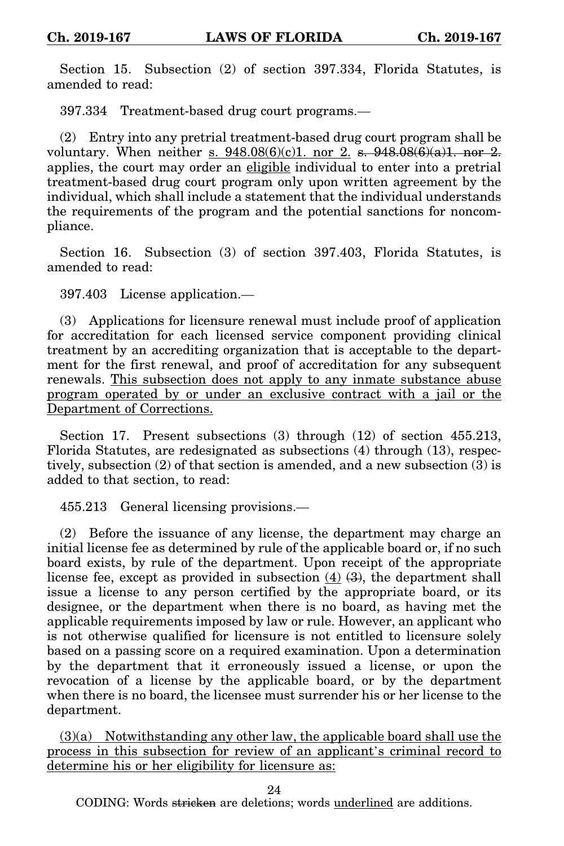Section 15. Subsection (2) of section 397.334, Florida Statutes, is amended to read:

397.334 Treatment-based drug court programs.—

(2) Entry into any pretrial treatment-based drug court program shall be voluntary. When neither s.  $948.08(6)(c)1$ . nor 2. s.  $948.08(6)(a)1$ . nor 2. applies, the court may order an eligible individual to enter into a pretrial treatment-based drug court program only upon written agreement by the individual, which shall include a statement that the individual understands the requirements of the program and the potential sanctions for noncompliance.

Section 16. Subsection (3) of section 397.403, Florida Statutes, is amended to read:

397.403 License application.—

(3) Applications for licensure renewal must include proof of application for accreditation for each licensed service component providing clinical treatment by an accrediting organization that is acceptable to the department for the first renewal, and proof of accreditation for any subsequent renewals. This subsection does not apply to any inmate substance abuse program operated by or under an exclusive contract with a jail or the Department of Corrections.

Section 17. Present subsections (3) through (12) of section 455.213, Florida Statutes, are redesignated as subsections (4) through (13), respectively, subsection (2) of that section is amended, and a new subsection (3) is added to that section, to read:

455.213 General licensing provisions.—

(2) Before the issuance of any license, the department may charge an initial license fee as determined by rule of the applicable board or, if no such board exists, by rule of the department. Upon receipt of the appropriate license fee, except as provided in subsection  $(4)$   $(3)$ , the department shall issue a license to any person certified by the appropriate board, or its designee, or the department when there is no board, as having met the applicable requirements imposed by law or rule. However, an applicant who is not otherwise qualified for licensure is not entitled to licensure solely based on a passing score on a required examination. Upon a determination by the department that it erroneously issued a license, or upon the revocation of a license by the applicable board, or by the department when there is no board, the licensee must surrender his or her license to the department.

 $(3)(a)$  Notwithstanding any other law, the applicable board shall use the process in this subsection for review of an applicant's criminal record to determine his or her eligibility for licensure as:

24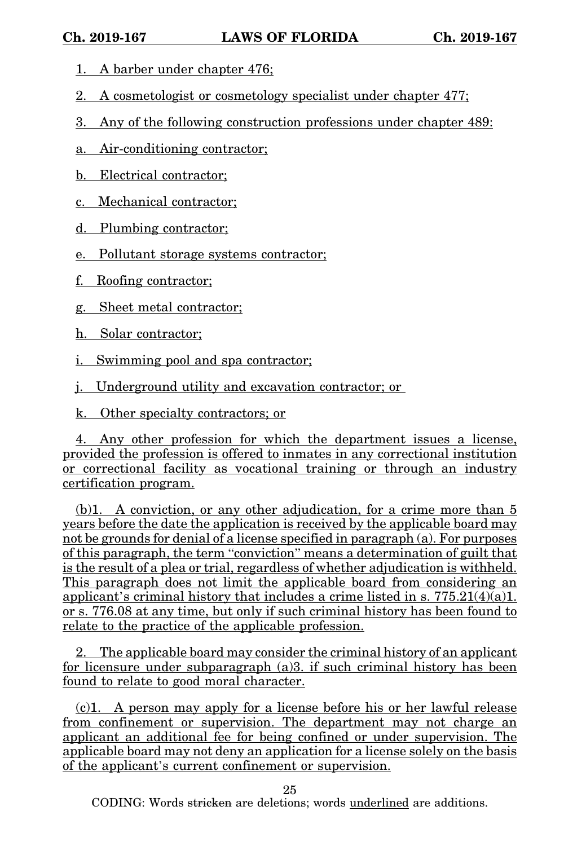- 1. A barber under chapter 476;
- 2. A cosmetologist or cosmetology specialist under chapter 477;
- 3. Any of the following construction professions under chapter 489:
- a. Air-conditioning contractor;
- b. Electrical contractor;
- c. Mechanical contractor;
- d. Plumbing contractor;
- e. Pollutant storage systems contractor;
- f. Roofing contractor;
- g. Sheet metal contractor;
- h. Solar contractor;
- i. Swimming pool and spa contractor;
- j. Underground utility and excavation contractor; or
- k. Other specialty contractors; or

4. Any other profession for which the department issues a license, provided the profession is offered to inmates in any correctional institution or correctional facility as vocational training or through an industry certification program.

(b)1. A conviction, or any other adjudication, for a crime more than 5 years before the date the application is received by the applicable board may not be grounds for denial of a license specified in paragraph (a). For purposes of this paragraph, the term "conviction" means a determination of guilt that is the result of a plea or trial, regardless of whether adjudication is withheld. This paragraph does not limit the applicable board from considering an applicant's criminal history that includes a crime listed in s.  $775.21(4)(a)1$ . or s. 776.08 at any time, but only if such criminal history has been found to relate to the practice of the applicable profession.

2. The applicable board may consider the criminal history of an applicant for licensure under subparagraph (a)3. if such criminal history has been found to relate to good moral character.

(c)1. A person may apply for a license before his or her lawful release from confinement or supervision. The department may not charge an applicant an additional fee for being confined or under supervision. The applicable board may not deny an application for a license solely on the basis of the applicant's current confinement or supervision.

25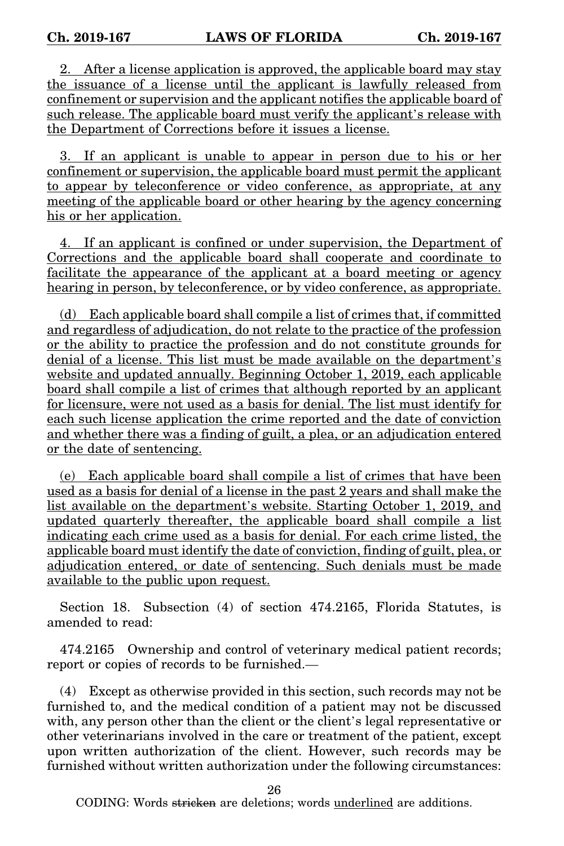2. After a license application is approved, the applicable board may stay the issuance of a license until the applicant is lawfully released from confinement or supervision and the applicant notifies the applicable board of such release. The applicable board must verify the applicant's release with the Department of Corrections before it issues a license.

3. If an applicant is unable to appear in person due to his or her confinement or supervision, the applicable board must permit the applicant to appear by teleconference or video conference, as appropriate, at any meeting of the applicable board or other hearing by the agency concerning his or her application.

4. If an applicant is confined or under supervision, the Department of Corrections and the applicable board shall cooperate and coordinate to facilitate the appearance of the applicant at a board meeting or agency hearing in person, by teleconference, or by video conference, as appropriate.

(d) Each applicable board shall compile a list of crimes that, if committed and regardless of adjudication, do not relate to the practice of the profession or the ability to practice the profession and do not constitute grounds for denial of a license. This list must be made available on the department's website and updated annually. Beginning October 1, 2019, each applicable board shall compile a list of crimes that although reported by an applicant for licensure, were not used as a basis for denial. The list must identify for each such license application the crime reported and the date of conviction and whether there was a finding of guilt, a plea, or an adjudication entered or the date of sentencing.

(e) Each applicable board shall compile a list of crimes that have been used as a basis for denial of a license in the past 2 years and shall make the list available on the department's website. Starting October 1, 2019, and updated quarterly thereafter, the applicable board shall compile a list indicating each crime used as a basis for denial. For each crime listed, the applicable board must identify the date of conviction, finding of guilt, plea, or adjudication entered, or date of sentencing. Such denials must be made available to the public upon request.

Section 18. Subsection (4) of section 474.2165, Florida Statutes, is amended to read:

474.2165 Ownership and control of veterinary medical patient records; report or copies of records to be furnished.—

(4) Except as otherwise provided in this section, such records may not be furnished to, and the medical condition of a patient may not be discussed with, any person other than the client or the client's legal representative or other veterinarians involved in the care or treatment of the patient, except upon written authorization of the client. However, such records may be furnished without written authorization under the following circumstances:

26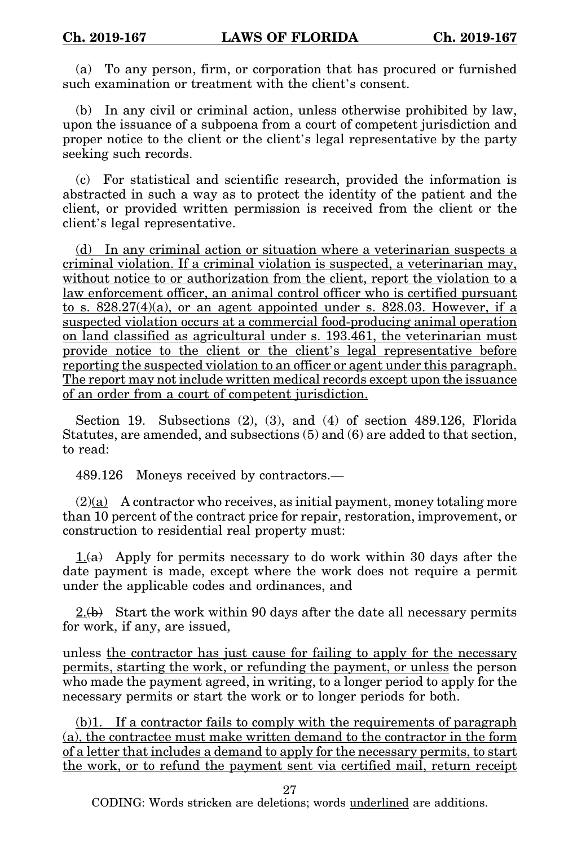(a) To any person, firm, or corporation that has procured or furnished such examination or treatment with the client's consent.

(b) In any civil or criminal action, unless otherwise prohibited by law, upon the issuance of a subpoena from a court of competent jurisdiction and proper notice to the client or the client's legal representative by the party seeking such records.

(c) For statistical and scientific research, provided the information is abstracted in such a way as to protect the identity of the patient and the client, or provided written permission is received from the client or the client's legal representative.

(d) In any criminal action or situation where a veterinarian suspects a criminal violation. If a criminal violation is suspected, a veterinarian may, without notice to or authorization from the client, report the violation to a law enforcement officer, an animal control officer who is certified pursuant to s.  $828.27(4)(a)$ , or an agent appointed under s.  $828.03$ . However, if a suspected violation occurs at a commercial food-producing animal operation on land classified as agricultural under s. 193.461, the veterinarian must provide notice to the client or the client's legal representative before reporting the suspected violation to an officer or agent under this paragraph. The report may not include written medical records except upon the issuance of an order from a court of competent jurisdiction.

Section 19. Subsections (2), (3), and (4) of section 489.126, Florida Statutes, are amended, and subsections (5) and (6) are added to that section, to read:

489.126 Moneys received by contractors.—

 $(2)(a)$  A contractor who receives, as initial payment, money totaling more than 10 percent of the contract price for repair, restoration, improvement, or construction to residential real property must:

 $1.6a$  Apply for permits necessary to do work within 30 days after the date payment is made, except where the work does not require a permit under the applicable codes and ordinances, and

 $2.6$ ) Start the work within 90 days after the date all necessary permits for work, if any, are issued,

unless the contractor has just cause for failing to apply for the necessary permits, starting the work, or refunding the payment, or unless the person who made the payment agreed, in writing, to a longer period to apply for the necessary permits or start the work or to longer periods for both.

(b)1. If a contractor fails to comply with the requirements of paragraph (a), the contractee must make written demand to the contractor in the form of a letter that includes a demand to apply for the necessary permits, to start the work, or to refund the payment sent via certified mail, return receipt

27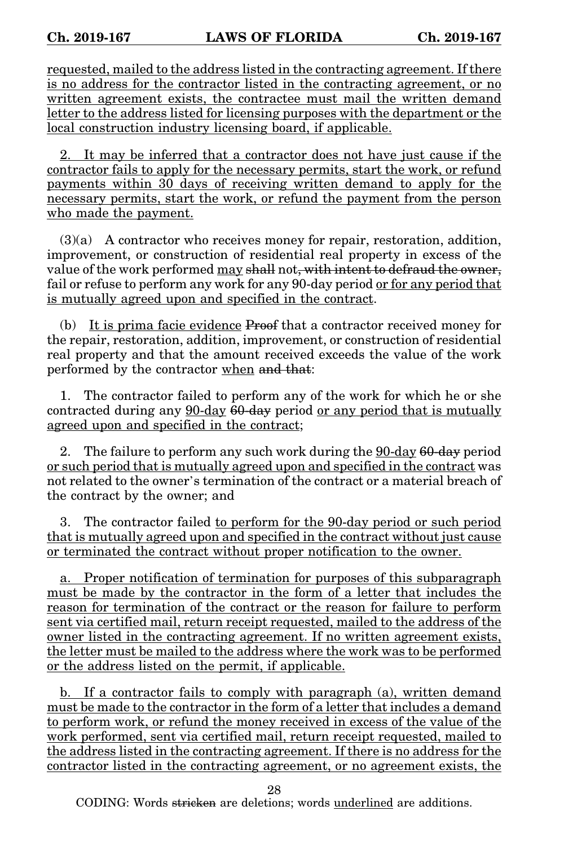requested, mailed to the address listed in the contracting agreement. If there is no address for the contractor listed in the contracting agreement, or no written agreement exists, the contractee must mail the written demand letter to the address listed for licensing purposes with the department or the local construction industry licensing board, if applicable.

2. It may be inferred that a contractor does not have just cause if the contractor fails to apply for the necessary permits, start the work, or refund payments within 30 days of receiving written demand to apply for the necessary permits, start the work, or refund the payment from the person who made the payment.

(3)(a) A contractor who receives money for repair, restoration, addition, improvement, or construction of residential real property in excess of the value of the work performed may shall not, with intent to defraud the owner, fail or refuse to perform any work for any 90-day period or for any period that is mutually agreed upon and specified in the contract.

(b) It is prima facie evidence Proof that a contractor received money for the repair, restoration, addition, improvement, or construction of residential real property and that the amount received exceeds the value of the work performed by the contractor when and that:

1. The contractor failed to perform any of the work for which he or she contracted during any 90-day 60-day period or any period that is mutually agreed upon and specified in the contract;

2. The failure to perform any such work during the 90-day 60-day period or such period that is mutually agreed upon and specified in the contract was not related to the owner's termination of the contract or a material breach of the contract by the owner; and

3. The contractor failed to perform for the 90-day period or such period that is mutually agreed upon and specified in the contract without just cause or terminated the contract without proper notification to the owner.

a. Proper notification of termination for purposes of this subparagraph must be made by the contractor in the form of a letter that includes the reason for termination of the contract or the reason for failure to perform sent via certified mail, return receipt requested, mailed to the address of the owner listed in the contracting agreement. If no written agreement exists, the letter must be mailed to the address where the work was to be performed or the address listed on the permit, if applicable.

b. If a contractor fails to comply with paragraph (a), written demand must be made to the contractor in the form of a letter that includes a demand to perform work, or refund the money received in excess of the value of the work performed, sent via certified mail, return receipt requested, mailed to the address listed in the contracting agreement. If there is no address for the contractor listed in the contracting agreement, or no agreement exists, the

28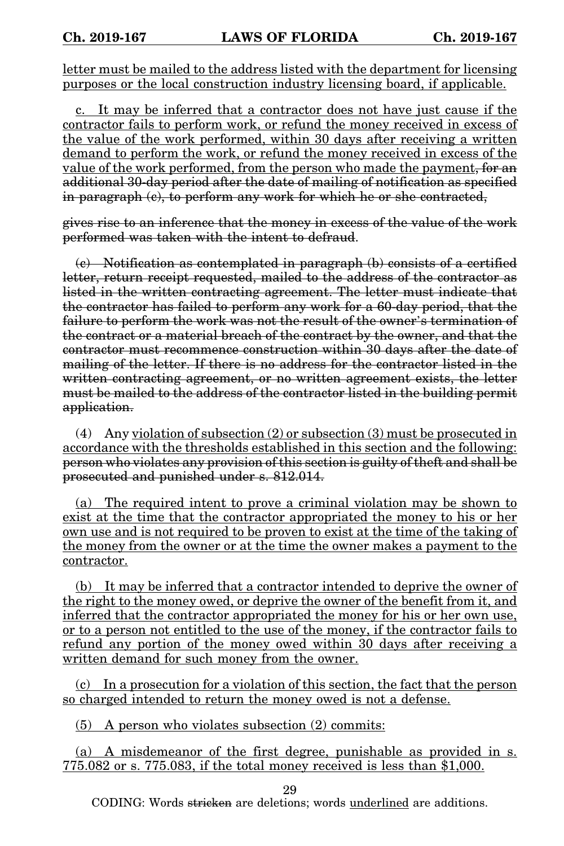letter must be mailed to the address listed with the department for licensing purposes or the local construction industry licensing board, if applicable.

c. It may be inferred that a contractor does not have just cause if the contractor fails to perform work, or refund the money received in excess of the value of the work performed, within 30 days after receiving a written demand to perform the work, or refund the money received in excess of the value of the work performed, from the person who made the payment, for an additional 30-day period after the date of mailing of notification as specified in paragraph (c), to perform any work for which he or she contracted,

gives rise to an inference that the money in excess of the value of the work performed was taken with the intent to defraud.

(c) Notification as contemplated in paragraph (b) consists of a certified letter, return receipt requested, mailed to the address of the contractor as listed in the written contracting agreement. The letter must indicate that the contractor has failed to perform any work for a 60-day period, that the failure to perform the work was not the result of the owner's termination of the contract or a material breach of the contract by the owner, and that the contractor must recommence construction within 30 days after the date of mailing of the letter. If there is no address for the contractor listed in the written contracting agreement, or no written agreement exists, the letter must be mailed to the address of the contractor listed in the building permit application.

(4) Any violation of subsection (2) or subsection (3) must be prosecuted in accordance with the thresholds established in this section and the following: person who violates any provision of this section is guilty of theft and shall be prosecuted and punished under s. 812.014.

(a) The required intent to prove a criminal violation may be shown to exist at the time that the contractor appropriated the money to his or her own use and is not required to be proven to exist at the time of the taking of the money from the owner or at the time the owner makes a payment to the contractor.

(b) It may be inferred that a contractor intended to deprive the owner of the right to the money owed, or deprive the owner of the benefit from it, and inferred that the contractor appropriated the money for his or her own use, or to a person not entitled to the use of the money, if the contractor fails to refund any portion of the money owed within 30 days after receiving a written demand for such money from the owner.

(c) In a prosecution for a violation of this section, the fact that the person so charged intended to return the money owed is not a defense.

(5) A person who violates subsection (2) commits:

(a) A misdemeanor of the first degree, punishable as provided in s. 775.082 or s. 775.083, if the total money received is less than \$1,000.

29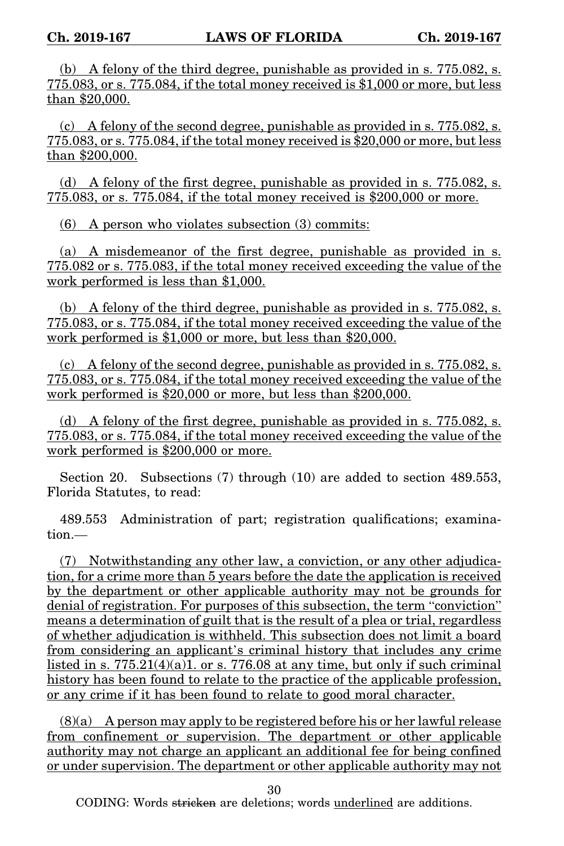(b) A felony of the third degree, punishable as provided in s. 775.082, s. 775.083, or s. 775.084, if the total money received is \$1,000 or more, but less than \$20,000.

(c) A felony of the second degree, punishable as provided in s. 775.082, s. 775.083, or s. 775.084, if the total money received is \$20,000 or more, but less than \$200,000.

(d) A felony of the first degree, punishable as provided in s. 775.082, s. 775.083, or s. 775.084, if the total money received is \$200,000 or more.

(6) A person who violates subsection (3) commits:

(a) A misdemeanor of the first degree, punishable as provided in s. 775.082 or s. 775.083, if the total money received exceeding the value of the work performed is less than \$1,000.

(b) A felony of the third degree, punishable as provided in s. 775.082, s. 775.083, or s. 775.084, if the total money received exceeding the value of the work performed is \$1,000 or more, but less than \$20,000.

(c) A felony of the second degree, punishable as provided in s. 775.082, s. 775.083, or s. 775.084, if the total money received exceeding the value of the work performed is \$20,000 or more, but less than \$200,000.

(d) A felony of the first degree, punishable as provided in s. 775.082, s. 775.083, or s. 775.084, if the total money received exceeding the value of the work performed is \$200,000 or more.

Section 20. Subsections (7) through (10) are added to section 489.553, Florida Statutes, to read:

489.553 Administration of part; registration qualifications; examination.—

(7) Notwithstanding any other law, a conviction, or any other adjudication, for a crime more than 5 years before the date the application is received by the department or other applicable authority may not be grounds for denial of registration. For purposes of this subsection, the term "conviction" means a determination of guilt that is the result of a plea or trial, regardless of whether adjudication is withheld. This subsection does not limit a board from considering an applicant's criminal history that includes any crime listed in s.  $775.\overline{21(4)(a)1}$  or s.  $776.08$  at any time, but only if such criminal history has been found to relate to the practice of the applicable profession, or any crime if it has been found to relate to good moral character.

(8)(a) A person may apply to be registered before his or her lawful release from confinement or supervision. The department or other applicable authority may not charge an applicant an additional fee for being confined or under supervision. The department or other applicable authority may not

30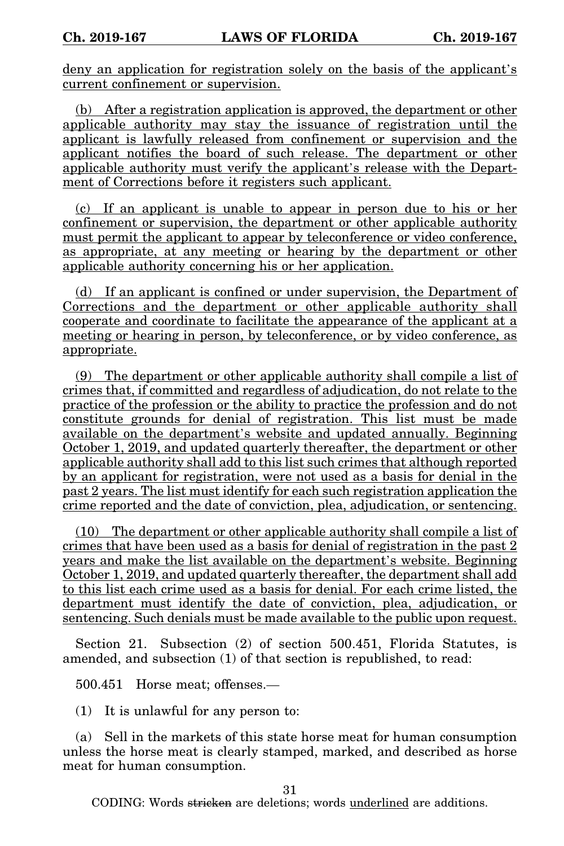deny an application for registration solely on the basis of the applicant's current confinement or supervision.

(b) After a registration application is approved, the department or other applicable authority may stay the issuance of registration until the applicant is lawfully released from confinement or supervision and the applicant notifies the board of such release. The department or other applicable authority must verify the applicant's release with the Department of Corrections before it registers such applicant.

(c) If an applicant is unable to appear in person due to his or her confinement or supervision, the department or other applicable authority must permit the applicant to appear by teleconference or video conference, as appropriate, at any meeting or hearing by the department or other applicable authority concerning his or her application.

(d) If an applicant is confined or under supervision, the Department of Corrections and the department or other applicable authority shall cooperate and coordinate to facilitate the appearance of the applicant at a meeting or hearing in person, by teleconference, or by video conference, as appropriate.

(9) The department or other applicable authority shall compile a list of crimes that, if committed and regardless of adjudication, do not relate to the practice of the profession or the ability to practice the profession and do not constitute grounds for denial of registration. This list must be made available on the department's website and updated annually. Beginning October 1, 2019, and updated quarterly thereafter, the department or other applicable authority shall add to this list such crimes that although reported by an applicant for registration, were not used as a basis for denial in the past 2 years. The list must identify for each such registration application the crime reported and the date of conviction, plea, adjudication, or sentencing.

(10) The department or other applicable authority shall compile a list of crimes that have been used as a basis for denial of registration in the past 2 years and make the list available on the department's website. Beginning October 1, 2019, and updated quarterly thereafter, the department shall add to this list each crime used as a basis for denial. For each crime listed, the department must identify the date of conviction, plea, adjudication, or sentencing. Such denials must be made available to the public upon request.

Section 21. Subsection (2) of section 500.451, Florida Statutes, is amended, and subsection (1) of that section is republished, to read:

500.451 Horse meat; offenses.—

(1) It is unlawful for any person to:

(a) Sell in the markets of this state horse meat for human consumption unless the horse meat is clearly stamped, marked, and described as horse meat for human consumption.

31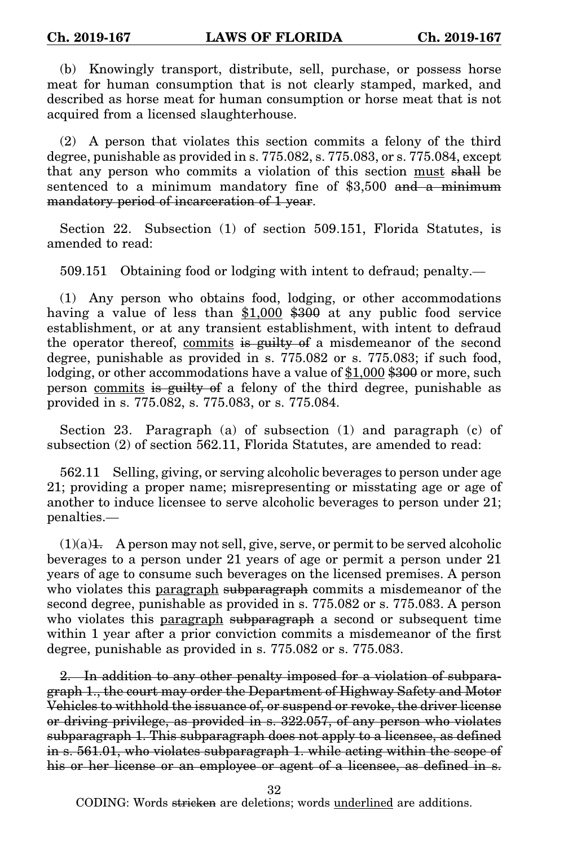(b) Knowingly transport, distribute, sell, purchase, or possess horse meat for human consumption that is not clearly stamped, marked, and described as horse meat for human consumption or horse meat that is not acquired from a licensed slaughterhouse.

(2) A person that violates this section commits a felony of the third degree, punishable as provided in s. 775.082, s. 775.083, or s. 775.084, except that any person who commits a violation of this section must shall be sentenced to a minimum mandatory fine of  $$3,500$  and a minimum mandatory period of incarceration of 1 year.

Section 22. Subsection (1) of section 509.151, Florida Statutes, is amended to read:

509.151 Obtaining food or lodging with intent to defraud; penalty.—

(1) Any person who obtains food, lodging, or other accommodations having a value of less than \$1,000 \$300 at any public food service establishment, or at any transient establishment, with intent to defraud the operator thereof, commits is guilty of a misdemeanor of the second degree, punishable as provided in s. 775.082 or s. 775.083; if such food, lodging, or other accommodations have a value of \$1,000 \$300 or more, such person commits is guilty of a felony of the third degree, punishable as provided in s. 775.082, s. 775.083, or s. 775.084.

Section 23. Paragraph (a) of subsection (1) and paragraph (c) of subsection (2) of section 562.11, Florida Statutes, are amended to read:

562.11 Selling, giving, or serving alcoholic beverages to person under age 21; providing a proper name; misrepresenting or misstating age or age of another to induce licensee to serve alcoholic beverages to person under 21; penalties.—

 $(1)(a)$ 1. A person may not sell, give, serve, or permit to be served alcoholic beverages to a person under 21 years of age or permit a person under 21 years of age to consume such beverages on the licensed premises. A person who violates this paragraph subparagraph commits a misdemeanor of the second degree, punishable as provided in s. 775.082 or s. 775.083. A person who violates this paragraph subparagraph a second or subsequent time within 1 year after a prior conviction commits a misdemeanor of the first degree, punishable as provided in s. 775.082 or s. 775.083.

2. In addition to any other penalty imposed for a violation of subparagraph 1., the court may order the Department of Highway Safety and Motor Vehicles to withhold the issuance of, or suspend or revoke, the driver license or driving privilege, as provided in s. 322.057, of any person who violates subparagraph 1. This subparagraph does not apply to a licensee, as defined in s. 561.01, who violates subparagraph 1. while acting within the scope of his or her license or an employee or agent of a licensee, as defined in s.

32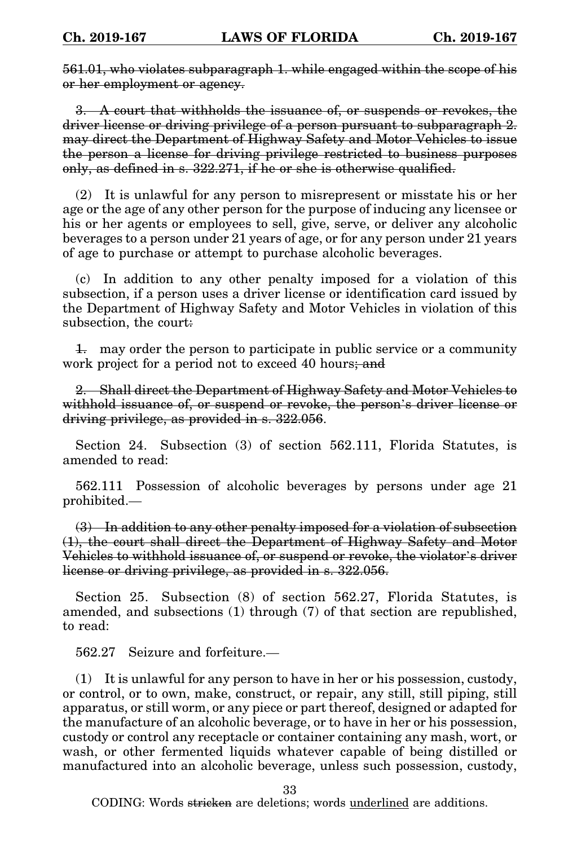561.01, who violates subparagraph 1. while engaged within the scope of his or her employment or agency.

3. A court that withholds the issuance of, or suspends or revokes, the driver license or driving privilege of a person pursuant to subparagraph 2. may direct the Department of Highway Safety and Motor Vehicles to issue the person a license for driving privilege restricted to business purposes only, as defined in s. 322.271, if he or she is otherwise qualified.

(2) It is unlawful for any person to misrepresent or misstate his or her age or the age of any other person for the purpose of inducing any licensee or his or her agents or employees to sell, give, serve, or deliver any alcoholic beverages to a person under 21 years of age, or for any person under 21 years of age to purchase or attempt to purchase alcoholic beverages.

(c) In addition to any other penalty imposed for a violation of this subsection, if a person uses a driver license or identification card issued by the Department of Highway Safety and Motor Vehicles in violation of this subsection, the court:

1. may order the person to participate in public service or a community work project for a period not to exceed 40 hours; and

2. Shall direct the Department of Highway Safety and Motor Vehicles to withhold issuance of, or suspend or revoke, the person's driver license or driving privilege, as provided in s. 322.056.

Section 24. Subsection (3) of section 562.111, Florida Statutes, is amended to read:

562.111 Possession of alcoholic beverages by persons under age 21 prohibited.—

(3) In addition to any other penalty imposed for a violation of subsection (1), the court shall direct the Department of Highway Safety and Motor Vehicles to withhold issuance of, or suspend or revoke, the violator's driver license or driving privilege, as provided in s. 322.056.

Section 25. Subsection (8) of section 562.27, Florida Statutes, is amended, and subsections (1) through (7) of that section are republished, to read:

562.27 Seizure and forfeiture.—

(1) It is unlawful for any person to have in her or his possession, custody, or control, or to own, make, construct, or repair, any still, still piping, still apparatus, or still worm, or any piece or part thereof, designed or adapted for the manufacture of an alcoholic beverage, or to have in her or his possession, custody or control any receptacle or container containing any mash, wort, or wash, or other fermented liquids whatever capable of being distilled or manufactured into an alcoholic beverage, unless such possession, custody,

33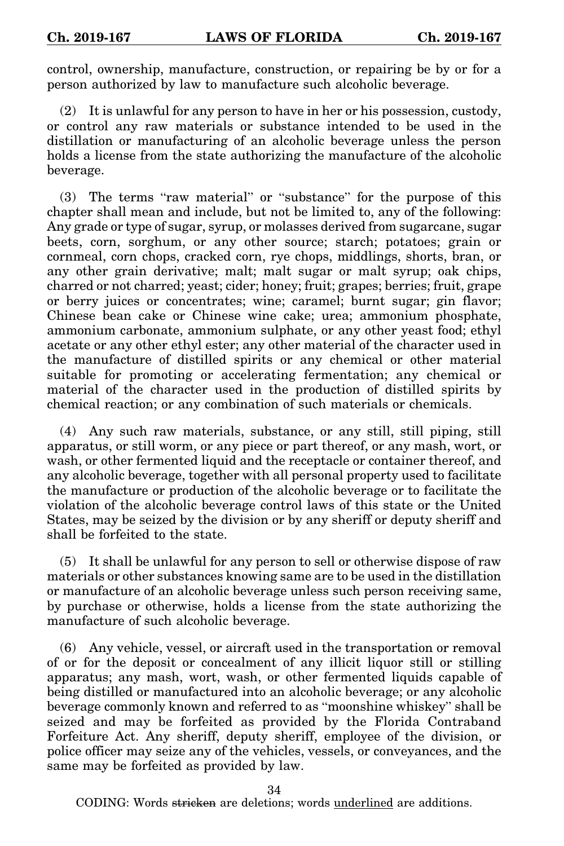control, ownership, manufacture, construction, or repairing be by or for a person authorized by law to manufacture such alcoholic beverage.

(2) It is unlawful for any person to have in her or his possession, custody, or control any raw materials or substance intended to be used in the distillation or manufacturing of an alcoholic beverage unless the person holds a license from the state authorizing the manufacture of the alcoholic beverage.

(3) The terms "raw material" or "substance" for the purpose of this chapter shall mean and include, but not be limited to, any of the following: Any grade or type of sugar, syrup, or molasses derived from sugarcane, sugar beets, corn, sorghum, or any other source; starch; potatoes; grain or cornmeal, corn chops, cracked corn, rye chops, middlings, shorts, bran, or any other grain derivative; malt; malt sugar or malt syrup; oak chips, charred or not charred; yeast; cider; honey; fruit; grapes; berries; fruit, grape or berry juices or concentrates; wine; caramel; burnt sugar; gin flavor; Chinese bean cake or Chinese wine cake; urea; ammonium phosphate, ammonium carbonate, ammonium sulphate, or any other yeast food; ethyl acetate or any other ethyl ester; any other material of the character used in the manufacture of distilled spirits or any chemical or other material suitable for promoting or accelerating fermentation; any chemical or material of the character used in the production of distilled spirits by chemical reaction; or any combination of such materials or chemicals.

(4) Any such raw materials, substance, or any still, still piping, still apparatus, or still worm, or any piece or part thereof, or any mash, wort, or wash, or other fermented liquid and the receptacle or container thereof, and any alcoholic beverage, together with all personal property used to facilitate the manufacture or production of the alcoholic beverage or to facilitate the violation of the alcoholic beverage control laws of this state or the United States, may be seized by the division or by any sheriff or deputy sheriff and shall be forfeited to the state.

(5) It shall be unlawful for any person to sell or otherwise dispose of raw materials or other substances knowing same are to be used in the distillation or manufacture of an alcoholic beverage unless such person receiving same, by purchase or otherwise, holds a license from the state authorizing the manufacture of such alcoholic beverage.

(6) Any vehicle, vessel, or aircraft used in the transportation or removal of or for the deposit or concealment of any illicit liquor still or stilling apparatus; any mash, wort, wash, or other fermented liquids capable of being distilled or manufactured into an alcoholic beverage; or any alcoholic beverage commonly known and referred to as "moonshine whiskey" shall be seized and may be forfeited as provided by the Florida Contraband Forfeiture Act. Any sheriff, deputy sheriff, employee of the division, or police officer may seize any of the vehicles, vessels, or conveyances, and the same may be forfeited as provided by law.

34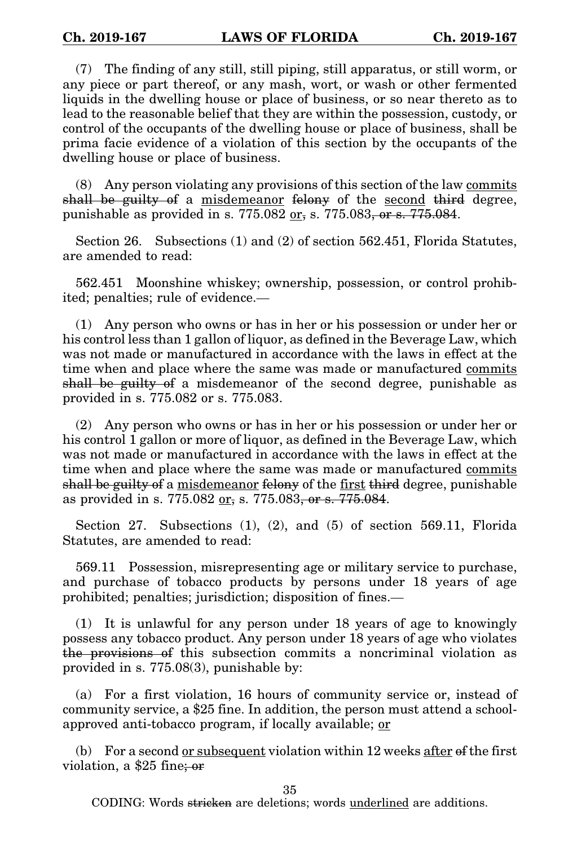(7) The finding of any still, still piping, still apparatus, or still worm, or any piece or part thereof, or any mash, wort, or wash or other fermented liquids in the dwelling house or place of business, or so near thereto as to lead to the reasonable belief that they are within the possession, custody, or control of the occupants of the dwelling house or place of business, shall be prima facie evidence of a violation of this section by the occupants of the dwelling house or place of business.

(8) Any person violating any provisions of this section of the law commits shall be guilty of a misdemeanor felony of the second third degree, punishable as provided in s.  $775.082 \text{ or } 5.775.083$ , or s.  $775.084$ .

Section 26. Subsections (1) and (2) of section 562.451, Florida Statutes, are amended to read:

562.451 Moonshine whiskey; ownership, possession, or control prohibited; penalties; rule of evidence.—

(1) Any person who owns or has in her or his possession or under her or his control less than 1 gallon of liquor, as defined in the Beverage Law, which was not made or manufactured in accordance with the laws in effect at the time when and place where the same was made or manufactured commits shall be guilty of a misdemeanor of the second degree, punishable as provided in s. 775.082 or s. 775.083.

(2) Any person who owns or has in her or his possession or under her or his control 1 gallon or more of liquor, as defined in the Beverage Law, which was not made or manufactured in accordance with the laws in effect at the time when and place where the same was made or manufactured commits shall be guilty of a misdemeanor felony of the first third degree, punishable as provided in s. 775.082 or, s. 775.083, or s. 775.084.

Section 27. Subsections (1), (2), and (5) of section 569.11, Florida Statutes, are amended to read:

569.11 Possession, misrepresenting age or military service to purchase, and purchase of tobacco products by persons under 18 years of age prohibited; penalties; jurisdiction; disposition of fines.—

(1) It is unlawful for any person under 18 years of age to knowingly possess any tobacco product. Any person under 18 years of age who violates the provisions of this subsection commits a noncriminal violation as provided in s. 775.08(3), punishable by:

(a) For a first violation, 16 hours of community service or, instead of community service, a \$25 fine. In addition, the person must attend a schoolapproved anti-tobacco program, if locally available; or

(b) For a second <u>or subsequent</u> violation within 12 weeks after  $\theta$  f the first violation, a \$25 fine; or

35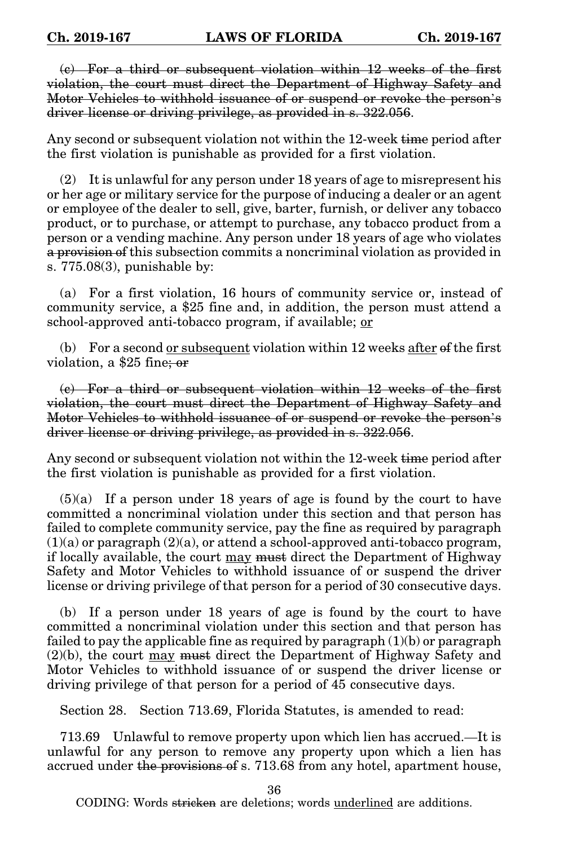(c) For a third or subsequent violation within 12 weeks of the first violation, the court must direct the Department of Highway Safety and Motor Vehicles to withhold issuance of or suspend or revoke the person's driver license or driving privilege, as provided in s. 322.056.

Any second or subsequent violation not within the 12-week time period after the first violation is punishable as provided for a first violation.

(2) It is unlawful for any person under 18 years of age to misrepresent his or her age or military service for the purpose of inducing a dealer or an agent or employee of the dealer to sell, give, barter, furnish, or deliver any tobacco product, or to purchase, or attempt to purchase, any tobacco product from a person or a vending machine. Any person under 18 years of age who violates a provision of this subsection commits a noncriminal violation as provided in s. 775.08(3), punishable by:

(a) For a first violation, 16 hours of community service or, instead of community service, a \$25 fine and, in addition, the person must attend a school-approved anti-tobacco program, if available; or

(b) For a second or subsequent violation within  $12$  weeks after  $\theta$ f the first violation, a \$25 fine; or

(c) For a third or subsequent violation within 12 weeks of the first violation, the court must direct the Department of Highway Safety and Motor Vehicles to withhold issuance of or suspend or revoke the person's driver license or driving privilege, as provided in s. 322.056.

Any second or subsequent violation not within the 12-week time period after the first violation is punishable as provided for a first violation.

(5)(a) If a person under 18 years of age is found by the court to have committed a noncriminal violation under this section and that person has failed to complete community service, pay the fine as required by paragraph  $(1)(a)$  or paragraph  $(2)(a)$ , or attend a school-approved anti-tobacco program, if locally available, the court may must direct the Department of Highway Safety and Motor Vehicles to withhold issuance of or suspend the driver license or driving privilege of that person for a period of 30 consecutive days.

(b) If a person under 18 years of age is found by the court to have committed a noncriminal violation under this section and that person has failed to pay the applicable fine as required by paragraph  $(1)(b)$  or paragraph  $(2)(b)$ , the court  $\underline{may}$  must direct the Department of Highway Safety and Motor Vehicles to withhold issuance of or suspend the driver license or driving privilege of that person for a period of 45 consecutive days.

Section 28. Section 713.69, Florida Statutes, is amended to read:

713.69 Unlawful to remove property upon which lien has accrued.—It is unlawful for any person to remove any property upon which a lien has accrued under the provisions of s. 713.68 from any hotel, apartment house,

36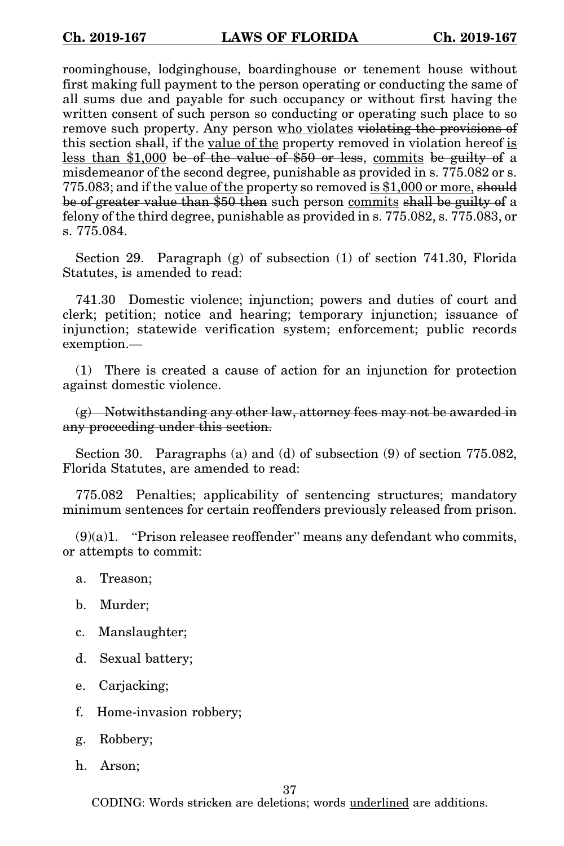roominghouse, lodginghouse, boardinghouse or tenement house without first making full payment to the person operating or conducting the same of all sums due and payable for such occupancy or without first having the written consent of such person so conducting or operating such place to so remove such property. Any person who violates violating the provisions of this section shall, if the value of the property removed in violation hereof is less than \$1,000 be of the value of \$50 or less, commits be guilty of a misdemeanor of the second degree, punishable as provided in s. 775.082 or s. 775.083; and if the value of the property so removed is \$1,000 or more, should be of greater value than \$50 then such person commits shall be guilty of a felony of the third degree, punishable as provided in s. 775.082, s. 775.083, or s. 775.084.

Section 29. Paragraph (g) of subsection (1) of section 741.30, Florida Statutes, is amended to read:

741.30 Domestic violence; injunction; powers and duties of court and clerk; petition; notice and hearing; temporary injunction; issuance of injunction; statewide verification system; enforcement; public records exemption.—

(1) There is created a cause of action for an injunction for protection against domestic violence.

 $(g)$  Notwithstanding any other law, attorney fees may not be awarded in any proceeding under this section.

Section 30. Paragraphs (a) and (d) of subsection (9) of section 775.082, Florida Statutes, are amended to read:

775.082 Penalties; applicability of sentencing structures; mandatory minimum sentences for certain reoffenders previously released from prison.

 $(9)(a)1.$  "Prison releasee reoffender" means any defendant who commits, or attempts to commit:

- a. Treason;
- b. Murder;
- c. Manslaughter;
- d. Sexual battery;
- e. Carjacking;
- f. Home-invasion robbery;
- g. Robbery;
- h. Arson;

37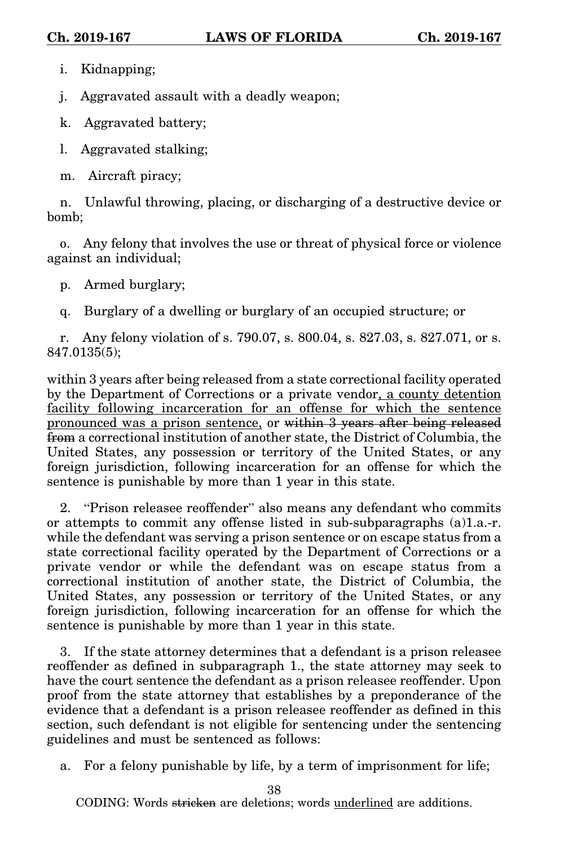i. Kidnapping;

j. Aggravated assault with a deadly weapon;

k. Aggravated battery;

l. Aggravated stalking;

m. Aircraft piracy;

n. Unlawful throwing, placing, or discharging of a destructive device or bomb;

o. Any felony that involves the use or threat of physical force or violence against an individual;

p. Armed burglary;

q. Burglary of a dwelling or burglary of an occupied structure; or

r. Any felony violation of s. 790.07, s. 800.04, s. 827.03, s. 827.071, or s. 847.0135(5);

within 3 years after being released from a state correctional facility operated by the Department of Corrections or a private vendor, a county detention facility following incarceration for an offense for which the sentence pronounced was a prison sentence, or within 3 years after being released from a correctional institution of another state, the District of Columbia, the United States, any possession or territory of the United States, or any foreign jurisdiction, following incarceration for an offense for which the sentence is punishable by more than 1 year in this state.

2. "Prison releasee reoffender" also means any defendant who commits or attempts to commit any offense listed in sub-subparagraphs (a)1.a.-r. while the defendant was serving a prison sentence or on escape status from a state correctional facility operated by the Department of Corrections or a private vendor or while the defendant was on escape status from a correctional institution of another state, the District of Columbia, the United States, any possession or territory of the United States, or any foreign jurisdiction, following incarceration for an offense for which the sentence is punishable by more than 1 year in this state.

3. If the state attorney determines that a defendant is a prison releasee reoffender as defined in subparagraph 1., the state attorney may seek to have the court sentence the defendant as a prison releasee reoffender. Upon proof from the state attorney that establishes by a preponderance of the evidence that a defendant is a prison releasee reoffender as defined in this section, such defendant is not eligible for sentencing under the sentencing guidelines and must be sentenced as follows:

a. For a felony punishable by life, by a term of imprisonment for life;

38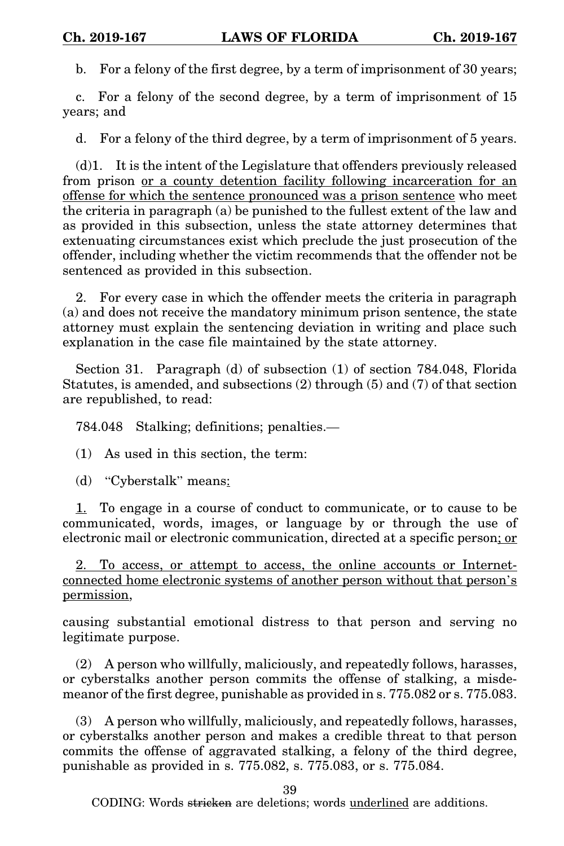b. For a felony of the first degree, by a term of imprisonment of 30 years;

c. For a felony of the second degree, by a term of imprisonment of 15 years; and

d. For a felony of the third degree, by a term of imprisonment of 5 years.

(d)1. It is the intent of the Legislature that offenders previously released from prison or a county detention facility following incarceration for an offense for which the sentence pronounced was a prison sentence who meet the criteria in paragraph (a) be punished to the fullest extent of the law and as provided in this subsection, unless the state attorney determines that extenuating circumstances exist which preclude the just prosecution of the offender, including whether the victim recommends that the offender not be sentenced as provided in this subsection.

2. For every case in which the offender meets the criteria in paragraph (a) and does not receive the mandatory minimum prison sentence, the state attorney must explain the sentencing deviation in writing and place such explanation in the case file maintained by the state attorney.

Section 31. Paragraph (d) of subsection (1) of section 784.048, Florida Statutes, is amended, and subsections (2) through (5) and (7) of that section are republished, to read:

784.048 Stalking; definitions; penalties.—

(1) As used in this section, the term:

(d) "Cyberstalk" means:

1. To engage in a course of conduct to communicate, or to cause to be communicated, words, images, or language by or through the use of electronic mail or electronic communication, directed at a specific person; or

2. To access, or attempt to access, the online accounts or Internetconnected home electronic systems of another person without that person's permission,

causing substantial emotional distress to that person and serving no legitimate purpose.

(2) A person who willfully, maliciously, and repeatedly follows, harasses, or cyberstalks another person commits the offense of stalking, a misdemeanor of the first degree, punishable as provided in s. 775.082 or s. 775.083.

(3) A person who willfully, maliciously, and repeatedly follows, harasses, or cyberstalks another person and makes a credible threat to that person commits the offense of aggravated stalking, a felony of the third degree, punishable as provided in s. 775.082, s. 775.083, or s. 775.084.

39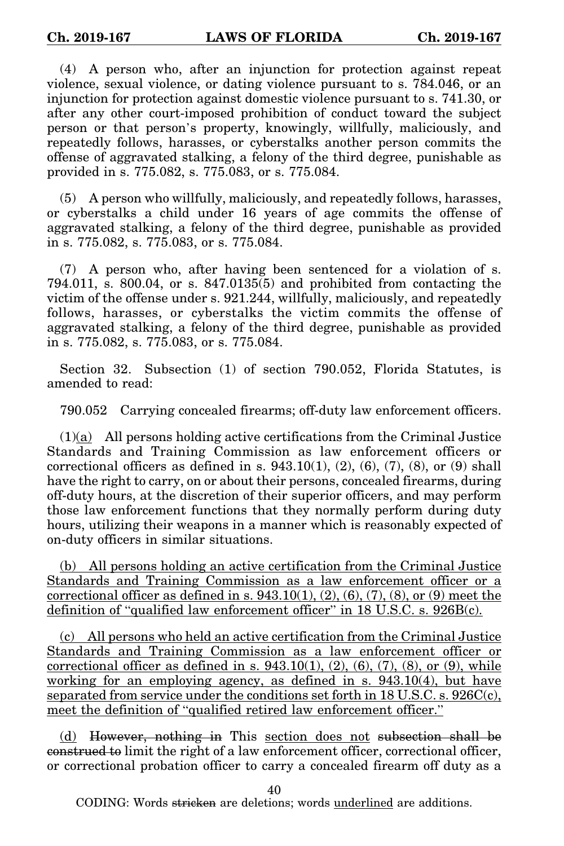(4) A person who, after an injunction for protection against repeat violence, sexual violence, or dating violence pursuant to s. 784.046, or an injunction for protection against domestic violence pursuant to s. 741.30, or after any other court-imposed prohibition of conduct toward the subject person or that person's property, knowingly, willfully, maliciously, and repeatedly follows, harasses, or cyberstalks another person commits the offense of aggravated stalking, a felony of the third degree, punishable as provided in s. 775.082, s. 775.083, or s. 775.084.

(5) A person who willfully, maliciously, and repeatedly follows, harasses, or cyberstalks a child under 16 years of age commits the offense of aggravated stalking, a felony of the third degree, punishable as provided in s. 775.082, s. 775.083, or s. 775.084.

(7) A person who, after having been sentenced for a violation of s. 794.011, s. 800.04, or s. 847.0135(5) and prohibited from contacting the victim of the offense under s. 921.244, willfully, maliciously, and repeatedly follows, harasses, or cyberstalks the victim commits the offense of aggravated stalking, a felony of the third degree, punishable as provided in s. 775.082, s. 775.083, or s. 775.084.

Section 32. Subsection (1) of section 790.052, Florida Statutes, is amended to read:

790.052 Carrying concealed firearms; off-duty law enforcement officers.

 $(1)(a)$  All persons holding active certifications from the Criminal Justice Standards and Training Commission as law enforcement officers or correctional officers as defined in s.  $943.10(1)$ ,  $(2)$ ,  $(6)$ ,  $(7)$ ,  $(8)$ , or  $(9)$  shall have the right to carry, on or about their persons, concealed firearms, during off-duty hours, at the discretion of their superior officers, and may perform those law enforcement functions that they normally perform during duty hours, utilizing their weapons in a manner which is reasonably expected of on-duty officers in similar situations.

(b) All persons holding an active certification from the Criminal Justice Standards and Training Commission as a law enforcement officer or a correctional officer as defined in s.  $943.10(1), (2), (6), (7), (8),$  or  $(9)$  meet the definition of "qualified law enforcement officer" in 18 U.S.C. s. 926B(c).

(c) All persons who held an active certification from the Criminal Justice Standards and Training Commission as a law enforcement officer or correctional officer as defined in s.  $943.10(1)$ ,  $(2)$ ,  $(6)$ ,  $(7)$ ,  $(8)$ , or  $(9)$ , while working for an employing agency, as defined in s. 943.10(4), but have separated from service under the conditions set forth in 18 U.S.C. s. 926C(c), meet the definition of "qualified retired law enforcement officer."

(d) However, nothing in This section does not subsection shall be construed to limit the right of a law enforcement officer, correctional officer, or correctional probation officer to carry a concealed firearm off duty as a

40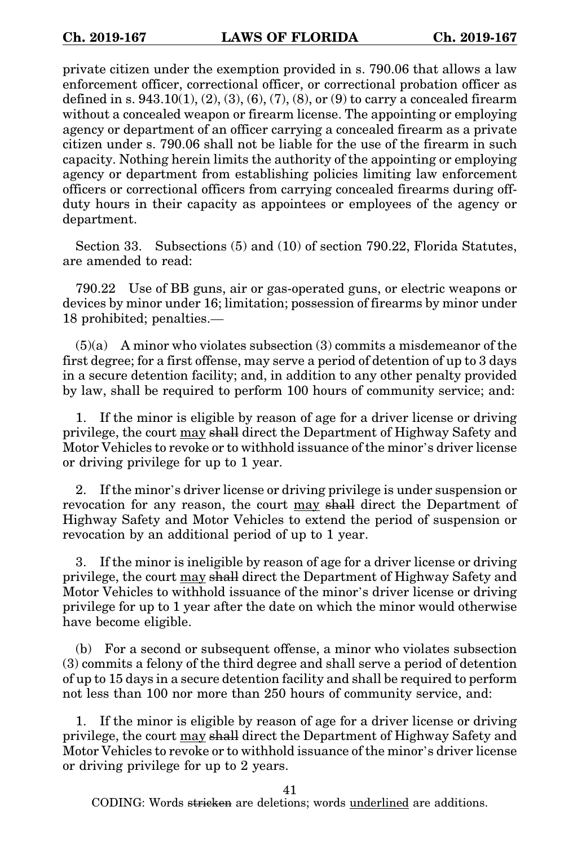private citizen under the exemption provided in s. 790.06 that allows a law enforcement officer, correctional officer, or correctional probation officer as defined in s.  $943.10(1)$ ,  $(2)$ ,  $(3)$ ,  $(6)$ ,  $(7)$ ,  $(8)$ , or  $(9)$  to carry a concealed firearm without a concealed weapon or firearm license. The appointing or employing agency or department of an officer carrying a concealed firearm as a private citizen under s. 790.06 shall not be liable for the use of the firearm in such capacity. Nothing herein limits the authority of the appointing or employing agency or department from establishing policies limiting law enforcement officers or correctional officers from carrying concealed firearms during offduty hours in their capacity as appointees or employees of the agency or department.

Section 33. Subsections (5) and (10) of section 790.22, Florida Statutes, are amended to read:

790.22 Use of BB guns, air or gas-operated guns, or electric weapons or devices by minor under 16; limitation; possession of firearms by minor under 18 prohibited; penalties.—

 $(5)(a)$  A minor who violates subsection  $(3)$  commits a misdemeanor of the first degree; for a first offense, may serve a period of detention of up to 3 days in a secure detention facility; and, in addition to any other penalty provided by law, shall be required to perform 100 hours of community service; and:

1. If the minor is eligible by reason of age for a driver license or driving privilege, the court may shall direct the Department of Highway Safety and Motor Vehicles to revoke or to withhold issuance of the minor's driver license or driving privilege for up to 1 year.

2. If the minor's driver license or driving privilege is under suspension or revocation for any reason, the court may shall direct the Department of Highway Safety and Motor Vehicles to extend the period of suspension or revocation by an additional period of up to 1 year.

3. If the minor is ineligible by reason of age for a driver license or driving privilege, the court may shall direct the Department of Highway Safety and Motor Vehicles to withhold issuance of the minor's driver license or driving privilege for up to 1 year after the date on which the minor would otherwise have become eligible.

(b) For a second or subsequent offense, a minor who violates subsection (3) commits a felony of the third degree and shall serve a period of detention of up to 15 days in a secure detention facility and shall be required to perform not less than 100 nor more than 250 hours of community service, and:

1. If the minor is eligible by reason of age for a driver license or driving privilege, the court may shall direct the Department of Highway Safety and Motor Vehicles to revoke or to withhold issuance of the minor's driver license or driving privilege for up to 2 years.

41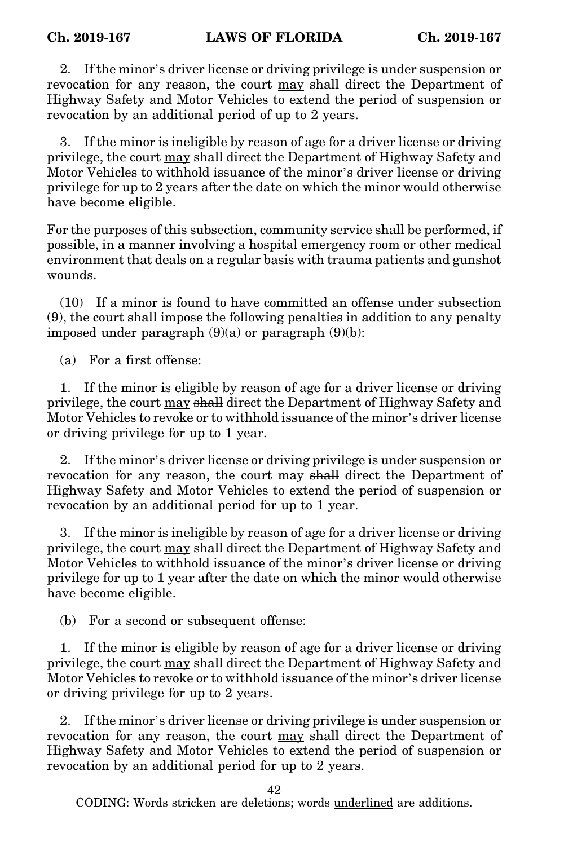2. If the minor's driver license or driving privilege is under suspension or revocation for any reason, the court may shall direct the Department of Highway Safety and Motor Vehicles to extend the period of suspension or revocation by an additional period of up to 2 years.

3. If the minor is ineligible by reason of age for a driver license or driving privilege, the court may shall direct the Department of Highway Safety and Motor Vehicles to withhold issuance of the minor's driver license or driving privilege for up to 2 years after the date on which the minor would otherwise have become eligible.

For the purposes of this subsection, community service shall be performed, if possible, in a manner involving a hospital emergency room or other medical environment that deals on a regular basis with trauma patients and gunshot wounds.

(10) If a minor is found to have committed an offense under subsection (9), the court shall impose the following penalties in addition to any penalty imposed under paragraph  $(9)(a)$  or paragraph  $(9)(b)$ :

(a) For a first offense:

1. If the minor is eligible by reason of age for a driver license or driving privilege, the court may shall direct the Department of Highway Safety and Motor Vehicles to revoke or to withhold issuance of the minor's driver license or driving privilege for up to 1 year.

2. If the minor's driver license or driving privilege is under suspension or revocation for any reason, the court may shall direct the Department of Highway Safety and Motor Vehicles to extend the period of suspension or revocation by an additional period for up to 1 year.

3. If the minor is ineligible by reason of age for a driver license or driving privilege, the court may shall direct the Department of Highway Safety and Motor Vehicles to withhold issuance of the minor's driver license or driving privilege for up to 1 year after the date on which the minor would otherwise have become eligible.

(b) For a second or subsequent offense:

1. If the minor is eligible by reason of age for a driver license or driving privilege, the court may shall direct the Department of Highway Safety and Motor Vehicles to revoke or to withhold issuance of the minor's driver license or driving privilege for up to 2 years.

2. If the minor's driver license or driving privilege is under suspension or revocation for any reason, the court may shall direct the Department of Highway Safety and Motor Vehicles to extend the period of suspension or revocation by an additional period for up to 2 years.

42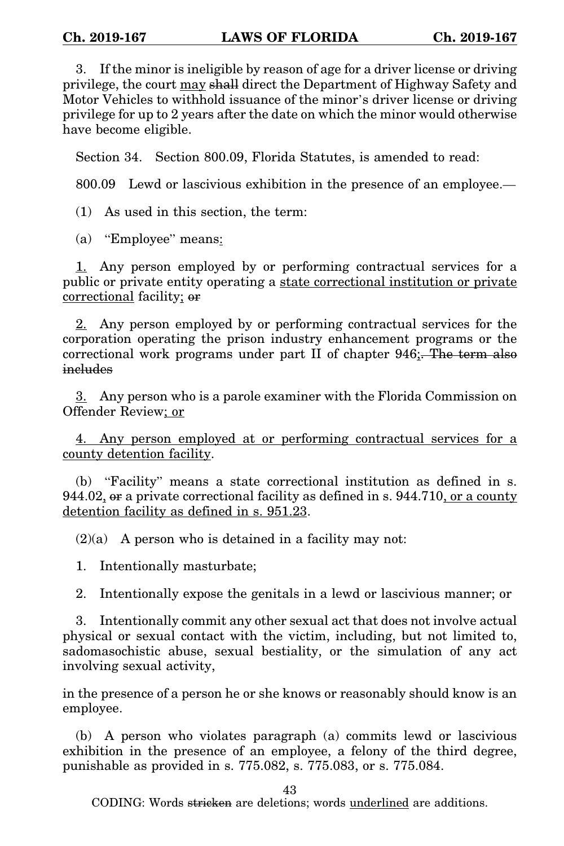3. If the minor is ineligible by reason of age for a driver license or driving privilege, the court may shall direct the Department of Highway Safety and Motor Vehicles to withhold issuance of the minor's driver license or driving privilege for up to 2 years after the date on which the minor would otherwise have become eligible.

Section 34. Section 800.09, Florida Statutes, is amended to read:

800.09 Lewd or lascivious exhibition in the presence of an employee.—

(1) As used in this section, the term:

(a) "Employee" means:

1. Any person employed by or performing contractual services for a public or private entity operating a state correctional institution or private correctional facility; or

2. Any person employed by or performing contractual services for the corporation operating the prison industry enhancement programs or the correctional work programs under part II of chapter 946;. The term also includes

3. Any person who is a parole examiner with the Florida Commission on Offender Review; or

4. Any person employed at or performing contractual services for a county detention facility.

(b) "Facility" means a state correctional institution as defined in s. 944.02, or a private correctional facility as defined in s. 944.710, or a county detention facility as defined in s. 951.23.

 $(2)(a)$  A person who is detained in a facility may not:

1. Intentionally masturbate;

2. Intentionally expose the genitals in a lewd or lascivious manner; or

3. Intentionally commit any other sexual act that does not involve actual physical or sexual contact with the victim, including, but not limited to, sadomasochistic abuse, sexual bestiality, or the simulation of any act involving sexual activity,

in the presence of a person he or she knows or reasonably should know is an employee.

(b) A person who violates paragraph (a) commits lewd or lascivious exhibition in the presence of an employee, a felony of the third degree, punishable as provided in s. 775.082, s. 775.083, or s. 775.084.

43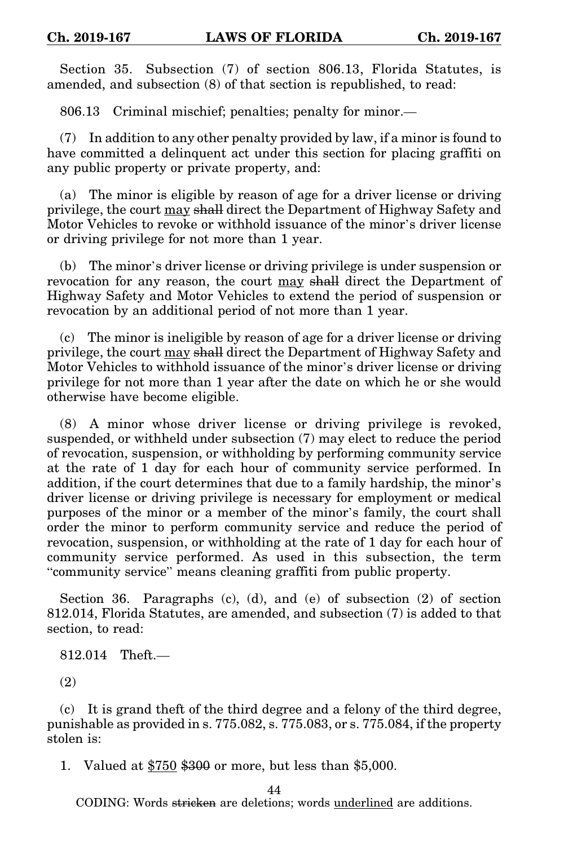Section 35. Subsection (7) of section 806.13, Florida Statutes, is amended, and subsection (8) of that section is republished, to read:

806.13 Criminal mischief; penalties; penalty for minor.—

(7) In addition to any other penalty provided by law, if a minor is found to have committed a delinquent act under this section for placing graffiti on any public property or private property, and:

(a) The minor is eligible by reason of age for a driver license or driving privilege, the court may shall direct the Department of Highway Safety and Motor Vehicles to revoke or withhold issuance of the minor's driver license or driving privilege for not more than 1 year.

(b) The minor's driver license or driving privilege is under suspension or revocation for any reason, the court may shall direct the Department of Highway Safety and Motor Vehicles to extend the period of suspension or revocation by an additional period of not more than 1 year.

(c) The minor is ineligible by reason of age for a driver license or driving privilege, the court may shall direct the Department of Highway Safety and Motor Vehicles to withhold issuance of the minor's driver license or driving privilege for not more than 1 year after the date on which he or she would otherwise have become eligible.

(8) A minor whose driver license or driving privilege is revoked, suspended, or withheld under subsection (7) may elect to reduce the period of revocation, suspension, or withholding by performing community service at the rate of 1 day for each hour of community service performed. In addition, if the court determines that due to a family hardship, the minor's driver license or driving privilege is necessary for employment or medical purposes of the minor or a member of the minor's family, the court shall order the minor to perform community service and reduce the period of revocation, suspension, or withholding at the rate of 1 day for each hour of community service performed. As used in this subsection, the term "community service" means cleaning graffiti from public property.

Section 36. Paragraphs  $(c)$ ,  $(d)$ , and  $(e)$  of subsection  $(2)$  of section 812.014, Florida Statutes, are amended, and subsection (7) is added to that section, to read:

812.014 Theft.—

(2)

(c) It is grand theft of the third degree and a felony of the third degree, punishable as provided in s. 775.082, s. 775.083, or s. 775.084, if the property stolen is:

1. Valued at \$750 \$300 or more, but less than \$5,000.

44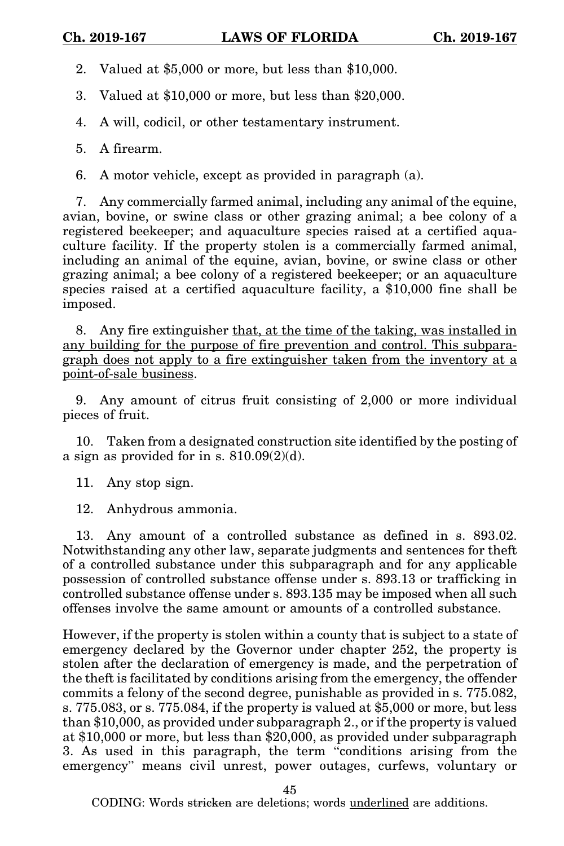2. Valued at \$5,000 or more, but less than \$10,000.

3. Valued at \$10,000 or more, but less than \$20,000.

4. A will, codicil, or other testamentary instrument.

5. A firearm.

6. A motor vehicle, except as provided in paragraph (a).

7. Any commercially farmed animal, including any animal of the equine, avian, bovine, or swine class or other grazing animal; a bee colony of a registered beekeeper; and aquaculture species raised at a certified aquaculture facility. If the property stolen is a commercially farmed animal, including an animal of the equine, avian, bovine, or swine class or other grazing animal; a bee colony of a registered beekeeper; or an aquaculture species raised at a certified aquaculture facility, a \$10,000 fine shall be imposed.

8. Any fire extinguisher that, at the time of the taking, was installed in any building for the purpose of fire prevention and control. This subparagraph does not apply to a fire extinguisher taken from the inventory at a point-of-sale business.

9. Any amount of citrus fruit consisting of 2,000 or more individual pieces of fruit.

10. Taken from a designated construction site identified by the posting of a sign as provided for in s.  $810.09(2)(d)$ .

11. Any stop sign.

12. Anhydrous ammonia.

13. Any amount of a controlled substance as defined in s. 893.02. Notwithstanding any other law, separate judgments and sentences for theft of a controlled substance under this subparagraph and for any applicable possession of controlled substance offense under s. 893.13 or trafficking in controlled substance offense under s. 893.135 may be imposed when all such offenses involve the same amount or amounts of a controlled substance.

However, if the property is stolen within a county that is subject to a state of emergency declared by the Governor under chapter 252, the property is stolen after the declaration of emergency is made, and the perpetration of the theft is facilitated by conditions arising from the emergency, the offender commits a felony of the second degree, punishable as provided in s. 775.082, s. 775.083, or s. 775.084, if the property is valued at \$5,000 or more, but less than \$10,000, as provided under subparagraph 2., or if the property is valued at \$10,000 or more, but less than \$20,000, as provided under subparagraph 3. As used in this paragraph, the term "conditions arising from the emergency" means civil unrest, power outages, curfews, voluntary or

45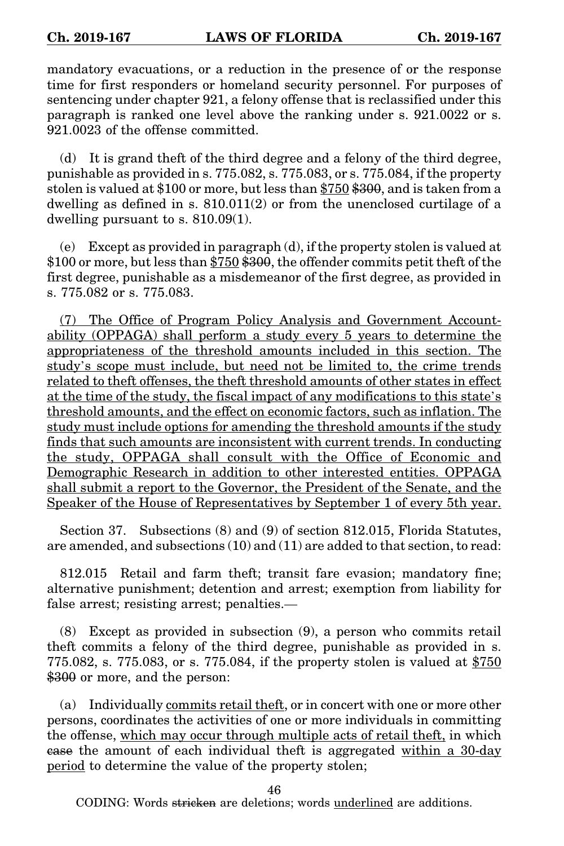mandatory evacuations, or a reduction in the presence of or the response time for first responders or homeland security personnel. For purposes of sentencing under chapter 921, a felony offense that is reclassified under this paragraph is ranked one level above the ranking under s. 921.0022 or s. 921.0023 of the offense committed.

(d) It is grand theft of the third degree and a felony of the third degree, punishable as provided in s. 775.082, s. 775.083, or s. 775.084, if the property stolen is valued at \$100 or more, but less than \$750 \$300, and is taken from a dwelling as defined in s.  $810.011(2)$  or from the unenclosed curtilage of a dwelling pursuant to s. 810.09(1).

(e) Except as provided in paragraph (d), if the property stolen is valued at \$100 or more, but less than \$750 \$300, the offender commits petit theft of the first degree, punishable as a misdemeanor of the first degree, as provided in s. 775.082 or s. 775.083.

(7) The Office of Program Policy Analysis and Government Accountability (OPPAGA) shall perform a study every 5 years to determine the appropriateness of the threshold amounts included in this section. The study's scope must include, but need not be limited to, the crime trends related to theft offenses, the theft threshold amounts of other states in effect at the time of the study, the fiscal impact of any modifications to this state's threshold amounts, and the effect on economic factors, such as inflation. The study must include options for amending the threshold amounts if the study finds that such amounts are inconsistent with current trends. In conducting the study, OPPAGA shall consult with the Office of Economic and Demographic Research in addition to other interested entities. OPPAGA shall submit a report to the Governor, the President of the Senate, and the Speaker of the House of Representatives by September 1 of every 5th year.

Section 37. Subsections (8) and (9) of section 812.015, Florida Statutes, are amended, and subsections (10) and (11) are added to that section, to read:

812.015 Retail and farm theft; transit fare evasion; mandatory fine; alternative punishment; detention and arrest; exemption from liability for false arrest; resisting arrest; penalties.—

(8) Except as provided in subsection (9), a person who commits retail theft commits a felony of the third degree, punishable as provided in s. 775.082, s. 775.083, or s. 775.084, if the property stolen is valued at  $$750$ \$300 or more, and the person:

(a) Individually commits retail theft, or in concert with one or more other persons, coordinates the activities of one or more individuals in committing the offense, which may occur through multiple acts of retail theft, in which ease the amount of each individual theft is aggregated within a 30-day period to determine the value of the property stolen;

46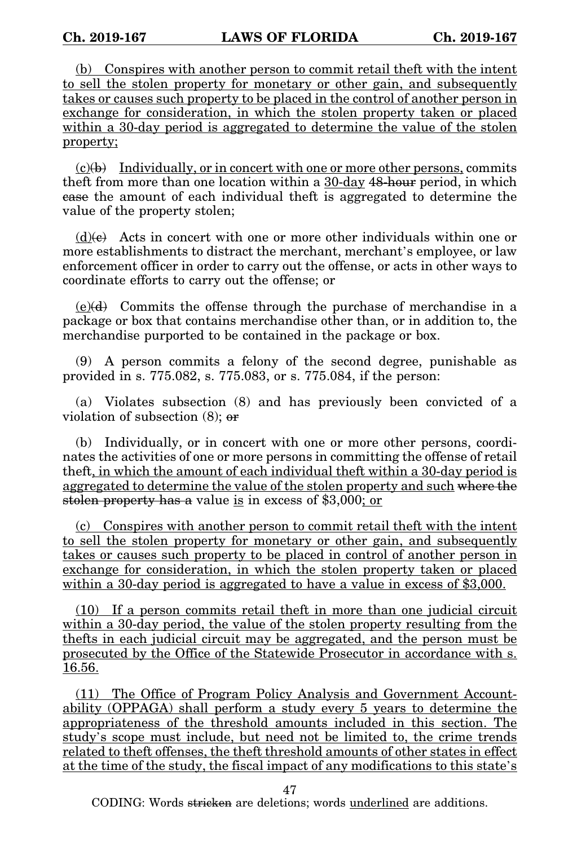(b) Conspires with another person to commit retail theft with the intent to sell the stolen property for monetary or other gain, and subsequently takes or causes such property to be placed in the control of another person in exchange for consideration, in which the stolen property taken or placed within a 30-day period is aggregated to determine the value of the stolen property;

 $(c)(b)$  Individually, or in concert with one or more other persons, commits theft from more than one location within a 30-day 48-hour period, in which case the amount of each individual theft is aggregated to determine the value of the property stolen;

 $(d)(e)$  Acts in concert with one or more other individuals within one or more establishments to distract the merchant, merchant's employee, or law enforcement officer in order to carry out the offense, or acts in other ways to coordinate efforts to carry out the offense; or

 $(e)(d)$  Commits the offense through the purchase of merchandise in a package or box that contains merchandise other than, or in addition to, the merchandise purported to be contained in the package or box.

(9) A person commits a felony of the second degree, punishable as provided in s. 775.082, s. 775.083, or s. 775.084, if the person:

(a) Violates subsection (8) and has previously been convicted of a violation of subsection  $(8)$ ; or

(b) Individually, or in concert with one or more other persons, coordinates the activities of one or more persons in committing the offense of retail theft, in which the amount of each individual theft within a 30-day period is aggregated to determine the value of the stolen property and such where the stolen property has a value is in excess of \$3,000; or

(c) Conspires with another person to commit retail theft with the intent to sell the stolen property for monetary or other gain, and subsequently takes or causes such property to be placed in control of another person in exchange for consideration, in which the stolen property taken or placed within a 30-day period is aggregated to have a value in excess of \$3,000.

(10) If a person commits retail theft in more than one judicial circuit within a 30-day period, the value of the stolen property resulting from the thefts in each judicial circuit may be aggregated, and the person must be prosecuted by the Office of the Statewide Prosecutor in accordance with s. 16.56.

(11) The Office of Program Policy Analysis and Government Accountability (OPPAGA) shall perform a study every 5 years to determine the appropriateness of the threshold amounts included in this section. The study's scope must include, but need not be limited to, the crime trends related to theft offenses, the theft threshold amounts of other states in effect at the time of the study, the fiscal impact of any modifications to this state's

47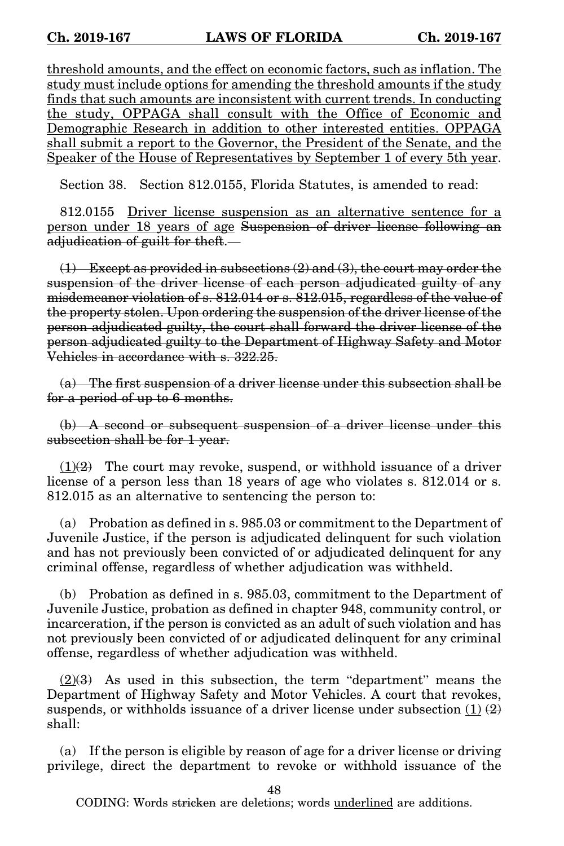threshold amounts, and the effect on economic factors, such as inflation. The study must include options for amending the threshold amounts if the study finds that such amounts are inconsistent with current trends. In conducting the study, OPPAGA shall consult with the Office of Economic and Demographic Research in addition to other interested entities. OPPAGA shall submit a report to the Governor, the President of the Senate, and the Speaker of the House of Representatives by September 1 of every 5th year.

Section 38. Section 812.0155, Florida Statutes, is amended to read:

812.0155 Driver license suspension as an alternative sentence for a person under 18 years of age Suspension of driver license following an adjudication of guilt for theft.—

 $(1)$  Except as provided in subsections  $(2)$  and  $(3)$ , the court may order the suspension of the driver license of each person adjudicated guilty of any misdemeanor violation of s. 812.014 or s. 812.015, regardless of the value of the property stolen. Upon ordering the suspension of the driver license of the person adjudicated guilty, the court shall forward the driver license of the person adjudicated guilty to the Department of Highway Safety and Motor Vehicles in accordance with s. 322.25.

(a) The first suspension of a driver license under this subsection shall be for a period of up to 6 months.

(b) A second or subsequent suspension of a driver license under this subsection shall be for 1 year.

 $(1)(2)$  The court may revoke, suspend, or withhold issuance of a driver license of a person less than 18 years of age who violates s. 812.014 or s. 812.015 as an alternative to sentencing the person to:

(a) Probation as defined in s. 985.03 or commitment to the Department of Juvenile Justice, if the person is adjudicated delinquent for such violation and has not previously been convicted of or adjudicated delinquent for any criminal offense, regardless of whether adjudication was withheld.

(b) Probation as defined in s. 985.03, commitment to the Department of Juvenile Justice, probation as defined in chapter 948, community control, or incarceration, if the person is convicted as an adult of such violation and has not previously been convicted of or adjudicated delinquent for any criminal offense, regardless of whether adjudication was withheld.

 $(2)$ (3) As used in this subsection, the term "department" means the Department of Highway Safety and Motor Vehicles. A court that revokes, suspends, or withholds issuance of a driver license under subsection  $(1)$   $(2)$ shall:

(a) If the person is eligible by reason of age for a driver license or driving privilege, direct the department to revoke or withhold issuance of the

48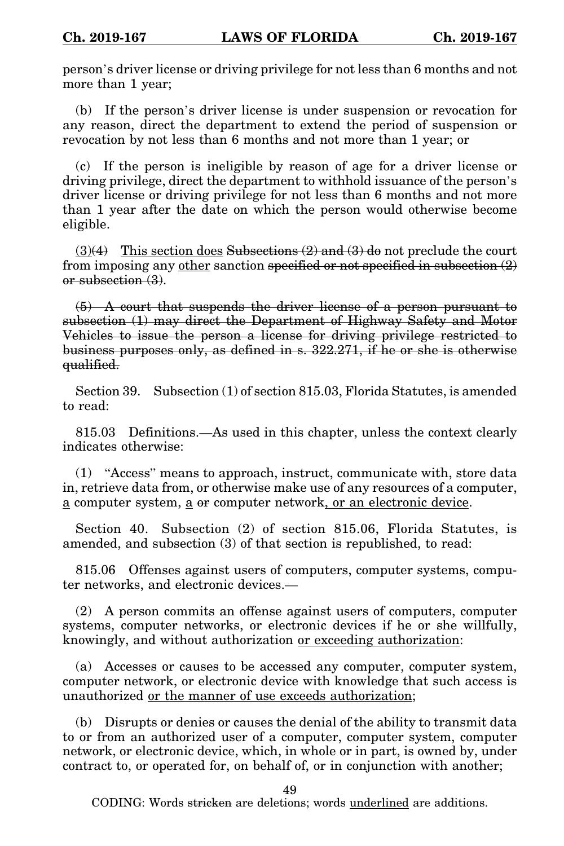person's driver license or driving privilege for not less than 6 months and not more than 1 year;

(b) If the person's driver license is under suspension or revocation for any reason, direct the department to extend the period of suspension or revocation by not less than 6 months and not more than 1 year; or

(c) If the person is ineligible by reason of age for a driver license or driving privilege, direct the department to withhold issuance of the person's driver license or driving privilege for not less than 6 months and not more than 1 year after the date on which the person would otherwise become eligible.

 $(3)(4)$  This section does Subsections  $(2)$  and  $(3)$  do not preclude the court from imposing any <u>other</u> sanction specified or not specified in subsection  $(2)$ or subsection (3).

(5) A court that suspends the driver license of a person pursuant to subsection (1) may direct the Department of Highway Safety and Motor Vehicles to issue the person a license for driving privilege restricted to business purposes only, as defined in s. 322.271, if he or she is otherwise qualified.

Section 39. Subsection (1) of section 815.03, Florida Statutes, is amended to read:

815.03 Definitions.—As used in this chapter, unless the context clearly indicates otherwise:

(1) "Access" means to approach, instruct, communicate with, store data in, retrieve data from, or otherwise make use of any resources of a computer, a computer system, a or computer network, or an electronic device.

Section 40. Subsection (2) of section 815.06, Florida Statutes, is amended, and subsection (3) of that section is republished, to read:

815.06 Offenses against users of computers, computer systems, computer networks, and electronic devices.—

(2) A person commits an offense against users of computers, computer systems, computer networks, or electronic devices if he or she willfully, knowingly, and without authorization or exceeding authorization:

(a) Accesses or causes to be accessed any computer, computer system, computer network, or electronic device with knowledge that such access is unauthorized or the manner of use exceeds authorization;

(b) Disrupts or denies or causes the denial of the ability to transmit data to or from an authorized user of a computer, computer system, computer network, or electronic device, which, in whole or in part, is owned by, under contract to, or operated for, on behalf of, or in conjunction with another;

49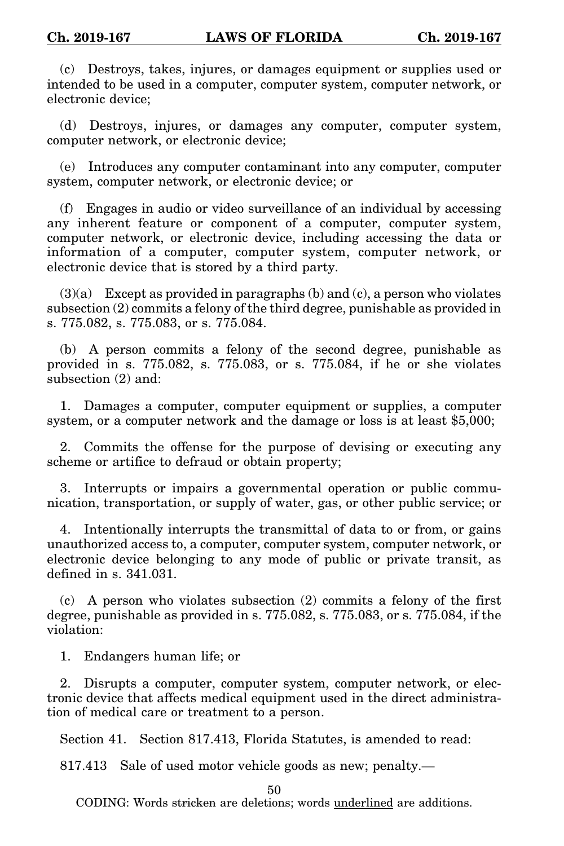(c) Destroys, takes, injures, or damages equipment or supplies used or intended to be used in a computer, computer system, computer network, or electronic device;

(d) Destroys, injures, or damages any computer, computer system, computer network, or electronic device;

(e) Introduces any computer contaminant into any computer, computer system, computer network, or electronic device; or

(f) Engages in audio or video surveillance of an individual by accessing any inherent feature or component of a computer, computer system, computer network, or electronic device, including accessing the data or information of a computer, computer system, computer network, or electronic device that is stored by a third party.

 $(3)(a)$  Except as provided in paragraphs  $(b)$  and  $(c)$ , a person who violates subsection (2) commits a felony of the third degree, punishable as provided in s. 775.082, s. 775.083, or s. 775.084.

(b) A person commits a felony of the second degree, punishable as provided in s. 775.082, s. 775.083, or s. 775.084, if he or she violates subsection  $(2)$  and:

1. Damages a computer, computer equipment or supplies, a computer system, or a computer network and the damage or loss is at least \$5,000;

2. Commits the offense for the purpose of devising or executing any scheme or artifice to defraud or obtain property;

3. Interrupts or impairs a governmental operation or public communication, transportation, or supply of water, gas, or other public service; or

4. Intentionally interrupts the transmittal of data to or from, or gains unauthorized access to, a computer, computer system, computer network, or electronic device belonging to any mode of public or private transit, as defined in  $s$   $.341.031$ .

(c) A person who violates subsection (2) commits a felony of the first degree, punishable as provided in s. 775.082, s. 775.083, or s. 775.084, if the violation:

1. Endangers human life; or

2. Disrupts a computer, computer system, computer network, or electronic device that affects medical equipment used in the direct administration of medical care or treatment to a person.

Section 41. Section 817.413, Florida Statutes, is amended to read:

817.413 Sale of used motor vehicle goods as new; penalty.—

50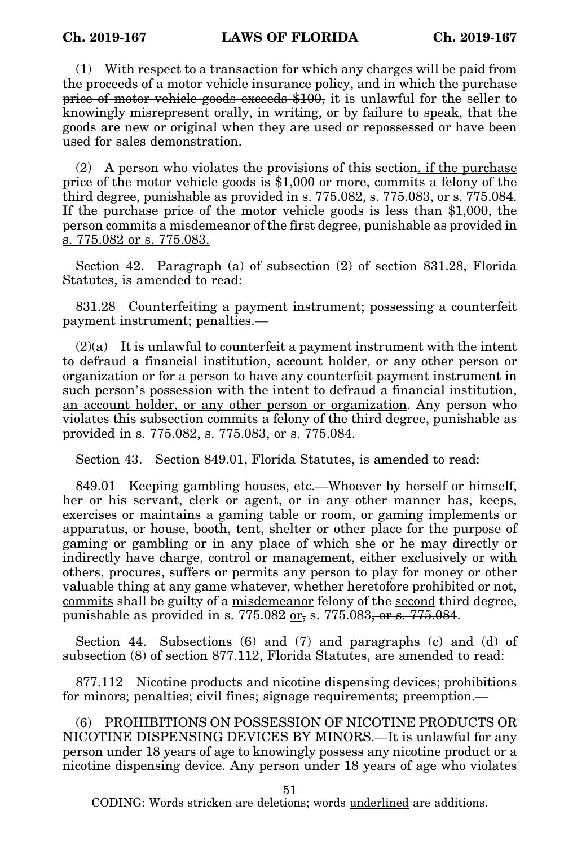(1) With respect to a transaction for which any charges will be paid from the proceeds of a motor vehicle insurance policy, and in which the purchase price of motor vehicle goods exceeds \$100, it is unlawful for the seller to knowingly misrepresent orally, in writing, or by failure to speak, that the goods are new or original when they are used or repossessed or have been used for sales demonstration.

(2) A person who violates the provisions of this section, if the purchase price of the motor vehicle goods is \$1,000 or more, commits a felony of the third degree, punishable as provided in s. 775.082, s. 775.083, or s. 775.084. If the purchase price of the motor vehicle goods is less than \$1,000, the person commits a misdemeanor of the first degree, punishable as provided in s. 775.082 or s. 775.083.

Section 42. Paragraph (a) of subsection (2) of section 831.28, Florida Statutes, is amended to read:

831.28 Counterfeiting a payment instrument; possessing a counterfeit payment instrument; penalties.—

 $(2)(a)$  It is unlawful to counterfeit a payment instrument with the intent to defraud a financial institution, account holder, or any other person or organization or for a person to have any counterfeit payment instrument in such person's possession with the intent to defraud a financial institution, an account holder, or any other person or organization. Any person who violates this subsection commits a felony of the third degree, punishable as provided in s. 775.082, s. 775.083, or s. 775.084.

Section 43. Section 849.01, Florida Statutes, is amended to read:

849.01 Keeping gambling houses, etc.—Whoever by herself or himself, her or his servant, clerk or agent, or in any other manner has, keeps, exercises or maintains a gaming table or room, or gaming implements or apparatus, or house, booth, tent, shelter or other place for the purpose of gaming or gambling or in any place of which she or he may directly or indirectly have charge, control or management, either exclusively or with others, procures, suffers or permits any person to play for money or other valuable thing at any game whatever, whether heretofore prohibited or not, commits shall be guilty of a misdemeanor felony of the second third degree, punishable as provided in s.  $775.082 \text{ or }$ , s.  $775.083, \text{ or }$  s.  $775.084$ .

Section 44. Subsections (6) and (7) and paragraphs (c) and (d) of subsection (8) of section 877.112, Florida Statutes, are amended to read:

877.112 Nicotine products and nicotine dispensing devices; prohibitions for minors; penalties; civil fines; signage requirements; preemption.—

(6) PROHIBITIONS ON POSSESSION OF NICOTINE PRODUCTS OR NICOTINE DISPENSING DEVICES BY MINORS.—It is unlawful for any person under 18 years of age to knowingly possess any nicotine product or a nicotine dispensing device. Any person under 18 years of age who violates

51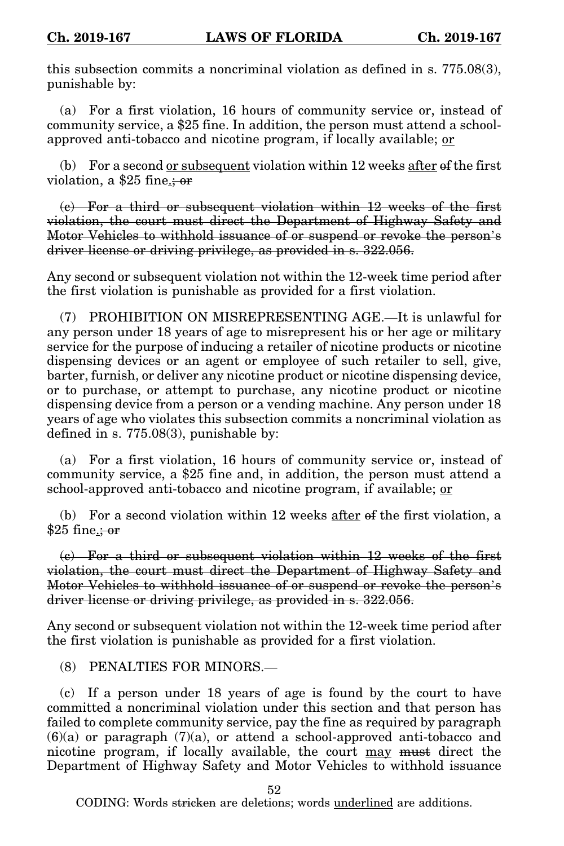this subsection commits a noncriminal violation as defined in s. 775.08(3), punishable by:

(a) For a first violation, 16 hours of community service or, instead of community service, a \$25 fine. In addition, the person must attend a schoolapproved anti-tobacco and nicotine program, if locally available; or

(b) For a second or subsequent violation within 12 weeks after of the first violation, a \$25 fine.<del>; or</del>

(c) For a third or subsequent violation within 12 weeks of the first violation, the court must direct the Department of Highway Safety and Motor Vehicles to withhold issuance of or suspend or revoke the person's driver license or driving privilege, as provided in s. 322.056.

Any second or subsequent violation not within the 12-week time period after the first violation is punishable as provided for a first violation.

(7) PROHIBITION ON MISREPRESENTING AGE.—It is unlawful for any person under 18 years of age to misrepresent his or her age or military service for the purpose of inducing a retailer of nicotine products or nicotine dispensing devices or an agent or employee of such retailer to sell, give, barter, furnish, or deliver any nicotine product or nicotine dispensing device, or to purchase, or attempt to purchase, any nicotine product or nicotine dispensing device from a person or a vending machine. Any person under 18 years of age who violates this subsection commits a noncriminal violation as defined in s. 775.08(3), punishable by:

(a) For a first violation, 16 hours of community service or, instead of community service, a \$25 fine and, in addition, the person must attend a school-approved anti-tobacco and nicotine program, if available; or

(b) For a second violation within 12 weeks after of the first violation, a \$25 fine<u>.; or</u>

(c) For a third or subsequent violation within 12 weeks of the first violation, the court must direct the Department of Highway Safety and Motor Vehicles to withhold issuance of or suspend or revoke the person's driver license or driving privilege, as provided in s. 322.056.

Any second or subsequent violation not within the 12-week time period after the first violation is punishable as provided for a first violation.

(8) PENALTIES FOR MINORS.—

(c) If a person under 18 years of age is found by the court to have committed a noncriminal violation under this section and that person has failed to complete community service, pay the fine as required by paragraph  $(6)(a)$  or paragraph  $(7)(a)$ , or attend a school-approved anti-tobacco and nicotine program, if locally available, the court may must direct the Department of Highway Safety and Motor Vehicles to withhold issuance

52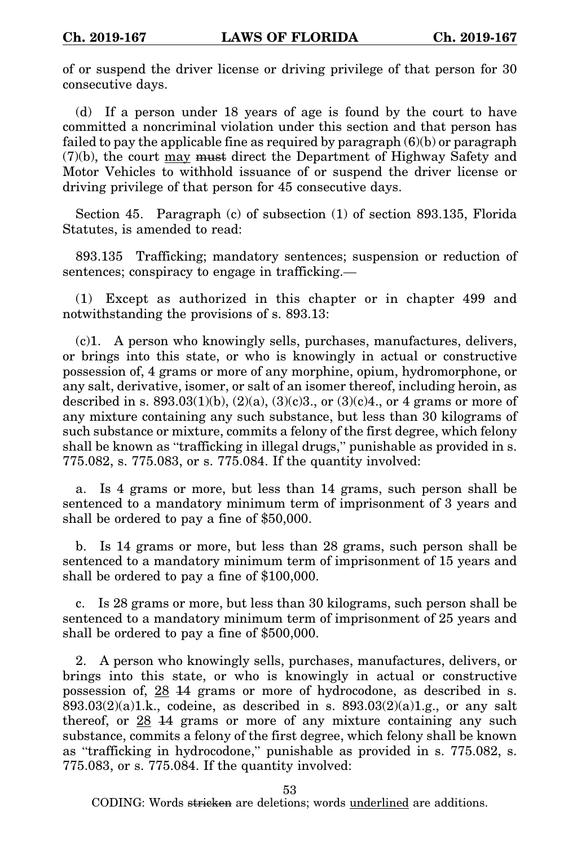of or suspend the driver license or driving privilege of that person for 30 consecutive days.

(d) If a person under 18 years of age is found by the court to have committed a noncriminal violation under this section and that person has failed to pay the applicable fine as required by paragraph (6)(b) or paragraph (7)(b), the court may must direct the Department of Highway Safety and Motor Vehicles to withhold issuance of or suspend the driver license or driving privilege of that person for 45 consecutive days.

Section 45. Paragraph (c) of subsection (1) of section 893.135, Florida Statutes, is amended to read:

893.135 Trafficking; mandatory sentences; suspension or reduction of sentences; conspiracy to engage in trafficking.—

(1) Except as authorized in this chapter or in chapter 499 and notwithstanding the provisions of s. 893.13:

(c)1. A person who knowingly sells, purchases, manufactures, delivers, or brings into this state, or who is knowingly in actual or constructive possession of, 4 grams or more of any morphine, opium, hydromorphone, or any salt, derivative, isomer, or salt of an isomer thereof, including heroin, as described in s.  $893.03(1)(b)$ ,  $(2)(a)$ ,  $(3)(c)3$ ., or  $(3)(c)4$ ., or 4 grams or more of any mixture containing any such substance, but less than 30 kilograms of such substance or mixture, commits a felony of the first degree, which felony shall be known as "trafficking in illegal drugs," punishable as provided in s. 775.082, s. 775.083, or s. 775.084. If the quantity involved:

a. Is 4 grams or more, but less than 14 grams, such person shall be sentenced to a mandatory minimum term of imprisonment of 3 years and shall be ordered to pay a fine of \$50,000.

b. Is 14 grams or more, but less than 28 grams, such person shall be sentenced to a mandatory minimum term of imprisonment of 15 years and shall be ordered to pay a fine of \$100,000.

c. Is 28 grams or more, but less than 30 kilograms, such person shall be sentenced to a mandatory minimum term of imprisonment of 25 years and shall be ordered to pay a fine of \$500,000.

2. A person who knowingly sells, purchases, manufactures, delivers, or brings into this state, or who is knowingly in actual or constructive possession of, 28 14 grams or more of hydrocodone, as described in s.  $893.03(2)(a)1.k.,$  codeine, as described in s.  $893.03(2)(a)1.g.,$  or any salt thereof, or  $28$   $14$  grams or more of any mixture containing any such substance, commits a felony of the first degree, which felony shall be known as "trafficking in hydrocodone," punishable as provided in s. 775.082, s. 775.083, or s. 775.084. If the quantity involved:

53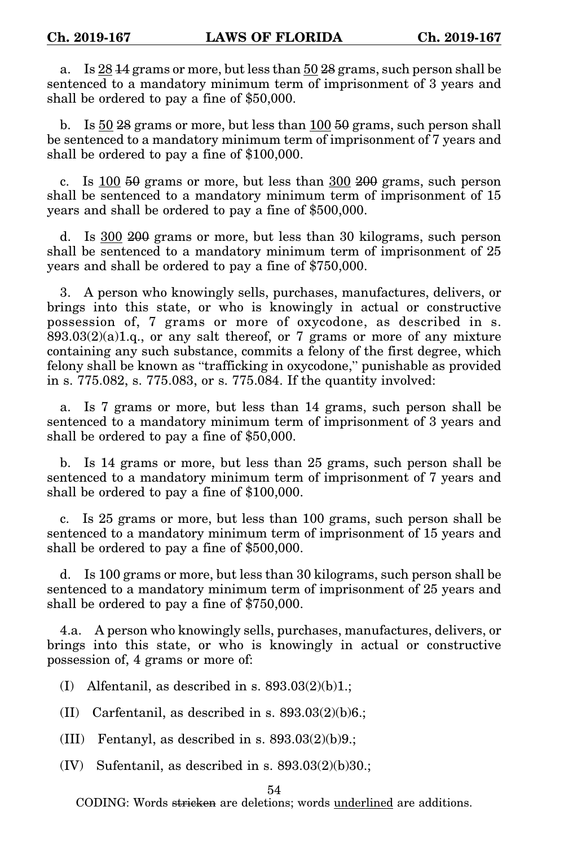a. Is 28 14 grams or more, but less than 50 28 grams, such person shall be sentenced to a mandatory minimum term of imprisonment of 3 years and shall be ordered to pay a fine of \$50,000.

b. Is 50 28 grams or more, but less than 100 50 grams, such person shall be sentenced to a mandatory minimum term of imprisonment of 7 years and shall be ordered to pay a fine of \$100,000.

c. Is  $100\,50$  grams or more, but less than  $300\,200$  grams, such person shall be sentenced to a mandatory minimum term of imprisonment of 15 years and shall be ordered to pay a fine of \$500,000.

d. Is 300 200 grams or more, but less than 30 kilograms, such person shall be sentenced to a mandatory minimum term of imprisonment of 25 years and shall be ordered to pay a fine of \$750,000.

3. A person who knowingly sells, purchases, manufactures, delivers, or brings into this state, or who is knowingly in actual or constructive possession of, 7 grams or more of oxycodone, as described in s.  $893.03(2)(a)1.q.,$  or any salt thereof, or 7 grams or more of any mixture containing any such substance, commits a felony of the first degree, which felony shall be known as "trafficking in oxycodone," punishable as provided in s. 775.082, s. 775.083, or s. 775.084. If the quantity involved:

a. Is 7 grams or more, but less than 14 grams, such person shall be sentenced to a mandatory minimum term of imprisonment of 3 years and shall be ordered to pay a fine of \$50,000.

b. Is 14 grams or more, but less than 25 grams, such person shall be sentenced to a mandatory minimum term of imprisonment of 7 years and shall be ordered to pay a fine of \$100,000.

c. Is 25 grams or more, but less than 100 grams, such person shall be sentenced to a mandatory minimum term of imprisonment of 15 years and shall be ordered to pay a fine of \$500,000.

d. Is 100 grams or more, but less than 30 kilograms, such person shall be sentenced to a mandatory minimum term of imprisonment of 25 years and shall be ordered to pay a fine of \$750,000.

4.a. A person who knowingly sells, purchases, manufactures, delivers, or brings into this state, or who is knowingly in actual or constructive possession of, 4 grams or more of:

(I) Alfentanil, as described in s.  $893.03(2)(b)1$ .;

(II) Carfentanil, as described in s.  $893.03(2)(b)6$ .;

(III) Fentanyl, as described in s.  $893.03(2)(b)9$ .;

 $(IV)$  Sufentanil, as described in s.  $893.03(2)(b)30$ .;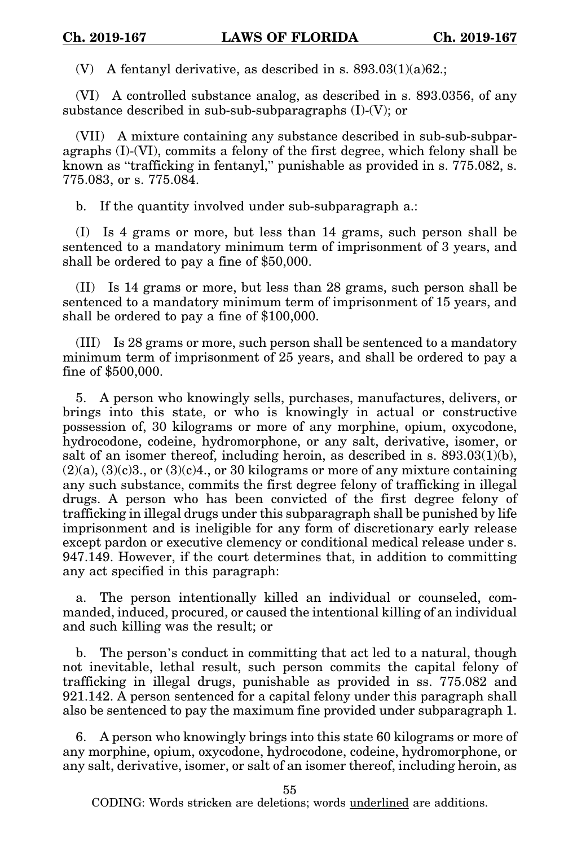(V) A fentanyl derivative, as described in s. 893.03(1)(a)62.;

(VI) A controlled substance analog, as described in s. 893.0356, of any substance described in sub-sub-subparagraphs (I)-(V); or

(VII) A mixture containing any substance described in sub-sub-subparagraphs (I)-(VI), commits a felony of the first degree, which felony shall be known as "trafficking in fentanyl," punishable as provided in s. 775.082, s. 775.083, or s. 775.084.

b. If the quantity involved under sub-subparagraph a.:

(I) Is 4 grams or more, but less than 14 grams, such person shall be sentenced to a mandatory minimum term of imprisonment of 3 years, and shall be ordered to pay a fine of \$50,000.

(II) Is 14 grams or more, but less than 28 grams, such person shall be sentenced to a mandatory minimum term of imprisonment of 15 years, and shall be ordered to pay a fine of \$100,000.

(III) Is 28 grams or more, such person shall be sentenced to a mandatory minimum term of imprisonment of 25 years, and shall be ordered to pay a fine of \$500,000.

5. A person who knowingly sells, purchases, manufactures, delivers, or brings into this state, or who is knowingly in actual or constructive possession of, 30 kilograms or more of any morphine, opium, oxycodone, hydrocodone, codeine, hydromorphone, or any salt, derivative, isomer, or salt of an isomer thereof, including heroin, as described in s. 893.03(1)(b),  $(2)(a)$ ,  $(3)(c)3$ ., or  $(3)(c)4$ ., or 30 kilograms or more of any mixture containing any such substance, commits the first degree felony of trafficking in illegal drugs. A person who has been convicted of the first degree felony of trafficking in illegal drugs under this subparagraph shall be punished by life imprisonment and is ineligible for any form of discretionary early release except pardon or executive clemency or conditional medical release under s. 947.149. However, if the court determines that, in addition to committing any act specified in this paragraph:

a. The person intentionally killed an individual or counseled, commanded, induced, procured, or caused the intentional killing of an individual and such killing was the result; or

b. The person's conduct in committing that act led to a natural, though not inevitable, lethal result, such person commits the capital felony of trafficking in illegal drugs, punishable as provided in ss. 775.082 and 921.142. A person sentenced for a capital felony under this paragraph shall also be sentenced to pay the maximum fine provided under subparagraph 1.

6. A person who knowingly brings into this state 60 kilograms or more of any morphine, opium, oxycodone, hydrocodone, codeine, hydromorphone, or any salt, derivative, isomer, or salt of an isomer thereof, including heroin, as

55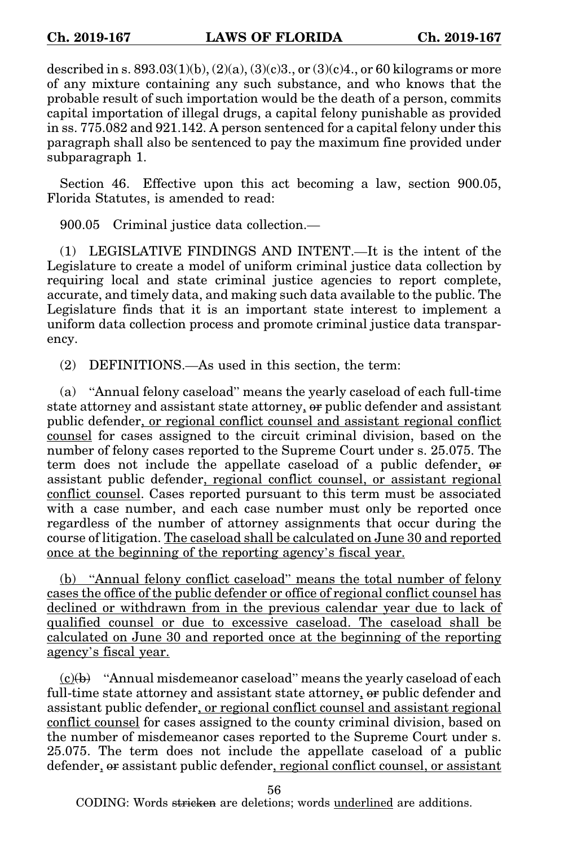described in s.  $893.03(1)(b)$ ,  $(2)(a)$ ,  $(3)(c)3$ ., or  $(3)(c)4$ ., or 60 kilograms or more of any mixture containing any such substance, and who knows that the probable result of such importation would be the death of a person, commits capital importation of illegal drugs, a capital felony punishable as provided in ss. 775.082 and 921.142. A person sentenced for a capital felony under this paragraph shall also be sentenced to pay the maximum fine provided under subparagraph 1.

Section 46. Effective upon this act becoming a law, section 900.05, Florida Statutes, is amended to read:

900.05 Criminal justice data collection.—

(1) LEGISLATIVE FINDINGS AND INTENT.—It is the intent of the Legislature to create a model of uniform criminal justice data collection by requiring local and state criminal justice agencies to report complete, accurate, and timely data, and making such data available to the public. The Legislature finds that it is an important state interest to implement a uniform data collection process and promote criminal justice data transparency.

(2) DEFINITIONS.—As used in this section, the term:

(a) "Annual felony caseload" means the yearly caseload of each full-time state attorney and assistant state attorney, or public defender and assistant public defender, or regional conflict counsel and assistant regional conflict counsel for cases assigned to the circuit criminal division, based on the number of felony cases reported to the Supreme Court under s. 25.075. The term does not include the appellate caseload of a public defender, or assistant public defender, regional conflict counsel, or assistant regional conflict counsel. Cases reported pursuant to this term must be associated with a case number, and each case number must only be reported once regardless of the number of attorney assignments that occur during the course of litigation. The caseload shall be calculated on June 30 and reported once at the beginning of the reporting agency's fiscal year.

(b) "Annual felony conflict caseload" means the total number of felony cases the office of the public defender or office of regional conflict counsel has declined or withdrawn from in the previous calendar year due to lack of qualified counsel or due to excessive caseload. The caseload shall be calculated on June 30 and reported once at the beginning of the reporting agency's fiscal year.

 $(c)(b)$  "Annual misdemeanor caseload" means the yearly caseload of each full-time state attorney and assistant state attorney, or public defender and assistant public defender, or regional conflict counsel and assistant regional conflict counsel for cases assigned to the county criminal division, based on the number of misdemeanor cases reported to the Supreme Court under s. 25.075. The term does not include the appellate caseload of a public defender, or assistant public defender, regional conflict counsel, or assistant

56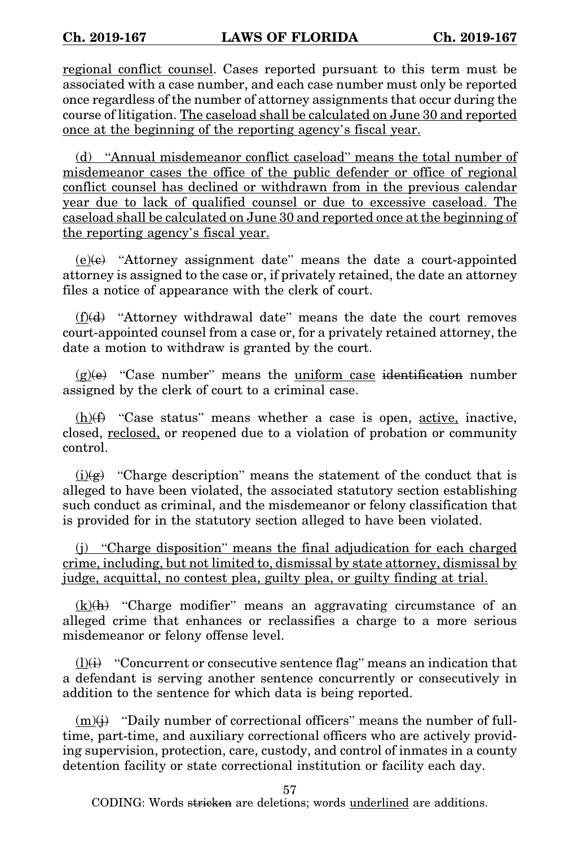regional conflict counsel. Cases reported pursuant to this term must be associated with a case number, and each case number must only be reported once regardless of the number of attorney assignments that occur during the course of litigation. The caseload shall be calculated on June 30 and reported once at the beginning of the reporting agency's fiscal year.

(d) "Annual misdemeanor conflict caseload" means the total number of misdemeanor cases the office of the public defender or office of regional conflict counsel has declined or withdrawn from in the previous calendar year due to lack of qualified counsel or due to excessive caseload. The caseload shall be calculated on June 30 and reported once at the beginning of the reporting agency's fiscal year.

 $(e)(e)$  "Attorney assignment date" means the date a court-appointed attorney is assigned to the case or, if privately retained, the date an attorney files a notice of appearance with the clerk of court.

 $(f)(d)$  "Attorney withdrawal date" means the date the court removes court-appointed counsel from a case or, for a privately retained attorney, the date a motion to withdraw is granted by the court.

 $(g)(e)$  "Case number" means the <u>uniform case</u> identification number assigned by the clerk of court to a criminal case.

 $(h)$ (f) "Case status" means whether a case is open, active, inactive, closed, reclosed, or reopened due to a violation of probation or community control.

 $(i)$ (i)(g) "Charge description" means the statement of the conduct that is alleged to have been violated, the associated statutory section establishing such conduct as criminal, and the misdemeanor or felony classification that is provided for in the statutory section alleged to have been violated.

(j) "Charge disposition" means the final adjudication for each charged crime, including, but not limited to, dismissal by state attorney, dismissal by judge, acquittal, no contest plea, guilty plea, or guilty finding at trial.

 $(k)(h)$  "Charge modifier" means an aggravating circumstance of an alleged crime that enhances or reclassifies a charge to a more serious misdemeanor or felony offense level.

 $(1)(i)$  "Concurrent or consecutive sentence flag" means an indication that a defendant is serving another sentence concurrently or consecutively in addition to the sentence for which data is being reported.

 $(m)(\dagger)$  "Daily number of correctional officers" means the number of fulltime, part-time, and auxiliary correctional officers who are actively providing supervision, protection, care, custody, and control of inmates in a county detention facility or state correctional institution or facility each day.

57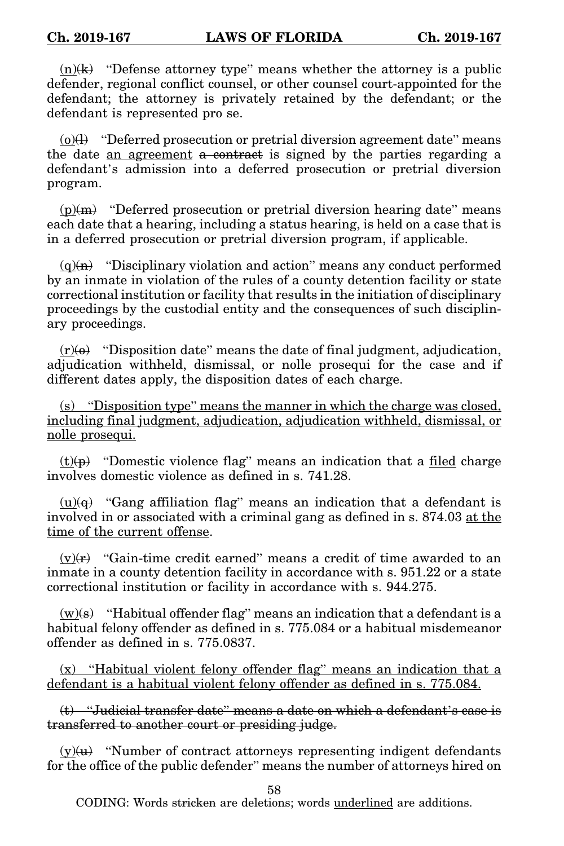$(n)(k)$  "Defense attorney type" means whether the attorney is a public defender, regional conflict counsel, or other counsel court-appointed for the defendant; the attorney is privately retained by the defendant; or the defendant is represented pro se.

 $(0)(l)$  "Deferred prosecution or pretrial diversion agreement date" means the date an agreement a contract is signed by the parties regarding a defendant's admission into a deferred prosecution or pretrial diversion program.

 $(p)(m)$  "Deferred prosecution or pretrial diversion hearing date" means each date that a hearing, including a status hearing, is held on a case that is in a deferred prosecution or pretrial diversion program, if applicable.

 $(q)(n)$  "Disciplinary violation and action" means any conduct performed by an inmate in violation of the rules of a county detention facility or state correctional institution or facility that results in the initiation of disciplinary proceedings by the custodial entity and the consequences of such disciplinary proceedings.

 $(r)(\theta)$  "Disposition date" means the date of final judgment, adjudication, adjudication withheld, dismissal, or nolle prosequi for the case and if different dates apply, the disposition dates of each charge.

(s) "Disposition type" means the manner in which the charge was closed, including final judgment, adjudication, adjudication withheld, dismissal, or nolle prosequi.

 $(t)(p)$  "Domestic violence flag" means an indication that a filed charge involves domestic violence as defined in s. 741.28.

 $(u)(q)$  "Gang affiliation flag" means an indication that a defendant is involved in or associated with a criminal gang as defined in s. 874.03 at the time of the current offense.

 $(v)(r)$  "Gain-time credit earned" means a credit of time awarded to an inmate in a county detention facility in accordance with s. 951.22 or a state correctional institution or facility in accordance with s. 944.275.

 $(w)(s)$  "Habitual offender flag" means an indication that a defendant is a habitual felony offender as defined in s. 775.084 or a habitual misdemeanor offender as defined in s. 775.0837.

(x) "Habitual violent felony offender flag" means an indication that a defendant is a habitual violent felony offender as defined in s. 775.084.

(t) "Judicial transfer date" means a date on which a defendant's case is transferred to another court or presiding judge.

 $(y)(u)$  "Number of contract attorneys representing indigent defendants for the office of the public defender" means the number of attorneys hired on

58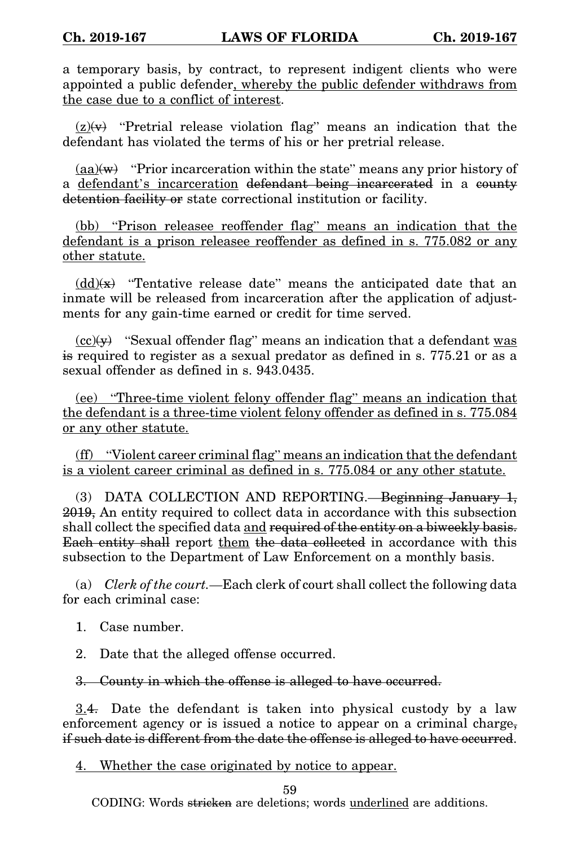a temporary basis, by contract, to represent indigent clients who were appointed a public defender, whereby the public defender withdraws from the case due to a conflict of interest.

 $(z)(v)$  "Pretrial release violation flag" means an indication that the defendant has violated the terms of his or her pretrial release.

 $(aa)(w)$  "Prior incarceration within the state" means any prior history of a defendant's incarceration defendant being incarcerated in a county detention facility or state correctional institution or facility.

(bb) "Prison releasee reoffender flag" means an indication that the defendant is a prison releasee reoffender as defined in s. 775.082 or any other statute.

 $(\text{dd})(\mathbf{x})$  "Tentative release date" means the anticipated date that an inmate will be released from incarceration after the application of adjustments for any gain-time earned or credit for time served.

 $\langle \text{cc}(\mathbf{y}) \rangle$  "Sexual offender flag" means an indication that a defendant was is required to register as a sexual predator as defined in s. 775.21 or as a sexual offender as defined in s. 943.0435.

(ee) "Three-time violent felony offender flag" means an indication that the defendant is a three-time violent felony offender as defined in s. 775.084 or any other statute.

(ff) "Violent career criminal flag" means an indication that the defendant is a violent career criminal as defined in s. 775.084 or any other statute.

(3) DATA COLLECTION AND REPORTING.—Beginning January 1, 2019, An entity required to collect data in accordance with this subsection shall collect the specified data and required of the entity on a biweekly basis. Each entity shall report them the data collected in accordance with this subsection to the Department of Law Enforcement on a monthly basis.

(a) *Clerk of the court.*—Each clerk of court shall collect the following data for each criminal case:

1. Case number.

2. Date that the alleged offense occurred.

## 3. County in which the offense is alleged to have occurred.

3.4. Date the defendant is taken into physical custody by a law enforcement agency or is issued a notice to appear on a criminal charge, if such date is different from the date the offense is alleged to have occurred.

4. Whether the case originated by notice to appear.

59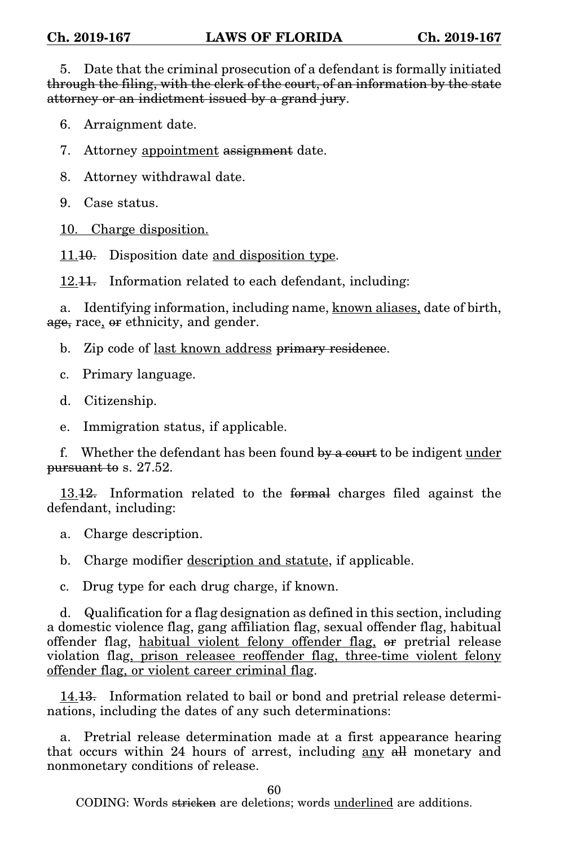5. Date that the criminal prosecution of a defendant is formally initiated through the filing, with the clerk of the court, of an information by the state attorney or an indictment issued by a grand jury.

6. Arraignment date.

7. Attorney appointment assignment date.

8. Attorney withdrawal date.

9. Case status.

10. Charge disposition.

11.10. Disposition date and disposition type.

12.<del>11.</del> Information related to each defendant, including:

a. Identifying information, including name, known aliases, date of birth, age, race, or ethnicity, and gender.

b. Zip code of last known address primary residence.

c. Primary language.

d. Citizenship.

e. Immigration status, if applicable.

f. Whether the defendant has been found by a court to be indigent under pursuant to s. 27.52.

13.12. Information related to the formal charges filed against the defendant, including:

a. Charge description.

b. Charge modifier description and statute, if applicable.

c. Drug type for each drug charge, if known.

d. Qualification for a flag designation as defined in this section, including a domestic violence flag, gang affiliation flag, sexual offender flag, habitual offender flag, habitual violent felony offender flag, or pretrial release violation flag, prison releasee reoffender flag, three-time violent felony offender flag, or violent career criminal flag.

14.13. Information related to bail or bond and pretrial release determinations, including the dates of any such determinations:

a. Pretrial release determination made at a first appearance hearing that occurs within 24 hours of arrest, including any all monetary and nonmonetary conditions of release.

60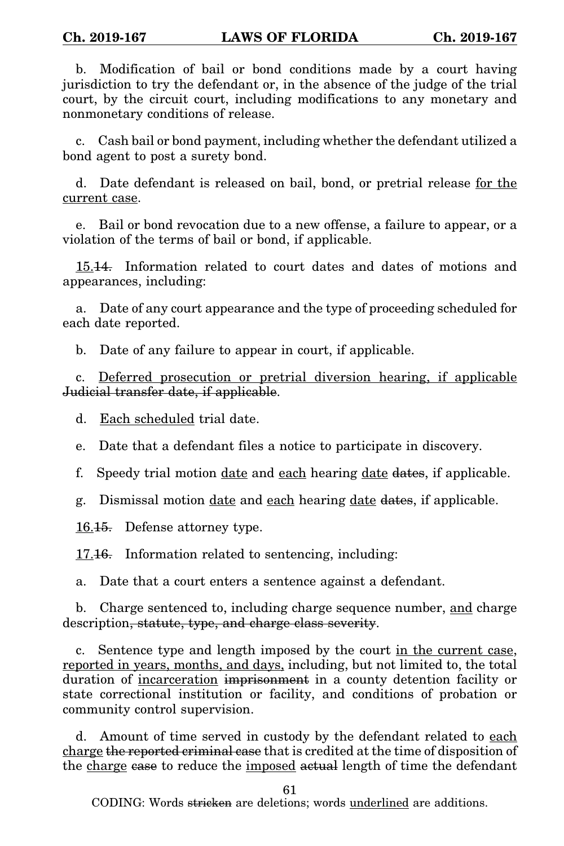b. Modification of bail or bond conditions made by a court having jurisdiction to try the defendant or, in the absence of the judge of the trial court, by the circuit court, including modifications to any monetary and nonmonetary conditions of release.

c. Cash bail or bond payment, including whether the defendant utilized a bond agent to post a surety bond.

d. Date defendant is released on bail, bond, or pretrial release for the current case.

e. Bail or bond revocation due to a new offense, a failure to appear, or a violation of the terms of bail or bond, if applicable.

15.14. Information related to court dates and dates of motions and appearances, including:

a. Date of any court appearance and the type of proceeding scheduled for each date reported.

b. Date of any failure to appear in court, if applicable.

c. Deferred prosecution or pretrial diversion hearing, if applicable Judicial transfer date, if applicable.

d. Each scheduled trial date.

e. Date that a defendant files a notice to participate in discovery.

f. Speedy trial motion date and each hearing date dates, if applicable.

g. Dismissal motion date and each hearing date dates, if applicable.

16.15. Defense attorney type.

17.16. Information related to sentencing, including:

a. Date that a court enters a sentence against a defendant.

b. Charge sentenced to, including charge sequence number, and charge description, statute, type, and charge class severity.

c. Sentence type and length imposed by the court in the current case, reported in years, months, and days, including, but not limited to, the total duration of incarceration imprisonment in a county detention facility or state correctional institution or facility, and conditions of probation or community control supervision.

d. Amount of time served in custody by the defendant related to each charge the reported criminal case that is credited at the time of disposition of the charge case to reduce the imposed actual length of time the defendant

61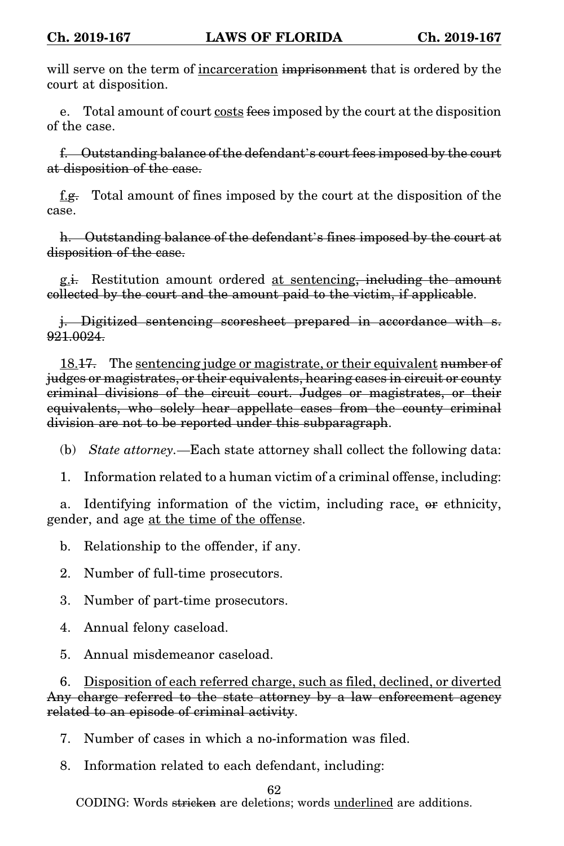will serve on the term of incarceration imprisonment that is ordered by the court at disposition.

e. Total amount of court costs fees imposed by the court at the disposition of the case.

f. Outstanding balance of the defendant's court fees imposed by the court at disposition of the case.

f.g. Total amount of fines imposed by the court at the disposition of the case.

h. Outstanding balance of the defendant's fines imposed by the court at disposition of the case.

g.i. Restitution amount ordered at sentencing, including the amount collected by the court and the amount paid to the victim, if applicable.

j. Digitized sentencing scoresheet prepared in accordance with s. 921.0024.

18.17. The sentencing judge or magistrate, or their equivalent number of judges or magistrates, or their equivalents, hearing cases in circuit or county criminal divisions of the circuit court. Judges or magistrates, or their equivalents, who solely hear appellate cases from the county criminal division are not to be reported under this subparagraph.

- (b) *State attorney.*—Each state attorney shall collect the following data:
- 1. Information related to a human victim of a criminal offense, including:

a. Identifying information of the victim, including race, or ethnicity, gender, and age at the time of the offense.

b. Relationship to the offender, if any.

2. Number of full-time prosecutors.

3. Number of part-time prosecutors.

4. Annual felony caseload.

5. Annual misdemeanor caseload.

6. Disposition of each referred charge, such as filed, declined, or diverted Any charge referred to the state attorney by a law enforcement agency related to an episode of criminal activity.

- 7. Number of cases in which a no-information was filed.
- 8. Information related to each defendant, including:

62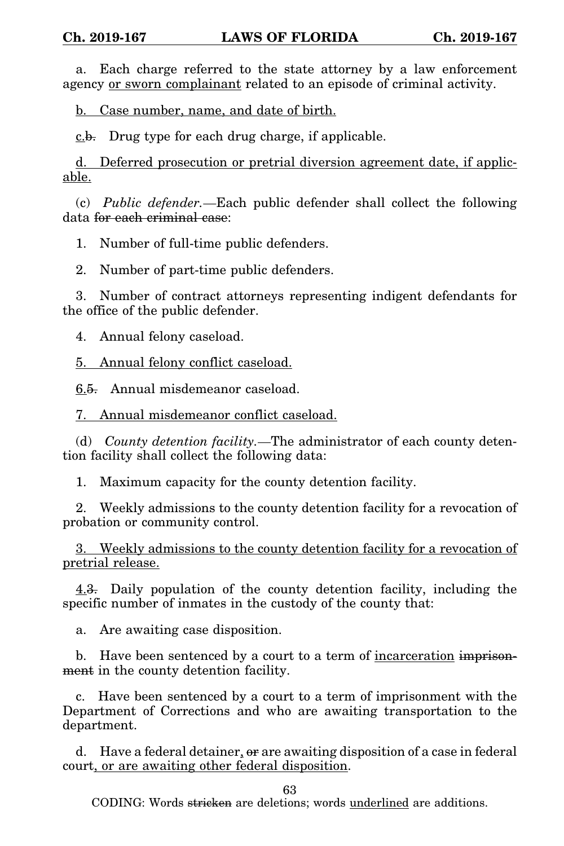a. Each charge referred to the state attorney by a law enforcement agency or sworn complainant related to an episode of criminal activity.

b. Case number, name, and date of birth.

 $c.b.$  Drug type for each drug charge, if applicable.

d. Deferred prosecution or pretrial diversion agreement date, if applicable.

(c) *Public defender.*—Each public defender shall collect the following data for each criminal case:

1. Number of full-time public defenders.

2. Number of part-time public defenders.

3. Number of contract attorneys representing indigent defendants for the office of the public defender.

4. Annual felony caseload.

5. Annual felony conflict caseload.

6.5. Annual misdemeanor caseload.

7. Annual misdemeanor conflict caseload.

(d) *County detention facility.*—The administrator of each county detention facility shall collect the following data:

1. Maximum capacity for the county detention facility.

2. Weekly admissions to the county detention facility for a revocation of probation or community control.

3. Weekly admissions to the county detention facility for a revocation of pretrial release.

4.3. Daily population of the county detention facility, including the specific number of inmates in the custody of the county that:

a. Are awaiting case disposition.

b. Have been sentenced by a court to a term of incarceration imprisonment in the county detention facility.

c. Have been sentenced by a court to a term of imprisonment with the Department of Corrections and who are awaiting transportation to the department.

d. Have a federal detainer,  $\theta$  are awaiting disposition of a case in federal court, or are awaiting other federal disposition.

63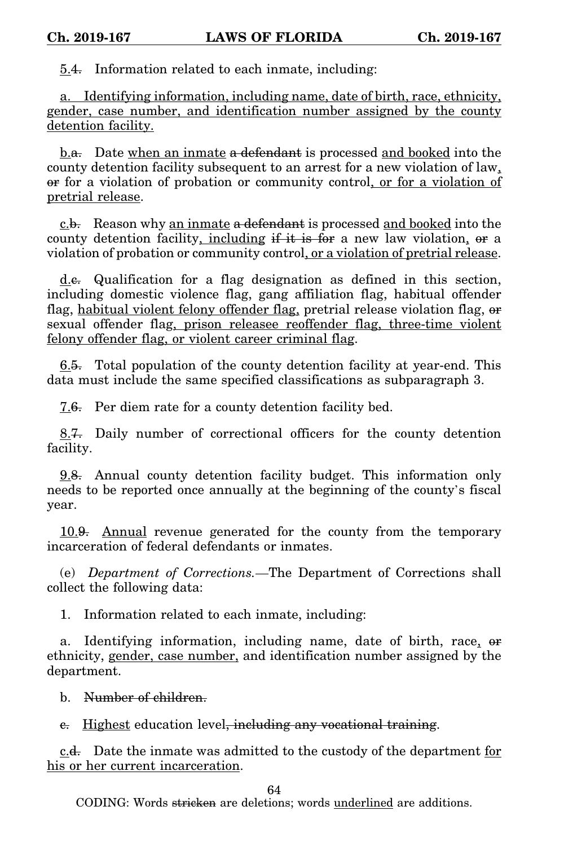5.4. Information related to each inmate, including:

a. Identifying information, including name, date of birth, race, ethnicity, gender, case number, and identification number assigned by the county detention facility.

b.a. Date when an inmate a defendant is processed and booked into the county detention facility subsequent to an arrest for a new violation of law, or for a violation of probation or community control, or for a violation of pretrial release.

c.b. Reason why an inmate a defendant is processed and booked into the county detention facility, including  $\frac{f}{f}$  is for a new law violation, or a violation of probation or community control, or a violation of pretrial release.

d.c. Qualification for a flag designation as defined in this section, including domestic violence flag, gang affiliation flag, habitual offender flag, habitual violent felony offender flag, pretrial release violation flag, or sexual offender flag, prison releasee reoffender flag, three-time violent felony offender flag, or violent career criminal flag.

6.5. Total population of the county detention facility at year-end. This data must include the same specified classifications as subparagraph 3.

7.6. Per diem rate for a county detention facility bed.

8.7. Daily number of correctional officers for the county detention facility.

9.8. Annual county detention facility budget. This information only needs to be reported once annually at the beginning of the county's fiscal year.

10.9. Annual revenue generated for the county from the temporary incarceration of federal defendants or inmates.

(e) *Department of Corrections.*—The Department of Corrections shall collect the following data:

1. Information related to each inmate, including:

a. Identifying information, including name, date of birth, race, or ethnicity, gender, case number, and identification number assigned by the department.

b. Number of children.

e. Highest education level<del>, including any vocational training</del>.

 $c.d.$  Date the inmate was admitted to the custody of the department for his or her current incarceration.

64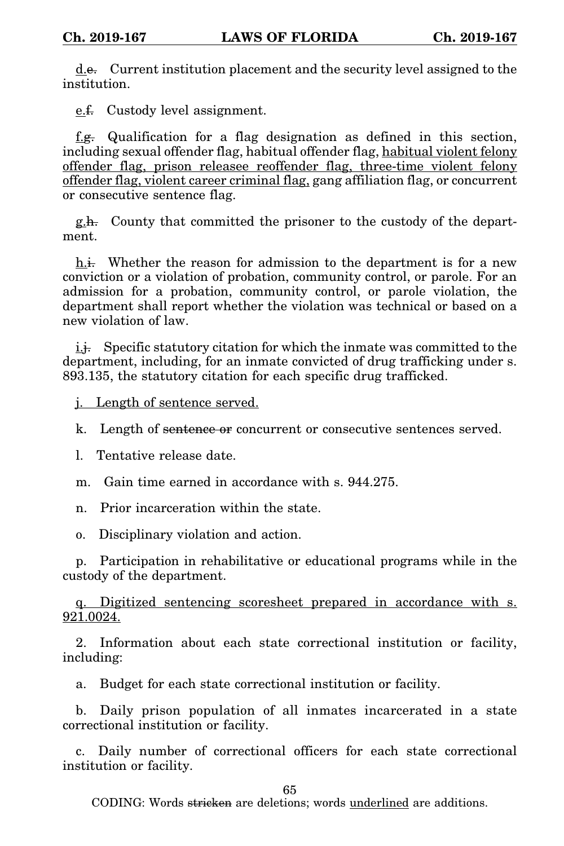d.e. Current institution placement and the security level assigned to the institution.

e.f. Custody level assignment.

f. $g$ . Qualification for a flag designation as defined in this section, including sexual offender flag, habitual offender flag, habitual violent felony offender flag, prison releasee reoffender flag, three-time violent felony offender flag, violent career criminal flag, gang affiliation flag, or concurrent or consecutive sentence flag.

g.h. County that committed the prisoner to the custody of the department.

 $h.$  Whether the reason for admission to the department is for a new conviction or a violation of probation, community control, or parole. For an admission for a probation, community control, or parole violation, the department shall report whether the violation was technical or based on a new violation of law.

i.j. Specific statutory citation for which the inmate was committed to the department, including, for an inmate convicted of drug trafficking under s. 893.135, the statutory citation for each specific drug trafficked.

j. Length of sentence served.

k. Length of sentence or concurrent or consecutive sentences served.

l. Tentative release date.

m. Gain time earned in accordance with s. 944.275.

n. Prior incarceration within the state.

o. Disciplinary violation and action.

p. Participation in rehabilitative or educational programs while in the custody of the department.

q. Digitized sentencing scoresheet prepared in accordance with s. 921.0024.

2. Information about each state correctional institution or facility, including:

a. Budget for each state correctional institution or facility.

b. Daily prison population of all inmates incarcerated in a state correctional institution or facility.

c. Daily number of correctional officers for each state correctional institution or facility.

65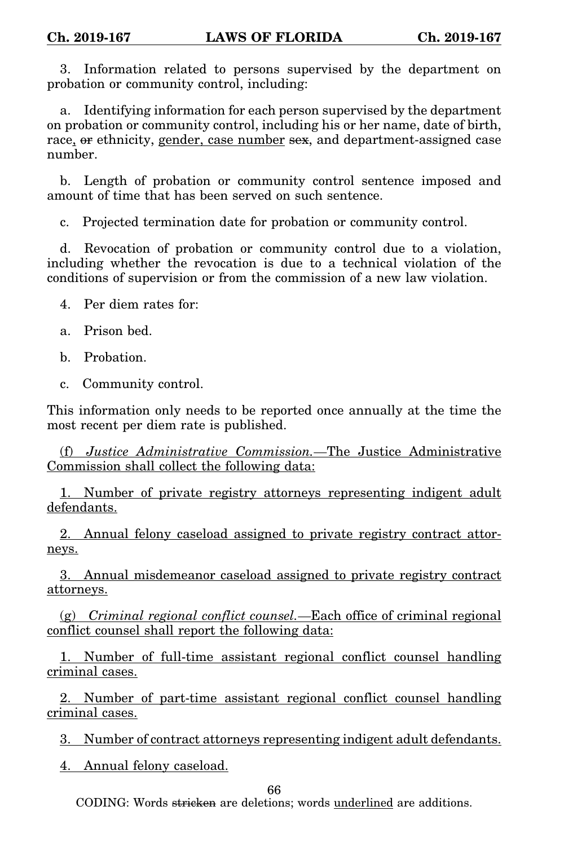3. Information related to persons supervised by the department on probation or community control, including:

a. Identifying information for each person supervised by the department on probation or community control, including his or her name, date of birth, race, or ethnicity, gender, case number sex, and department-assigned case number.

b. Length of probation or community control sentence imposed and amount of time that has been served on such sentence.

c. Projected termination date for probation or community control.

d. Revocation of probation or community control due to a violation, including whether the revocation is due to a technical violation of the conditions of supervision or from the commission of a new law violation.

4. Per diem rates for:

- a. Prison bed.
- b. Probation.
- c. Community control.

This information only needs to be reported once annually at the time the most recent per diem rate is published.

(f) *Justice Administrative Commission.*—The Justice Administrative Commission shall collect the following data:

1. Number of private registry attorneys representing indigent adult defendants.

2. Annual felony caseload assigned to private registry contract attorneys.

3. Annual misdemeanor caseload assigned to private registry contract attorneys.

(g) *Criminal regional conflict counsel.*—Each office of criminal regional conflict counsel shall report the following data:

1. Number of full-time assistant regional conflict counsel handling criminal cases.

2. Number of part-time assistant regional conflict counsel handling criminal cases.

3. Number of contract attorneys representing indigent adult defendants.

4. Annual felony caseload.

66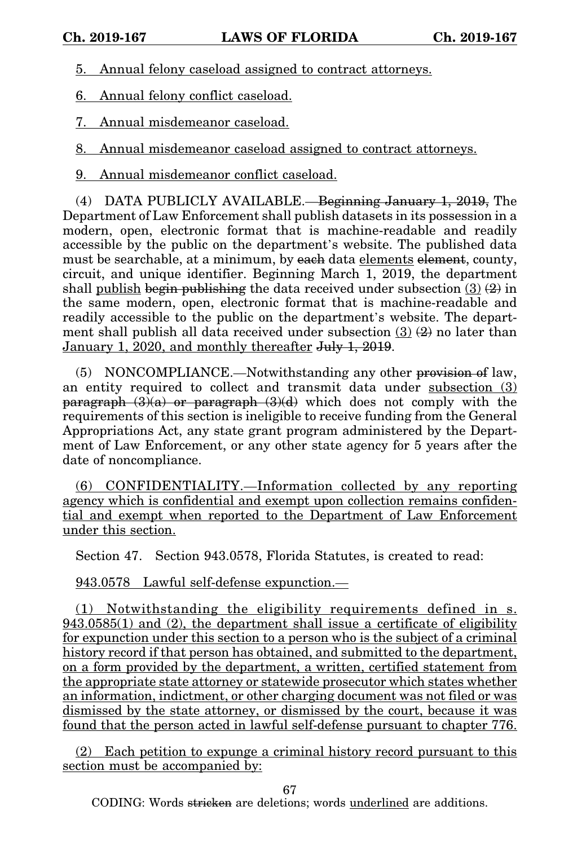5. Annual felony caseload assigned to contract attorneys.

6. Annual felony conflict caseload.

7. Annual misdemeanor caseload.

8. Annual misdemeanor caseload assigned to contract attorneys.

9. Annual misdemeanor conflict caseload.

(4) DATA PUBLICLY AVAILABLE.—Beginning January 1, 2019, The Department of Law Enforcement shall publish datasets in its possession in a modern, open, electronic format that is machine-readable and readily accessible by the public on the department's website. The published data must be searchable, at a minimum, by each data elements element, county, circuit, and unique identifier. Beginning March 1, 2019, the department shall publish begin publishing the data received under subsection  $(3)$   $(2)$  in the same modern, open, electronic format that is machine-readable and readily accessible to the public on the department's website. The department shall publish all data received under subsection  $(3)$   $(2)$  no later than January 1, 2020, and monthly thereafter July 1, 2019.

(5) NONCOMPLIANCE.—Notwithstanding any other provision of law, an entity required to collect and transmit data under subsection (3) paragraph  $(3)(a)$  or paragraph  $(3)(d)$  which does not comply with the requirements of this section is ineligible to receive funding from the General Appropriations Act, any state grant program administered by the Department of Law Enforcement, or any other state agency for 5 years after the date of noncompliance.

(6) CONFIDENTIALITY.—Information collected by any reporting agency which is confidential and exempt upon collection remains confidential and exempt when reported to the Department of Law Enforcement under this section.

Section 47. Section 943.0578, Florida Statutes, is created to read:

943.0578 Lawful self-defense expunction.—

(1) Notwithstanding the eligibility requirements defined in s. 943.0585(1) and (2), the department shall issue a certificate of eligibility for expunction under this section to a person who is the subject of a criminal history record if that person has obtained, and submitted to the department, on a form provided by the department, a written, certified statement from the appropriate state attorney or statewide prosecutor which states whether an information, indictment, or other charging document was not filed or was dismissed by the state attorney, or dismissed by the court, because it was found that the person acted in lawful self-defense pursuant to chapter 776.

(2) Each petition to expunge a criminal history record pursuant to this section must be accompanied by:

67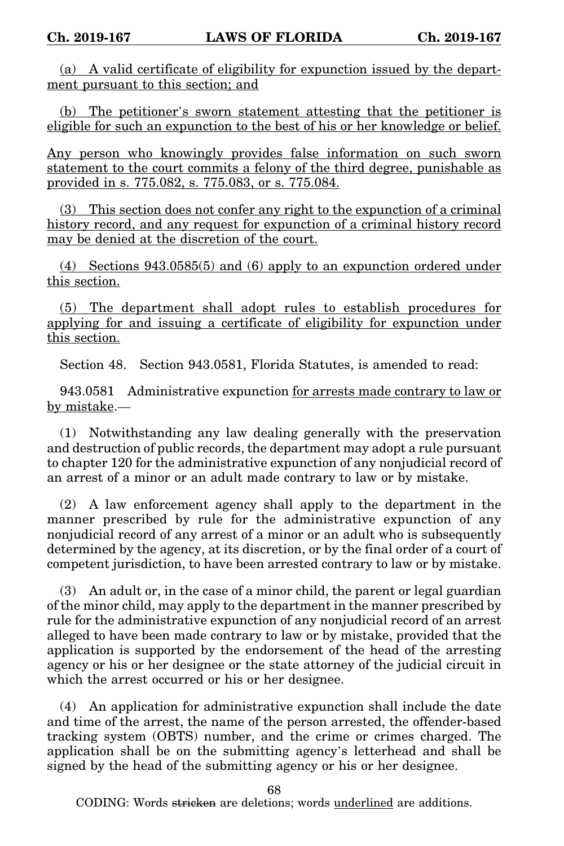(a) A valid certificate of eligibility for expunction issued by the department pursuant to this section; and

(b) The petitioner's sworn statement attesting that the petitioner is eligible for such an expunction to the best of his or her knowledge or belief.

Any person who knowingly provides false information on such sworn statement to the court commits a felony of the third degree, punishable as provided in s. 775.082, s. 775.083, or s. 775.084.

(3) This section does not confer any right to the expunction of a criminal history record, and any request for expunction of a criminal history record may be denied at the discretion of the court.

(4) Sections 943.0585(5) and (6) apply to an expunction ordered under this section.

(5) The department shall adopt rules to establish procedures for applying for and issuing a certificate of eligibility for expunction under this section.

Section 48. Section 943.0581, Florida Statutes, is amended to read:

943.0581 Administrative expunction for arrests made contrary to law or by mistake.—

(1) Notwithstanding any law dealing generally with the preservation and destruction of public records, the department may adopt a rule pursuant to chapter 120 for the administrative expunction of any nonjudicial record of an arrest of a minor or an adult made contrary to law or by mistake.

(2) A law enforcement agency shall apply to the department in the manner prescribed by rule for the administrative expunction of any nonjudicial record of any arrest of a minor or an adult who is subsequently determined by the agency, at its discretion, or by the final order of a court of competent jurisdiction, to have been arrested contrary to law or by mistake.

(3) An adult or, in the case of a minor child, the parent or legal guardian of the minor child, may apply to the department in the manner prescribed by rule for the administrative expunction of any nonjudicial record of an arrest alleged to have been made contrary to law or by mistake, provided that the application is supported by the endorsement of the head of the arresting agency or his or her designee or the state attorney of the judicial circuit in which the arrest occurred or his or her designee.

(4) An application for administrative expunction shall include the date and time of the arrest, the name of the person arrested, the offender-based tracking system (OBTS) number, and the crime or crimes charged. The application shall be on the submitting agency's letterhead and shall be signed by the head of the submitting agency or his or her designee.

68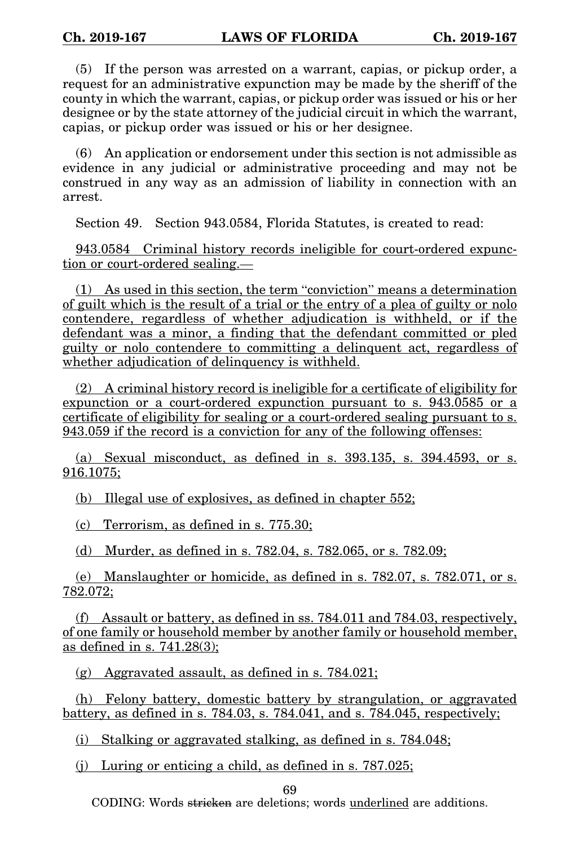(5) If the person was arrested on a warrant, capias, or pickup order, a request for an administrative expunction may be made by the sheriff of the county in which the warrant, capias, or pickup order was issued or his or her designee or by the state attorney of the judicial circuit in which the warrant, capias, or pickup order was issued or his or her designee.

(6) An application or endorsement under this section is not admissible as evidence in any judicial or administrative proceeding and may not be construed in any way as an admission of liability in connection with an arrest.

Section 49. Section 943.0584, Florida Statutes, is created to read:

943.0584 Criminal history records ineligible for court-ordered expunction or court-ordered sealing.—

(1) As used in this section, the term "conviction" means a determination of guilt which is the result of a trial or the entry of a plea of guilty or nolo contendere, regardless of whether adjudication is withheld, or if the defendant was a minor, a finding that the defendant committed or pled guilty or nolo contendere to committing a delinquent act, regardless of whether adjudication of delinquency is withheld.

(2) A criminal history record is ineligible for a certificate of eligibility for expunction or a court-ordered expunction pursuant to s. 943.0585 or a certificate of eligibility for sealing or a court-ordered sealing pursuant to s. 943.059 if the record is a conviction for any of the following offenses:

(a) Sexual misconduct, as defined in s. 393.135, s. 394.4593, or s. 916.1075;

(b) Illegal use of explosives, as defined in chapter 552;

(c) Terrorism, as defined in s. 775.30;

(d) Murder, as defined in s. 782.04, s. 782.065, or s. 782.09;

(e) Manslaughter or homicide, as defined in s. 782.07, s. 782.071, or s. 782.072;

(f) Assault or battery, as defined in ss. 784.011 and 784.03, respectively, of one family or household member by another family or household member, as defined in s. 741.28(3);

(g) Aggravated assault, as defined in s. 784.021;

(h) Felony battery, domestic battery by strangulation, or aggravated battery, as defined in s. 784.03, s. 784.041, and s. 784.045, respectively;

(i) Stalking or aggravated stalking, as defined in s. 784.048;

(j) Luring or enticing a child, as defined in s. 787.025;

69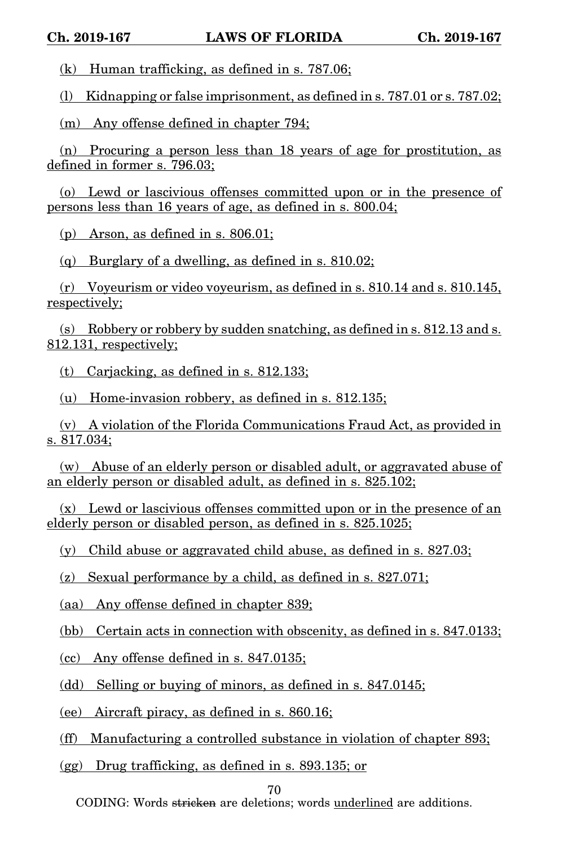(k) Human trafficking, as defined in s. 787.06;

(l) Kidnapping or false imprisonment, as defined in s. 787.01 or s. 787.02;

(m) Any offense defined in chapter 794;

(n) Procuring a person less than 18 years of age for prostitution, as defined in former s. 796.03;

(o) Lewd or lascivious offenses committed upon or in the presence of persons less than 16 years of age, as defined in s. 800.04;

(p) Arson, as defined in s. 806.01;

(q) Burglary of a dwelling, as defined in s. 810.02;

(r) Voyeurism or video voyeurism, as defined in s. 810.14 and s. 810.145, respectively;

(s) Robbery or robbery by sudden snatching, as defined in s. 812.13 and s. 812.131, respectively;

(t) Carjacking, as defined in s. 812.133;

(u) Home-invasion robbery, as defined in s. 812.135;

(v) A violation of the Florida Communications Fraud Act, as provided in s. 817.034;

(w) Abuse of an elderly person or disabled adult, or aggravated abuse of an elderly person or disabled adult, as defined in s. 825.102;

(x) Lewd or lascivious offenses committed upon or in the presence of an elderly person or disabled person, as defined in s. 825.1025;

(y) Child abuse or aggravated child abuse, as defined in s. 827.03;

(z) Sexual performance by a child, as defined in s. 827.071;

(aa) Any offense defined in chapter 839;

(bb) Certain acts in connection with obscenity, as defined in s. 847.0133;

 $(cc)$  Any offense defined in s. 847.0135;

(dd) Selling or buying of minors, as defined in s. 847.0145;

(ee) Aircraft piracy, as defined in s. 860.16;

(ff) Manufacturing a controlled substance in violation of chapter 893;

(gg) Drug trafficking, as defined in s. 893.135; or

70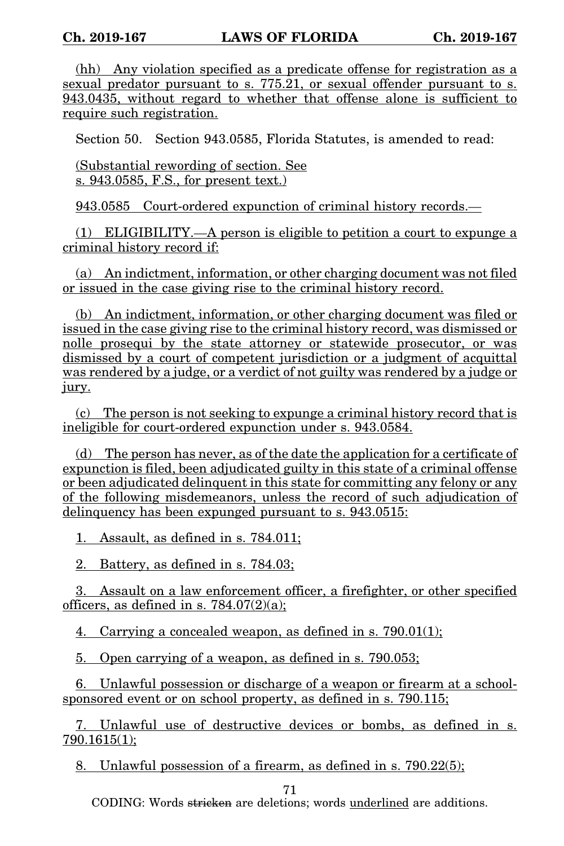(hh) Any violation specified as a predicate offense for registration as a sexual predator pursuant to s. 775.21, or sexual offender pursuant to s. 943.0435, without regard to whether that offense alone is sufficient to require such registration.

Section 50. Section 943.0585, Florida Statutes, is amended to read:

(Substantial rewording of section. See s. 943.0585, F.S., for present text.)

943.0585 Court-ordered expunction of criminal history records.—

(1) ELIGIBILITY.—A person is eligible to petition a court to expunge a criminal history record if:

(a) An indictment, information, or other charging document was not filed or issued in the case giving rise to the criminal history record.

(b) An indictment, information, or other charging document was filed or issued in the case giving rise to the criminal history record, was dismissed or nolle prosequi by the state attorney or statewide prosecutor, or was dismissed by a court of competent jurisdiction or a judgment of acquittal was rendered by a judge, or a verdict of not guilty was rendered by a judge or jury.

(c) The person is not seeking to expunge a criminal history record that is ineligible for court-ordered expunction under s. 943.0584.

(d) The person has never, as of the date the application for a certificate of expunction is filed, been adjudicated guilty in this state of a criminal offense or been adjudicated delinquent in this state for committing any felony or any of the following misdemeanors, unless the record of such adjudication of delinquency has been expunged pursuant to s. 943.0515:

1. Assault, as defined in s. 784.011;

2. Battery, as defined in s. 784.03;

3. Assault on a law enforcement officer, a firefighter, or other specified officers, as defined in s.  $784.07(2)(a)$ ;

4. Carrying a concealed weapon, as defined in s.  $790.01(1)$ ;

5. Open carrying of a weapon, as defined in s. 790.053;

6. Unlawful possession or discharge of a weapon or firearm at a schoolsponsored event or on school property, as defined in s. 790.115;

7. Unlawful use of destructive devices or bombs, as defined in s. 790.1615(1);

8. Unlawful possession of a firearm, as defined in s. 790.22(5);

71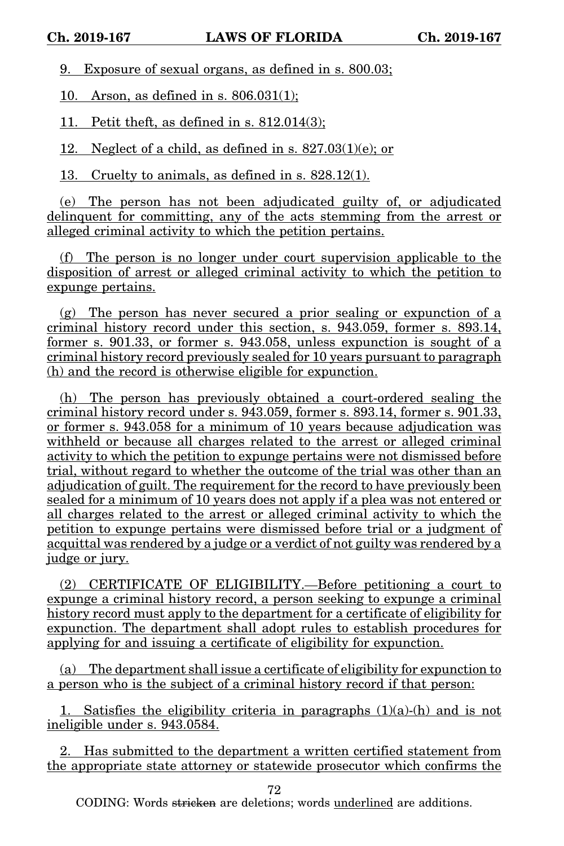9. Exposure of sexual organs, as defined in s. 800.03;

10. Arson, as defined in s. 806.031(1);

11. Petit theft, as defined in s. 812.014(3);

12. Neglect of a child, as defined in s.  $827.03(1)(e)$ ; or

13. Cruelty to animals, as defined in s. 828.12(1).

(e) The person has not been adjudicated guilty of, or adjudicated delinquent for committing, any of the acts stemming from the arrest or alleged criminal activity to which the petition pertains.

(f) The person is no longer under court supervision applicable to the disposition of arrest or alleged criminal activity to which the petition to expunge pertains.

(g) The person has never secured a prior sealing or expunction of a criminal history record under this section, s. 943.059, former s. 893.14, former s. 901.33, or former s. 943.058, unless expunction is sought of a criminal history record previously sealed for 10 years pursuant to paragraph (h) and the record is otherwise eligible for expunction.

(h) The person has previously obtained a court-ordered sealing the criminal history record under s. 943.059, former s. 893.14, former s. 901.33, or former s. 943.058 for a minimum of 10 years because adjudication was withheld or because all charges related to the arrest or alleged criminal activity to which the petition to expunge pertains were not dismissed before trial, without regard to whether the outcome of the trial was other than an adjudication of guilt. The requirement for the record to have previously been sealed for a minimum of 10 years does not apply if a plea was not entered or all charges related to the arrest or alleged criminal activity to which the petition to expunge pertains were dismissed before trial or a judgment of acquittal was rendered by a judge or a verdict of not guilty was rendered by a judge or jury.

(2) CERTIFICATE OF ELIGIBILITY.—Before petitioning a court to expunge a criminal history record, a person seeking to expunge a criminal history record must apply to the department for a certificate of eligibility for expunction. The department shall adopt rules to establish procedures for applying for and issuing a certificate of eligibility for expunction.

(a) The department shall issue a certificate of eligibility for expunction to a person who is the subject of a criminal history record if that person:

1. Satisfies the eligibility criteria in paragraphs  $(1)(a)$ -(h) and is not ineligible under s. 943.0584.

2. Has submitted to the department a written certified statement from the appropriate state attorney or statewide prosecutor which confirms the

72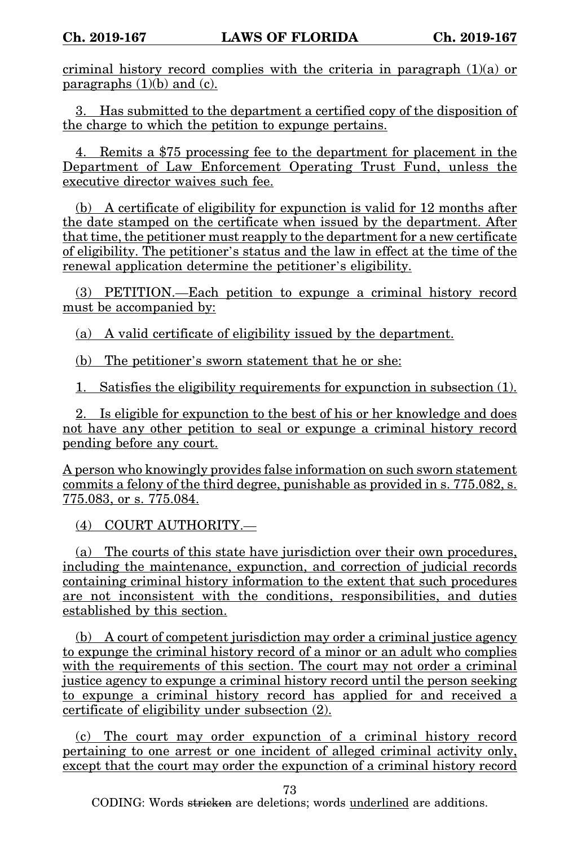criminal history record complies with the criteria in paragraph  $(1)(a)$  or paragraphs  $(1)(b)$  and  $(c)$ .

3. Has submitted to the department a certified copy of the disposition of the charge to which the petition to expunge pertains.

4. Remits a \$75 processing fee to the department for placement in the Department of Law Enforcement Operating Trust Fund, unless the executive director waives such fee.

(b) A certificate of eligibility for expunction is valid for 12 months after the date stamped on the certificate when issued by the department. After that time, the petitioner must reapply to the department for a new certificate of eligibility. The petitioner's status and the law in effect at the time of the renewal application determine the petitioner's eligibility.

(3) PETITION.—Each petition to expunge a criminal history record must be accompanied by:

(a) A valid certificate of eligibility issued by the department.

(b) The petitioner's sworn statement that he or she:

1. Satisfies the eligibility requirements for expunction in subsection (1).

2. Is eligible for expunction to the best of his or her knowledge and does not have any other petition to seal or expunge a criminal history record pending before any court.

A person who knowingly provides false information on such sworn statement commits a felony of the third degree, punishable as provided in s. 775.082, s. 775.083, or s. 775.084.

(4) COURT AUTHORITY.—

(a) The courts of this state have jurisdiction over their own procedures, including the maintenance, expunction, and correction of judicial records containing criminal history information to the extent that such procedures are not inconsistent with the conditions, responsibilities, and duties established by this section.

(b) A court of competent jurisdiction may order a criminal justice agency to expunge the criminal history record of a minor or an adult who complies with the requirements of this section. The court may not order a criminal justice agency to expunge a criminal history record until the person seeking to expunge a criminal history record has applied for and received a certificate of eligibility under subsection (2).

(c) The court may order expunction of a criminal history record pertaining to one arrest or one incident of alleged criminal activity only, except that the court may order the expunction of a criminal history record

73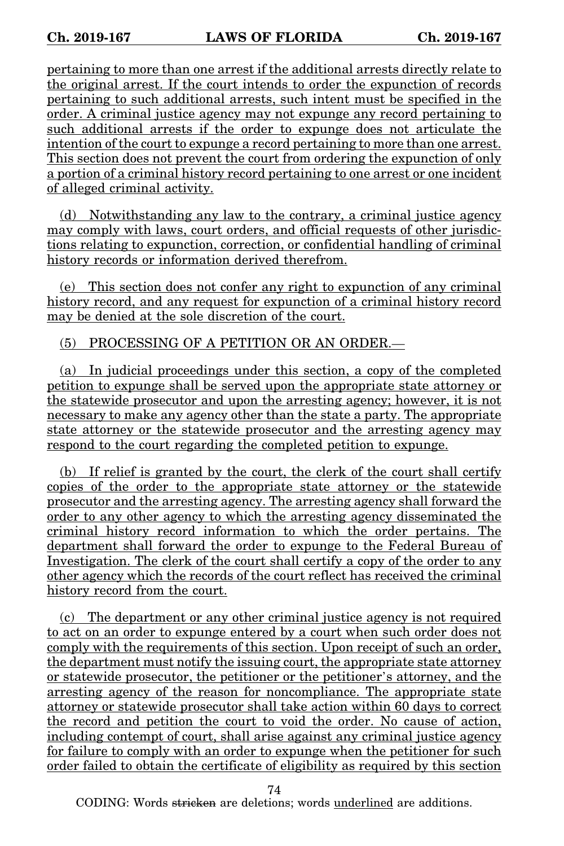pertaining to more than one arrest if the additional arrests directly relate to the original arrest. If the court intends to order the expunction of records pertaining to such additional arrests, such intent must be specified in the order. A criminal justice agency may not expunge any record pertaining to such additional arrests if the order to expunge does not articulate the intention of the court to expunge a record pertaining to more than one arrest. This section does not prevent the court from ordering the expunction of only a portion of a criminal history record pertaining to one arrest or one incident of alleged criminal activity.

(d) Notwithstanding any law to the contrary, a criminal justice agency may comply with laws, court orders, and official requests of other jurisdictions relating to expunction, correction, or confidential handling of criminal history records or information derived therefrom.

(e) This section does not confer any right to expunction of any criminal history record, and any request for expunction of a criminal history record may be denied at the sole discretion of the court.

(5) PROCESSING OF A PETITION OR AN ORDER.—

(a) In judicial proceedings under this section, a copy of the completed petition to expunge shall be served upon the appropriate state attorney or the statewide prosecutor and upon the arresting agency; however, it is not necessary to make any agency other than the state a party. The appropriate state attorney or the statewide prosecutor and the arresting agency may respond to the court regarding the completed petition to expunge.

(b) If relief is granted by the court, the clerk of the court shall certify copies of the order to the appropriate state attorney or the statewide prosecutor and the arresting agency. The arresting agency shall forward the order to any other agency to which the arresting agency disseminated the criminal history record information to which the order pertains. The department shall forward the order to expunge to the Federal Bureau of Investigation. The clerk of the court shall certify a copy of the order to any other agency which the records of the court reflect has received the criminal history record from the court.

(c) The department or any other criminal justice agency is not required to act on an order to expunge entered by a court when such order does not comply with the requirements of this section. Upon receipt of such an order, the department must notify the issuing court, the appropriate state attorney or statewide prosecutor, the petitioner or the petitioner's attorney, and the arresting agency of the reason for noncompliance. The appropriate state attorney or statewide prosecutor shall take action within 60 days to correct the record and petition the court to void the order. No cause of action, including contempt of court, shall arise against any criminal justice agency for failure to comply with an order to expunge when the petitioner for such order failed to obtain the certificate of eligibility as required by this section

74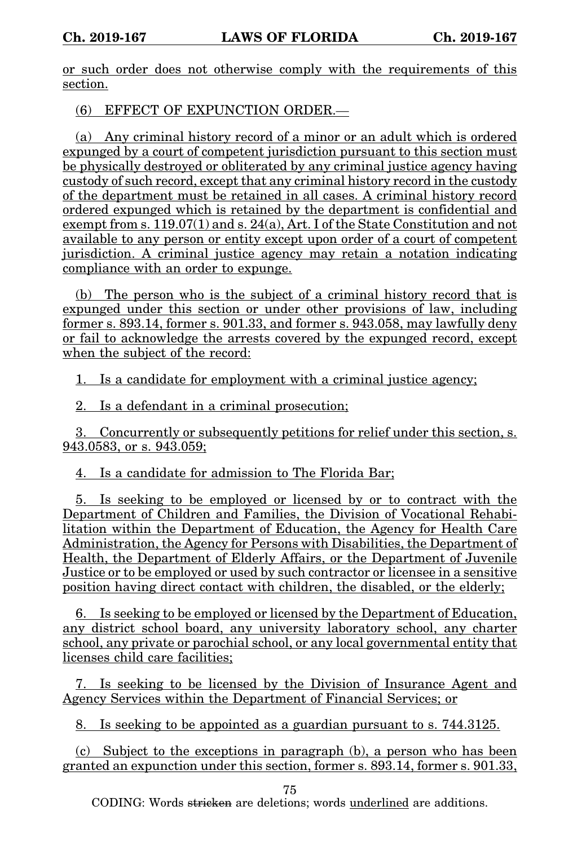or such order does not otherwise comply with the requirements of this section.

(6) EFFECT OF EXPUNCTION ORDER.—

(a) Any criminal history record of a minor or an adult which is ordered expunged by a court of competent jurisdiction pursuant to this section must be physically destroyed or obliterated by any criminal justice agency having custody of such record, except that any criminal history record in the custody of the department must be retained in all cases. A criminal history record ordered expunged which is retained by the department is confidential and exempt from s. 119.07(1) and s. 24(a), Art. I of the State Constitution and not available to any person or entity except upon order of a court of competent jurisdiction. A criminal justice agency may retain a notation indicating compliance with an order to expunge.

(b) The person who is the subject of a criminal history record that is expunged under this section or under other provisions of law, including former s. 893.14, former s. 901.33, and former s. 943.058, may lawfully deny or fail to acknowledge the arrests covered by the expunged record, except when the subject of the record:

1. Is a candidate for employment with a criminal justice agency;

2. Is a defendant in a criminal prosecution;

3. Concurrently or subsequently petitions for relief under this section, s. 943.0583, or s. 943.059;

4. Is a candidate for admission to The Florida Bar;

5. Is seeking to be employed or licensed by or to contract with the Department of Children and Families, the Division of Vocational Rehabilitation within the Department of Education, the Agency for Health Care Administration, the Agency for Persons with Disabilities, the Department of Health, the Department of Elderly Affairs, or the Department of Juvenile Justice or to be employed or used by such contractor or licensee in a sensitive position having direct contact with children, the disabled, or the elderly;

6. Is seeking to be employed or licensed by the Department of Education, any district school board, any university laboratory school, any charter school, any private or parochial school, or any local governmental entity that licenses child care facilities;

7. Is seeking to be licensed by the Division of Insurance Agent and Agency Services within the Department of Financial Services; or

8. Is seeking to be appointed as a guardian pursuant to s. 744.3125.

(c) Subject to the exceptions in paragraph (b), a person who has been granted an expunction under this section, former s. 893.14, former s. 901.33,

75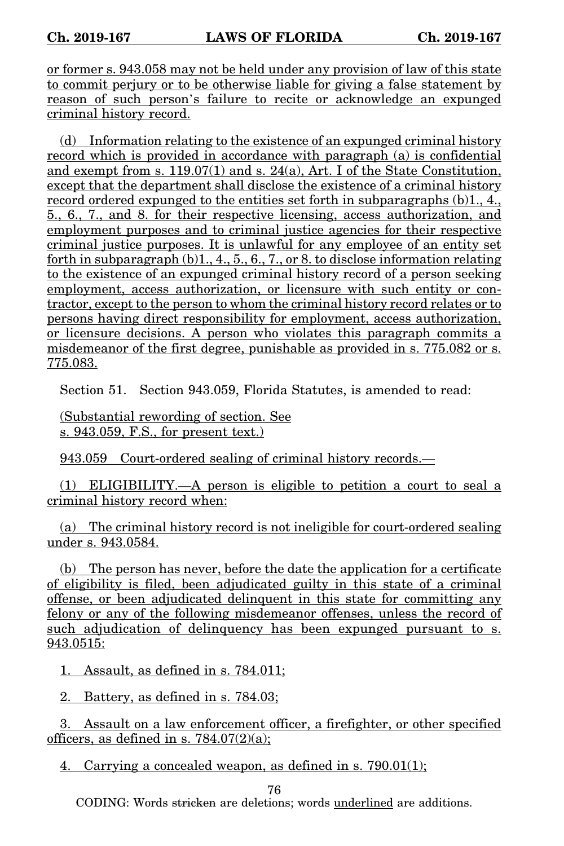or former s. 943.058 may not be held under any provision of law of this state to commit perjury or to be otherwise liable for giving a false statement by reason of such person's failure to recite or acknowledge an expunged criminal history record.

(d) Information relating to the existence of an expunged criminal history record which is provided in accordance with paragraph (a) is confidential and exempt from s. 119.07(1) and s. 24(a), Art. I of the State Constitution, except that the department shall disclose the existence of a criminal history record ordered expunged to the entities set forth in subparagraphs (b)1, 4, 5., 6., 7., and 8. for their respective licensing, access authorization, and employment purposes and to criminal justice agencies for their respective criminal justice purposes. It is unlawful for any employee of an entity set forth in subparagraph (b)1., 4., 5., 6., 7., or 8. to disclose information relating to the existence of an expunged criminal history record of a person seeking employment, access authorization, or licensure with such entity or contractor, except to the person to whom the criminal history record relates or to persons having direct responsibility for employment, access authorization, or licensure decisions. A person who violates this paragraph commits a misdemeanor of the first degree, punishable as provided in s. 775.082 or s. 775.083.

Section 51. Section 943.059, Florida Statutes, is amended to read:

(Substantial rewording of section. See s. 943.059, F.S., for present text.)

943.059 Court-ordered sealing of criminal history records.—

(1) ELIGIBILITY.—A person is eligible to petition a court to seal a criminal history record when:

(a) The criminal history record is not ineligible for court-ordered sealing under s. 943.0584.

(b) The person has never, before the date the application for a certificate of eligibility is filed, been adjudicated guilty in this state of a criminal offense, or been adjudicated delinquent in this state for committing any felony or any of the following misdemeanor offenses, unless the record of such adjudication of delinquency has been expunged pursuant to s. 943.0515:

1. Assault, as defined in s. 784.011;

2. Battery, as defined in s. 784.03;

3. Assault on a law enforcement officer, a firefighter, or other specified officers, as defined in s.  $784.07(2)(a)$ ;

4. Carrying a concealed weapon, as defined in s. 790.01(1);

76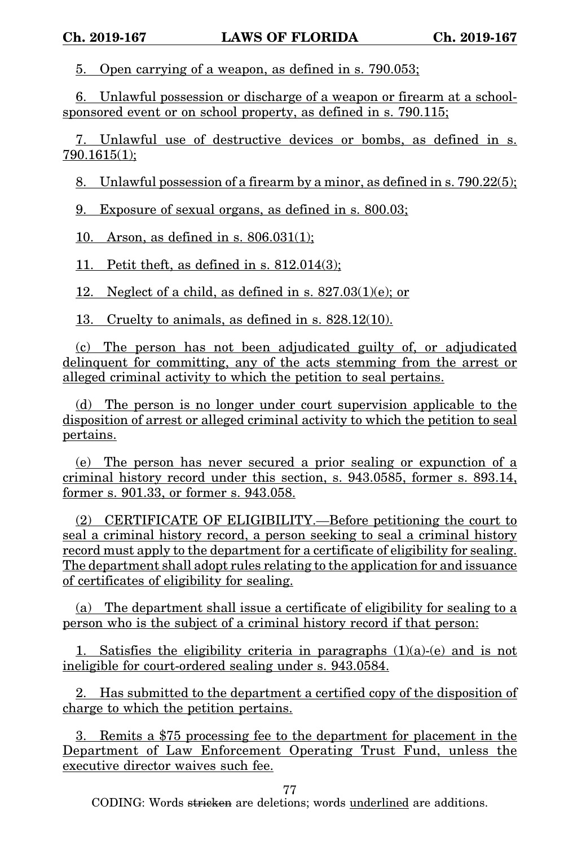5. Open carrying of a weapon, as defined in s. 790.053;

6. Unlawful possession or discharge of a weapon or firearm at a schoolsponsored event or on school property, as defined in s. 790.115;

7. Unlawful use of destructive devices or bombs, as defined in s. 790.1615(1);

8. Unlawful possession of a firearm by a minor, as defined in s. 790.22(5);

9. Exposure of sexual organs, as defined in s. 800.03;

10. Arson, as defined in s. 806.031(1);

11. Petit theft, as defined in s. 812.014(3);

12. Neglect of a child, as defined in s. 827.03(1)(e); or

13. Cruelty to animals, as defined in s. 828.12(10).

(c) The person has not been adjudicated guilty of, or adjudicated delinquent for committing, any of the acts stemming from the arrest or alleged criminal activity to which the petition to seal pertains.

(d) The person is no longer under court supervision applicable to the disposition of arrest or alleged criminal activity to which the petition to seal pertains.

(e) The person has never secured a prior sealing or expunction of a criminal history record under this section, s. 943.0585, former s. 893.14, former s. 901.33, or former s. 943.058.

(2) CERTIFICATE OF ELIGIBILITY.—Before petitioning the court to seal a criminal history record, a person seeking to seal a criminal history record must apply to the department for a certificate of eligibility for sealing. The department shall adopt rules relating to the application for and issuance of certificates of eligibility for sealing.

(a) The department shall issue a certificate of eligibility for sealing to a person who is the subject of a criminal history record if that person:

1. Satisfies the eligibility criteria in paragraphs  $(1)(a)-(e)$  and is not ineligible for court-ordered sealing under s. 943.0584.

2. Has submitted to the department a certified copy of the disposition of charge to which the petition pertains.

3. Remits a \$75 processing fee to the department for placement in the Department of Law Enforcement Operating Trust Fund, unless the executive director waives such fee.

77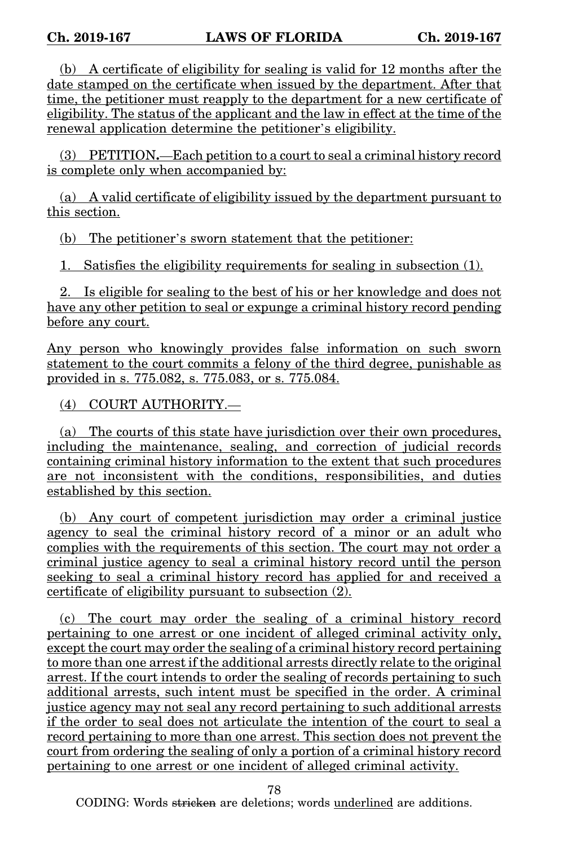(b) A certificate of eligibility for sealing is valid for 12 months after the date stamped on the certificate when issued by the department. After that time, the petitioner must reapply to the department for a new certificate of eligibility. The status of the applicant and the law in effect at the time of the renewal application determine the petitioner's eligibility.

(3) PETITION**.**—Each petition to a court to seal a criminal history record is complete only when accompanied by:

(a) A valid certificate of eligibility issued by the department pursuant to this section.

(b) The petitioner's sworn statement that the petitioner:

1. Satisfies the eligibility requirements for sealing in subsection (1).

2. Is eligible for sealing to the best of his or her knowledge and does not have any other petition to seal or expunge a criminal history record pending before any court.

Any person who knowingly provides false information on such sworn statement to the court commits a felony of the third degree, punishable as provided in s. 775.082, s. 775.083, or s. 775.084.

(4) COURT AUTHORITY.—

(a) The courts of this state have jurisdiction over their own procedures, including the maintenance, sealing, and correction of judicial records containing criminal history information to the extent that such procedures are not inconsistent with the conditions, responsibilities, and duties established by this section.

(b) Any court of competent jurisdiction may order a criminal justice agency to seal the criminal history record of a minor or an adult who complies with the requirements of this section. The court may not order a criminal justice agency to seal a criminal history record until the person seeking to seal a criminal history record has applied for and received a certificate of eligibility pursuant to subsection (2).

(c) The court may order the sealing of a criminal history record pertaining to one arrest or one incident of alleged criminal activity only, except the court may order the sealing of a criminal history record pertaining to more than one arrest if the additional arrests directly relate to the original arrest. If the court intends to order the sealing of records pertaining to such additional arrests, such intent must be specified in the order. A criminal justice agency may not seal any record pertaining to such additional arrests if the order to seal does not articulate the intention of the court to seal a record pertaining to more than one arrest. This section does not prevent the court from ordering the sealing of only a portion of a criminal history record pertaining to one arrest or one incident of alleged criminal activity.

78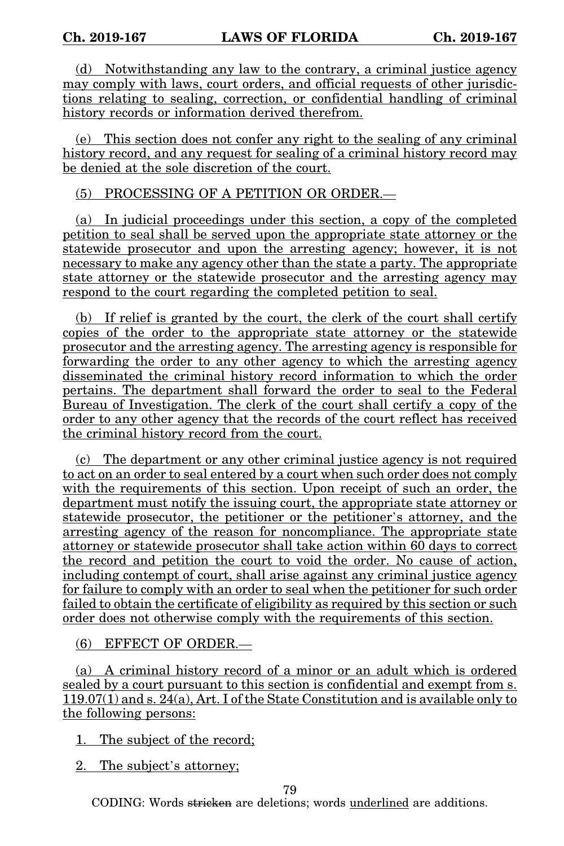(d) Notwithstanding any law to the contrary, a criminal justice agency may comply with laws, court orders, and official requests of other jurisdictions relating to sealing, correction, or confidential handling of criminal history records or information derived therefrom.

(e) This section does not confer any right to the sealing of any criminal history record, and any request for sealing of a criminal history record may be denied at the sole discretion of the court.

## (5) PROCESSING OF A PETITION OR ORDER.—

(a) In judicial proceedings under this section, a copy of the completed petition to seal shall be served upon the appropriate state attorney or the statewide prosecutor and upon the arresting agency; however, it is not necessary to make any agency other than the state a party. The appropriate state attorney or the statewide prosecutor and the arresting agency may respond to the court regarding the completed petition to seal.

(b) If relief is granted by the court, the clerk of the court shall certify copies of the order to the appropriate state attorney or the statewide prosecutor and the arresting agency. The arresting agency is responsible for forwarding the order to any other agency to which the arresting agency disseminated the criminal history record information to which the order pertains. The department shall forward the order to seal to the Federal Bureau of Investigation. The clerk of the court shall certify a copy of the order to any other agency that the records of the court reflect has received the criminal history record from the court.

(c) The department or any other criminal justice agency is not required to act on an order to seal entered by a court when such order does not comply with the requirements of this section. Upon receipt of such an order, the department must notify the issuing court, the appropriate state attorney or statewide prosecutor, the petitioner or the petitioner's attorney, and the arresting agency of the reason for noncompliance. The appropriate state attorney or statewide prosecutor shall take action within 60 days to correct the record and petition the court to void the order. No cause of action, including contempt of court, shall arise against any criminal justice agency for failure to comply with an order to seal when the petitioner for such order failed to obtain the certificate of eligibility as required by this section or such order does not otherwise comply with the requirements of this section.

(6) EFFECT OF ORDER.—

(a) A criminal history record of a minor or an adult which is ordered sealed by a court pursuant to this section is confidential and exempt from s.  $119.07(1)$  and s.  $24(a)$ , Art. I of the State Constitution and is available only to the following persons:

1. The subject of the record;

2. The subject's attorney;

79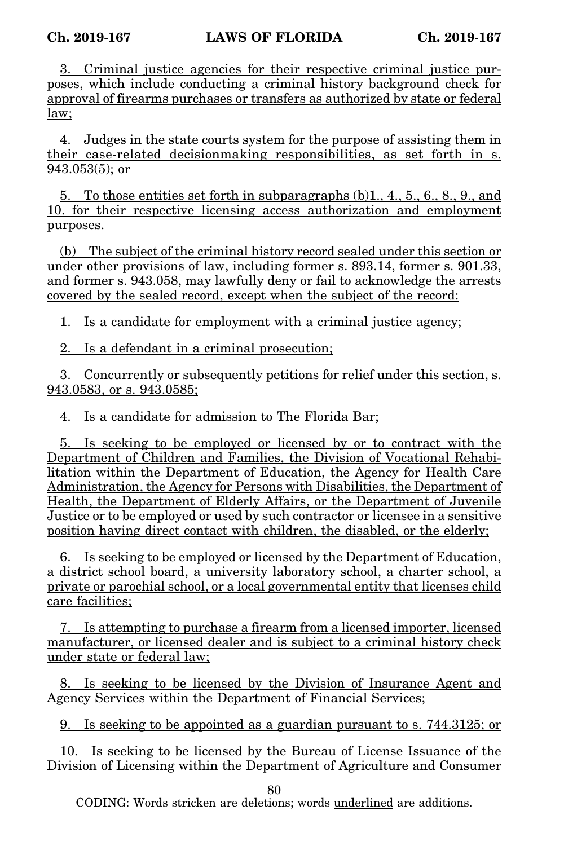3. Criminal justice agencies for their respective criminal justice purposes, which include conducting a criminal history background check for approval of firearms purchases or transfers as authorized by state or federal law;

4. Judges in the state courts system for the purpose of assisting them in their case-related decisionmaking responsibilities, as set forth in s. 943.053(5); or

5. To those entities set forth in subparagraphs  $(b)1, 4, 5, 6, 8, 9,$  and 10. for their respective licensing access authorization and employment purposes.

(b) The subject of the criminal history record sealed under this section or under other provisions of law, including former s. 893.14, former s. 901.33, and former s. 943.058, may lawfully deny or fail to acknowledge the arrests covered by the sealed record, except when the subject of the record:

1. Is a candidate for employment with a criminal justice agency;

2. Is a defendant in a criminal prosecution;

3. Concurrently or subsequently petitions for relief under this section, s. 943.0583, or s. 943.0585:

4. Is a candidate for admission to The Florida Bar;

5. Is seeking to be employed or licensed by or to contract with the Department of Children and Families, the Division of Vocational Rehabilitation within the Department of Education, the Agency for Health Care Administration, the Agency for Persons with Disabilities, the Department of Health, the Department of Elderly Affairs, or the Department of Juvenile Justice or to be employed or used by such contractor or licensee in a sensitive position having direct contact with children, the disabled, or the elderly;

6. Is seeking to be employed or licensed by the Department of Education, a district school board, a university laboratory school, a charter school, a private or parochial school, or a local governmental entity that licenses child care facilities;

7. Is attempting to purchase a firearm from a licensed importer, licensed manufacturer, or licensed dealer and is subject to a criminal history check under state or federal law;

8. Is seeking to be licensed by the Division of Insurance Agent and Agency Services within the Department of Financial Services;

9. Is seeking to be appointed as a guardian pursuant to s. 744.3125; or

10. Is seeking to be licensed by the Bureau of License Issuance of the Division of Licensing within the Department of Agriculture and Consumer

80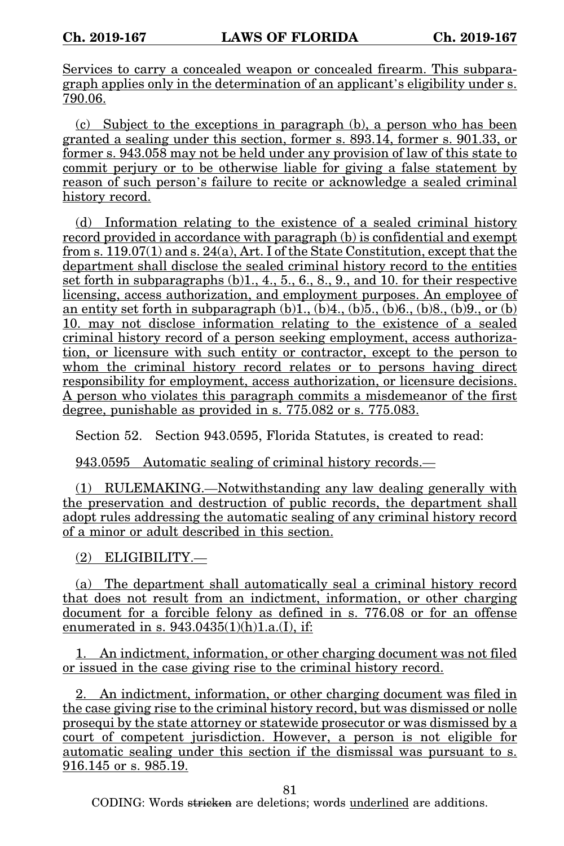Services to carry a concealed weapon or concealed firearm. This subparagraph applies only in the determination of an applicant's eligibility under s. 790.06.

(c) Subject to the exceptions in paragraph (b), a person who has been granted a sealing under this section, former s. 893.14, former s. 901.33, or former s. 943.058 may not be held under any provision of law of this state to commit perjury or to be otherwise liable for giving a false statement by reason of such person's failure to recite or acknowledge a sealed criminal history record.

(d) Information relating to the existence of a sealed criminal history record provided in accordance with paragraph (b) is confidential and exempt from s.  $119.07(1)$  and s.  $24(a)$ , Art. I of the State Constitution, except that the department shall disclose the sealed criminal history record to the entities set forth in subparagraphs (b)1., 4., 5., 6., 8., 9., and 10. for their respective licensing, access authorization, and employment purposes. An employee of an entity set forth in subparagraph  $(b)1$ ,  $(b)4$ ,  $(b)5$ ,  $(b)6$ ,  $(b)8$ ,  $(b)9$ , or  $(b)$ 10. may not disclose information relating to the existence of a sealed criminal history record of a person seeking employment, access authorization, or licensure with such entity or contractor, except to the person to whom the criminal history record relates or to persons having direct responsibility for employment, access authorization, or licensure decisions. A person who violates this paragraph commits a misdemeanor of the first degree, punishable as provided in s. 775.082 or s. 775.083.

Section 52. Section 943.0595, Florida Statutes, is created to read:

943.0595 Automatic sealing of criminal history records.—

(1) RULEMAKING.—Notwithstanding any law dealing generally with the preservation and destruction of public records, the department shall adopt rules addressing the automatic sealing of any criminal history record of a minor or adult described in this section.

(2) ELIGIBILITY.—

(a) The department shall automatically seal a criminal history record that does not result from an indictment, information, or other charging document for a forcible felony as defined in s. 776.08 or for an offense enumerated in s.  $943.0435(1)(h)1.a.(I)$ , if:

1. An indictment, information, or other charging document was not filed or issued in the case giving rise to the criminal history record.

2. An indictment, information, or other charging document was filed in the case giving rise to the criminal history record, but was dismissed or nolle prosequi by the state attorney or statewide prosecutor or was dismissed by a court of competent jurisdiction. However, a person is not eligible for automatic sealing under this section if the dismissal was pursuant to s. 916.145 or s. 985.19.

81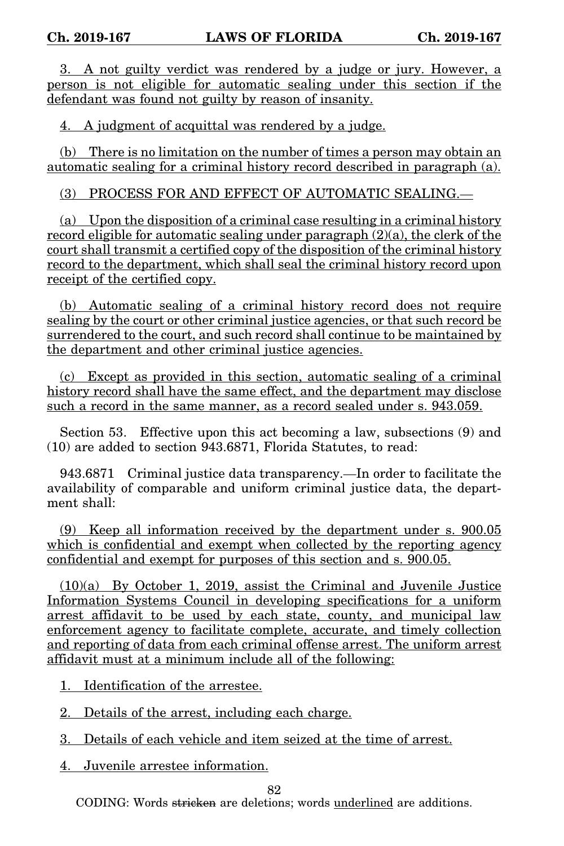3. A not guilty verdict was rendered by a judge or jury. However, a person is not eligible for automatic sealing under this section if the defendant was found not guilty by reason of insanity.

4. A judgment of acquittal was rendered by a judge.

(b) There is no limitation on the number of times a person may obtain an automatic sealing for a criminal history record described in paragraph (a).

(3) PROCESS FOR AND EFFECT OF AUTOMATIC SEALING.—

(a) Upon the disposition of a criminal case resulting in a criminal history record eligible for automatic sealing under paragraph (2)(a), the clerk of the court shall transmit a certified copy of the disposition of the criminal history record to the department, which shall seal the criminal history record upon receipt of the certified copy.

(b) Automatic sealing of a criminal history record does not require sealing by the court or other criminal justice agencies, or that such record be surrendered to the court, and such record shall continue to be maintained by the department and other criminal justice agencies.

(c) Except as provided in this section, automatic sealing of a criminal history record shall have the same effect, and the department may disclose such a record in the same manner, as a record sealed under s. 943.059.

Section 53. Effective upon this act becoming a law, subsections (9) and (10) are added to section 943.6871, Florida Statutes, to read:

943.6871 Criminal justice data transparency.—In order to facilitate the availability of comparable and uniform criminal justice data, the department shall<sup>t</sup>

(9) Keep all information received by the department under s. 900.05 which is confidential and exempt when collected by the reporting agency confidential and exempt for purposes of this section and s. 900.05.

(10)(a) By October 1, 2019, assist the Criminal and Juvenile Justice Information Systems Council in developing specifications for a uniform arrest affidavit to be used by each state, county, and municipal law enforcement agency to facilitate complete, accurate, and timely collection and reporting of data from each criminal offense arrest. The uniform arrest affidavit must at a minimum include all of the following:

1. Identification of the arrestee.

2. Details of the arrest, including each charge.

3. Details of each vehicle and item seized at the time of arrest.

4. Juvenile arrestee information.

82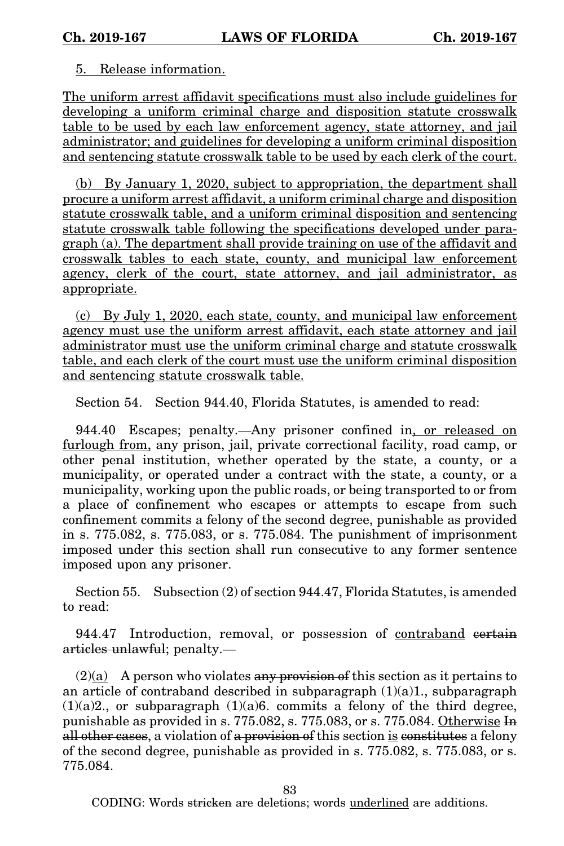## 5. Release information.

The uniform arrest affidavit specifications must also include guidelines for developing a uniform criminal charge and disposition statute crosswalk table to be used by each law enforcement agency, state attorney, and jail administrator; and guidelines for developing a uniform criminal disposition and sentencing statute crosswalk table to be used by each clerk of the court.

(b) By January 1, 2020, subject to appropriation, the department shall procure a uniform arrest affidavit, a uniform criminal charge and disposition statute crosswalk table, and a uniform criminal disposition and sentencing statute crosswalk table following the specifications developed under paragraph (a). The department shall provide training on use of the affidavit and crosswalk tables to each state, county, and municipal law enforcement agency, clerk of the court, state attorney, and jail administrator, as appropriate.

(c) By July 1, 2020, each state, county, and municipal law enforcement agency must use the uniform arrest affidavit, each state attorney and jail administrator must use the uniform criminal charge and statute crosswalk table, and each clerk of the court must use the uniform criminal disposition and sentencing statute crosswalk table.

Section 54. Section 944.40, Florida Statutes, is amended to read:

944.40 Escapes; penalty.—Any prisoner confined in, or released on furlough from, any prison, jail, private correctional facility, road camp, or other penal institution, whether operated by the state, a county, or a municipality, or operated under a contract with the state, a county, or a municipality, working upon the public roads, or being transported to or from a place of confinement who escapes or attempts to escape from such confinement commits a felony of the second degree, punishable as provided in s. 775.082, s. 775.083, or s. 775.084. The punishment of imprisonment imposed under this section shall run consecutive to any former sentence imposed upon any prisoner.

Section 55. Subsection (2) of section 944.47, Florida Statutes, is amended to read:

944.47 Introduction, removal, or possession of contraband certain articles unlawful; penalty.—

 $(2)(a)$  A person who violates any provision of this section as it pertains to an article of contraband described in subparagraph  $(1)(a)1$ ., subparagraph  $(1)(a)2$ , or subparagraph  $(1)(a)6$ . commits a felony of the third degree, punishable as provided in s. 775.082, s. 775.083, or s. 775.084. Otherwise In all other cases, a violation of a provision of this section is constitutes a felony of the second degree, punishable as provided in s. 775.082, s. 775.083, or s. 775.084.

83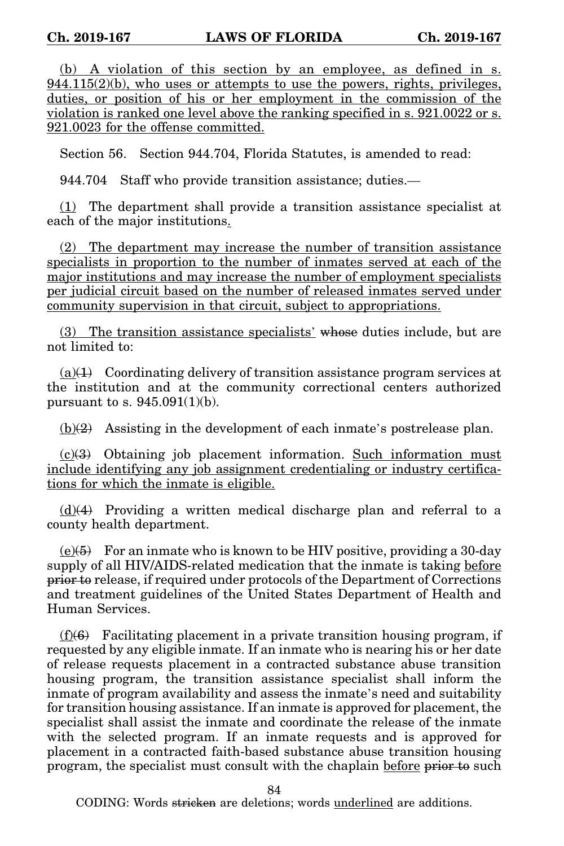(b) A violation of this section by an employee, as defined in s.  $944.115(2)(b)$ , who uses or attempts to use the powers, rights, privileges, duties, or position of his or her employment in the commission of the violation is ranked one level above the ranking specified in s. 921.0022 or s. 921.0023 for the offense committed.

Section 56. Section 944.704, Florida Statutes, is amended to read:

944.704 Staff who provide transition assistance; duties.—

 $(1)$  The department shall provide a transition assistance specialist at each of the major institutions.

(2) The department may increase the number of transition assistance specialists in proportion to the number of inmates served at each of the major institutions and may increase the number of employment specialists per judicial circuit based on the number of released inmates served under community supervision in that circuit, subject to appropriations.

(3) The transition assistance specialists' whose duties include, but are not limited to:

(a) $\text{+1}$  Coordinating delivery of transition assistance program services at the institution and at the community correctional centers authorized pursuant to s.  $945.091(1)(b)$ .

 $(b)(2)$  Assisting in the development of each inmate's postrelease plan.

 $(c)(3)$  Obtaining job placement information. Such information must include identifying any job assignment credentialing or industry certifications for which the inmate is eligible.

 $(d)(4)$  Providing a written medical discharge plan and referral to a county health department.

 $(e)(\overline{6})$  For an inmate who is known to be HIV positive, providing a 30-day supply of all HIV/AIDS-related medication that the inmate is taking before prior to release, if required under protocols of the Department of Corrections and treatment guidelines of the United States Department of Health and Human Services.

 $(f)(6)$  Facilitating placement in a private transition housing program, if requested by any eligible inmate. If an inmate who is nearing his or her date of release requests placement in a contracted substance abuse transition housing program, the transition assistance specialist shall inform the inmate of program availability and assess the inmate's need and suitability for transition housing assistance. If an inmate is approved for placement, the specialist shall assist the inmate and coordinate the release of the inmate with the selected program. If an inmate requests and is approved for placement in a contracted faith-based substance abuse transition housing program, the specialist must consult with the chaplain before prior to such

84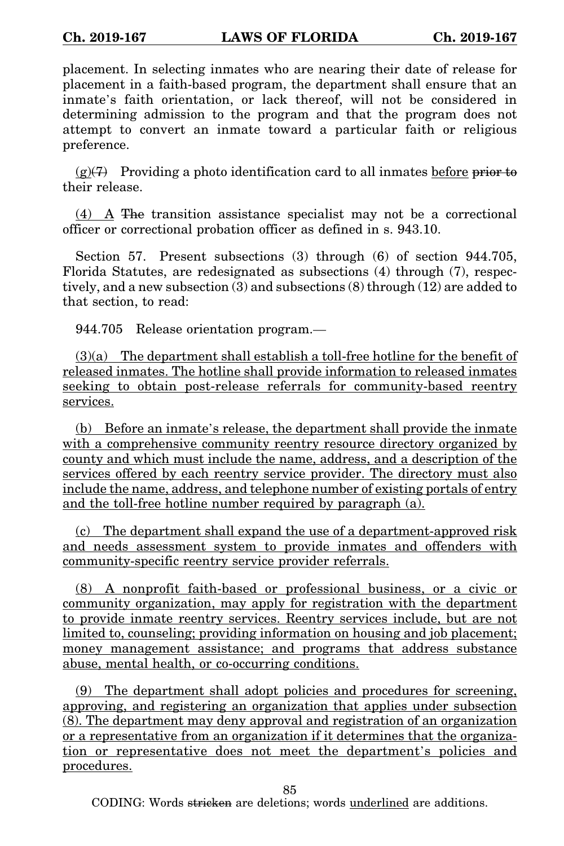placement. In selecting inmates who are nearing their date of release for placement in a faith-based program, the department shall ensure that an inmate's faith orientation, or lack thereof, will not be considered in determining admission to the program and that the program does not attempt to convert an inmate toward a particular faith or religious preference.

 $(g)(7)$  Providing a photo identification card to all inmates before prior to their release.

(4) A The transition assistance specialist may not be a correctional officer or correctional probation officer as defined in s. 943.10.

Section 57. Present subsections (3) through (6) of section 944.705, Florida Statutes, are redesignated as subsections (4) through (7), respectively, and a new subsection (3) and subsections (8) through (12) are added to that section, to read:

944.705 Release orientation program.—

(3)(a) The department shall establish a toll-free hotline for the benefit of released inmates. The hotline shall provide information to released inmates seeking to obtain post-release referrals for community-based reentry services.

(b) Before an inmate's release, the department shall provide the inmate with a comprehensive community reentry resource directory organized by county and which must include the name, address, and a description of the services offered by each reentry service provider. The directory must also include the name, address, and telephone number of existing portals of entry and the toll-free hotline number required by paragraph (a).

(c) The department shall expand the use of a department-approved risk and needs assessment system to provide inmates and offenders with community-specific reentry service provider referrals.

(8) A nonprofit faith-based or professional business, or a civic or community organization, may apply for registration with the department to provide inmate reentry services. Reentry services include, but are not limited to, counseling; providing information on housing and job placement; money management assistance; and programs that address substance abuse, mental health, or co-occurring conditions.

(9) The department shall adopt policies and procedures for screening, approving, and registering an organization that applies under subsection (8). The department may deny approval and registration of an organization or a representative from an organization if it determines that the organization or representative does not meet the department's policies and procedures.

85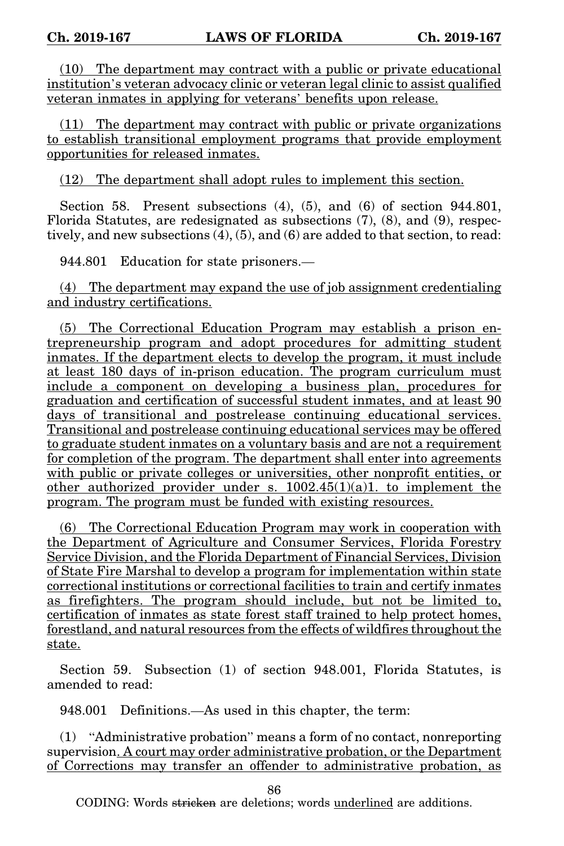(10) The department may contract with a public or private educational institution's veteran advocacy clinic or veteran legal clinic to assist qualified veteran inmates in applying for veterans' benefits upon release.

(11) The department may contract with public or private organizations to establish transitional employment programs that provide employment opportunities for released inmates.

(12) The department shall adopt rules to implement this section.

Section 58. Present subsections (4), (5), and (6) of section 944.801, Florida Statutes, are redesignated as subsections (7), (8), and (9), respectively, and new subsections (4), (5), and (6) are added to that section, to read:

944.801 Education for state prisoners.—

(4) The department may expand the use of job assignment credentialing and industry certifications.

(5) The Correctional Education Program may establish a prison entrepreneurship program and adopt procedures for admitting student inmates. If the department elects to develop the program, it must include at least 180 days of in-prison education. The program curriculum must include a component on developing a business plan, procedures for graduation and certification of successful student inmates, and at least 90 days of transitional and postrelease continuing educational services. Transitional and postrelease continuing educational services may be offered to graduate student inmates on a voluntary basis and are not a requirement for completion of the program. The department shall enter into agreements with public or private colleges or universities, other nonprofit entities, or other authorized provider under s. 1002.45(1)(a)1. to implement the program. The program must be funded with existing resources.

(6) The Correctional Education Program may work in cooperation with the Department of Agriculture and Consumer Services, Florida Forestry Service Division, and the Florida Department of Financial Services, Division of State Fire Marshal to develop a program for implementation within state correctional institutions or correctional facilities to train and certify inmates as firefighters. The program should include, but not be limited to, certification of inmates as state forest staff trained to help protect homes, forestland, and natural resources from the effects of wildfires throughout the state.

Section 59. Subsection (1) of section 948.001, Florida Statutes, is amended to read:

948.001 Definitions.—As used in this chapter, the term:

(1) "Administrative probation" means a form of no contact, nonreporting supervision. A court may order administrative probation, or the Department of Corrections may transfer an offender to administrative probation, as

86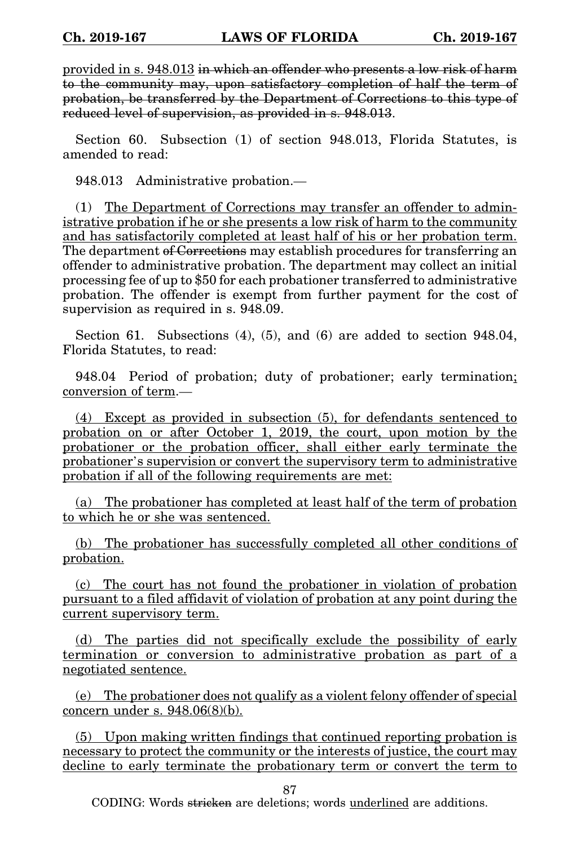provided in s. 948.013 in which an offender who presents a low risk of harm to the community may, upon satisfactory completion of half the term of probation, be transferred by the Department of Corrections to this type of reduced level of supervision, as provided in s. 948.013.

Section 60. Subsection (1) of section 948.013, Florida Statutes, is amended to read:

948.013 Administrative probation.—

(1) The Department of Corrections may transfer an offender to administrative probation if he or she presents a low risk of harm to the community and has satisfactorily completed at least half of his or her probation term. The department of Corrections may establish procedures for transferring an offender to administrative probation. The department may collect an initial processing fee of up to \$50 for each probationer transferred to administrative probation. The offender is exempt from further payment for the cost of supervision as required in s. 948.09.

Section 61. Subsections  $(4)$ ,  $(5)$ , and  $(6)$  are added to section 948.04, Florida Statutes, to read:

948.04 Period of probation; duty of probationer; early termination; conversion of term.—

(4) Except as provided in subsection (5), for defendants sentenced to probation on or after October 1, 2019, the court, upon motion by the probationer or the probation officer, shall either early terminate the probationer's supervision or convert the supervisory term to administrative probation if all of the following requirements are met:

(a) The probationer has completed at least half of the term of probation to which he or she was sentenced.

(b) The probationer has successfully completed all other conditions of probation.

(c) The court has not found the probationer in violation of probation pursuant to a filed affidavit of violation of probation at any point during the current supervisory term.

(d) The parties did not specifically exclude the possibility of early termination or conversion to administrative probation as part of a negotiated sentence.

(e) The probationer does not qualify as a violent felony offender of special concern under s. 948.06(8)(b).

(5) Upon making written findings that continued reporting probation is necessary to protect the community or the interests of justice, the court may decline to early terminate the probationary term or convert the term to

87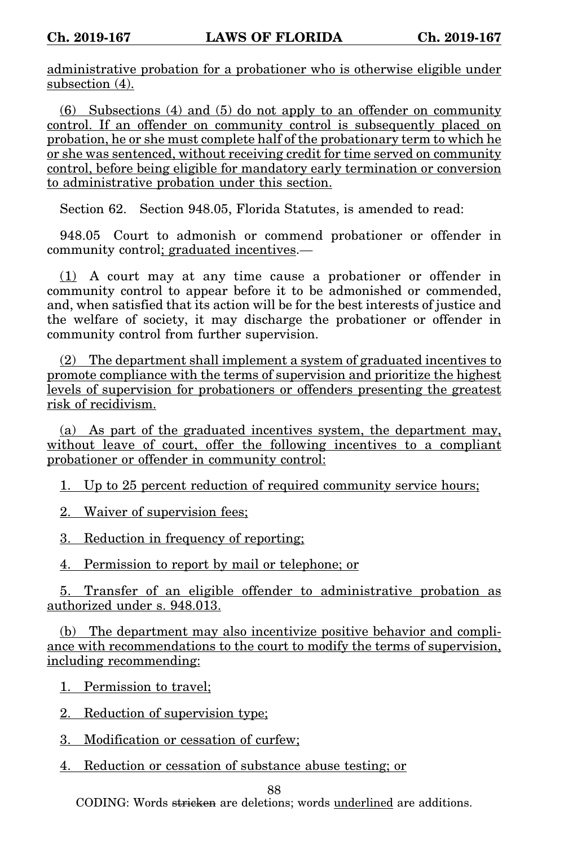administrative probation for a probationer who is otherwise eligible under subsection (4).

(6) Subsections (4) and (5) do not apply to an offender on community control. If an offender on community control is subsequently placed on probation, he or she must complete half of the probationary term to which he or she was sentenced, without receiving credit for time served on community control, before being eligible for mandatory early termination or conversion to administrative probation under this section.

Section 62. Section 948.05, Florida Statutes, is amended to read:

948.05 Court to admonish or commend probationer or offender in community control; graduated incentives.—

(1) A court may at any time cause a probationer or offender in community control to appear before it to be admonished or commended, and, when satisfied that its action will be for the best interests of justice and the welfare of society, it may discharge the probationer or offender in community control from further supervision.

(2) The department shall implement a system of graduated incentives to promote compliance with the terms of supervision and prioritize the highest levels of supervision for probationers or offenders presenting the greatest risk of recidivism.

(a) As part of the graduated incentives system, the department may, without leave of court, offer the following incentives to a compliant probationer or offender in community control:

1. Up to 25 percent reduction of required community service hours;

2. Waiver of supervision fees;

3. Reduction in frequency of reporting;

4. Permission to report by mail or telephone; or

5. Transfer of an eligible offender to administrative probation as authorized under s. 948.013.

(b) The department may also incentivize positive behavior and compliance with recommendations to the court to modify the terms of supervision, including recommending:

1. Permission to travel;

2. Reduction of supervision type;

3. Modification or cessation of curfew;

4. Reduction or cessation of substance abuse testing; or

88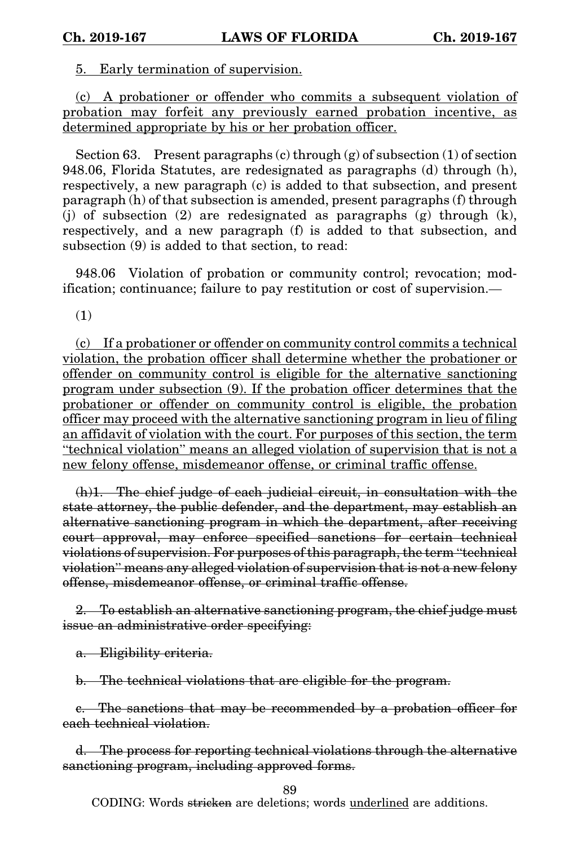5. Early termination of supervision.

(c) A probationer or offender who commits a subsequent violation of probation may forfeit any previously earned probation incentive, as determined appropriate by his or her probation officer.

Section 63. Present paragraphs  $(c)$  through  $(g)$  of subsection  $(1)$  of section 948.06, Florida Statutes, are redesignated as paragraphs (d) through (h), respectively, a new paragraph (c) is added to that subsection, and present paragraph (h) of that subsection is amended, present paragraphs (f) through (j) of subsection (2) are redesignated as paragraphs (g) through (k), respectively, and a new paragraph (f) is added to that subsection, and subsection (9) is added to that section, to read:

948.06 Violation of probation or community control; revocation; modification; continuance; failure to pay restitution or cost of supervision.—

(1)

(c) If a probationer or offender on community control commits a technical violation, the probation officer shall determine whether the probationer or offender on community control is eligible for the alternative sanctioning program under subsection (9). If the probation officer determines that the probationer or offender on community control is eligible, the probation officer may proceed with the alternative sanctioning program in lieu of filing an affidavit of violation with the court. For purposes of this section, the term "technical violation" means an alleged violation of supervision that is not a new felony offense, misdemeanor offense, or criminal traffic offense.

(h)1. The chief judge of each judicial circuit, in consultation with the state attorney, the public defender, and the department, may establish an alternative sanctioning program in which the department, after receiving court approval, may enforce specified sanctions for certain technical violations of supervision. For purposes of this paragraph, the term "technical violation" means any alleged violation of supervision that is not a new felony offense, misdemeanor offense, or criminal traffic offense.

2. To establish an alternative sanctioning program, the chief judge must issue an administrative order specifying:

a. Eligibility criteria.

b. The technical violations that are eligible for the program.

c. The sanctions that may be recommended by a probation officer for each technical violation.

d. The process for reporting technical violations through the alternative sanctioning program, including approved forms.

89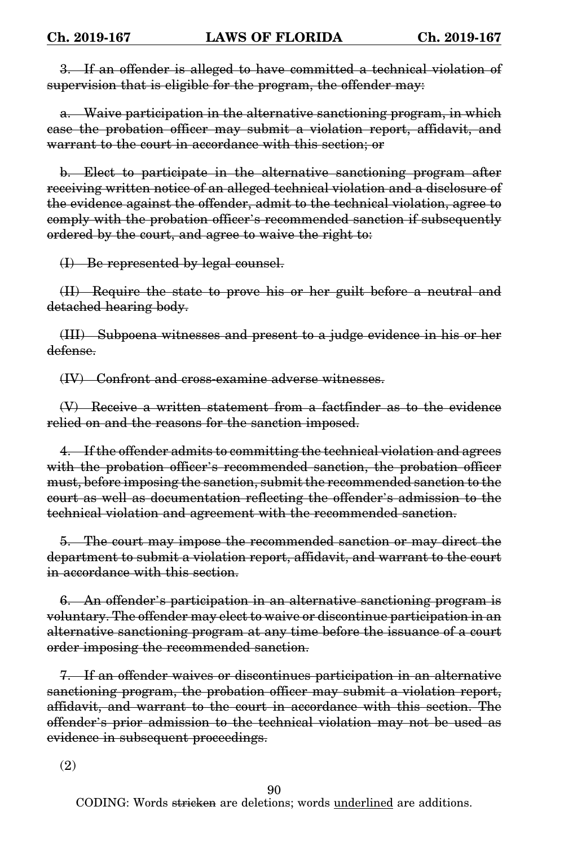3. If an offender is alleged to have committed a technical violation of supervision that is eligible for the program, the offender may:

a. Waive participation in the alternative sanctioning program, in which case the probation officer may submit a violation report, affidavit, and warrant to the court in accordance with this section; or

b. Elect to participate in the alternative sanctioning program after receiving written notice of an alleged technical violation and a disclosure of the evidence against the offender, admit to the technical violation, agree to comply with the probation officer's recommended sanction if subsequently ordered by the court, and agree to waive the right to:

(I) Be represented by legal counsel.

(II) Require the state to prove his or her guilt before a neutral and detached hearing body.

(III) Subpoena witnesses and present to a judge evidence in his or her defense.

(IV) Confront and cross-examine adverse witnesses.

(V) Receive a written statement from a factfinder as to the evidence relied on and the reasons for the sanction imposed.

4. If the offender admits to committing the technical violation and agrees with the probation officer's recommended sanction, the probation officer must, before imposing the sanction, submit the recommended sanction to the court as well as documentation reflecting the offender's admission to the technical violation and agreement with the recommended sanction.

5. The court may impose the recommended sanction or may direct the department to submit a violation report, affidavit, and warrant to the court in accordance with this section.

6. An offender's participation in an alternative sanctioning program is voluntary. The offender may elect to waive or discontinue participation in an alternative sanctioning program at any time before the issuance of a court order imposing the recommended sanction.

7. If an offender waives or discontinues participation in an alternative sanctioning program, the probation officer may submit a violation report, affidavit, and warrant to the court in accordance with this section. The offender's prior admission to the technical violation may not be used as evidence in subsequent proceedings.

(2)

90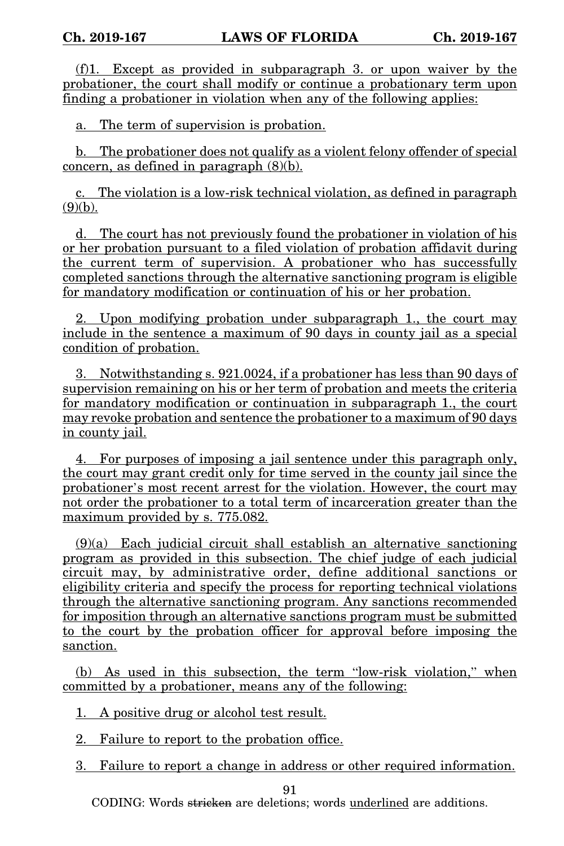(f)1. Except as provided in subparagraph 3. or upon waiver by the probationer, the court shall modify or continue a probationary term upon finding a probationer in violation when any of the following applies:

a. The term of supervision is probation.

b. The probationer does not qualify as a violent felony offender of special concern, as defined in paragraph (8)(b).

c. The violation is a low-risk technical violation, as defined in paragraph  $(9)(b)$ .

d. The court has not previously found the probationer in violation of his or her probation pursuant to a filed violation of probation affidavit during the current term of supervision. A probationer who has successfully completed sanctions through the alternative sanctioning program is eligible for mandatory modification or continuation of his or her probation.

2. Upon modifying probation under subparagraph 1., the court may include in the sentence a maximum of 90 days in county jail as a special condition of probation.

3. Notwithstanding s. 921.0024, if a probationer has less than 90 days of supervision remaining on his or her term of probation and meets the criteria for mandatory modification or continuation in subparagraph 1., the court may revoke probation and sentence the probationer to a maximum of 90 days in county jail.

4. For purposes of imposing a jail sentence under this paragraph only, the court may grant credit only for time served in the county jail since the probationer's most recent arrest for the violation. However, the court may not order the probationer to a total term of incarceration greater than the maximum provided by s. 775.082.

(9)(a) Each judicial circuit shall establish an alternative sanctioning program as provided in this subsection. The chief judge of each judicial circuit may, by administrative order, define additional sanctions or eligibility criteria and specify the process for reporting technical violations through the alternative sanctioning program. Any sanctions recommended for imposition through an alternative sanctions program must be submitted to the court by the probation officer for approval before imposing the sanction.

(b) As used in this subsection, the term "low-risk violation," when committed by a probationer, means any of the following:

1. A positive drug or alcohol test result.

2. Failure to report to the probation office.

3. Failure to report a change in address or other required information.

91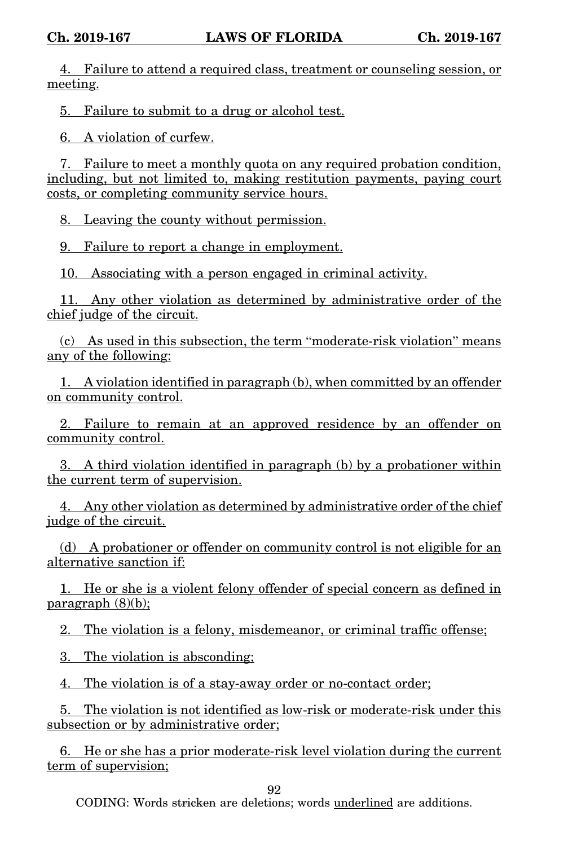4. Failure to attend a required class, treatment or counseling session, or meeting.

5. Failure to submit to a drug or alcohol test.

6. A violation of curfew.

7. Failure to meet a monthly quota on any required probation condition, including, but not limited to, making restitution payments, paying court costs, or completing community service hours.

8. Leaving the county without permission.

9. Failure to report a change in employment.

10. Associating with a person engaged in criminal activity.

11. Any other violation as determined by administrative order of the chief judge of the circuit.

(c) As used in this subsection, the term "moderate-risk violation" means any of the following:

1. A violation identified in paragraph (b), when committed by an offender on community control.

2. Failure to remain at an approved residence by an offender on community control.

3. A third violation identified in paragraph (b) by a probationer within the current term of supervision.

4. Any other violation as determined by administrative order of the chief judge of the circuit.

(d) A probationer or offender on community control is not eligible for an alternative sanction if:

1. He or she is a violent felony offender of special concern as defined in paragraph (8)(b);

2. The violation is a felony, misdemeanor, or criminal traffic offense;

3. The violation is absconding;

4. The violation is of a stay-away order or no-contact order;

5. The violation is not identified as low-risk or moderate-risk under this subsection or by administrative order;

6. He or she has a prior moderate-risk level violation during the current term of supervision;

92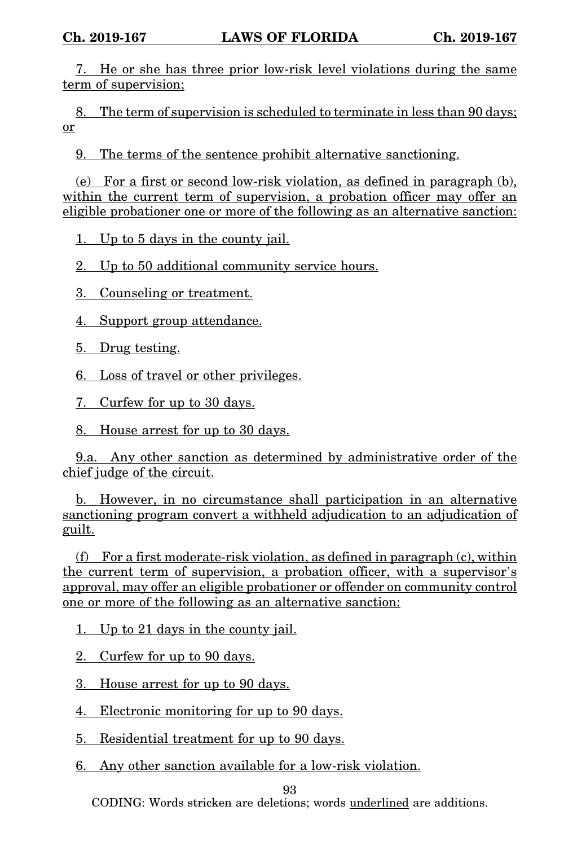7. He or she has three prior low-risk level violations during the same term of supervision;

8. The term of supervision is scheduled to terminate in less than 90 days; or

9. The terms of the sentence prohibit alternative sanctioning.

(e) For a first or second low-risk violation, as defined in paragraph (b), within the current term of supervision, a probation officer may offer an eligible probationer one or more of the following as an alternative sanction:

1. Up to 5 days in the county jail.

2. Up to 50 additional community service hours.

3. Counseling or treatment.

4. Support group attendance.

5. Drug testing.

6. Loss of travel or other privileges.

7. Curfew for up to 30 days.

8. House arrest for up to 30 days.

9.a. Any other sanction as determined by administrative order of the chief judge of the circuit.

b. However, in no circumstance shall participation in an alternative sanctioning program convert a withheld adjudication to an adjudication of guilt.

(f) For a first moderate-risk violation, as defined in paragraph (c), within the current term of supervision, a probation officer, with a supervisor's approval, may offer an eligible probationer or offender on community control one or more of the following as an alternative sanction:

1. Up to 21 days in the county jail.

2. Curfew for up to 90 days.

3. House arrest for up to 90 days.

4. Electronic monitoring for up to 90 days.

5. Residential treatment for up to 90 days.

6. Any other sanction available for a low-risk violation.

93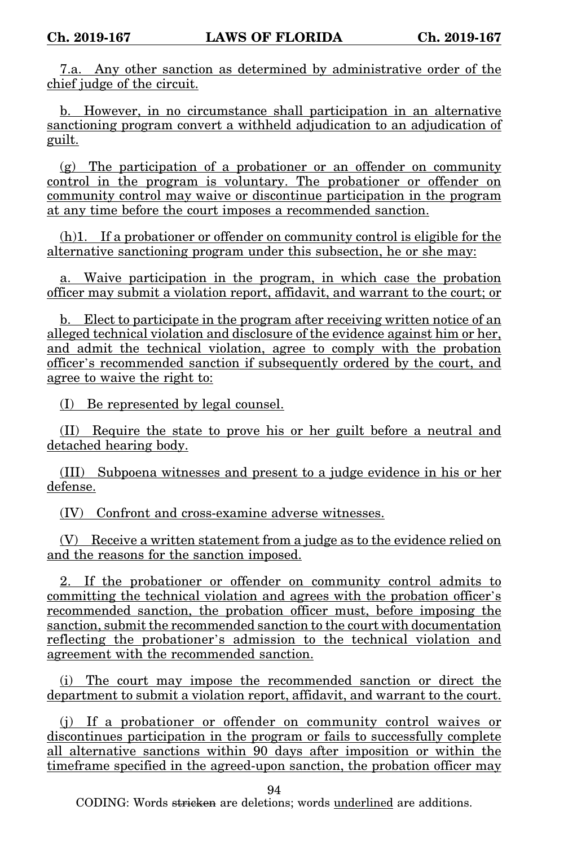7.a. Any other sanction as determined by administrative order of the chief judge of the circuit.

b. However, in no circumstance shall participation in an alternative sanctioning program convert a withheld adjudication to an adjudication of guilt.

(g) The participation of a probationer or an offender on community control in the program is voluntary. The probationer or offender on community control may waive or discontinue participation in the program at any time before the court imposes a recommended sanction.

(h)1. If a probationer or offender on community control is eligible for the alternative sanctioning program under this subsection, he or she may:

a. Waive participation in the program, in which case the probation officer may submit a violation report, affidavit, and warrant to the court; or

b. Elect to participate in the program after receiving written notice of an alleged technical violation and disclosure of the evidence against him or her, and admit the technical violation, agree to comply with the probation officer's recommended sanction if subsequently ordered by the court, and agree to waive the right to:

(I) Be represented by legal counsel.

(II) Require the state to prove his or her guilt before a neutral and detached hearing body.

(III) Subpoena witnesses and present to a judge evidence in his or her defense.

(IV) Confront and cross-examine adverse witnesses.

(V) Receive a written statement from a judge as to the evidence relied on and the reasons for the sanction imposed.

2. If the probationer or offender on community control admits to committing the technical violation and agrees with the probation officer's recommended sanction, the probation officer must, before imposing the sanction, submit the recommended sanction to the court with documentation reflecting the probationer's admission to the technical violation and agreement with the recommended sanction.

(i) The court may impose the recommended sanction or direct the department to submit a violation report, affidavit, and warrant to the court.

(j) If a probationer or offender on community control waives or discontinues participation in the program or fails to successfully complete all alternative sanctions within 90 days after imposition or within the timeframe specified in the agreed-upon sanction, the probation officer may

94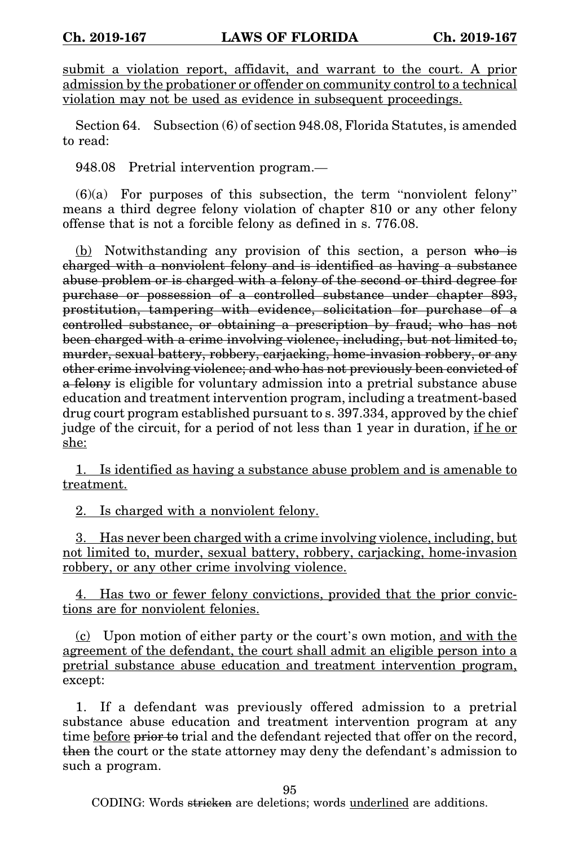submit a violation report, affidavit, and warrant to the court. A prior admission by the probationer or offender on community control to a technical violation may not be used as evidence in subsequent proceedings.

Section 64. Subsection (6) of section 948.08, Florida Statutes, is amended to read:

948.08 Pretrial intervention program.—

 $(6)(a)$  For purposes of this subsection, the term "nonviolent felony" means a third degree felony violation of chapter 810 or any other felony offense that is not a forcible felony as defined in s. 776.08.

(b) Notwithstanding any provision of this section, a person who is charged with a nonviolent felony and is identified as having a substance abuse problem or is charged with a felony of the second or third degree for purchase or possession of a controlled substance under chapter 893, prostitution, tampering with evidence, solicitation for purchase of a controlled substance, or obtaining a prescription by fraud; who has not been charged with a crime involving violence, including, but not limited to, murder, sexual battery, robbery, carjacking, home-invasion robbery, or any other crime involving violence; and who has not previously been convicted of a felony is eligible for voluntary admission into a pretrial substance abuse education and treatment intervention program, including a treatment-based drug court program established pursuant to s. 397.334, approved by the chief judge of the circuit, for a period of not less than 1 year in duration, if he or she:

1. Is identified as having a substance abuse problem and is amenable to treatment.

2. Is charged with a nonviolent felony.

3. Has never been charged with a crime involving violence, including, but not limited to, murder, sexual battery, robbery, carjacking, home-invasion robbery, or any other crime involving violence.

4. Has two or fewer felony convictions, provided that the prior convictions are for nonviolent felonies.

(c) Upon motion of either party or the court's own motion, and with the agreement of the defendant, the court shall admit an eligible person into a pretrial substance abuse education and treatment intervention program, except:

1. If a defendant was previously offered admission to a pretrial substance abuse education and treatment intervention program at any time before prior to trial and the defendant rejected that offer on the record, then the court or the state attorney may deny the defendant's admission to such a program.

95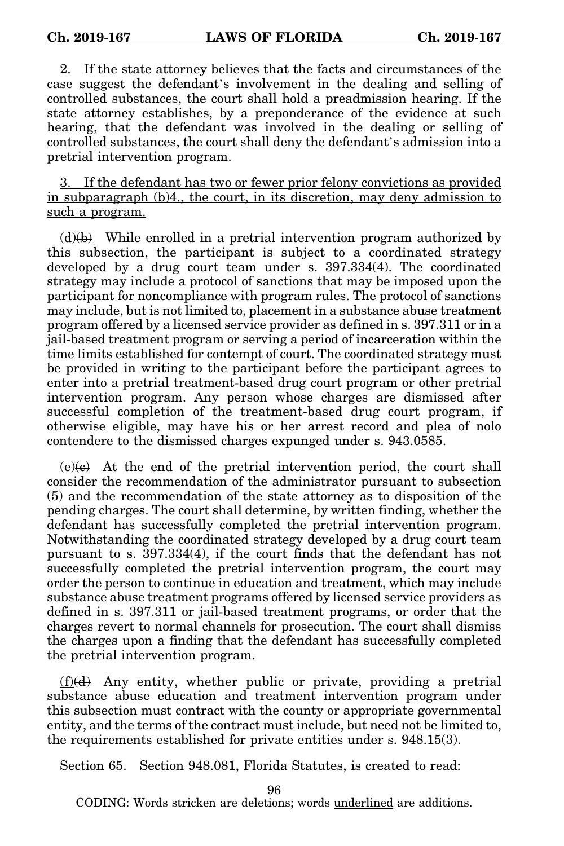2. If the state attorney believes that the facts and circumstances of the case suggest the defendant's involvement in the dealing and selling of controlled substances, the court shall hold a preadmission hearing. If the state attorney establishes, by a preponderance of the evidence at such hearing, that the defendant was involved in the dealing or selling of controlled substances, the court shall deny the defendant's admission into a pretrial intervention program.

3. If the defendant has two or fewer prior felony convictions as provided in subparagraph (b)4., the court, in its discretion, may deny admission to such a program.

 $(d)(b)$  While enrolled in a pretrial intervention program authorized by this subsection, the participant is subject to a coordinated strategy developed by a drug court team under s. 397.334(4). The coordinated strategy may include a protocol of sanctions that may be imposed upon the participant for noncompliance with program rules. The protocol of sanctions may include, but is not limited to, placement in a substance abuse treatment program offered by a licensed service provider as defined in s. 397.311 or in a jail-based treatment program or serving a period of incarceration within the time limits established for contempt of court. The coordinated strategy must be provided in writing to the participant before the participant agrees to enter into a pretrial treatment-based drug court program or other pretrial intervention program. Any person whose charges are dismissed after successful completion of the treatment-based drug court program, if otherwise eligible, may have his or her arrest record and plea of nolo contendere to the dismissed charges expunged under s. 943.0585.

 $(e)(e)$  At the end of the pretrial intervention period, the court shall consider the recommendation of the administrator pursuant to subsection (5) and the recommendation of the state attorney as to disposition of the pending charges. The court shall determine, by written finding, whether the defendant has successfully completed the pretrial intervention program. Notwithstanding the coordinated strategy developed by a drug court team pursuant to s. 397.334(4), if the court finds that the defendant has not successfully completed the pretrial intervention program, the court may order the person to continue in education and treatment, which may include substance abuse treatment programs offered by licensed service providers as defined in s. 397.311 or jail-based treatment programs, or order that the charges revert to normal channels for prosecution. The court shall dismiss the charges upon a finding that the defendant has successfully completed the pretrial intervention program.

(f)(d) Any entity, whether public or private, providing a pretrial substance abuse education and treatment intervention program under this subsection must contract with the county or appropriate governmental entity, and the terms of the contract must include, but need not be limited to, the requirements established for private entities under s. 948.15(3).

Section 65. Section 948.081, Florida Statutes, is created to read:

96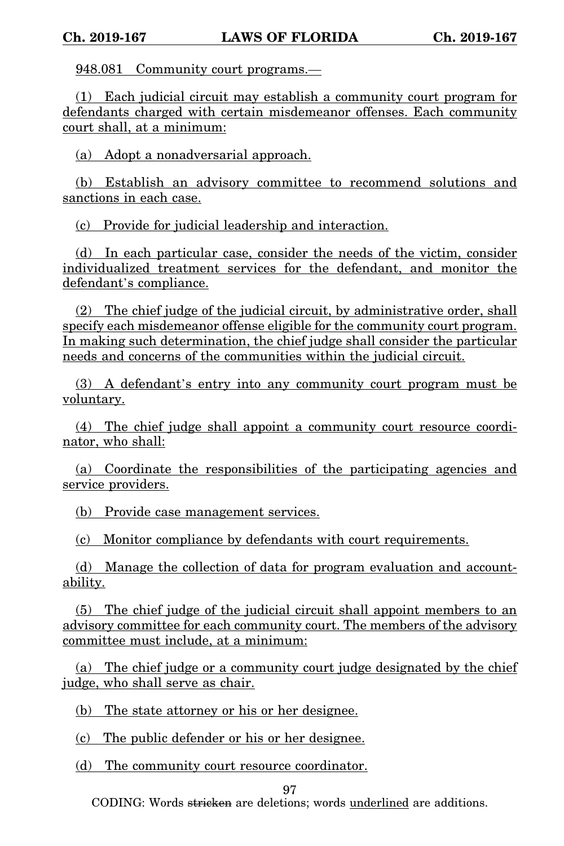948.081 Community court programs.—

(1) Each judicial circuit may establish a community court program for defendants charged with certain misdemeanor offenses. Each community court shall, at a minimum:

(a) Adopt a nonadversarial approach.

(b) Establish an advisory committee to recommend solutions and sanctions in each case.

(c) Provide for judicial leadership and interaction.

(d) In each particular case, consider the needs of the victim, consider individualized treatment services for the defendant, and monitor the defendant's compliance.

(2) The chief judge of the judicial circuit, by administrative order, shall specify each misdemeanor offense eligible for the community court program. In making such determination, the chief judge shall consider the particular needs and concerns of the communities within the judicial circuit.

(3) A defendant's entry into any community court program must be voluntary.

(4) The chief judge shall appoint a community court resource coordinator, who shall:

(a) Coordinate the responsibilities of the participating agencies and service providers.

(b) Provide case management services.

(c) Monitor compliance by defendants with court requirements.

(d) Manage the collection of data for program evaluation and accountability.

(5) The chief judge of the judicial circuit shall appoint members to an advisory committee for each community court. The members of the advisory committee must include, at a minimum:

(a) The chief judge or a community court judge designated by the chief judge, who shall serve as chair.

(b) The state attorney or his or her designee.

(c) The public defender or his or her designee.

(d) The community court resource coordinator.

97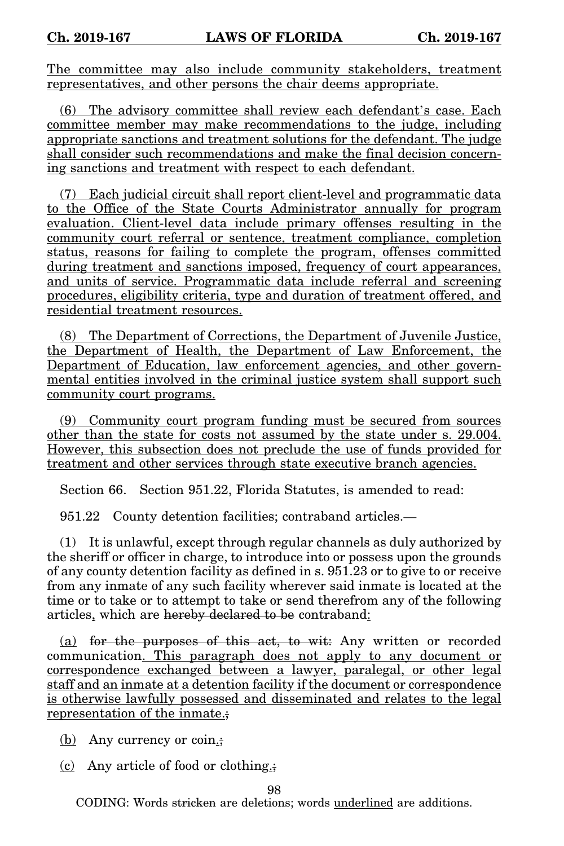The committee may also include community stakeholders, treatment representatives, and other persons the chair deems appropriate.

(6) The advisory committee shall review each defendant's case. Each committee member may make recommendations to the judge, including appropriate sanctions and treatment solutions for the defendant. The judge shall consider such recommendations and make the final decision concerning sanctions and treatment with respect to each defendant.

(7) Each judicial circuit shall report client-level and programmatic data to the Office of the State Courts Administrator annually for program evaluation. Client-level data include primary offenses resulting in the community court referral or sentence, treatment compliance, completion status, reasons for failing to complete the program, offenses committed during treatment and sanctions imposed, frequency of court appearances, and units of service. Programmatic data include referral and screening procedures, eligibility criteria, type and duration of treatment offered, and residential treatment resources.

(8) The Department of Corrections, the Department of Juvenile Justice, the Department of Health, the Department of Law Enforcement, the Department of Education, law enforcement agencies, and other governmental entities involved in the criminal justice system shall support such community court programs.

(9) Community court program funding must be secured from sources other than the state for costs not assumed by the state under s. 29.004. However, this subsection does not preclude the use of funds provided for treatment and other services through state executive branch agencies.

Section 66. Section 951.22, Florida Statutes, is amended to read:

951.22 County detention facilities; contraband articles.—

(1) It is unlawful, except through regular channels as duly authorized by the sheriff or officer in charge, to introduce into or possess upon the grounds of any county detention facility as defined in s. 951.23 or to give to or receive from any inmate of any such facility wherever said inmate is located at the time or to take or to attempt to take or send therefrom any of the following articles, which are hereby declared to be contraband:

(a) for the purposes of this act, to wit: Any written or recorded communication. This paragraph does not apply to any document or correspondence exchanged between a lawyer, paralegal, or other legal staff and an inmate at a detention facility if the document or correspondence is otherwise lawfully possessed and disseminated and relates to the legal representation of the inmate.;

(b) Any currency or coin.;

 $(c)$  Any article of food or clothing.;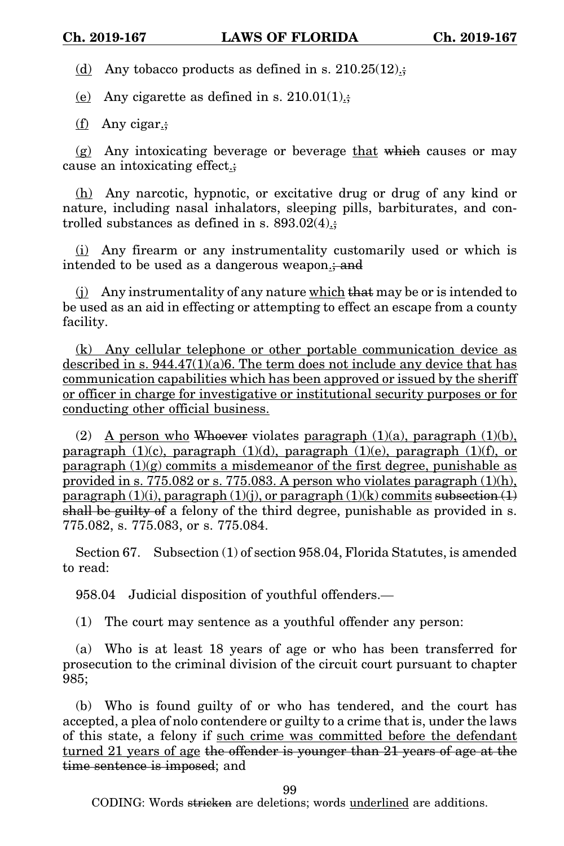(d) Any tobacco products as defined in s.  $210.25(12)$ .

(e) Any cigarette as defined in s.  $210.01(1)$ .;

(f) Any cigar.;

 $(g)$  Any intoxicating beverage or beverage that which causes or may cause an intoxicating effect.;

(h) Any narcotic, hypnotic, or excitative drug or drug of any kind or nature, including nasal inhalators, sleeping pills, barbiturates, and controlled substances as defined in s.  $893.02(4)$ .;

(i) Any firearm or any instrumentality customarily used or which is intended to be used as a dangerous weapon<sub>it</sub> and

(j) Any instrumentality of any nature which that may be or is intended to be used as an aid in effecting or attempting to effect an escape from a county facility.

(k) Any cellular telephone or other portable communication device as described in s.  $944.47(1)(a)6$ . The term does not include any device that has communication capabilities which has been approved or issued by the sheriff or officer in charge for investigative or institutional security purposes or for conducting other official business.

(2) A person who Whoever violates paragraph  $(1)(a)$ , paragraph  $(1)(b)$ , paragraph  $(1)(c)$ , paragraph  $(1)(d)$ , paragraph  $(1)(e)$ , paragraph  $(1)(f)$ , or paragraph  $(1)(g)$  commits a misdemeanor of the first degree, punishable as provided in s. 775.082 or s. 775.083. A person who violates paragraph  $(1)(h)$ , paragraph  $(1)(i)$ , paragraph  $(1)(i)$ , or paragraph  $(1)(k)$  commits subsection  $(1)$ shall be guilty of a felony of the third degree, punishable as provided in s. 775.082, s. 775.083, or s. 775.084.

Section 67. Subsection (1) of section 958.04, Florida Statutes, is amended to read:

958.04 Judicial disposition of youthful offenders.—

(1) The court may sentence as a youthful offender any person:

(a) Who is at least 18 years of age or who has been transferred for prosecution to the criminal division of the circuit court pursuant to chapter 985;

(b) Who is found guilty of or who has tendered, and the court has accepted, a plea of nolo contendere or guilty to a crime that is, under the laws of this state, a felony if such crime was committed before the defendant turned 21 years of age the offender is younger than 21 years of age at the time sentence is imposed; and

99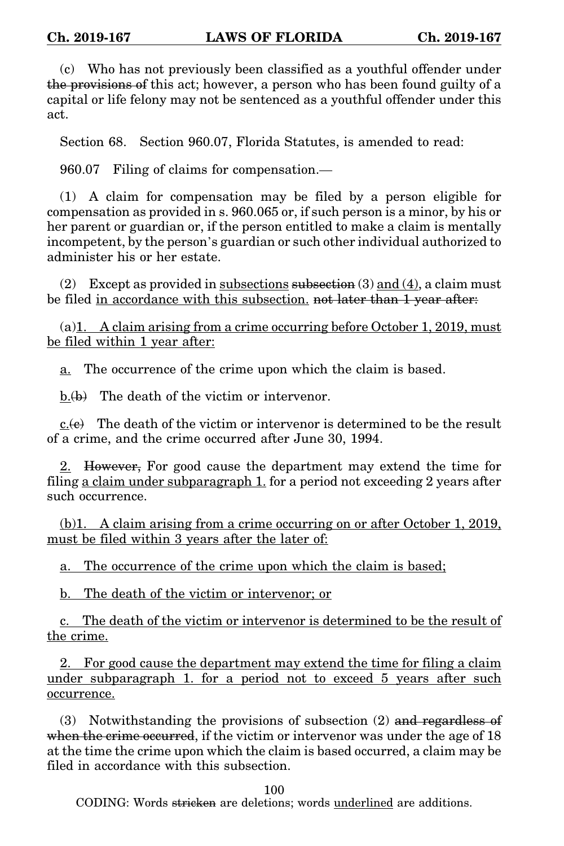(c) Who has not previously been classified as a youthful offender under the provisions of this act; however, a person who has been found guilty of a capital or life felony may not be sentenced as a youthful offender under this act.

Section 68. Section 960.07, Florida Statutes, is amended to read:

960.07 Filing of claims for compensation.—

(1) A claim for compensation may be filed by a person eligible for compensation as provided in s. 960.065 or, if such person is a minor, by his or her parent or guardian or, if the person entitled to make a claim is mentally incompetent, by the person's guardian or such other individual authorized to administer his or her estate.

(2) Except as provided in subsections subsection (3) and (4), a claim must be filed in accordance with this subsection. not later than 1 year after:

(a)1. A claim arising from a crime occurring before October 1, 2019, must be filed within 1 year after:

a. The occurrence of the crime upon which the claim is based.

b.(b) The death of the victim or intervenor.

 $c.\overline{(e)}$  The death of the victim or intervenor is determined to be the result of a crime, and the crime occurred after June 30, 1994.

2. However, For good cause the department may extend the time for filing a claim under subparagraph 1. for a period not exceeding 2 years after such occurrence.

(b)1. A claim arising from a crime occurring on or after October 1, 2019, must be filed within 3 years after the later of:

a. The occurrence of the crime upon which the claim is based;

b. The death of the victim or intervenor; or

c. The death of the victim or intervenor is determined to be the result of the crime.

2. For good cause the department may extend the time for filing a claim under subparagraph 1. for a period not to exceed 5 years after such occurrence.

(3) Notwithstanding the provisions of subsection (2) and regardless of when the crime occurred, if the victim or intervenor was under the age of 18 at the time the crime upon which the claim is based occurred, a claim may be filed in accordance with this subsection.

100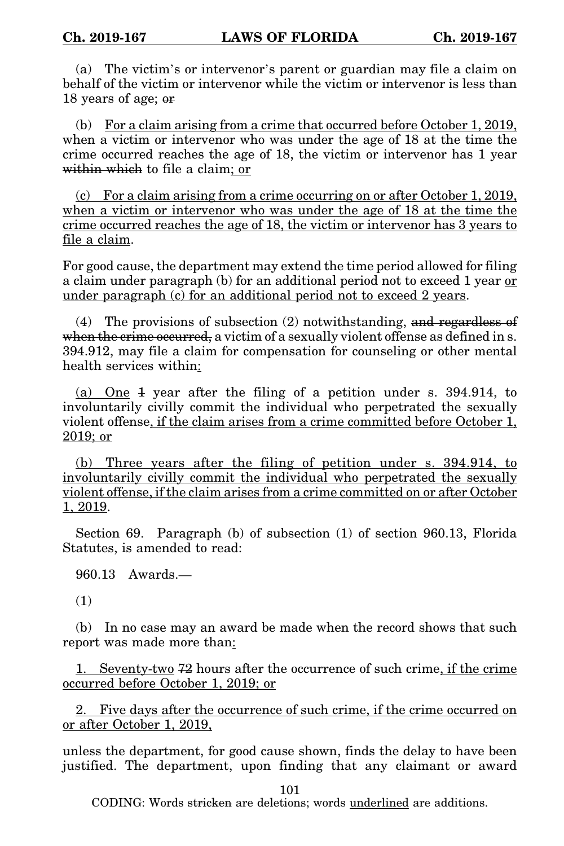(a) The victim's or intervenor's parent or guardian may file a claim on behalf of the victim or intervenor while the victim or intervenor is less than 18 years of age; or

(b) For a claim arising from a crime that occurred before October 1, 2019, when a victim or intervenor who was under the age of 18 at the time the crime occurred reaches the age of 18, the victim or intervenor has 1 year within which to file a claim; or

(c) For a claim arising from a crime occurring on or after October 1, 2019, when a victim or intervenor who was under the age of 18 at the time the crime occurred reaches the age of 18, the victim or intervenor has 3 years to file a claim.

For good cause, the department may extend the time period allowed for filing a claim under paragraph (b) for an additional period not to exceed 1 year or under paragraph (c) for an additional period not to exceed 2 years.

(4) The provisions of subsection (2) notwithstanding, and regardless of when the crime occurred, a victim of a sexually violent offense as defined in s. 394.912, may file a claim for compensation for counseling or other mental health services within:

(a) One 1 year after the filing of a petition under s. 394.914, to involuntarily civilly commit the individual who perpetrated the sexually violent offense, if the claim arises from a crime committed before October 1, 2019; or

(b) Three years after the filing of petition under s. 394.914, to involuntarily civilly commit the individual who perpetrated the sexually violent offense, if the claim arises from a crime committed on or after October 1, 2019.

Section 69. Paragraph (b) of subsection (1) of section 960.13, Florida Statutes, is amended to read:

960.13 Awards.—

(1)

(b) In no case may an award be made when the record shows that such report was made more than:

1. Seventy-two 72 hours after the occurrence of such crime, if the crime occurred before October 1, 2019; or

2. Five days after the occurrence of such crime, if the crime occurred on or after October 1, 2019,

unless the department, for good cause shown, finds the delay to have been justified. The department, upon finding that any claimant or award

101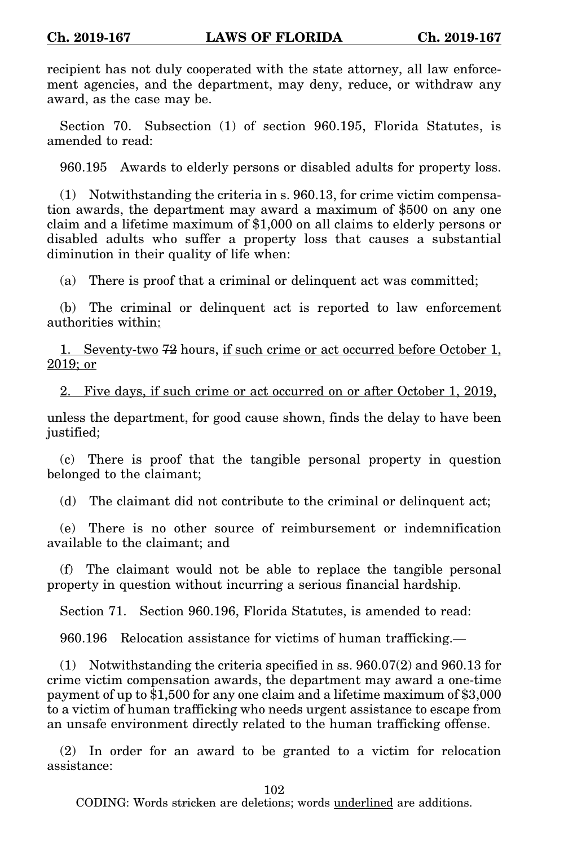recipient has not duly cooperated with the state attorney, all law enforcement agencies, and the department, may deny, reduce, or withdraw any award, as the case may be.

Section 70. Subsection (1) of section 960.195, Florida Statutes, is amended to read:

960.195 Awards to elderly persons or disabled adults for property loss.

(1) Notwithstanding the criteria in s. 960.13, for crime victim compensation awards, the department may award a maximum of \$500 on any one claim and a lifetime maximum of \$1,000 on all claims to elderly persons or disabled adults who suffer a property loss that causes a substantial diminution in their quality of life when:

(a) There is proof that a criminal or delinquent act was committed;

(b) The criminal or delinquent act is reported to law enforcement authorities within:

1. Seventy-two 72 hours, if such crime or act occurred before October 1, 2019; or

2. Five days, if such crime or act occurred on or after October 1, 2019,

unless the department, for good cause shown, finds the delay to have been justified;

(c) There is proof that the tangible personal property in question belonged to the claimant;

(d) The claimant did not contribute to the criminal or delinquent act;

(e) There is no other source of reimbursement or indemnification available to the claimant; and

(f) The claimant would not be able to replace the tangible personal property in question without incurring a serious financial hardship.

Section 71. Section 960.196, Florida Statutes, is amended to read:

960.196 Relocation assistance for victims of human trafficking.—

(1) Notwithstanding the criteria specified in ss. 960.07(2) and 960.13 for crime victim compensation awards, the department may award a one-time payment of up to \$1,500 for any one claim and a lifetime maximum of \$3,000 to a victim of human trafficking who needs urgent assistance to escape from an unsafe environment directly related to the human trafficking offense.

(2) In order for an award to be granted to a victim for relocation assistance:

102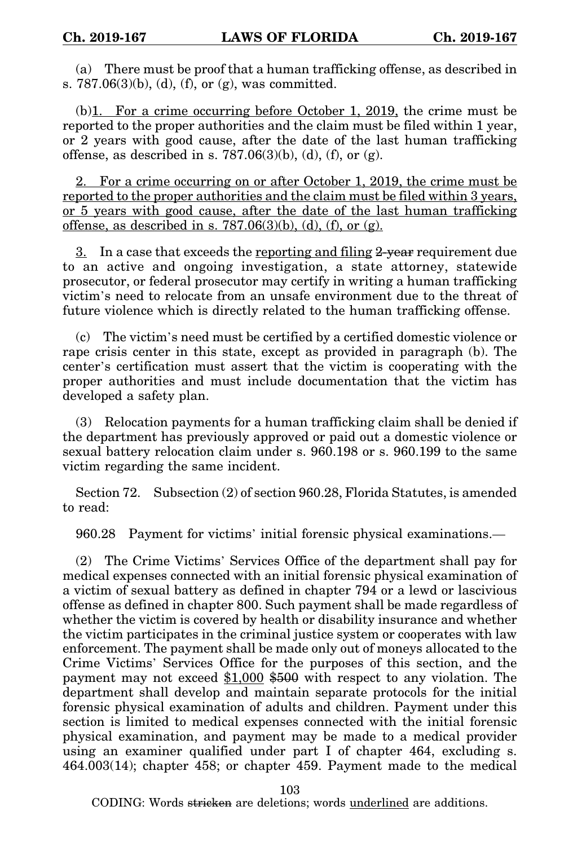(a) There must be proof that a human trafficking offense, as described in s.  $787.06(3)(b)$ , (d), (f), or (g), was committed.

 $(b)$ 1. For a crime occurring before October 1, 2019, the crime must be reported to the proper authorities and the claim must be filed within 1 year, or 2 years with good cause, after the date of the last human trafficking offense, as described in s.  $787.06(3)(b)$ , (d), (f), or (g).

2. For a crime occurring on or after October 1, 2019, the crime must be reported to the proper authorities and the claim must be filed within 3 years, or 5 years with good cause, after the date of the last human trafficking offense, as described in s.  $787.06(3)(b)$ , (d), (f), or (g).

3. In a case that exceeds the reporting and filing 2-year requirement due to an active and ongoing investigation, a state attorney, statewide prosecutor, or federal prosecutor may certify in writing a human trafficking victim's need to relocate from an unsafe environment due to the threat of future violence which is directly related to the human trafficking offense.

(c) The victim's need must be certified by a certified domestic violence or rape crisis center in this state, except as provided in paragraph (b). The center's certification must assert that the victim is cooperating with the proper authorities and must include documentation that the victim has developed a safety plan.

(3) Relocation payments for a human trafficking claim shall be denied if the department has previously approved or paid out a domestic violence or sexual battery relocation claim under s. 960.198 or s. 960.199 to the same victim regarding the same incident.

Section 72. Subsection (2) of section 960.28, Florida Statutes, is amended to read:

960.28 Payment for victims' initial forensic physical examinations.—

(2) The Crime Victims' Services Office of the department shall pay for medical expenses connected with an initial forensic physical examination of a victim of sexual battery as defined in chapter 794 or a lewd or lascivious offense as defined in chapter 800. Such payment shall be made regardless of whether the victim is covered by health or disability insurance and whether the victim participates in the criminal justice system or cooperates with law enforcement. The payment shall be made only out of moneys allocated to the Crime Victims' Services Office for the purposes of this section, and the payment may not exceed \$1,000 \$500 with respect to any violation. The department shall develop and maintain separate protocols for the initial forensic physical examination of adults and children. Payment under this section is limited to medical expenses connected with the initial forensic physical examination, and payment may be made to a medical provider using an examiner qualified under part I of chapter 464, excluding s. 464.003(14); chapter 458; or chapter 459. Payment made to the medical

103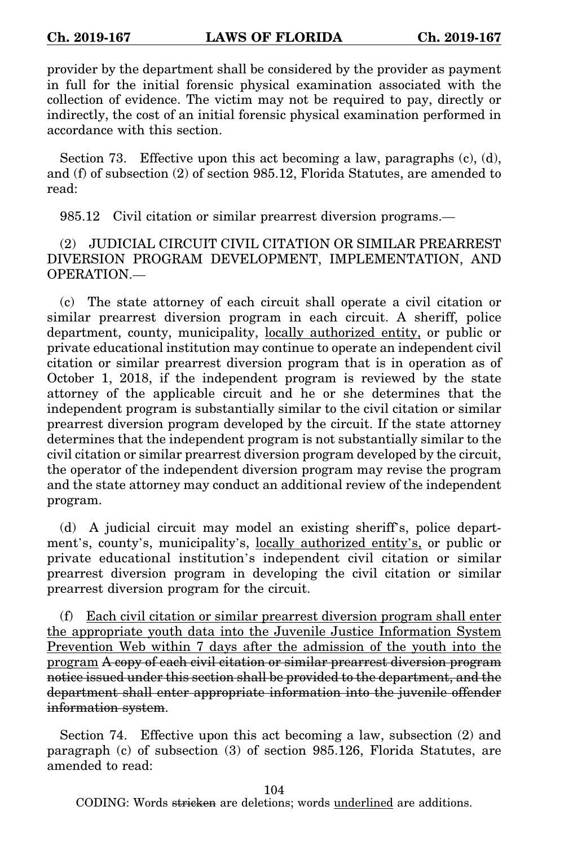provider by the department shall be considered by the provider as payment in full for the initial forensic physical examination associated with the collection of evidence. The victim may not be required to pay, directly or indirectly, the cost of an initial forensic physical examination performed in accordance with this section.

Section 73. Effective upon this act becoming a law, paragraphs  $(c)$ ,  $(d)$ , and (f) of subsection (2) of section 985.12, Florida Statutes, are amended to read:

985.12 Civil citation or similar prearrest diversion programs.—

(2) JUDICIAL CIRCUIT CIVIL CITATION OR SIMILAR PREARREST DIVERSION PROGRAM DEVELOPMENT, IMPLEMENTATION, AND OPERATION.—

(c) The state attorney of each circuit shall operate a civil citation or similar prearrest diversion program in each circuit. A sheriff, police department, county, municipality, locally authorized entity, or public or private educational institution may continue to operate an independent civil citation or similar prearrest diversion program that is in operation as of October 1, 2018, if the independent program is reviewed by the state attorney of the applicable circuit and he or she determines that the independent program is substantially similar to the civil citation or similar prearrest diversion program developed by the circuit. If the state attorney determines that the independent program is not substantially similar to the civil citation or similar prearrest diversion program developed by the circuit, the operator of the independent diversion program may revise the program and the state attorney may conduct an additional review of the independent program.

(d) A judicial circuit may model an existing sheriff's, police department's, county's, municipality's, locally authorized entity's, or public or private educational institution's independent civil citation or similar prearrest diversion program in developing the civil citation or similar prearrest diversion program for the circuit.

(f) Each civil citation or similar prearrest diversion program shall enter the appropriate youth data into the Juvenile Justice Information System Prevention Web within 7 days after the admission of the youth into the program A copy of each civil citation or similar prearrest diversion program notice issued under this section shall be provided to the department, and the department shall enter appropriate information into the juvenile offender information system.

Section 74. Effective upon this act becoming a law, subsection (2) and paragraph (c) of subsection (3) of section 985.126, Florida Statutes, are amended to read:

CODING: Words stricken are deletions; words underlined are additions.

104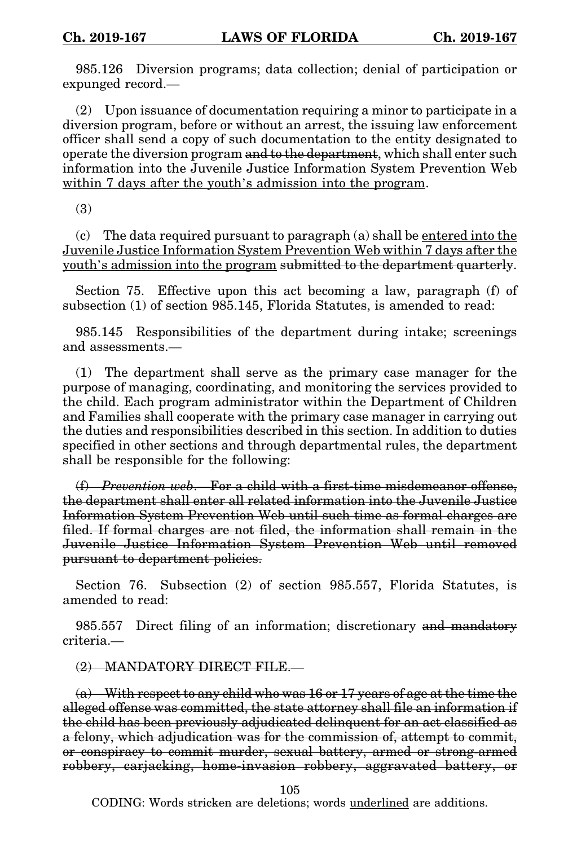985.126 Diversion programs; data collection; denial of participation or expunged record.—

(2) Upon issuance of documentation requiring a minor to participate in a diversion program, before or without an arrest, the issuing law enforcement officer shall send a copy of such documentation to the entity designated to operate the diversion program and to the department, which shall enter such information into the Juvenile Justice Information System Prevention Web within 7 days after the youth's admission into the program.

(3)

(c) The data required pursuant to paragraph (a) shall be entered into the Juvenile Justice Information System Prevention Web within 7 days after the youth's admission into the program submitted to the department quarterly.

Section 75. Effective upon this act becoming a law, paragraph (f) of subsection (1) of section 985.145, Florida Statutes, is amended to read:

985.145 Responsibilities of the department during intake; screenings and assessments.—

(1) The department shall serve as the primary case manager for the purpose of managing, coordinating, and monitoring the services provided to the child. Each program administrator within the Department of Children and Families shall cooperate with the primary case manager in carrying out the duties and responsibilities described in this section. In addition to duties specified in other sections and through departmental rules, the department shall be responsible for the following:

(f) *Prevention web*.—For a child with a first-time misdemeanor offense, the department shall enter all related information into the Juvenile Justice Information System Prevention Web until such time as formal charges are filed. If formal charges are not filed, the information shall remain in the Juvenile Justice Information System Prevention Web until removed pursuant to department policies.

Section 76. Subsection (2) of section 985.557, Florida Statutes, is amended to read:

985.557 Direct filing of an information; discretionary and mandatory criteria.—

(2) MANDATORY DIRECT FILE.—

 $(a)$  With respect to any child who was 16 or 17 years of age at the time the alleged offense was committed, the state attorney shall file an information if the child has been previously adjudicated delinquent for an act classified as a felony, which adjudication was for the commission of, attempt to commit, or conspiracy to commit murder, sexual battery, armed or strong-armed robbery, carjacking, home-invasion robbery, aggravated battery, or

105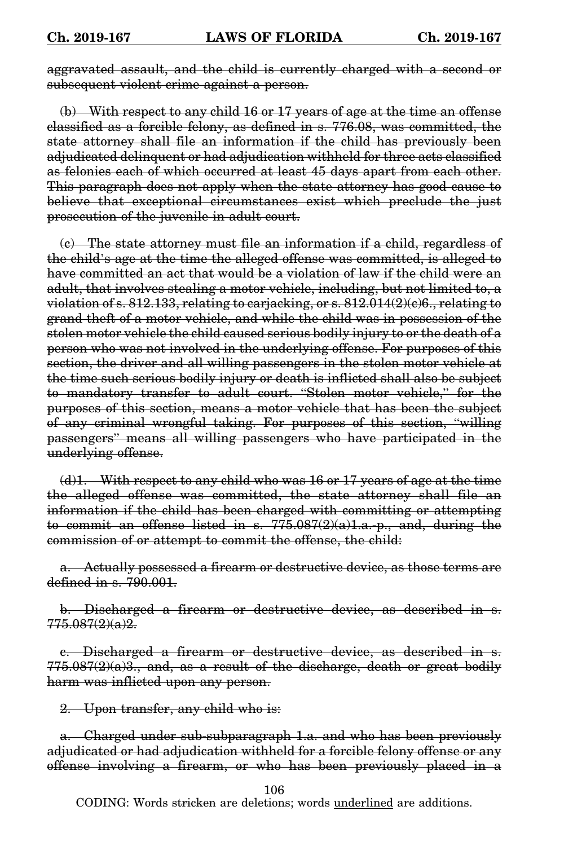aggravated assault, and the child is currently charged with a second or subsequent violent crime against a person.

(b) With respect to any child 16 or 17 years of age at the time an offense classified as a forcible felony, as defined in s. 776.08, was committed, the state attorney shall file an information if the child has previously been adjudicated delinquent or had adjudication withheld for three acts classified as felonies each of which occurred at least 45 days apart from each other. This paragraph does not apply when the state attorney has good cause to believe that exceptional circumstances exist which preclude the just prosecution of the juvenile in adult court.

(c) The state attorney must file an information if a child, regardless of the child's age at the time the alleged offense was committed, is alleged to have committed an act that would be a violation of law if the child were an adult, that involves stealing a motor vehicle, including, but not limited to, a violation of s. 812.133, relating to carjacking, or s. 812.014(2)(c)6., relating to grand theft of a motor vehicle, and while the child was in possession of the stolen motor vehicle the child caused serious bodily injury to or the death of a person who was not involved in the underlying offense. For purposes of this section, the driver and all willing passengers in the stolen motor vehicle at the time such serious bodily injury or death is inflicted shall also be subject to mandatory transfer to adult court. "Stolen motor vehicle," for the purposes of this section, means a motor vehicle that has been the subject of any criminal wrongful taking. For purposes of this section, "willing passengers" means all willing passengers who have participated in the underlying offense.

 $(d)1.$  With respect to any child who was 16 or 17 years of age at the time the alleged offense was committed, the state attorney shall file an information if the child has been charged with committing or attempting to commit an offense listed in s. 775.087(2)(a)1.a.-p., and, during the commission of or attempt to commit the offense, the child:

a. Actually possessed a firearm or destructive device, as those terms are defined in s. 790.001.

b. Discharged a firearm or destructive device, as described in s. 775.087(2)(a)2.

c. Discharged a firearm or destructive device, as described in s.  $775.087(2)(a)3$ , and, as a result of the discharge, death or great bodily harm was inflicted upon any person.

2. Upon transfer, any child who is:

a. Charged under sub-subparagraph 1.a. and who has been previously adjudicated or had adjudication withheld for a forcible felony offense or any offense involving a firearm, or who has been previously placed in a

106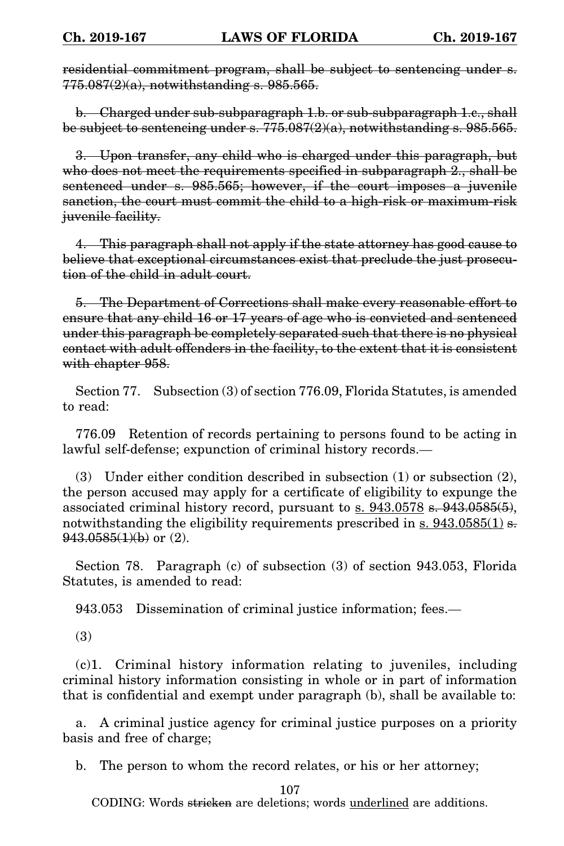residential commitment program, shall be subject to sentencing under s.  $775.087(2)(a)$ , notwithstanding s. 985.565.

b. Charged under sub-subparagraph 1.b. or sub-subparagraph 1.c., shall be subject to sentencing under s.  $775.087(2)(a)$ , notwithstanding s. 985.565.

3. Upon transfer, any child who is charged under this paragraph, but who does not meet the requirements specified in subparagraph 2, shall be sentenced under s. 985.565; however, if the court imposes a juvenile sanction, the court must commit the child to a high-risk or maximum-risk juvenile facility.

4. This paragraph shall not apply if the state attorney has good cause to believe that exceptional circumstances exist that preclude the just prosecution of the child in adult court.

5. The Department of Corrections shall make every reasonable effort to ensure that any child 16 or 17 years of age who is convicted and sentenced under this paragraph be completely separated such that there is no physical contact with adult offenders in the facility, to the extent that it is consistent with chapter 958.

Section 77. Subsection (3) of section 776.09, Florida Statutes, is amended to read:

776.09 Retention of records pertaining to persons found to be acting in lawful self-defense; expunction of criminal history records.—

(3) Under either condition described in subsection  $(1)$  or subsection  $(2)$ , the person accused may apply for a certificate of eligibility to expunge the associated criminal history record, pursuant to s. 943.0578 s. 943.0585(5), notwithstanding the eligibility requirements prescribed in  $\sin 943.0585(1)$  s.  $943.0585(1)(b)$  or  $(2)$ .

Section 78. Paragraph (c) of subsection (3) of section 943.053, Florida Statutes, is amended to read:

943.053 Dissemination of criminal justice information; fees.—

(3)

(c)1. Criminal history information relating to juveniles, including criminal history information consisting in whole or in part of information that is confidential and exempt under paragraph (b), shall be available to:

a. A criminal justice agency for criminal justice purposes on a priority basis and free of charge;

b. The person to whom the record relates, or his or her attorney;

107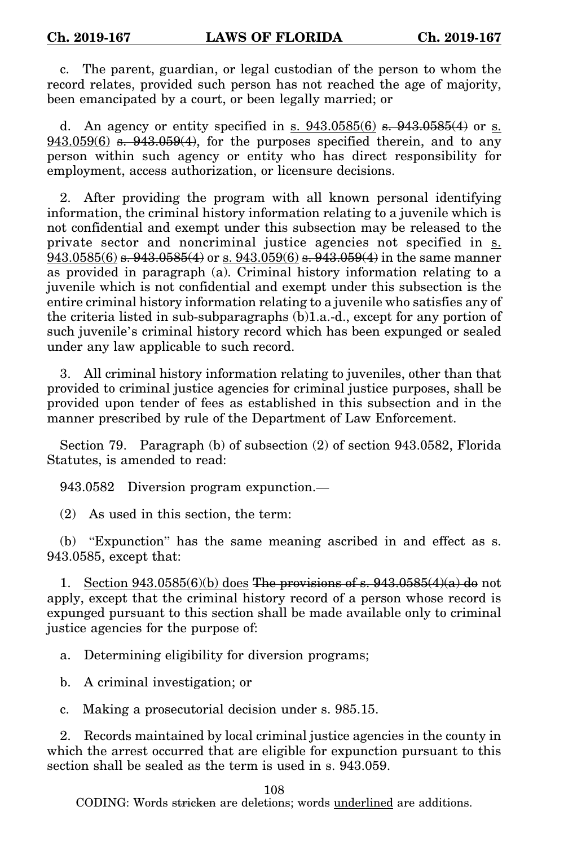c. The parent, guardian, or legal custodian of the person to whom the record relates, provided such person has not reached the age of majority, been emancipated by a court, or been legally married; or

d. An agency or entity specified in s.  $943.0585(6)$  s.  $943.0585(4)$  or s.  $943.059(6)$  s.  $943.059(4)$ , for the purposes specified therein, and to any person within such agency or entity who has direct responsibility for employment, access authorization, or licensure decisions.

2. After providing the program with all known personal identifying information, the criminal history information relating to a juvenile which is not confidential and exempt under this subsection may be released to the private sector and noncriminal justice agencies not specified in s. 943.0585(6) <del>s. 943.0585(4)</del> or s. 943.059(6) s. 943.059(4) in the same manner as provided in paragraph (a). Criminal history information relating to a juvenile which is not confidential and exempt under this subsection is the entire criminal history information relating to a juvenile who satisfies any of the criteria listed in sub-subparagraphs (b)1.a.-d., except for any portion of such juvenile's criminal history record which has been expunged or sealed under any law applicable to such record.

3. All criminal history information relating to juveniles, other than that provided to criminal justice agencies for criminal justice purposes, shall be provided upon tender of fees as established in this subsection and in the manner prescribed by rule of the Department of Law Enforcement.

Section 79. Paragraph (b) of subsection (2) of section 943.0582, Florida Statutes, is amended to read:

943.0582 Diversion program expunction.—

(2) As used in this section, the term:

(b) "Expunction" has the same meaning ascribed in and effect as s. 943.0585, except that:

1. Section 943.0585(6)(b) does The provisions of s.  $943.0585(4)(a)$  do not apply, except that the criminal history record of a person whose record is expunged pursuant to this section shall be made available only to criminal justice agencies for the purpose of:

a. Determining eligibility for diversion programs;

b. A criminal investigation; or

c. Making a prosecutorial decision under s. 985.15.

2. Records maintained by local criminal justice agencies in the county in which the arrest occurred that are eligible for expunction pursuant to this section shall be sealed as the term is used in s. 943.059.

108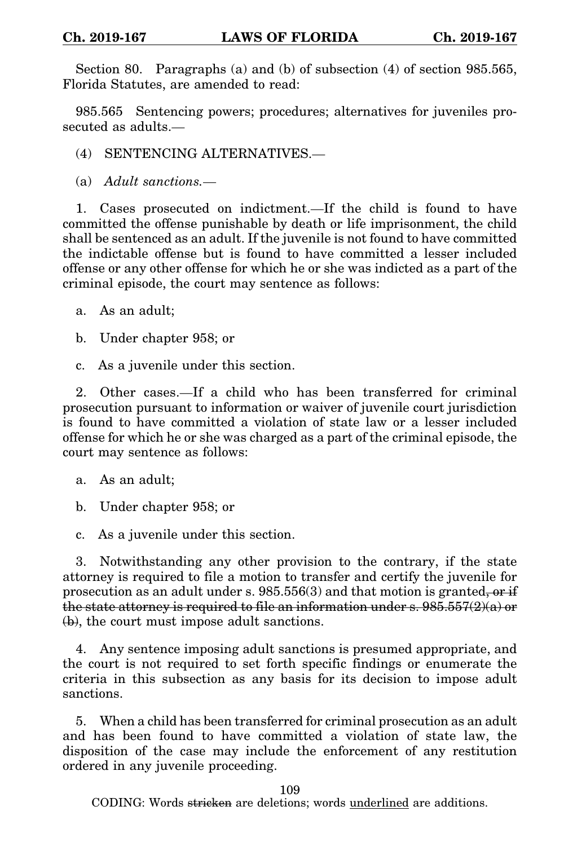Section 80. Paragraphs (a) and (b) of subsection (4) of section 985.565, Florida Statutes, are amended to read:

985.565 Sentencing powers; procedures; alternatives for juveniles prosecuted as adults.—

(4) SENTENCING ALTERNATIVES.—

(a) *Adult sanctions.*—

1. Cases prosecuted on indictment.—If the child is found to have committed the offense punishable by death or life imprisonment, the child shall be sentenced as an adult. If the juvenile is not found to have committed the indictable offense but is found to have committed a lesser included offense or any other offense for which he or she was indicted as a part of the criminal episode, the court may sentence as follows:

- a. As an adult;
- b. Under chapter 958; or
- c. As a juvenile under this section.

2. Other cases.—If a child who has been transferred for criminal prosecution pursuant to information or waiver of juvenile court jurisdiction is found to have committed a violation of state law or a lesser included offense for which he or she was charged as a part of the criminal episode, the court may sentence as follows:

a. As an adult;

- b. Under chapter 958; or
- c. As a juvenile under this section.

3. Notwithstanding any other provision to the contrary, if the state attorney is required to file a motion to transfer and certify the juvenile for prosecution as an adult under s.  $985.556(3)$  and that motion is granted, or if the state attorney is required to file an information under s.  $985.557(2)(a)$  or (b), the court must impose adult sanctions.

4. Any sentence imposing adult sanctions is presumed appropriate, and the court is not required to set forth specific findings or enumerate the criteria in this subsection as any basis for its decision to impose adult sanctions.

5. When a child has been transferred for criminal prosecution as an adult and has been found to have committed a violation of state law, the disposition of the case may include the enforcement of any restitution ordered in any juvenile proceeding.

109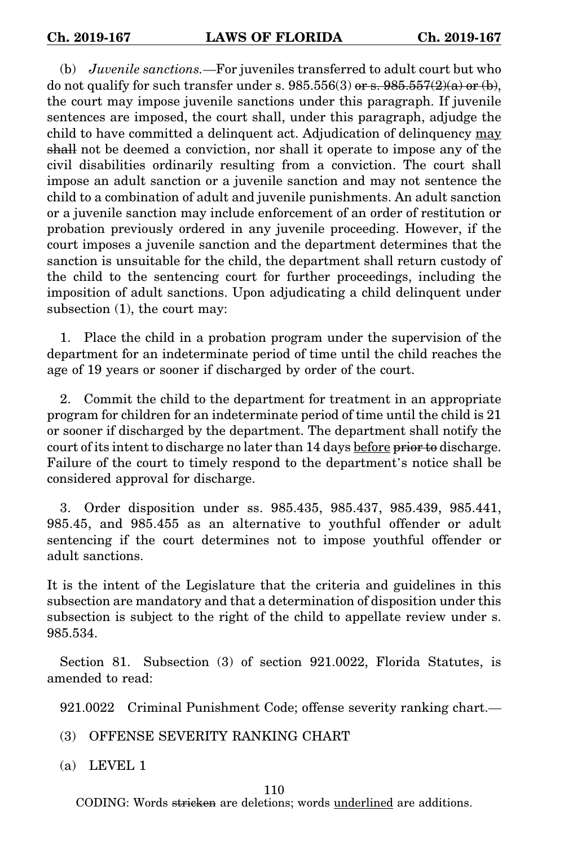(b) *Juvenile sanctions.*—For juveniles transferred to adult court but who do not qualify for such transfer under s.  $985.556(3)$  or s.  $985.557(2)(a)$  or (b), the court may impose juvenile sanctions under this paragraph. If juvenile sentences are imposed, the court shall, under this paragraph, adjudge the child to have committed a delinquent act. Adjudication of delinquency may shall not be deemed a conviction, nor shall it operate to impose any of the civil disabilities ordinarily resulting from a conviction. The court shall impose an adult sanction or a juvenile sanction and may not sentence the child to a combination of adult and juvenile punishments. An adult sanction or a juvenile sanction may include enforcement of an order of restitution or probation previously ordered in any juvenile proceeding. However, if the court imposes a juvenile sanction and the department determines that the sanction is unsuitable for the child, the department shall return custody of the child to the sentencing court for further proceedings, including the imposition of adult sanctions. Upon adjudicating a child delinquent under subsection (1), the court may:

1. Place the child in a probation program under the supervision of the department for an indeterminate period of time until the child reaches the age of 19 years or sooner if discharged by order of the court.

2. Commit the child to the department for treatment in an appropriate program for children for an indeterminate period of time until the child is 21 or sooner if discharged by the department. The department shall notify the court of its intent to discharge no later than 14 days before prior to discharge. Failure of the court to timely respond to the department's notice shall be considered approval for discharge.

3. Order disposition under ss. 985.435, 985.437, 985.439, 985.441, 985.45, and 985.455 as an alternative to youthful offender or adult sentencing if the court determines not to impose youthful offender or adult sanctions.

It is the intent of the Legislature that the criteria and guidelines in this subsection are mandatory and that a determination of disposition under this subsection is subject to the right of the child to appellate review under s. 985.534.

Section 81. Subsection (3) of section 921.0022, Florida Statutes, is amended to read:

921.0022 Criminal Punishment Code; offense severity ranking chart.—

- (3) OFFENSE SEVERITY RANKING CHART
- (a) LEVEL 1

## 110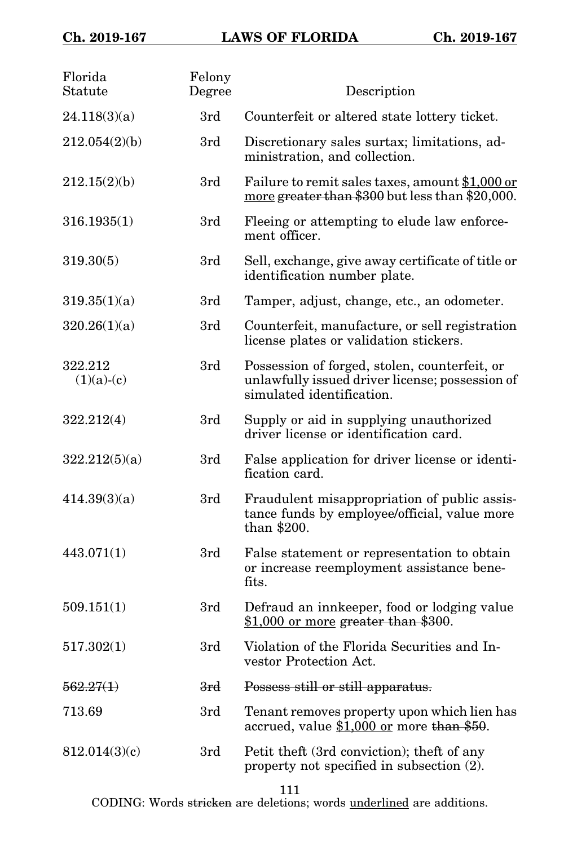| Florida<br>Statute      | Felony<br>Degree | Description                                                                                                                   |
|-------------------------|------------------|-------------------------------------------------------------------------------------------------------------------------------|
| 24.118(3)(a)            | 3rd              | Counterfeit or altered state lottery ticket.                                                                                  |
| 212.054(2)(b)           | 3rd              | Discretionary sales surtax; limitations, ad-<br>ministration, and collection.                                                 |
| 212.15(2)(b)            | 3rd              | Failure to remit sales taxes, amount \$1,000 or<br>more greater than \$300 but less than \$20,000.                            |
| 316.1935(1)             | 3rd              | Fleeing or attempting to elude law enforce-<br>ment officer.                                                                  |
| 319.30(5)               | 3rd              | Sell, exchange, give away certificate of title or<br>identification number plate.                                             |
| 319.35(1)(a)            | 3rd              | Tamper, adjust, change, etc., an odometer.                                                                                    |
| 320.26(1)(a)            | 3rd              | Counterfeit, manufacture, or sell registration<br>license plates or validation stickers.                                      |
| 322.212<br>$(1)(a)-(c)$ | 3rd              | Possession of forged, stolen, counterfeit, or<br>unlawfully issued driver license; possession of<br>simulated identification. |
| 322.212(4)              | 3rd              | Supply or aid in supplying unauthorized<br>driver license or identification card.                                             |
| 322.212(5)(a)           | 3rd              | False application for driver license or identi-<br>fication card.                                                             |
| 414.39(3)(a)            | 3rd              | Fraudulent misappropriation of public assis-<br>tance funds by employee/official, value more<br>than \$200.                   |
| 443.071(1)              | 3rd              | False statement or representation to obtain<br>or increase reemployment assistance bene-<br>fits.                             |
| 509.151(1)              | 3rd              | Defraud an innkeeper, food or lodging value<br>\$1,000 or more greater than \$300.                                            |
| 517.302(1)              | 3rd              | Violation of the Florida Securities and In-<br>vestor Protection Act.                                                         |
| 562.27(1)               | 3rd              | Possess still or still apparatus.                                                                                             |
| 713.69                  | 3rd              | Tenant removes property upon which lien has<br>accrued, value \$1,000 or more than \$50.                                      |
| 812.014(3)(c)           | 3rd              | Petit theft (3rd conviction); theft of any<br>property not specified in subsection (2).                                       |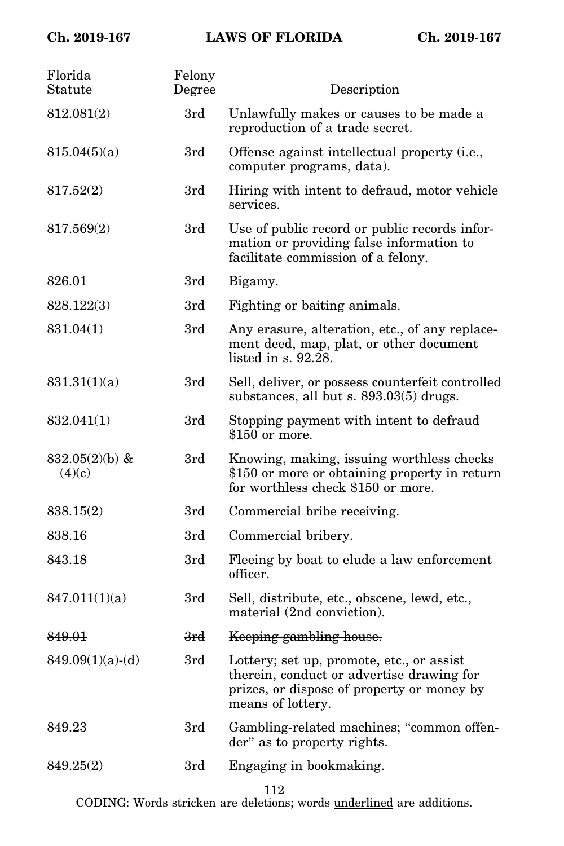| Florida<br>Statute          | Felony<br>Degree | Description                                                                                                                                               |
|-----------------------------|------------------|-----------------------------------------------------------------------------------------------------------------------------------------------------------|
| 812.081(2)                  | 3rd              | Unlawfully makes or causes to be made a<br>reproduction of a trade secret.                                                                                |
| 815.04(5)(a)                | 3rd              | Offense against intellectual property (i.e.,<br>computer programs, data).                                                                                 |
| 817.52(2)                   | 3rd              | Hiring with intent to defraud, motor vehicle<br>services.                                                                                                 |
| 817.569(2)                  | 3rd              | Use of public record or public records infor-<br>mation or providing false information to<br>facilitate commission of a felony.                           |
| 826.01                      | 3rd              | Bigamy.                                                                                                                                                   |
| 828.122(3)                  | 3rd              | Fighting or baiting animals.                                                                                                                              |
| 831.04(1)                   | 3rd              | Any erasure, alteration, etc., of any replace-<br>ment deed, map, plat, or other document<br>listed in $s. 92.28$ .                                       |
| 831.31(1)(a)                | 3rd              | Sell, deliver, or possess counterfeit controlled<br>substances, all but s. 893.03(5) drugs.                                                               |
| 832.041(1)                  | 3rd              | Stopping payment with intent to defraud<br>\$150 or more.                                                                                                 |
| 832.05 $(2)(b)$ &<br>(4)(c) | 3rd              | Knowing, making, issuing worthless checks<br>\$150 or more or obtaining property in return<br>for worthless check \$150 or more.                          |
| 838.15(2)                   | 3rd              | Commercial bribe receiving.                                                                                                                               |
| 838.16                      | 3rd              | Commercial bribery.                                                                                                                                       |
| 843.18                      | 3rd              | Fleeing by boat to elude a law enforcement<br>officer.                                                                                                    |
| 847.011(1)(a)               | 3rd              | Sell, distribute, etc., obscene, lewd, etc.,<br>material (2nd conviction).                                                                                |
| 849.01                      | <del>3rd</del>   | Keeping gambling house.                                                                                                                                   |
| $849.09(1)(a)-(d)$          | 3rd              | Lottery; set up, promote, etc., or assist<br>therein, conduct or advertise drawing for<br>prizes, or dispose of property or money by<br>means of lottery. |
| 849.23                      | 3rd              | Gambling-related machines; "common offen-<br>der" as to property rights.                                                                                  |
| 849.25(2)                   | 3rd              | Engaging in bookmaking.                                                                                                                                   |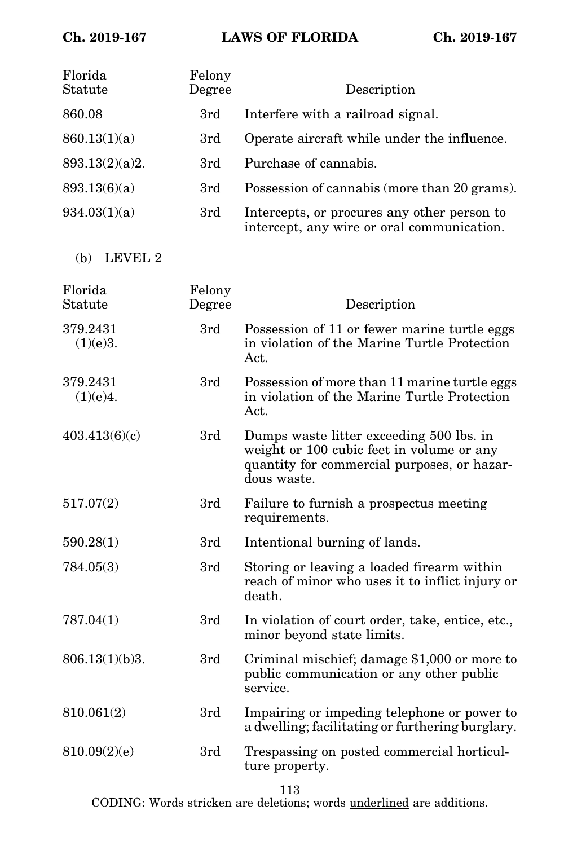| Florida<br>Statute   | Felony<br>Degree | Description                                                                                                                                         |
|----------------------|------------------|-----------------------------------------------------------------------------------------------------------------------------------------------------|
| 860.08               | 3rd              | Interfere with a railroad signal.                                                                                                                   |
| 860.13(1)(a)         | 3rd              | Operate aircraft while under the influence.                                                                                                         |
| 893.13(2)(a)2.       | 3rd              | Purchase of cannabis.                                                                                                                               |
| 893.13(6)(a)         | 3rd              | Possession of cannabis (more than 20 grams).                                                                                                        |
| 934.03(1)(a)         | 3rd              | Intercepts, or procures any other person to<br>intercept, any wire or oral communication.                                                           |
| LEVEL 2<br>(b)       |                  |                                                                                                                                                     |
| Florida<br>Statute   | Felony<br>Degree | Description                                                                                                                                         |
| 379.2431<br>(1)(e)3. | 3rd              | Possession of 11 or fewer marine turtle eggs<br>in violation of the Marine Turtle Protection<br>Act.                                                |
| 379.2431<br>(1)(e)4. | 3rd              | Possession of more than 11 marine turtle eggs<br>in violation of the Marine Turtle Protection<br>Act.                                               |
| 403.413(6)(c)        | 3rd              | Dumps waste litter exceeding 500 lbs. in<br>weight or 100 cubic feet in volume or any<br>quantity for commercial purposes, or hazar-<br>dous waste. |
| 517.07(2)            | 3rd              | Failure to furnish a prospectus meeting<br>requirements.                                                                                            |
| 590.28(1)            | 3rd              | Intentional burning of lands.                                                                                                                       |
| 784.05(3)            | 3rd              | Storing or leaving a loaded firearm within<br>reach of minor who uses it to inflict injury or<br>death.                                             |
| 787.04(1)            | 3rd              | In violation of court order, take, entice, etc.,<br>minor beyond state limits.                                                                      |
| 806.13(1)(b)3.       | 3rd              | Criminal mischief; damage \$1,000 or more to<br>public communication or any other public<br>service.                                                |
| 810.061(2)           | 3rd              | Impairing or impeding telephone or power to<br>a dwelling; facilitating or furthering burglary.                                                     |
| 810.09(2)(e)         | 3rd              | Trespassing on posted commercial horticul-<br>ture property.                                                                                        |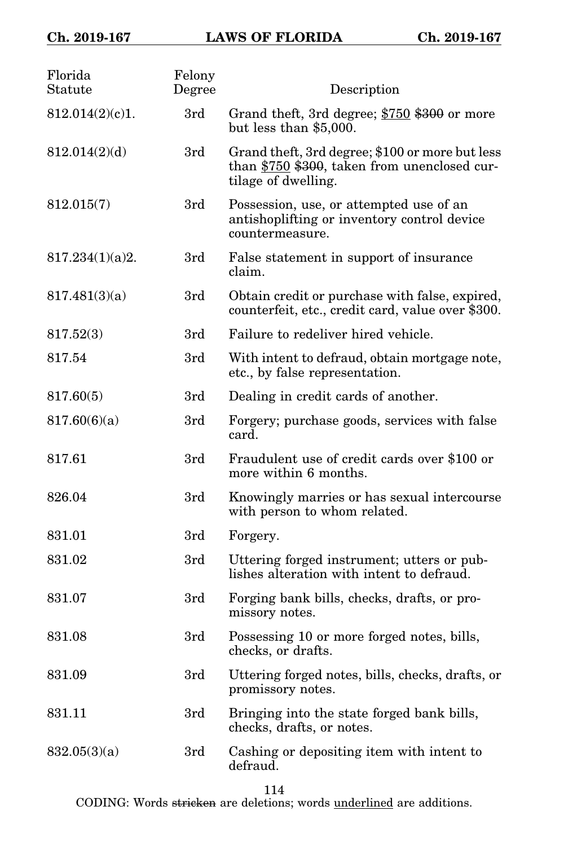## **Ch. 2019-167 LAWS OF FLORIDA Ch. 2019-167**

| Florida<br>Statute | Felony<br>Degree | Description                                                                                                            |
|--------------------|------------------|------------------------------------------------------------------------------------------------------------------------|
| 812.014(2)(c)1.    | 3rd              | Grand theft, 3rd degree; \$750 \$300 or more<br>but less than $$5,000$ .                                               |
| 812.014(2)(d)      | 3rd              | Grand theft, 3rd degree; \$100 or more but less<br>than \$750 \$300, taken from unenclosed cur-<br>tilage of dwelling. |
| 812.015(7)         | 3rd              | Possession, use, or attempted use of an<br>antishoplifting or inventory control device<br>countermeasure.              |
| 817.234(1)(a)2.    | 3rd              | False statement in support of insurance<br>claim.                                                                      |
| 817.481(3)(a)      | 3rd              | Obtain credit or purchase with false, expired,<br>counterfeit, etc., credit card, value over \$300.                    |
| 817.52(3)          | 3rd              | Failure to redeliver hired vehicle.                                                                                    |
| 817.54             | 3rd              | With intent to defraud, obtain mortgage note,<br>etc., by false representation.                                        |
| 817.60(5)          | 3rd              | Dealing in credit cards of another.                                                                                    |
| 817.60(6)(a)       | 3rd              | Forgery; purchase goods, services with false<br>card.                                                                  |
| 817.61             | 3rd              | Fraudulent use of credit cards over \$100 or<br>more within 6 months.                                                  |
| 826.04             | 3rd              | Knowingly marries or has sexual intercourse<br>with person to whom related.                                            |
| 831.01             | 3rd              | Forgery.                                                                                                               |
| 831.02             | 3rd              | Uttering forged instrument; utters or pub-<br>lishes alteration with intent to defraud.                                |
| 831.07             | 3rd              | Forging bank bills, checks, drafts, or pro-<br>missory notes.                                                          |
| 831.08             | 3rd              | Possessing 10 or more forged notes, bills,<br>checks, or drafts.                                                       |
| 831.09             | 3rd              | Uttering forged notes, bills, checks, drafts, or<br>promissory notes.                                                  |
| 831.11             | 3rd              | Bringing into the state forged bank bills,<br>checks, drafts, or notes.                                                |
| 832.05(3)(a)       | 3rd              | Cashing or depositing item with intent to<br>defraud.                                                                  |

114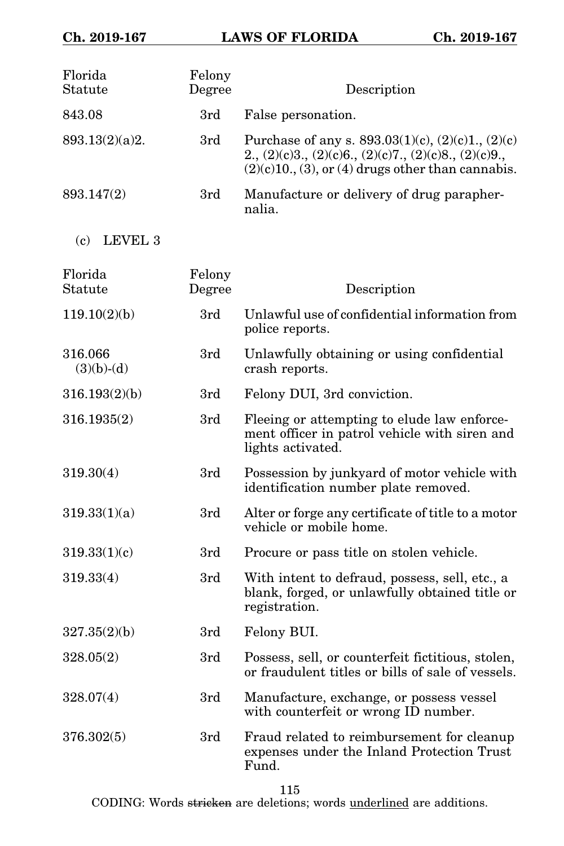| Florida<br>Statute      | Felony<br>Degree | Description                                                                                                                                                                     |
|-------------------------|------------------|---------------------------------------------------------------------------------------------------------------------------------------------------------------------------------|
| 843.08                  | 3rd              | False personation.                                                                                                                                                              |
| 893.13(2)(a)2.          | 3rd              | Purchase of any s. $893.03(1)(c)$ , $(2)(c)1$ , $(2)(c)$<br>$2., (2)(c)3., (2)(c)6., (2)(c)7., (2)(c)8., (2)(c)9.,$<br>$(2)(c)10$ , $(3)$ , or $(4)$ drugs other than cannabis. |
| 893.147(2)              | 3rd              | Manufacture or delivery of drug parapher-<br>nalia.                                                                                                                             |
| (c)<br>LEVEL 3          |                  |                                                                                                                                                                                 |
| Florida<br>Statute      | Felony<br>Degree | Description                                                                                                                                                                     |
| 119.10(2)(b)            | 3rd              | Unlawful use of confidential information from<br>police reports.                                                                                                                |
| 316.066<br>$(3)(b)-(d)$ | 3rd              | Unlawfully obtaining or using confidential<br>crash reports.                                                                                                                    |
| 316.193(2)(b)           | 3rd              | Felony DUI, 3rd conviction.                                                                                                                                                     |
| 316.1935(2)             | 3rd              | Fleeing or attempting to elude law enforce-<br>ment officer in patrol vehicle with siren and<br>lights activated.                                                               |
| 319.30(4)               | 3rd              | Possession by junkyard of motor vehicle with<br>identification number plate removed.                                                                                            |
| 319.33(1)(a)            | 3rd              | Alter or forge any certificate of title to a motor<br>vehicle or mobile home.                                                                                                   |
| 319.33(1)(c)            | 3rd              | Procure or pass title on stolen vehicle.                                                                                                                                        |
| 319.33(4)               | 3rd              | With intent to defraud, possess, sell, etc., a<br>blank, forged, or unlawfully obtained title or<br>registration.                                                               |
| 327.35(2)(b)            | 3rd              | Felony BUI.                                                                                                                                                                     |
| 328.05(2)               | 3rd              | Possess, sell, or counterfeit fictitious, stolen,<br>or fraudulent titles or bills of sale of vessels.                                                                          |
| 328.07(4)               | 3rd              | Manufacture, exchange, or possess vessel<br>with counterfeit or wrong ID number.                                                                                                |
| 376.302(5)              | 3rd              | Fraud related to reimbursement for cleanup<br>expenses under the Inland Protection Trust<br>Fund.                                                                               |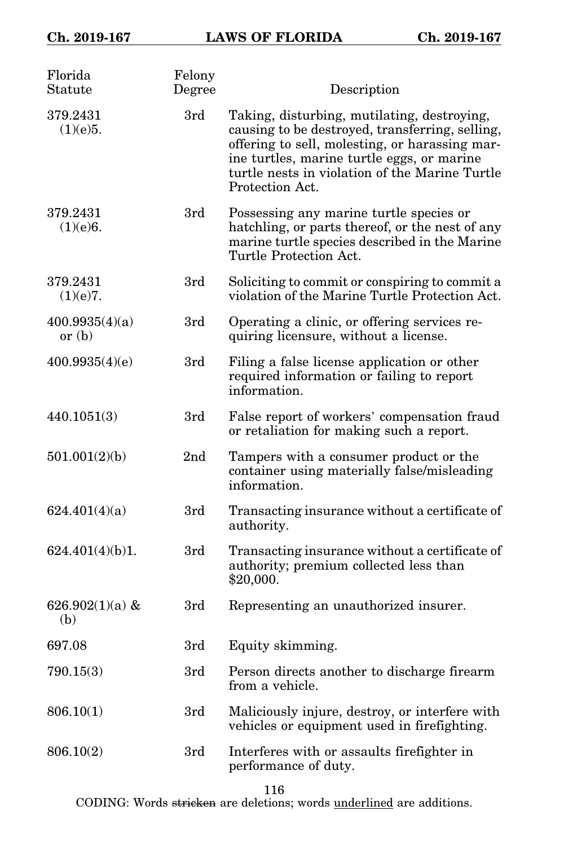| Florida<br>Statute         | Felony<br>Degree | Description                                                                                                                                                                                                                                                         |
|----------------------------|------------------|---------------------------------------------------------------------------------------------------------------------------------------------------------------------------------------------------------------------------------------------------------------------|
| 379.2431<br>(1)(e)5.       | 3rd              | Taking, disturbing, mutilating, destroying,<br>causing to be destroyed, transferring, selling,<br>offering to sell, molesting, or harassing mar-<br>ine turtles, marine turtle eggs, or marine<br>turtle nests in violation of the Marine Turtle<br>Protection Act. |
| 379.2431<br>(1)(e)6.       | 3rd              | Possessing any marine turtle species or<br>hatchling, or parts thereof, or the nest of any<br>marine turtle species described in the Marine<br>Turtle Protection Act.                                                                                               |
| 379.2431<br>(1)(e)7.       | 3rd              | Soliciting to commit or conspiring to commit a<br>violation of the Marine Turtle Protection Act.                                                                                                                                                                    |
| 400.9935(4)(a)<br>or $(b)$ | 3rd              | Operating a clinic, or offering services re-<br>quiring licensure, without a license.                                                                                                                                                                               |
| 400.9935(4)(e)             | 3rd              | Filing a false license application or other<br>required information or failing to report<br>information.                                                                                                                                                            |
| 440.1051(3)                | 3rd              | False report of workers' compensation fraud<br>or retaliation for making such a report.                                                                                                                                                                             |
| 501.001(2)(b)              | 2 <sub>nd</sub>  | Tampers with a consumer product or the<br>container using materially false/misleading<br>information.                                                                                                                                                               |
| 624.401(4)(a)              | 3rd              | Transacting insurance without a certificate of<br>authority.                                                                                                                                                                                                        |
| 624.401(4)(b)1.            | 3rd              | Transacting insurance without a certificate of<br>authority; premium collected less than<br>\$20,000.                                                                                                                                                               |
| 626.902 $(1)(a)$ &<br>(b)  | 3rd              | Representing an unauthorized insurer.                                                                                                                                                                                                                               |
| 697.08                     | 3rd              | Equity skimming.                                                                                                                                                                                                                                                    |
| 790.15(3)                  | 3rd              | Person directs another to discharge firearm<br>from a vehicle.                                                                                                                                                                                                      |
| 806.10(1)                  | 3rd              | Maliciously injure, destroy, or interfere with<br>vehicles or equipment used in firefighting.                                                                                                                                                                       |
| 806.10(2)                  | 3rd              | Interferes with or assaults firefighter in<br>performance of duty.                                                                                                                                                                                                  |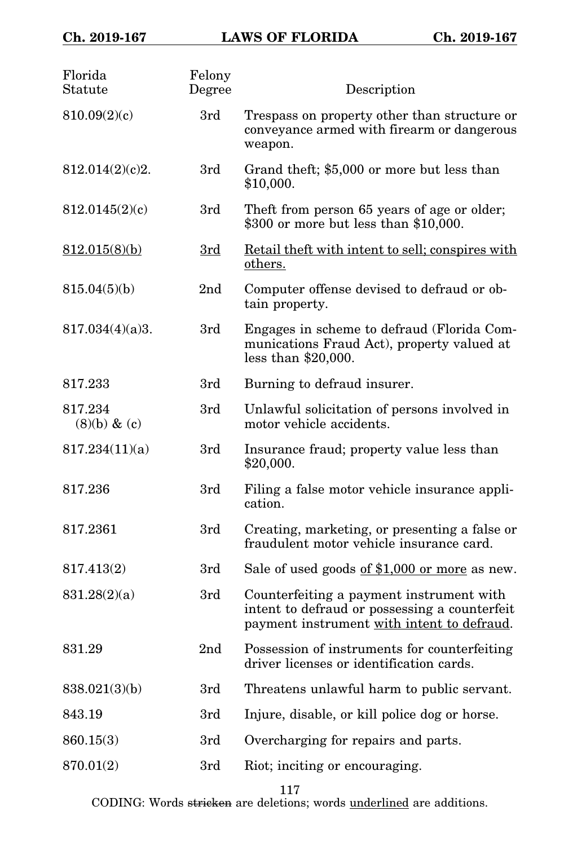| Florida<br>Statute          | Felony<br>Degree | Description                                                                                                                             |
|-----------------------------|------------------|-----------------------------------------------------------------------------------------------------------------------------------------|
| 810.09(2)(c)                | 3rd              | Trespass on property other than structure or<br>conveyance armed with firearm or dangerous<br>weapon.                                   |
| 812.014(2)(c)2.             | 3rd              | Grand theft; \$5,000 or more but less than<br>\$10,000.                                                                                 |
| 812.0145(2)(c)              | 3rd              | Theft from person 65 years of age or older;<br>\$300 or more but less than \$10,000.                                                    |
| 812.015(8)(b)               | 3rd              | Retail theft with intent to sell; conspires with<br>others.                                                                             |
| 815.04(5)(b)                | 2 <sub>nd</sub>  | Computer offense devised to defraud or ob-<br>tain property.                                                                            |
| 817.034(4)(a)3.             | 3rd              | Engages in scheme to defraud (Florida Com-<br>munications Fraud Act), property valued at<br>less than $$20,000$ .                       |
| 817.233                     | 3rd              | Burning to defraud insurer.                                                                                                             |
| 817.234<br>$(8)(b)$ & $(c)$ | 3rd              | Unlawful solicitation of persons involved in<br>motor vehicle accidents.                                                                |
| 817.234(11)(a)              | 3rd              | Insurance fraud; property value less than<br>\$20,000.                                                                                  |
| 817.236                     | 3rd              | Filing a false motor vehicle insurance appli-<br>cation.                                                                                |
| 817.2361                    | 3rd              | Creating, marketing, or presenting a false or<br>fraudulent motor vehicle insurance card.                                               |
| 817.413(2)                  | 3rd              | Sale of used goods of \$1,000 or more as new.                                                                                           |
| 831.28(2)(a)                | 3rd              | Counterfeiting a payment instrument with<br>intent to defraud or possessing a counterfeit<br>payment instrument with intent to defraud. |
| 831.29                      | 2 <sub>nd</sub>  | Possession of instruments for counterfeiting<br>driver licenses or identification cards.                                                |
| 838.021(3)(b)               | 3rd              | Threatens unlawful harm to public servant.                                                                                              |
| 843.19                      | 3rd              | Injure, disable, or kill police dog or horse.                                                                                           |
| 860.15(3)                   | 3rd              | Overcharging for repairs and parts.                                                                                                     |
| 870.01(2)                   | 3rd              | Riot; inciting or encouraging.                                                                                                          |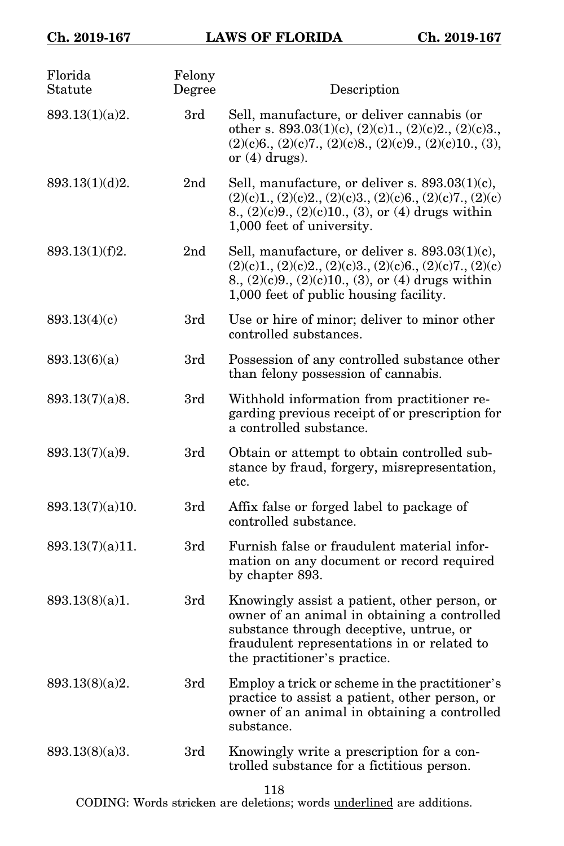| Florida<br>Statute | Felony<br>Degree | Description                                                                                                                                                                                                            |
|--------------------|------------------|------------------------------------------------------------------------------------------------------------------------------------------------------------------------------------------------------------------------|
| 893.13(1)(a)2.     | 3rd              | Sell, manufacture, or deliver cannabis (or<br>other s. 893.03(1)(c), (2)(c)1., (2)(c)2., (2)(c)3.,<br>$(2)(c)6, (2)(c)7, (2)(c)8, (2)(c)9, (2)(c)10, (3),$<br>or $(4)$ drugs).                                         |
| 893.13(1)(d)2.     | 2 <sub>nd</sub>  | Sell, manufacture, or deliver s. $893.03(1)(c)$ ,<br>$(2)(c)1, (2)(c)2, (2)(c)3, (2)(c)6, (2)(c)7, (2)(c)$<br>8., (2)(c)9., (2)(c)10., (3), or (4) drugs within<br>1,000 feet of university.                           |
| 893.13(1)(f)2.     | 2 <sub>nd</sub>  | Sell, manufacture, or deliver s. $893.03(1)(c)$ ,<br>$(2)(c)1, (2)(c)2, (2)(c)3, (2)(c)6, (2)(c)7, (2)(c)$<br>8., $(2)(c)9$ ., $(2)(c)10$ ., $(3)$ , or $(4)$ drugs within<br>1,000 feet of public housing facility.   |
| 893.13(4)(c)       | 3rd              | Use or hire of minor; deliver to minor other<br>controlled substances.                                                                                                                                                 |
| 893.13(6)(a)       | 3rd              | Possession of any controlled substance other<br>than felony possession of cannabis.                                                                                                                                    |
| 893.13(7)(a)8.     | 3rd              | Withhold information from practitioner re-<br>garding previous receipt of or prescription for<br>a controlled substance.                                                                                               |
| 893.13(7)(a)9.     | 3rd              | Obtain or attempt to obtain controlled sub-<br>stance by fraud, forgery, misrepresentation,<br>etc.                                                                                                                    |
| 893.13(7)(a)10.    | 3rd              | Affix false or forged label to package of<br>controlled substance.                                                                                                                                                     |
| 893.13(7)(a)11.    | 3rd              | Furnish false or fraudulent material infor-<br>mation on any document or record required<br>by chapter 893.                                                                                                            |
| 893.13(8)(a)1.     | 3rd              | Knowingly assist a patient, other person, or<br>owner of an animal in obtaining a controlled<br>substance through deceptive, untrue, or<br>fraudulent representations in or related to<br>the practitioner's practice. |
| 893.13(8)(a)2.     | 3rd              | Employ a trick or scheme in the practitioner's<br>practice to assist a patient, other person, or<br>owner of an animal in obtaining a controlled<br>substance.                                                         |
| 893.13(8)(a)3.     | 3rd              | Knowingly write a prescription for a con-<br>trolled substance for a fictitious person.                                                                                                                                |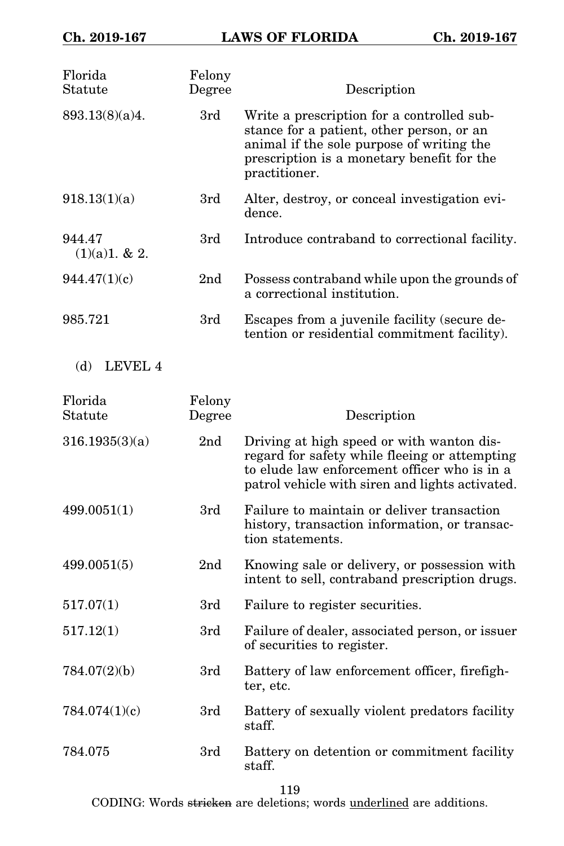| Florida<br>Statute      | Felony<br>Degree | Description                                                                                                                                                                                         |
|-------------------------|------------------|-----------------------------------------------------------------------------------------------------------------------------------------------------------------------------------------------------|
| 893.13(8)(a)4.          | 3rd              | Write a prescription for a controlled sub-<br>stance for a patient, other person, or an<br>animal if the sole purpose of writing the<br>prescription is a monetary benefit for the<br>practitioner. |
| 918.13(1)(a)            | 3rd              | Alter, destroy, or conceal investigation evi-<br>dence.                                                                                                                                             |
| 944.47<br>(1)(a)1. & 2. | 3rd              | Introduce contraband to correctional facility.                                                                                                                                                      |
| 944.47(1)(c)            | 2 <sub>nd</sub>  | Possess contraband while upon the grounds of<br>a correctional institution.                                                                                                                         |
| 985.721                 | 3rd              | Escapes from a juvenile facility (secure de-<br>tention or residential commitment facility).                                                                                                        |
| LEVEL 4<br>(d)          |                  |                                                                                                                                                                                                     |
| Florida<br>Statute      | Felony<br>Degree | Description                                                                                                                                                                                         |
| 316.1935(3)(a)          | 2 <sub>nd</sub>  | Driving at high speed or with wanton dis-<br>regard for safety while fleeing or attempting<br>to elude law enforcement officer who is in a<br>patrol vehicle with siren and lights activated.       |
| 499.0051(1)             | 3rd              | Failure to maintain or deliver transaction<br>history, transaction information, or transac-<br>tion statements.                                                                                     |
| 499.0051(5)             | 2 <sub>nd</sub>  | Knowing sale or delivery, or possession with<br>intent to sell, contraband prescription drugs.                                                                                                      |
| 517.07(1)               | 3rd              | Failure to register securities.                                                                                                                                                                     |
| 517.12(1)               | 3rd              | Failure of dealer, associated person, or issuer<br>of securities to register.                                                                                                                       |
| 784.07(2)(b)            | 3rd              | Battery of law enforcement officer, firefigh-<br>ter, etc.                                                                                                                                          |
| 784.074(1)(c)           | 3rd              | Battery of sexually violent predators facility<br>staff.                                                                                                                                            |
| 784.075                 | 3rd              | Battery on detention or commitment facility<br>staff.                                                                                                                                               |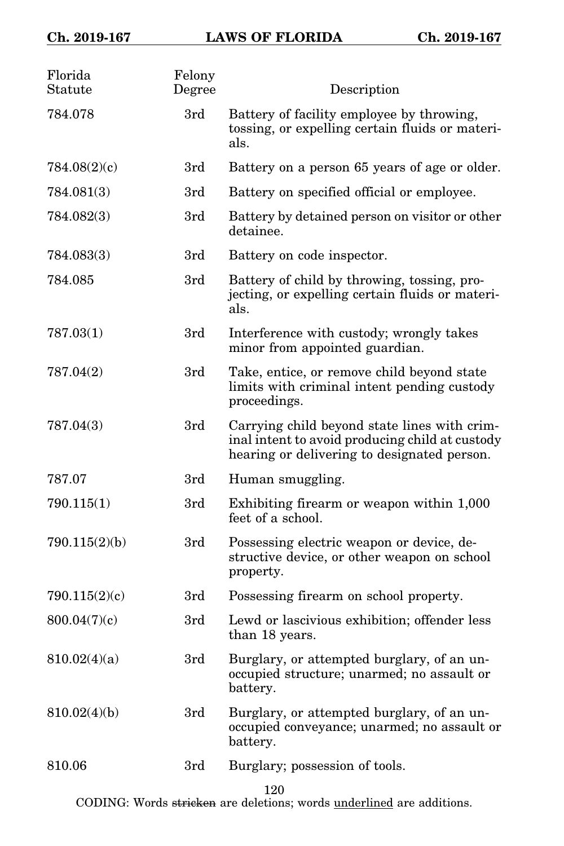| Florida<br>Statute | Felony<br>Degree | Description                                                                                                                                    |
|--------------------|------------------|------------------------------------------------------------------------------------------------------------------------------------------------|
| 784.078            | 3rd              | Battery of facility employee by throwing,<br>tossing, or expelling certain fluids or materi-<br>als.                                           |
| 784.08(2)(c)       | 3rd              | Battery on a person 65 years of age or older.                                                                                                  |
| 784.081(3)         | 3rd              | Battery on specified official or employee.                                                                                                     |
| 784.082(3)         | 3rd              | Battery by detained person on visitor or other<br>detainee.                                                                                    |
| 784.083(3)         | 3rd              | Battery on code inspector.                                                                                                                     |
| 784.085            | 3rd              | Battery of child by throwing, tossing, pro-<br>jecting, or expelling certain fluids or materi-<br>als.                                         |
| 787.03(1)          | 3rd              | Interference with custody; wrongly takes<br>minor from appointed guardian.                                                                     |
| 787.04(2)          | 3rd              | Take, entice, or remove child beyond state<br>limits with criminal intent pending custody<br>proceedings.                                      |
| 787.04(3)          | 3rd              | Carrying child beyond state lines with crim-<br>inal intent to avoid producing child at custody<br>hearing or delivering to designated person. |
| 787.07             | 3rd              | Human smuggling.                                                                                                                               |
| 790.115(1)         | 3rd              | Exhibiting firearm or weapon within 1,000<br>feet of a school.                                                                                 |
| 790.115(2)(b)      | 3rd              | Possessing electric weapon or device, de-<br>structive device, or other weapon on school<br>property.                                          |
| 790.115(2)(c)      | 3rd              | Possessing firearm on school property.                                                                                                         |
| 800.04(7)(c)       | 3rd              | Lewd or lascivious exhibition; offender less<br>than 18 years.                                                                                 |
| 810.02(4)(a)       | 3rd              | Burglary, or attempted burglary, of an un-<br>occupied structure; unarmed; no assault or<br>battery.                                           |
| 810.02(4)(b)       | 3rd              | Burglary, or attempted burglary, of an un-<br>occupied conveyance; unarmed; no assault or<br>battery.                                          |
| 810.06             | 3rd              | Burglary; possession of tools.                                                                                                                 |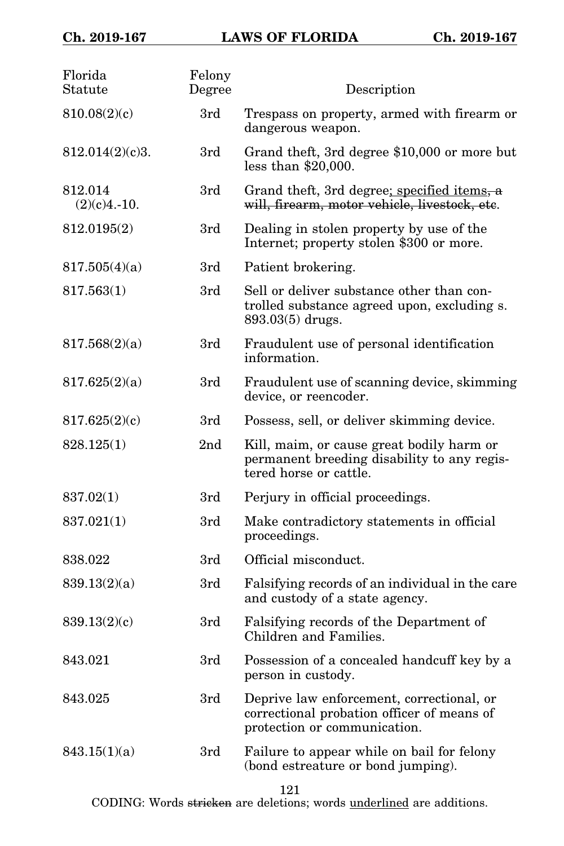| Florida<br>Statute        | Felony<br>Degree | Description                                                                                                             |
|---------------------------|------------------|-------------------------------------------------------------------------------------------------------------------------|
| 810.08(2)(c)              | 3rd              | Trespass on property, armed with firearm or<br>dangerous weapon.                                                        |
| 812.014(2)(c)3.           | 3rd              | Grand theft, 3rd degree \$10,000 or more but<br>less than $$20,000$ .                                                   |
| 812.014<br>$(2)(c)4.-10.$ | 3rd              | Grand theft, 3rd degree; specified items, a<br>will, firearm, motor vehicle, livestock, etc.                            |
| 812.0195(2)               | 3rd              | Dealing in stolen property by use of the<br>Internet; property stolen \$300 or more.                                    |
| 817.505(4)(a)             | 3rd              | Patient brokering.                                                                                                      |
| 817.563(1)                | 3rd              | Sell or deliver substance other than con-<br>trolled substance agreed upon, excluding s.<br>893.03(5) drugs.            |
| 817.568(2)(a)             | 3rd              | Fraudulent use of personal identification<br>information.                                                               |
| 817.625(2)(a)             | 3rd              | Fraudulent use of scanning device, skimming<br>device, or reencoder.                                                    |
| 817.625(2)(c)             | 3rd              | Possess, sell, or deliver skimming device.                                                                              |
| 828.125(1)                | 2nd              | Kill, maim, or cause great bodily harm or<br>permanent breeding disability to any regis-<br>tered horse or cattle.      |
| 837.02(1)                 | 3rd              | Perjury in official proceedings.                                                                                        |
| 837.021(1)                | 3rd              | Make contradictory statements in official<br>proceedings.                                                               |
| 838.022                   | 3rd              | Official misconduct.                                                                                                    |
| 839.13(2)(a)              | 3rd              | Falsifying records of an individual in the care<br>and custody of a state agency.                                       |
| 839.13(2)(c)              | 3rd              | Falsifying records of the Department of<br>Children and Families.                                                       |
| 843.021                   | 3rd              | Possession of a concealed handcuff key by a<br>person in custody.                                                       |
| 843.025                   | 3rd              | Deprive law enforcement, correctional, or<br>correctional probation officer of means of<br>protection or communication. |
| 843.15(1)(a)              | 3rd              | Failure to appear while on bail for felony<br>(bond estreature or bond jumping).                                        |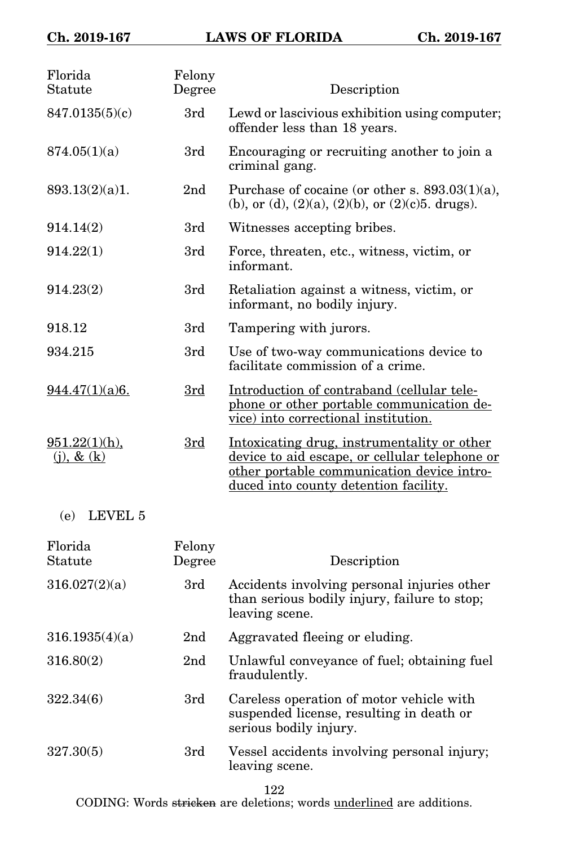| Florida<br>Statute                  | Felony<br>Degree | Description                                                                                                                                                                          |
|-------------------------------------|------------------|--------------------------------------------------------------------------------------------------------------------------------------------------------------------------------------|
| 847.0135(5)(c)                      | 3rd              | Lewd or lascivious exhibition using computer;<br>offender less than 18 years.                                                                                                        |
| 874.05(1)(a)                        | 3rd              | Encouraging or recruiting another to join a<br>criminal gang.                                                                                                                        |
| 893.13(2)(a)1.                      | 2 <sub>nd</sub>  | Purchase of cocaine (or other s. $893.03(1)(a)$ ,<br>(b), or (d), $(2)(a)$ , $(2)(b)$ , or $(2)(c)5$ . drugs).                                                                       |
| 914.14(2)                           | 3rd              | Witnesses accepting bribes.                                                                                                                                                          |
| 914.22(1)                           | 3rd              | Force, threaten, etc., witness, victim, or<br>informant.                                                                                                                             |
| 914.23(2)                           | 3rd              | Retaliation against a witness, victim, or<br>informant, no bodily injury.                                                                                                            |
| 918.12                              | 3rd              | Tampering with jurors.                                                                                                                                                               |
| 934.215                             | 3rd              | Use of two-way communications device to<br>facilitate commission of a crime.                                                                                                         |
| 944.47(1)(a)6.                      | 3rd              | Introduction of contraband (cellular tele-<br>phone or other portable communication de-<br>vice) into correctional institution.                                                      |
| $951.22(1)(h)$ ,<br>$(i)$ , & $(k)$ | 3rd              | Intoxicating drug, instrumentality or other<br>device to aid escape, or cellular telephone or<br>other portable communication device intro-<br>duced into county detention facility. |
|                                     |                  |                                                                                                                                                                                      |

(e) LEVEL 5

| Florida<br>Statute | Felony<br>Degree | Description                                                                                                    |
|--------------------|------------------|----------------------------------------------------------------------------------------------------------------|
| 316.027(2)(a)      | 3rd              | Accidents involving personal injuries other<br>than serious bodily injury, failure to stop;<br>leaving scene.  |
| 316.1935(4)(a)     | 2nd              | Aggravated fleeing or eluding.                                                                                 |
| 316.80(2)          | 2 <sub>nd</sub>  | Unlawful conveyance of fuel; obtaining fuel<br>fraudulently.                                                   |
| 322.34(6)          | 3rd              | Careless operation of motor vehicle with<br>suspended license, resulting in death or<br>serious bodily injury. |
| 327.30(5)          | 3rd              | Vessel accidents involving personal injury;<br>leaving scene.                                                  |

122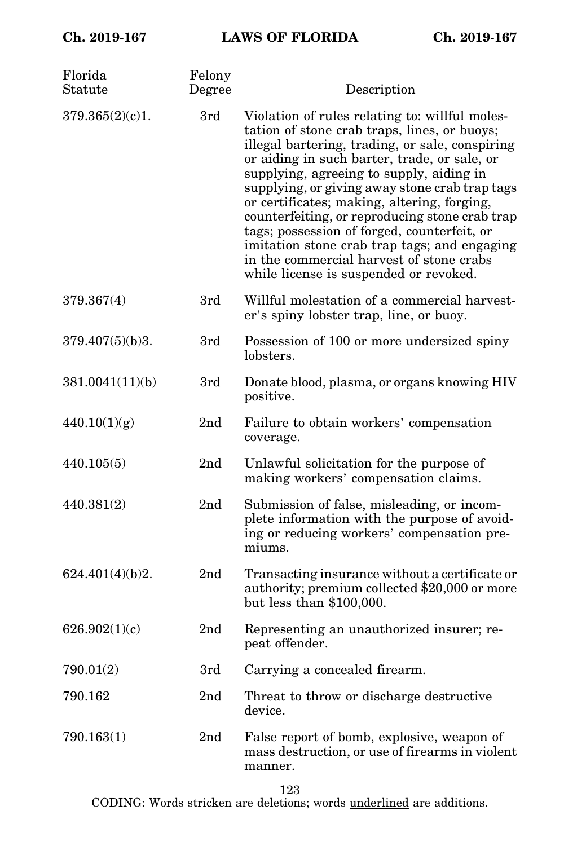| Florida<br>Statute | Felony<br>Degree | Description                                                                                                                                                                                                                                                                                                                                                                                                                                                                                                                                                                           |
|--------------------|------------------|---------------------------------------------------------------------------------------------------------------------------------------------------------------------------------------------------------------------------------------------------------------------------------------------------------------------------------------------------------------------------------------------------------------------------------------------------------------------------------------------------------------------------------------------------------------------------------------|
| 379.365(2)(c)1.    | 3rd              | Violation of rules relating to: willful moles-<br>tation of stone crab traps, lines, or buoys;<br>illegal bartering, trading, or sale, conspiring<br>or aiding in such barter, trade, or sale, or<br>supplying, agreeing to supply, aiding in<br>supplying, or giving away stone crab trap tags<br>or certificates; making, altering, forging,<br>counterfeiting, or reproducing stone crab trap<br>tags; possession of forged, counterfeit, or<br>imitation stone crab trap tags; and engaging<br>in the commercial harvest of stone crabs<br>while license is suspended or revoked. |
| 379.367(4)         | 3rd              | Willful molestation of a commercial harvest-<br>er's spiny lobster trap, line, or buoy.                                                                                                                                                                                                                                                                                                                                                                                                                                                                                               |
| 379.407(5)(b)3.    | 3rd              | Possession of 100 or more undersized spiny<br>lobsters.                                                                                                                                                                                                                                                                                                                                                                                                                                                                                                                               |
| 381.0041(11)(b)    | 3rd              | Donate blood, plasma, or organs knowing HIV<br>positive.                                                                                                                                                                                                                                                                                                                                                                                                                                                                                                                              |
| 440.10(1)(g)       | 2 <sub>nd</sub>  | Failure to obtain workers' compensation<br>coverage.                                                                                                                                                                                                                                                                                                                                                                                                                                                                                                                                  |
| 440.105(5)         | 2nd              | Unlawful solicitation for the purpose of<br>making workers' compensation claims.                                                                                                                                                                                                                                                                                                                                                                                                                                                                                                      |
| 440.381(2)         | 2 <sub>nd</sub>  | Submission of false, misleading, or incom-<br>plete information with the purpose of avoid-<br>ing or reducing workers' compensation pre-<br>miums.                                                                                                                                                                                                                                                                                                                                                                                                                                    |
| 624.401(4)(b)2.    | 2 <sub>nd</sub>  | Transacting insurance without a certificate or<br>authority; premium collected \$20,000 or more<br>but less than \$100,000.                                                                                                                                                                                                                                                                                                                                                                                                                                                           |
| 626.902(1)(c)      | 2 <sub>nd</sub>  | Representing an unauthorized insurer; re-<br>peat offender.                                                                                                                                                                                                                                                                                                                                                                                                                                                                                                                           |
| 790.01(2)          | 3rd              | Carrying a concealed firearm.                                                                                                                                                                                                                                                                                                                                                                                                                                                                                                                                                         |
| 790.162            | 2nd              | Threat to throw or discharge destructive<br>device.                                                                                                                                                                                                                                                                                                                                                                                                                                                                                                                                   |
| 790.163(1)         | 2 <sub>nd</sub>  | False report of bomb, explosive, weapon of<br>mass destruction, or use of firearms in violent<br>manner.                                                                                                                                                                                                                                                                                                                                                                                                                                                                              |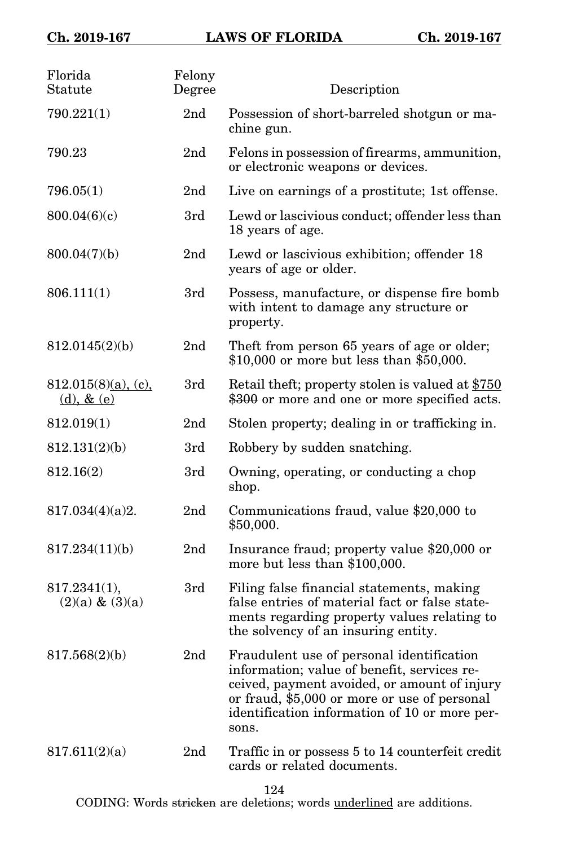| Florida<br>Statute                     | Felony<br>Degree | Description                                                                                                                                                                                                                                        |
|----------------------------------------|------------------|----------------------------------------------------------------------------------------------------------------------------------------------------------------------------------------------------------------------------------------------------|
| 790.221(1)                             | 2nd              | Possession of short-barreled shotgun or ma-<br>chine gun.                                                                                                                                                                                          |
| 790.23                                 | 2 <sub>nd</sub>  | Felons in possession of firearms, ammunition,<br>or electronic weapons or devices.                                                                                                                                                                 |
| 796.05(1)                              | 2 <sub>nd</sub>  | Live on earnings of a prostitute; 1st offense.                                                                                                                                                                                                     |
| 800.04(6)(c)                           | 3rd              | Lewd or lascivious conduct; offender less than<br>18 years of age.                                                                                                                                                                                 |
| 800.04(7)(b)                           | 2nd              | Lewd or lascivious exhibition; offender 18<br>years of age or older.                                                                                                                                                                               |
| 806.111(1)                             | 3rd              | Possess, manufacture, or dispense fire bomb<br>with intent to damage any structure or<br>property.                                                                                                                                                 |
| 812.0145(2)(b)                         | 2nd              | Theft from person 65 years of age or older;<br>\$10,000 or more but less than \$50,000.                                                                                                                                                            |
| $812.015(8)(a)$ , (c),<br>(d), $& (e)$ | 3rd              | Retail theft; property stolen is valued at \$750<br>\$300 or more and one or more specified acts.                                                                                                                                                  |
| 812.019(1)                             | 2 <sub>nd</sub>  | Stolen property; dealing in or trafficking in.                                                                                                                                                                                                     |
| 812.131(2)(b)                          | 3rd              | Robbery by sudden snatching.                                                                                                                                                                                                                       |
| 812.16(2)                              | 3rd              | Owning, operating, or conducting a chop<br>shop.                                                                                                                                                                                                   |
| 817.034(4)(a)2.                        | 2 <sub>nd</sub>  | Communications fraud, value \$20,000 to<br>\$50,000.                                                                                                                                                                                               |
| 817.234(11)(b)                         | 2nd              | Insurance fraud; property value \$20,000 or<br>more but less than \$100,000.                                                                                                                                                                       |
| 817.2341(1),<br>$(2)(a) \& (3)(a)$     | 3rd              | Filing false financial statements, making<br>false entries of material fact or false state-<br>ments regarding property values relating to<br>the solvency of an insuring entity.                                                                  |
| 817.568(2)(b)                          | 2nd              | Fraudulent use of personal identification<br>information; value of benefit, services re-<br>ceived, payment avoided, or amount of injury<br>or fraud, \$5,000 or more or use of personal<br>identification information of 10 or more per-<br>sons. |
| 817.611(2)(a)                          | 2nd              | Traffic in or possess 5 to 14 counterfeit credit<br>cards or related documents.                                                                                                                                                                    |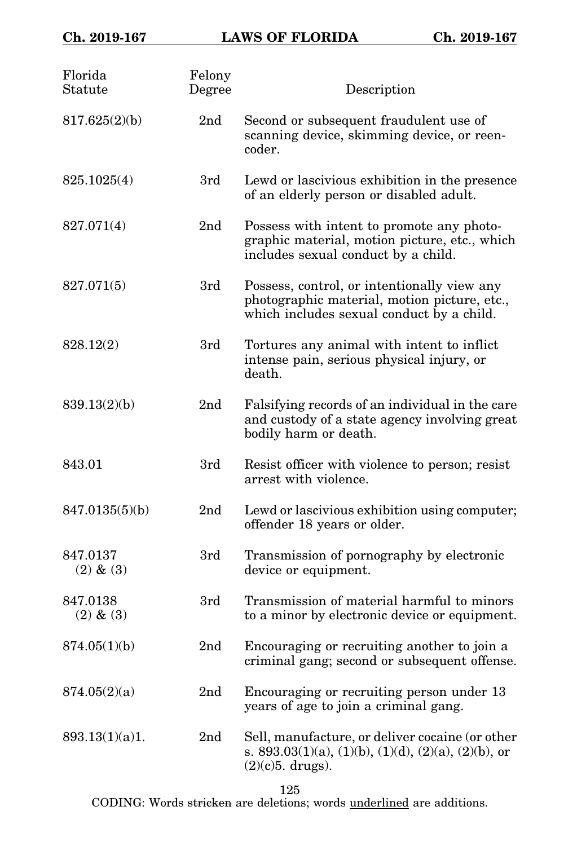| Florida<br>Statute        | Felony<br>Degree | Description                                                                                                                              |
|---------------------------|------------------|------------------------------------------------------------------------------------------------------------------------------------------|
| 817.625(2)(b)             | 2 <sub>nd</sub>  | Second or subsequent fraudulent use of<br>scanning device, skimming device, or reen-<br>coder.                                           |
| 825.1025(4)               | 3rd              | Lewd or lascivious exhibition in the presence<br>of an elderly person or disabled adult.                                                 |
| 827.071(4)                | 2 <sub>nd</sub>  | Possess with intent to promote any photo-<br>graphic material, motion picture, etc., which<br>includes sexual conduct by a child.        |
| 827.071(5)                | 3rd              | Possess, control, or intentionally view any<br>photographic material, motion picture, etc.,<br>which includes sexual conduct by a child. |
| 828.12(2)                 | 3rd              | Tortures any animal with intent to inflict<br>intense pain, serious physical injury, or<br>death.                                        |
| 839.13(2)(b)              | 2 <sub>nd</sub>  | Falsifying records of an individual in the care<br>and custody of a state agency involving great<br>bodily harm or death.                |
| 843.01                    | 3rd              | Resist officer with violence to person; resist<br>arrest with violence.                                                                  |
| 847.0135(5)(b)            | 2 <sub>nd</sub>  | Lewd or lascivious exhibition using computer;<br>offender 18 years or older.                                                             |
| 847.0137<br>$(2)$ & $(3)$ | 3rd              | Transmission of pornography by electronic<br>device or equipment.                                                                        |
| 847.0138<br>$(2)$ & $(3)$ | 3rd              | Transmission of material harmful to minors<br>to a minor by electronic device or equipment.                                              |
| 874.05(1)(b)              | 2nd              | Encouraging or recruiting another to join a<br>criminal gang; second or subsequent offense.                                              |
| 874.05(2)(a)              | 2nd              | Encouraging or recruiting person under 13<br>years of age to join a criminal gang.                                                       |
| 893.13(1)(a)1.            | 2 <sub>nd</sub>  | Sell, manufacture, or deliver cocaine (or other<br>s. 893.03(1)(a), (1)(b), (1)(d), (2)(a), (2)(b), or<br>$(2)(c)5.$ drugs).             |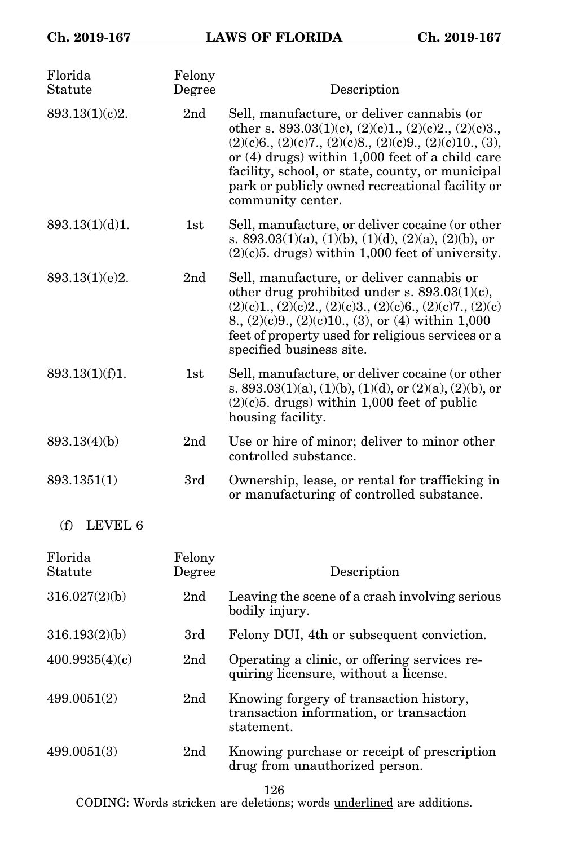| Florida<br>Statute | Felony<br>Degree | Description                                                                                                                                                                                                                                                                                                                                            |
|--------------------|------------------|--------------------------------------------------------------------------------------------------------------------------------------------------------------------------------------------------------------------------------------------------------------------------------------------------------------------------------------------------------|
| 893.13(1)(c)2.     | 2 <sub>nd</sub>  | Sell, manufacture, or deliver cannabis (or<br>other s. $893.03(1)(c)$ , $(2)(c)1$ ., $(2)(c)2$ ., $(2)(c)3$ .<br>$(2)(c)6, (2)(c)7, (2)(c)8, (2)(c)9, (2)(c)10, (3),$<br>or $(4)$ drugs) within 1,000 feet of a child care<br>facility, school, or state, county, or municipal<br>park or publicly owned recreational facility or<br>community center. |
| 893.13(1)(d)1.     | 1st              | Sell, manufacture, or deliver cocaine (or other<br>s. 893.03(1)(a), (1)(b), (1)(d), (2)(a), (2)(b), or<br>$(2)(c)$ 5. drugs) within 1,000 feet of university.                                                                                                                                                                                          |
| 893.13(1)(e)2.     | 2nd              | Sell, manufacture, or deliver cannabis or<br>other drug prohibited under s. 893.03(1)(c),<br>$(2)(c)1, (2)(c)2, (2)(c)3, (2)(c)6, (2)(c)7, (2)(c)$<br>8., $(2)(c)9$ ., $(2)(c)10$ ., $(3)$ , or $(4)$ within 1,000<br>feet of property used for religious services or a<br>specified business site.                                                    |
| 893.13(1)(f)1.     | $1\mathrm{st}$   | Sell, manufacture, or deliver cocaine (or other<br>s. $893.03(1)(a)$ , $(1)(b)$ , $(1)(d)$ , or $(2)(a)$ , $(2)(b)$ , or<br>$(2)(c)5.$ drugs) within 1,000 feet of public<br>housing facility.                                                                                                                                                         |
| 893.13(4)(b)       | 2 <sub>nd</sub>  | Use or hire of minor; deliver to minor other<br>controlled substance.                                                                                                                                                                                                                                                                                  |
| 893.1351(1)        | 3rd              | Ownership, lease, or rental for trafficking in<br>or manufacturing of controlled substance.                                                                                                                                                                                                                                                            |
| (f)<br>LEVEL 6     |                  |                                                                                                                                                                                                                                                                                                                                                        |
| Florida<br>Statute | Felony<br>Degree | Description                                                                                                                                                                                                                                                                                                                                            |
| 316.027(2)(b)      | 2 <sub>nd</sub>  | Leaving the scene of a crash involving serious<br>bodily injury.                                                                                                                                                                                                                                                                                       |

| 316.193(2)(b) | Felony DUI, 4th or subsequent conviction. |  |  |
|---------------|-------------------------------------------|--|--|
|               |                                           |  |  |

- 400.9935(4)(c) 2nd Operating a clinic, or offering services requiring licensure, without a license.
- 499.0051(2) 2nd Knowing forgery of transaction history, transaction information, or transaction statement.
- 499.0051(3) 2nd Knowing purchase or receipt of prescription drug from unauthorized person.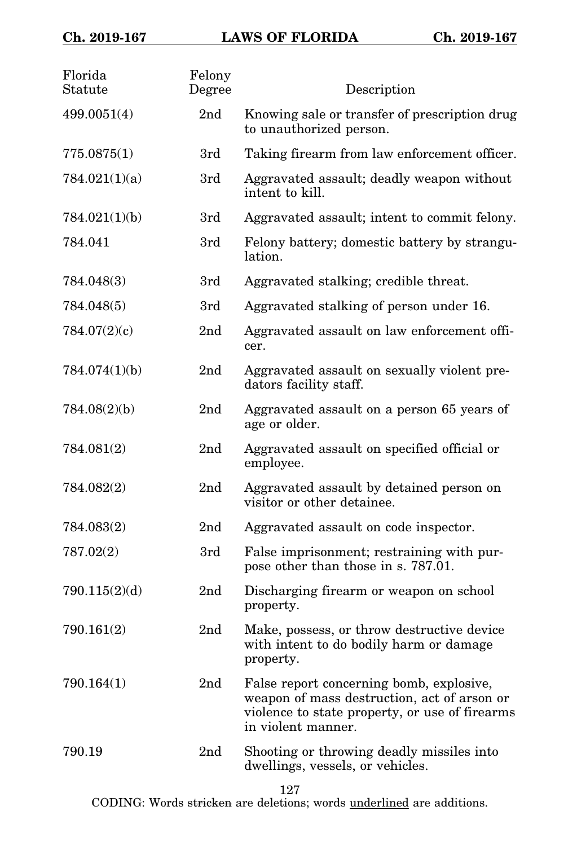| Florida<br>Statute | Felony<br>Degree | Description                                                                                                                                                     |
|--------------------|------------------|-----------------------------------------------------------------------------------------------------------------------------------------------------------------|
| 499.0051(4)        | 2 <sub>nd</sub>  | Knowing sale or transfer of prescription drug<br>to unauthorized person.                                                                                        |
| 775.0875(1)        | 3rd              | Taking firearm from law enforcement officer.                                                                                                                    |
| 784.021(1)(a)      | 3rd              | Aggravated assault; deadly weapon without<br>intent to kill.                                                                                                    |
| 784.021(1)(b)      | 3rd              | Aggravated assault; intent to commit felony.                                                                                                                    |
| 784.041            | 3rd              | Felony battery; domestic battery by strangu-<br>lation.                                                                                                         |
| 784.048(3)         | 3rd              | Aggravated stalking; credible threat.                                                                                                                           |
| 784.048(5)         | 3rd              | Aggravated stalking of person under 16.                                                                                                                         |
| 784.07(2)(c)       | 2 <sub>nd</sub>  | Aggravated assault on law enforcement offi-<br>cer.                                                                                                             |
| 784.074(1)(b)      | 2 <sub>nd</sub>  | Aggravated assault on sexually violent pre-<br>dators facility staff.                                                                                           |
| 784.08(2)(b)       | 2 <sub>nd</sub>  | Aggravated assault on a person 65 years of<br>age or older.                                                                                                     |
| 784.081(2)         | 2 <sub>nd</sub>  | Aggravated assault on specified official or<br>employee.                                                                                                        |
| 784.082(2)         | 2 <sub>nd</sub>  | Aggravated assault by detained person on<br>visitor or other detainee.                                                                                          |
| 784.083(2)         | 2 <sub>nd</sub>  | Aggravated assault on code inspector.                                                                                                                           |
| 787.02(2)          | 3rd              | False imprisonment; restraining with pur-<br>pose other than those in s. 787.01.                                                                                |
| 790.115(2)(d)      | 2 <sub>nd</sub>  | Discharging firearm or weapon on school<br>property.                                                                                                            |
| 790.161(2)         | 2 <sub>nd</sub>  | Make, possess, or throw destructive device<br>with intent to do bodily harm or damage<br>property.                                                              |
| 790.164(1)         | 2nd              | False report concerning bomb, explosive,<br>weapon of mass destruction, act of arson or<br>violence to state property, or use of firearms<br>in violent manner. |
| 790.19             | 2nd              | Shooting or throwing deadly missiles into<br>dwellings, vessels, or vehicles.                                                                                   |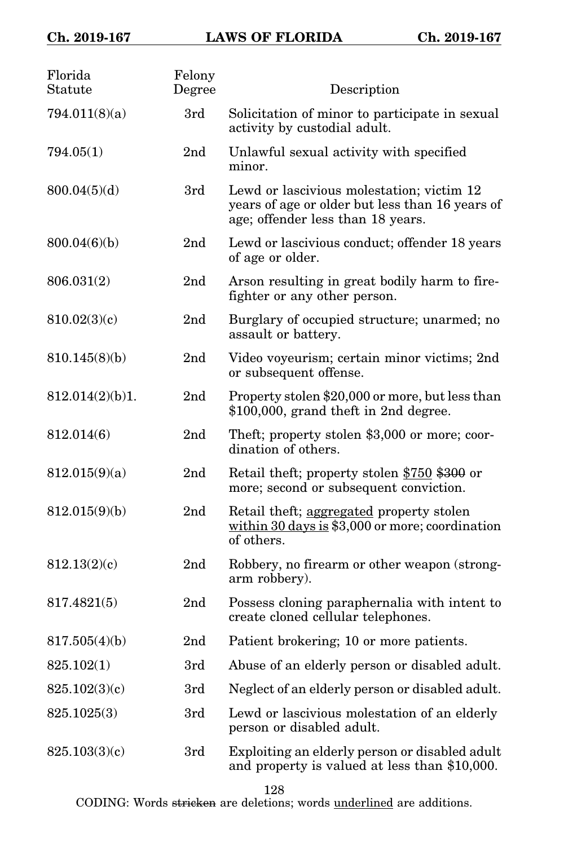| Florida<br>Statute | Felony<br>Degree | Description                                                                                                                       |
|--------------------|------------------|-----------------------------------------------------------------------------------------------------------------------------------|
| 794.011(8)(a)      | 3rd              | Solicitation of minor to participate in sexual<br>activity by custodial adult.                                                    |
| 794.05(1)          | 2nd              | Unlawful sexual activity with specified<br>minor.                                                                                 |
| 800.04(5)(d)       | 3rd              | Lewd or lascivious molestation; victim 12<br>years of age or older but less than 16 years of<br>age; offender less than 18 years. |
| 800.04(6)(b)       | 2nd              | Lewd or lascivious conduct; offender 18 years<br>of age or older.                                                                 |
| 806.031(2)         | 2nd              | Arson resulting in great bodily harm to fire-<br>fighter or any other person.                                                     |
| 810.02(3)(c)       | 2nd              | Burglary of occupied structure; unarmed; no<br>assault or battery.                                                                |
| 810.145(8)(b)      | 2 <sub>nd</sub>  | Video voyeurism; certain minor victims; 2nd<br>or subsequent offense.                                                             |
| 812.014(2)(b)1.    | 2nd              | Property stolen \$20,000 or more, but less than<br>\$100,000, grand theft in 2nd degree.                                          |
| 812.014(6)         | 2 <sub>nd</sub>  | Theft; property stolen \$3,000 or more; coor-<br>dination of others.                                                              |
| 812.015(9)(a)      | 2nd              | Retail theft; property stolen \$750 \$300 or<br>more; second or subsequent conviction.                                            |
| 812.015(9)(b)      | 2 <sub>nd</sub>  | Retail theft; aggregated property stolen<br>within $30 \text{ days}$ is \$3,000 or more; coordination<br>of others.               |
| 812.13(2)(c)       | 2 <sub>nd</sub>  | Robbery, no firearm or other weapon (strong-<br>arm robbery).                                                                     |
| 817.4821(5)        | 2nd              | Possess cloning paraphernalia with intent to<br>create cloned cellular telephones.                                                |
| 817.505(4)(b)      | 2 <sub>nd</sub>  | Patient brokering; 10 or more patients.                                                                                           |
| 825.102(1)         | 3rd              | Abuse of an elderly person or disabled adult.                                                                                     |
| 825.102(3)(c)      | 3rd              | Neglect of an elderly person or disabled adult.                                                                                   |
| 825.1025(3)        | 3rd              | Lewd or lascivious molestation of an elderly<br>person or disabled adult.                                                         |
| 825.103(3)(c)      | 3rd              | Exploiting an elderly person or disabled adult<br>and property is valued at less than \$10,000.                                   |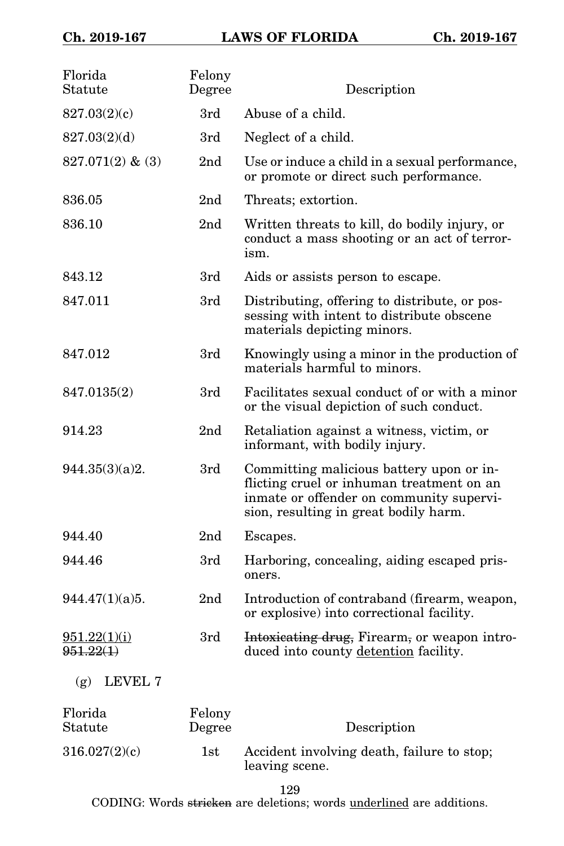| Florida<br>Statute        | Felony<br>Degree | Description                                                                                                                                                                |
|---------------------------|------------------|----------------------------------------------------------------------------------------------------------------------------------------------------------------------------|
| 827.03(2)(c)              | 3rd              | Abuse of a child.                                                                                                                                                          |
| 827.03(2)(d)              | 3rd              | Neglect of a child.                                                                                                                                                        |
| $827.071(2)$ & (3)        | 2 <sub>nd</sub>  | Use or induce a child in a sexual performance,<br>or promote or direct such performance.                                                                                   |
| 836.05                    | 2nd              | Threats; extortion.                                                                                                                                                        |
| 836.10                    | 2 <sub>nd</sub>  | Written threats to kill, do bodily injury, or<br>conduct a mass shooting or an act of terror-<br>ism.                                                                      |
| 843.12                    | 3rd              | Aids or assists person to escape.                                                                                                                                          |
| 847.011                   | 3rd              | Distributing, offering to distribute, or pos-<br>sessing with intent to distribute obscene<br>materials depicting minors.                                                  |
| 847.012                   | 3rd              | Knowingly using a minor in the production of<br>materials harmful to minors.                                                                                               |
| 847.0135(2)               | 3rd              | Facilitates sexual conduct of or with a minor<br>or the visual depiction of such conduct.                                                                                  |
| 914.23                    | 2 <sub>nd</sub>  | Retaliation against a witness, victim, or<br>informant, with bodily injury.                                                                                                |
| 944.35(3)(a)2.            | 3rd              | Committing malicious battery upon or in-<br>flicting cruel or inhuman treatment on an<br>inmate or offender on community supervi-<br>sion, resulting in great bodily harm. |
| 944.40                    | 2 <sub>nd</sub>  | Escapes.                                                                                                                                                                   |
| 944.46                    | 3rd              | Harboring, concealing, aiding escaped pris-<br>oners.                                                                                                                      |
| 944.47(1)(a)5.            | 2 <sub>nd</sub>  | Introduction of contraband (firearm, weapon,<br>or explosive) into correctional facility.                                                                                  |
| 951.22(1)(i)<br>951.22(1) | 3rd              | Intoxicating drug, Firearm, or weapon intro-<br>duced into county detention facility.                                                                                      |
| LEVEL 7<br>(g)            |                  |                                                                                                                                                                            |
| Florida<br>Statute        | Felony<br>Degree | Description                                                                                                                                                                |
| 316.027(2)(c)             | 1st              | Accident involving death, failure to stop;                                                                                                                                 |

leaving scene. 129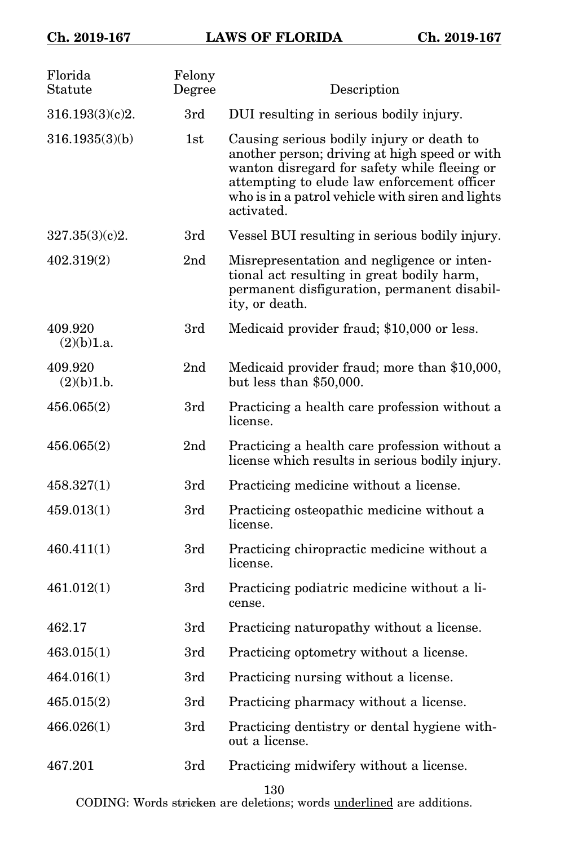## **Ch. 2019-167 LAWS OF FLORIDA Ch. 2019-167**

| Ch. 2019-167 |  |  |  |
|--------------|--|--|--|
|--------------|--|--|--|

| Florida<br>Statute    | Felony<br>Degree | Description                                                                                                                                                                                                                                                 |
|-----------------------|------------------|-------------------------------------------------------------------------------------------------------------------------------------------------------------------------------------------------------------------------------------------------------------|
| 316.193(3)(c)2.       | 3rd              | DUI resulting in serious bodily injury.                                                                                                                                                                                                                     |
| 316.1935(3)(b)        | 1st              | Causing serious bodily injury or death to<br>another person; driving at high speed or with<br>wanton disregard for safety while fleeing or<br>attempting to elude law enforcement officer<br>who is in a patrol vehicle with siren and lights<br>activated. |
| 327.35(3)(c)2.        | 3rd              | Vessel BUI resulting in serious bodily injury.                                                                                                                                                                                                              |
| 402.319(2)            | 2 <sub>nd</sub>  | Misrepresentation and negligence or inten-<br>tional act resulting in great bodily harm,<br>permanent disfiguration, permanent disabil-<br>ity, or death.                                                                                                   |
| 409.920<br>(2)(b)1.a. | 3rd              | Medicaid provider fraud; \$10,000 or less.                                                                                                                                                                                                                  |
| 409.920<br>(2)(b)1.b. | 2nd              | Medicaid provider fraud; more than \$10,000,<br>but less than \$50,000.                                                                                                                                                                                     |
| 456.065(2)            | 3rd              | Practicing a health care profession without a<br>license.                                                                                                                                                                                                   |
| 456.065(2)            | 2nd              | Practicing a health care profession without a<br>license which results in serious bodily injury.                                                                                                                                                            |
| 458.327(1)            | 3rd              | Practicing medicine without a license.                                                                                                                                                                                                                      |
| 459.013(1)            | 3rd              | Practicing osteopathic medicine without a<br>license.                                                                                                                                                                                                       |
| 460.411(1)            | 3rd              | Practicing chiropractic medicine without a<br>license.                                                                                                                                                                                                      |
| 461.012(1)            | 3rd              | Practicing podiatric medicine without a li-<br>cense.                                                                                                                                                                                                       |
| 462.17                | 3rd              | Practicing naturopathy without a license.                                                                                                                                                                                                                   |
| 463.015(1)            | 3rd              | Practicing optometry without a license.                                                                                                                                                                                                                     |
| 464.016(1)            | 3rd              | Practicing nursing without a license.                                                                                                                                                                                                                       |
| 465.015(2)            | 3rd              | Practicing pharmacy without a license.                                                                                                                                                                                                                      |
| 466.026(1)            | 3rd              | Practicing dentistry or dental hygiene with-<br>out a license.                                                                                                                                                                                              |
| 467.201               | 3rd              | Practicing midwifery without a license.                                                                                                                                                                                                                     |

130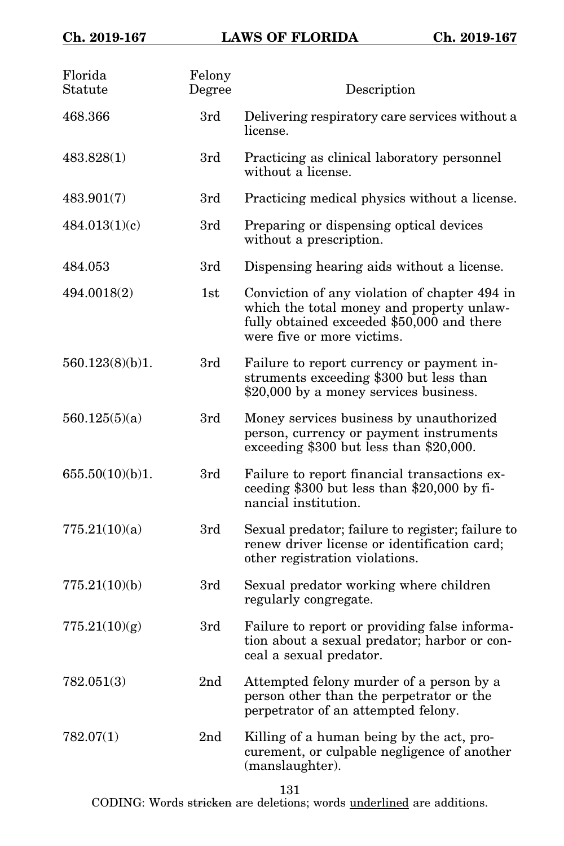| Florida<br>Statute | Felony<br>Degree | Description                                                                                                                                                            |
|--------------------|------------------|------------------------------------------------------------------------------------------------------------------------------------------------------------------------|
| 468.366            | 3rd              | Delivering respiratory care services without a<br>license.                                                                                                             |
| 483.828(1)         | 3rd              | Practicing as clinical laboratory personnel<br>without a license.                                                                                                      |
| 483.901(7)         | 3rd              | Practicing medical physics without a license.                                                                                                                          |
| 484.013(1)(c)      | 3rd              | Preparing or dispensing optical devices<br>without a prescription.                                                                                                     |
| 484.053            | 3rd              | Dispensing hearing aids without a license.                                                                                                                             |
| 494.0018(2)        | 1st              | Conviction of any violation of chapter 494 in<br>which the total money and property unlaw-<br>fully obtained exceeded \$50,000 and there<br>were five or more victims. |
| 560.123(8)(b)1.    | 3rd              | Failure to report currency or payment in-<br>struments exceeding \$300 but less than<br>\$20,000 by a money services business.                                         |
| 560.125(5)(a)      | 3rd              | Money services business by unauthorized<br>person, currency or payment instruments<br>exceeding \$300 but less than \$20,000.                                          |
| 655.50(10)(b)1.    | 3rd              | Failure to report financial transactions ex-<br>ceeding $$300$ but less than $$20,000$ by fi-<br>nancial institution.                                                  |
| 775.21(10)(a)      | 3rd              | Sexual predator; failure to register; failure to<br>renew driver license or identification card;<br>other registration violations.                                     |
| 775.21(10)(b)      | 3rd              | Sexual predator working where children<br>regularly congregate.                                                                                                        |
| 775.21(10)(g)      | 3rd              | Failure to report or providing false informa-<br>tion about a sexual predator; harbor or con-<br>ceal a sexual predator.                                               |
| 782.051(3)         | 2 <sub>nd</sub>  | Attempted felony murder of a person by a<br>person other than the perpetrator or the<br>perpetrator of an attempted felony.                                            |
| 782.07(1)          | 2 <sub>nd</sub>  | Killing of a human being by the act, pro-<br>curement, or culpable negligence of another<br>(manslaughter).                                                            |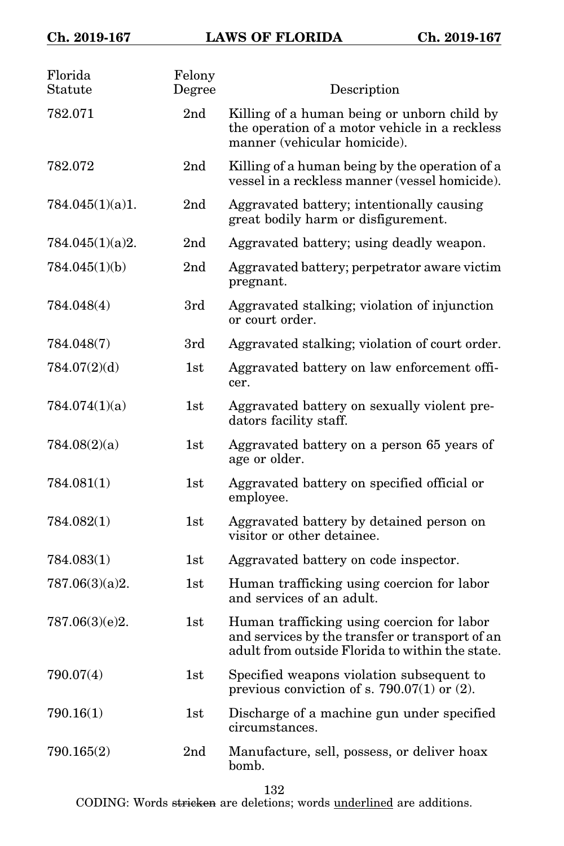| Florida<br>Statute | Felony<br>Degree | Description                                                                                                                                      |
|--------------------|------------------|--------------------------------------------------------------------------------------------------------------------------------------------------|
| 782.071            | 2 <sub>nd</sub>  | Killing of a human being or unborn child by<br>the operation of a motor vehicle in a reckless<br>manner (vehicular homicide).                    |
| 782.072            | 2nd              | Killing of a human being by the operation of a<br>vessel in a reckless manner (vessel homicide).                                                 |
| 784.045(1)(a)1.    | 2 <sub>nd</sub>  | Aggravated battery; intentionally causing<br>great bodily harm or disfigurement.                                                                 |
| 784.045(1)(a)2.    | 2 <sub>nd</sub>  | Aggravated battery; using deadly weapon.                                                                                                         |
| 784.045(1)(b)      | 2 <sub>nd</sub>  | Aggravated battery; perpetrator aware victim<br>pregnant.                                                                                        |
| 784.048(4)         | 3rd              | Aggravated stalking; violation of injunction<br>or court order.                                                                                  |
| 784.048(7)         | 3rd              | Aggravated stalking; violation of court order.                                                                                                   |
| 784.07(2)(d)       | 1st              | Aggravated battery on law enforcement offi-<br>cer.                                                                                              |
| 784.074(1)(a)      | 1st              | Aggravated battery on sexually violent pre-<br>dators facility staff.                                                                            |
| 784.08(2)(a)       | 1st              | Aggravated battery on a person 65 years of<br>age or older.                                                                                      |
| 784.081(1)         | 1st              | Aggravated battery on specified official or<br>employee.                                                                                         |
| 784.082(1)         | 1st              | Aggravated battery by detained person on<br>visitor or other detainee.                                                                           |
| 784.083(1)         | 1st              | Aggravated battery on code inspector.                                                                                                            |
| 787.06(3)(a)2.     | 1st              | Human trafficking using coercion for labor<br>and services of an adult.                                                                          |
| 787.06(3)(e)2.     | 1st              | Human trafficking using coercion for labor<br>and services by the transfer or transport of an<br>adult from outside Florida to within the state. |
| 790.07(4)          | 1st              | Specified weapons violation subsequent to<br>previous conviction of s. 790.07(1) or $(2)$ .                                                      |
| 790.16(1)          | 1st              | Discharge of a machine gun under specified<br>circumstances.                                                                                     |
| 790.165(2)         | 2nd              | Manufacture, sell, possess, or deliver hoax<br>bomb.                                                                                             |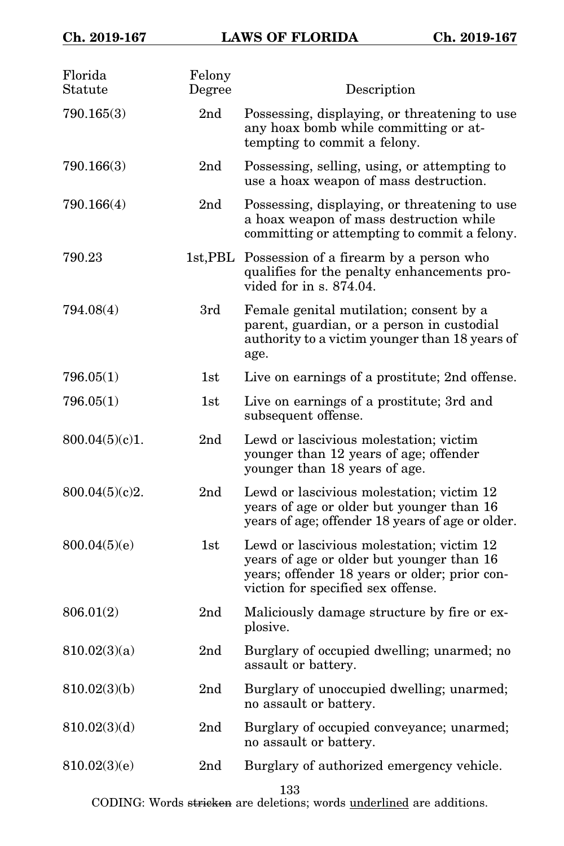| Florida<br>Statute | Felony<br>Degree | Description                                                                                                                                                                   |
|--------------------|------------------|-------------------------------------------------------------------------------------------------------------------------------------------------------------------------------|
| 790.165(3)         | 2 <sub>nd</sub>  | Possessing, displaying, or threatening to use<br>any hoax bomb while committing or at-<br>tempting to commit a felony.                                                        |
| 790.166(3)         | 2 <sub>nd</sub>  | Possessing, selling, using, or attempting to<br>use a hoax weapon of mass destruction.                                                                                        |
| 790.166(4)         | 2 <sub>nd</sub>  | Possessing, displaying, or threatening to use<br>a hoax weapon of mass destruction while<br>committing or attempting to commit a felony.                                      |
| 790.23             |                  | 1st, PBL Possession of a firearm by a person who<br>qualifies for the penalty enhancements pro-<br>vided for in $s. 874.04$ .                                                 |
| 794.08(4)          | 3rd              | Female genital mutilation; consent by a<br>parent, guardian, or a person in custodial<br>authority to a victim younger than 18 years of<br>age.                               |
| 796.05(1)          | 1st              | Live on earnings of a prostitute; 2nd offense.                                                                                                                                |
| 796.05(1)          | 1st              | Live on earnings of a prostitute; 3rd and<br>subsequent offense.                                                                                                              |
| 800.04(5)(c)1.     | 2 <sub>nd</sub>  | Lewd or lascivious molestation; victim<br>younger than 12 years of age; offender<br>younger than 18 years of age.                                                             |
| 800.04(5)(c)2.     | 2 <sub>nd</sub>  | Lewd or lascivious molestation; victim 12<br>years of age or older but younger than 16<br>years of age; offender 18 years of age or older.                                    |
| 800.04(5)(e)       | 1st              | Lewd or lascivious molestation; victim 12<br>years of age or older but younger than 16<br>years; offender 18 years or older; prior con-<br>viction for specified sex offense. |
| 806.01(2)          | 2 <sub>nd</sub>  | Maliciously damage structure by fire or ex-<br>plosive.                                                                                                                       |
| 810.02(3)(a)       | 2 <sub>nd</sub>  | Burglary of occupied dwelling; unarmed; no<br>assault or battery.                                                                                                             |
| 810.02(3)(b)       | 2nd              | Burglary of unoccupied dwelling; unarmed;<br>no assault or battery.                                                                                                           |
| 810.02(3)(d)       | 2nd              | Burglary of occupied conveyance; unarmed;<br>no assault or battery.                                                                                                           |
| 810.02(3)(e)       | 2nd              | Burglary of authorized emergency vehicle.                                                                                                                                     |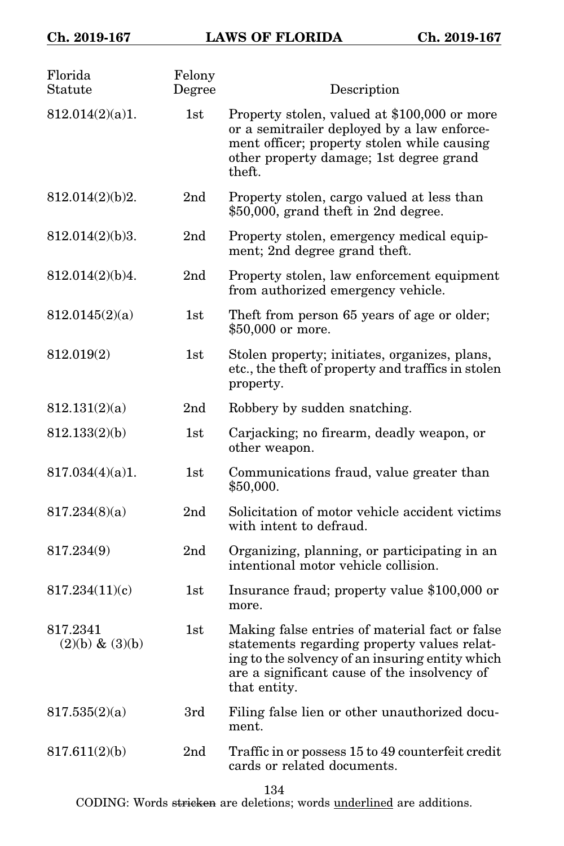| Florida<br>Statute             | Felony<br>Degree | Description                                                                                                                                                                                                      |
|--------------------------------|------------------|------------------------------------------------------------------------------------------------------------------------------------------------------------------------------------------------------------------|
| 812.014(2)(a)1.                | 1st              | Property stolen, valued at \$100,000 or more<br>or a semitrailer deployed by a law enforce-<br>ment officer; property stolen while causing<br>other property damage; 1st degree grand<br>theft.                  |
| 812.014(2)(b)2.                | 2nd              | Property stolen, cargo valued at less than<br>\$50,000, grand theft in 2nd degree.                                                                                                                               |
| 812.014(2)(b)3.                | 2 <sub>nd</sub>  | Property stolen, emergency medical equip-<br>ment; 2nd degree grand theft.                                                                                                                                       |
| 812.014(2)(b)4.                | 2 <sub>nd</sub>  | Property stolen, law enforcement equipment<br>from authorized emergency vehicle.                                                                                                                                 |
| 812.0145(2)(a)                 | 1st              | Theft from person 65 years of age or older;<br>\$50,000 or more.                                                                                                                                                 |
| 812.019(2)                     | 1st              | Stolen property; initiates, organizes, plans,<br>etc., the theft of property and traffics in stolen<br>property.                                                                                                 |
| 812.131(2)(a)                  | 2 <sub>nd</sub>  | Robbery by sudden snatching.                                                                                                                                                                                     |
| 812.133(2)(b)                  | 1st              | Carjacking; no firearm, deadly weapon, or<br>other weapon.                                                                                                                                                       |
| 817.034(4)(a)1.                | 1st              | Communications fraud, value greater than<br>\$50,000.                                                                                                                                                            |
| 817.234(8)(a)                  | 2nd              | Solicitation of motor vehicle accident victims<br>with intent to defraud.                                                                                                                                        |
| 817.234(9)                     | 2nd              | Organizing, planning, or participating in an<br>intentional motor vehicle collision.                                                                                                                             |
| 817.234(11)(c)                 | 1st              | Insurance fraud; property value \$100,000 or<br>more.                                                                                                                                                            |
| 817.2341<br>$(2)(b) \& (3)(b)$ | 1st              | Making false entries of material fact or false<br>statements regarding property values relat-<br>ing to the solvency of an insuring entity which<br>are a significant cause of the insolvency of<br>that entity. |
| 817.535(2)(a)                  | 3rd              | Filing false lien or other unauthorized docu-<br>ment.                                                                                                                                                           |
| 817.611(2)(b)                  | 2 <sub>nd</sub>  | Traffic in or possess 15 to 49 counterfeit credit<br>cards or related documents.                                                                                                                                 |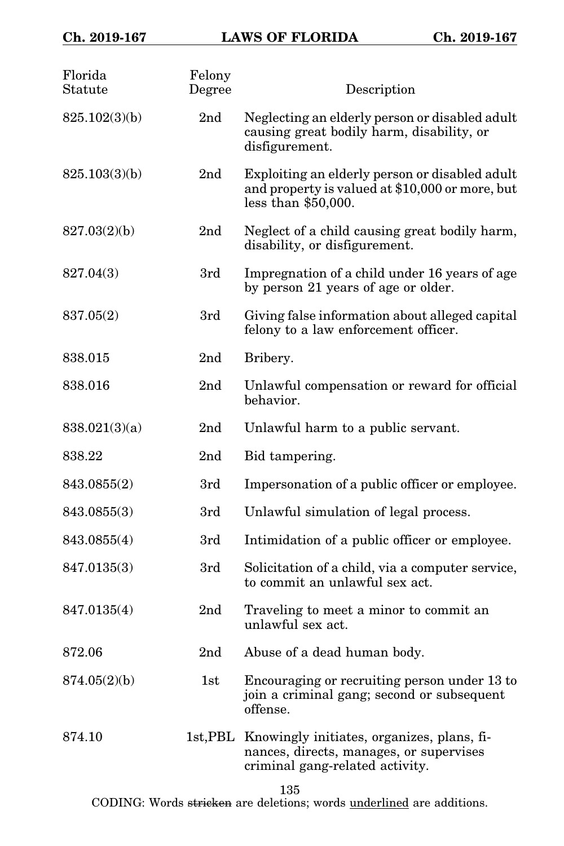| Florida<br>Statute | Felony<br>Degree | Description                                                                                                                       |
|--------------------|------------------|-----------------------------------------------------------------------------------------------------------------------------------|
| 825.102(3)(b)      | 2 <sub>nd</sub>  | Neglecting an elderly person or disabled adult<br>causing great bodily harm, disability, or<br>disfigurement.                     |
| 825.103(3)(b)      | 2nd              | Exploiting an elderly person or disabled adult<br>and property is valued at \$10,000 or more, but<br>less than $$50,000$ .        |
| 827.03(2)(b)       | 2nd              | Neglect of a child causing great bodily harm,<br>disability, or disfigurement.                                                    |
| 827.04(3)          | 3rd              | Impregnation of a child under 16 years of age<br>by person 21 years of age or older.                                              |
| 837.05(2)          | 3rd              | Giving false information about alleged capital<br>felony to a law enforcement officer.                                            |
| 838.015            | 2 <sub>nd</sub>  | Bribery.                                                                                                                          |
| 838.016            | 2nd              | Unlawful compensation or reward for official<br>behavior.                                                                         |
| 838.021(3)(a)      | 2nd              | Unlawful harm to a public servant.                                                                                                |
| 838.22             | 2 <sub>nd</sub>  | Bid tampering.                                                                                                                    |
| 843.0855(2)        | 3rd              | Impersonation of a public officer or employee.                                                                                    |
| 843.0855(3)        | 3rd              | Unlawful simulation of legal process.                                                                                             |
| 843.0855(4)        | 3rd              | Intimidation of a public officer or employee.                                                                                     |
| 847.0135(3)        | 3rd              | Solicitation of a child, via a computer service,<br>to commit an unlawful sex act.                                                |
| 847.0135(4)        | 2 <sub>nd</sub>  | Traveling to meet a minor to commit an<br>unlawful sex act.                                                                       |
| 872.06             | 2 <sub>nd</sub>  | Abuse of a dead human body.                                                                                                       |
| 874.05(2)(b)       | 1st              | Encouraging or recruiting person under 13 to<br>join a criminal gang; second or subsequent<br>offense.                            |
| 874.10             |                  | 1st, PBL Knowingly initiates, organizes, plans, fi-<br>nances, directs, manages, or supervises<br>criminal gang-related activity. |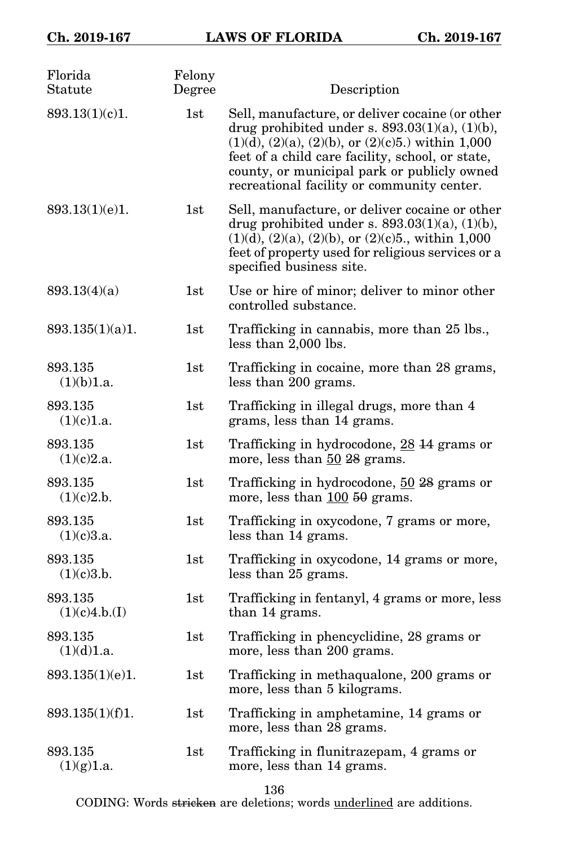| Florida<br>Statute       | Felony<br>Degree | Description                                                                                                                                                                                                                                                                                                               |
|--------------------------|------------------|---------------------------------------------------------------------------------------------------------------------------------------------------------------------------------------------------------------------------------------------------------------------------------------------------------------------------|
| 893.13(1)(c)1.           | 1st              | Sell, manufacture, or deliver cocaine (or other<br>drug prohibited under s. $893.03(1)(a)$ , $(1)(b)$ ,<br>$(1)(d)$ , $(2)(a)$ , $(2)(b)$ , or $(2)(c)5$ .) within 1,000<br>feet of a child care facility, school, or state,<br>county, or municipal park or publicly owned<br>recreational facility or community center. |
| 893.13(1)(e)1.           | 1st              | Sell, manufacture, or deliver cocaine or other<br>drug prohibited under s. $893.03(1)(a)$ , $(1)(b)$ ,<br>$(1)(d)$ , $(2)(a)$ , $(2)(b)$ , or $(2)(c)5$ ., within 1,000<br>feet of property used for religious services or a<br>specified business site.                                                                  |
| 893.13(4)(a)             | 1st              | Use or hire of minor; deliver to minor other<br>controlled substance.                                                                                                                                                                                                                                                     |
| 893.135(1)(a)1.          | 1st              | Trafficking in cannabis, more than 25 lbs.,<br>less than 2,000 lbs.                                                                                                                                                                                                                                                       |
| 893.135<br>(1)(b)1.a.    | 1st              | Trafficking in cocaine, more than 28 grams,<br>less than 200 grams.                                                                                                                                                                                                                                                       |
| 893.135<br>(1)(c)1.a.    | 1st              | Trafficking in illegal drugs, more than 4<br>grams, less than 14 grams.                                                                                                                                                                                                                                                   |
| 893.135<br>(1)(c)2.a.    | 1st              | Trafficking in hydrocodone, 28 14 grams or<br>more, less than 50 28 grams.                                                                                                                                                                                                                                                |
| 893.135<br>(1)(c)2.b.    | 1st              | Trafficking in hydrocodone, 50 28 grams or<br>more, less than $100\,50$ grams.                                                                                                                                                                                                                                            |
| 893.135<br>(1)(c)3.a.    | 1st              | Trafficking in oxycodone, 7 grams or more,<br>less than 14 grams.                                                                                                                                                                                                                                                         |
| 893.135<br>(1)(c)3.b.    | 1st              | Trafficking in oxycodone, 14 grams or more,<br>less than 25 grams.                                                                                                                                                                                                                                                        |
| 893.135<br>(1)(c)4.b.(I) | 1st              | Trafficking in fentanyl, 4 grams or more, less<br>than 14 grams.                                                                                                                                                                                                                                                          |
| 893.135<br>(1)(d)1.a.    | 1st              | Trafficking in phencyclidine, 28 grams or<br>more, less than 200 grams.                                                                                                                                                                                                                                                   |
| 893.135(1)(e)1.          | 1st              | Trafficking in methaqualone, 200 grams or<br>more, less than 5 kilograms.                                                                                                                                                                                                                                                 |
| 893.135(1)(f)1.          | 1st              | Trafficking in amphetamine, 14 grams or<br>more, less than 28 grams.                                                                                                                                                                                                                                                      |
| 893.135<br>(1)(g)1.a.    | 1st              | Trafficking in flunitrazepam, 4 grams or<br>more, less than 14 grams.                                                                                                                                                                                                                                                     |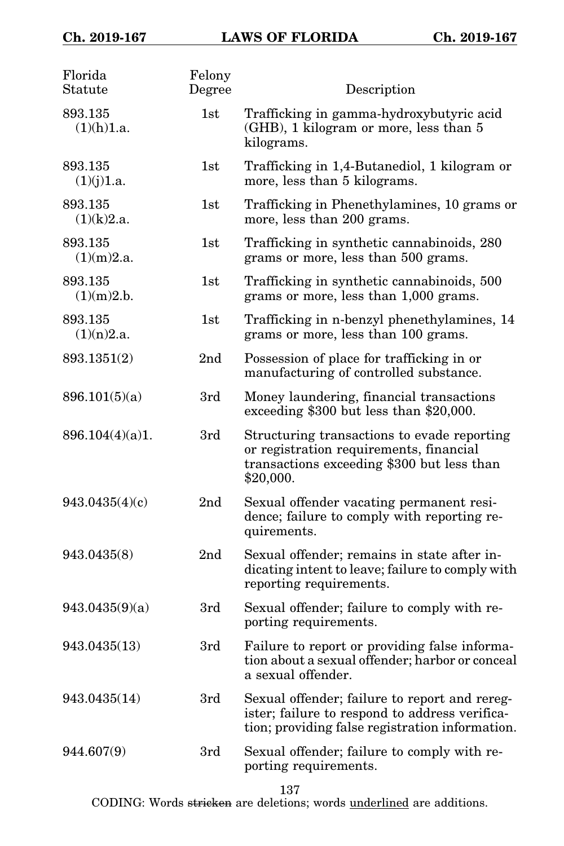| Florida<br>Statute    | Felony<br>Degree | Description                                                                                                                                        |
|-----------------------|------------------|----------------------------------------------------------------------------------------------------------------------------------------------------|
| 893.135<br>(1)(h)1.a. | 1st              | Trafficking in gamma-hydroxybutyric acid<br>(GHB), 1 kilogram or more, less than 5<br>kilograms.                                                   |
| 893.135<br>(1)(j)1.a. | 1st              | Trafficking in 1,4-Butanediol, 1 kilogram or<br>more, less than 5 kilograms.                                                                       |
| 893.135<br>(1)(k)2.a. | 1st              | Trafficking in Phenethylamines, 10 grams or<br>more, less than 200 grams.                                                                          |
| 893.135<br>(1)(m)2.a. | 1st              | Trafficking in synthetic cannabinoids, 280<br>grams or more, less than 500 grams.                                                                  |
| 893.135<br>(1)(m)2.b. | 1st              | Trafficking in synthetic cannabinoids, 500<br>grams or more, less than 1,000 grams.                                                                |
| 893.135<br>(1)(n)2.a. | 1st              | Trafficking in n-benzyl phenethylamines, 14<br>grams or more, less than 100 grams.                                                                 |
| 893.1351(2)           | 2nd              | Possession of place for trafficking in or<br>manufacturing of controlled substance.                                                                |
| 896.101(5)(a)         | 3rd              | Money laundering, financial transactions<br>exceeding \$300 but less than \$20,000.                                                                |
| 896.104(4)(a)1.       | 3rd              | Structuring transactions to evade reporting<br>or registration requirements, financial<br>transactions exceeding \$300 but less than<br>\$20,000.  |
| 943.0435(4)(c)        | 2 <sub>nd</sub>  | Sexual offender vacating permanent resi-<br>dence; failure to comply with reporting re-<br>quirements.                                             |
| 943.0435(8)           | 2 <sub>nd</sub>  | Sexual offender; remains in state after in-<br>dicating intent to leave; failure to comply with<br>reporting requirements.                         |
| 943.0435(9)(a)        | 3rd              | Sexual offender; failure to comply with re-<br>porting requirements.                                                                               |
| 943.0435(13)          | 3rd              | Failure to report or providing false informa-<br>tion about a sexual offender; harbor or conceal<br>a sexual offender.                             |
| 943.0435(14)          | 3rd              | Sexual offender; failure to report and rereg-<br>ister; failure to respond to address verifica-<br>tion; providing false registration information. |
| 944.607(9)            | 3rd              | Sexual offender; failure to comply with re-<br>porting requirements.                                                                               |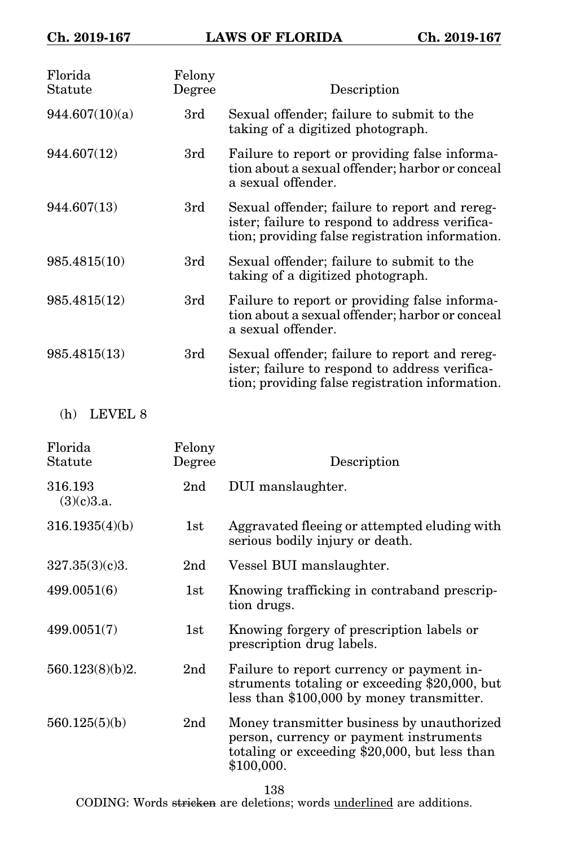| Florida<br>Statute    | Felony<br>Degree | Description                                                                                                                                        |
|-----------------------|------------------|----------------------------------------------------------------------------------------------------------------------------------------------------|
| 944.607(10)(a)        | 3rd              | Sexual offender; failure to submit to the<br>taking of a digitized photograph.                                                                     |
| 944.607(12)           | 3rd              | Failure to report or providing false informa-<br>tion about a sexual offender; harbor or conceal<br>a sexual offender.                             |
| 944.607(13)           | 3rd              | Sexual offender; failure to report and rereg-<br>ister; failure to respond to address verifica-<br>tion; providing false registration information. |
| 985.4815(10)          | 3rd              | Sexual offender; failure to submit to the<br>taking of a digitized photograph.                                                                     |
| 985.4815(12)          | 3rd              | Failure to report or providing false informa-<br>tion about a sexual offender; harbor or conceal<br>a sexual offender.                             |
| 985.4815(13)          | 3rd              | Sexual offender; failure to report and rereg-<br>ister; failure to respond to address verifica-<br>tion; providing false registration information. |
| LEVEL 8<br>(h)        |                  |                                                                                                                                                    |
| Florida<br>Statute    | Felony<br>Degree | Description                                                                                                                                        |
| 316.193<br>(3)(c)3.a. | 2 <sub>nd</sub>  | DUI manslaughter.                                                                                                                                  |
| 316.1935(4)(b)        | 1st              | Aggravated fleeing or attempted eluding with<br>serious bodily injury or death.                                                                    |
| 327.35(3)(c)3.        | 2 <sub>nd</sub>  | Vessel BUI manslaughter.                                                                                                                           |
| 499.0051(6)           | 1st              | Knowing trafficking in contraband prescrip-<br>tion drugs.                                                                                         |
| 499.0051(7)           | 1st              | Knowing forgery of prescription labels or<br>prescription drug labels.                                                                             |

560.123(8)(b)2. 2nd Failure to report currency or payment instruments totaling or exceeding \$20,000, but less than \$100,000 by money transmitter.

560.125(5)(b) 2nd Money transmitter business by unauthorized person, currency or payment instruments totaling or exceeding \$20,000, but less than \$100,000.

138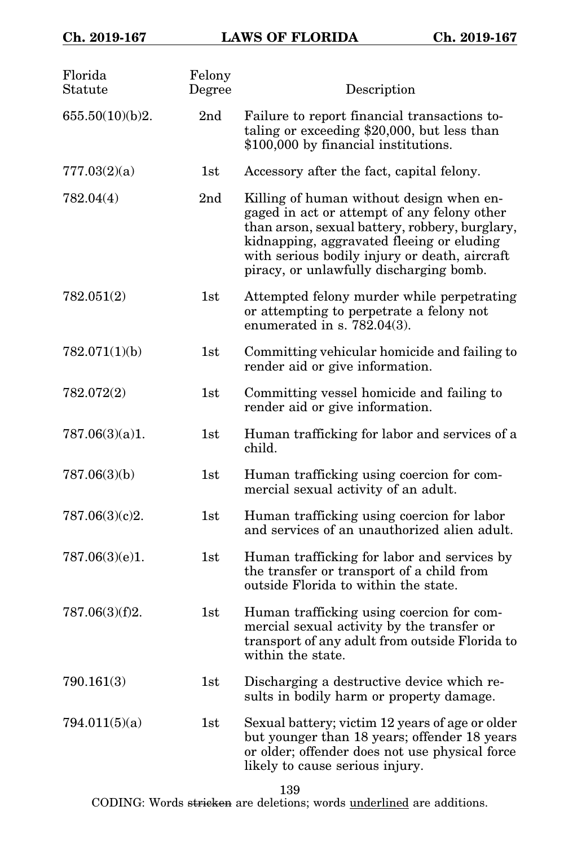| Florida<br>${\rm Statute}$ | Felony<br>Degree | Description                                                                                                                                                                                                                                                                        |
|----------------------------|------------------|------------------------------------------------------------------------------------------------------------------------------------------------------------------------------------------------------------------------------------------------------------------------------------|
| 655.50(10)(b)2.            | 2 <sub>nd</sub>  | Failure to report financial transactions to-<br>taling or exceeding \$20,000, but less than<br>\$100,000 by financial institutions.                                                                                                                                                |
| 777.03(2)(a)               | 1st              | Accessory after the fact, capital felony.                                                                                                                                                                                                                                          |
| 782.04(4)                  | 2 <sub>nd</sub>  | Killing of human without design when en-<br>gaged in act or attempt of any felony other<br>than arson, sexual battery, robbery, burglary,<br>kidnapping, aggravated fleeing or eluding<br>with serious bodily injury or death, aircraft<br>piracy, or unlawfully discharging bomb. |
| 782.051(2)                 | 1st              | Attempted felony murder while perpetrating<br>or attempting to perpetrate a felony not<br>enumerated in s. $782.04(3)$ .                                                                                                                                                           |
| 782.071(1)(b)              | 1st              | Committing vehicular homicide and failing to<br>render aid or give information.                                                                                                                                                                                                    |
| 782.072(2)                 | 1st              | Committing vessel homicide and failing to<br>render aid or give information.                                                                                                                                                                                                       |
| 787.06(3)(a)1.             | 1st              | Human trafficking for labor and services of a<br>child.                                                                                                                                                                                                                            |
| 787.06(3)(b)               | 1st              | Human trafficking using coercion for com-<br>mercial sexual activity of an adult.                                                                                                                                                                                                  |
| 787.06(3)(c)2.             | 1st              | Human trafficking using coercion for labor<br>and services of an unauthorized alien adult.                                                                                                                                                                                         |
| 787.06(3)(e)1.             | 1st              | Human trafficking for labor and services by<br>the transfer or transport of a child from<br>outside Florida to within the state.                                                                                                                                                   |
| 787.06(3)(f)2.             | 1st              | Human trafficking using coercion for com-<br>mercial sexual activity by the transfer or<br>transport of any adult from outside Florida to<br>within the state.                                                                                                                     |
| 790.161(3)                 | 1st              | Discharging a destructive device which re-<br>sults in bodily harm or property damage.                                                                                                                                                                                             |
| 794.011(5)(a)              | 1st              | Sexual battery; victim 12 years of age or older<br>but younger than 18 years; offender 18 years<br>or older; offender does not use physical force<br>likely to cause serious injury.                                                                                               |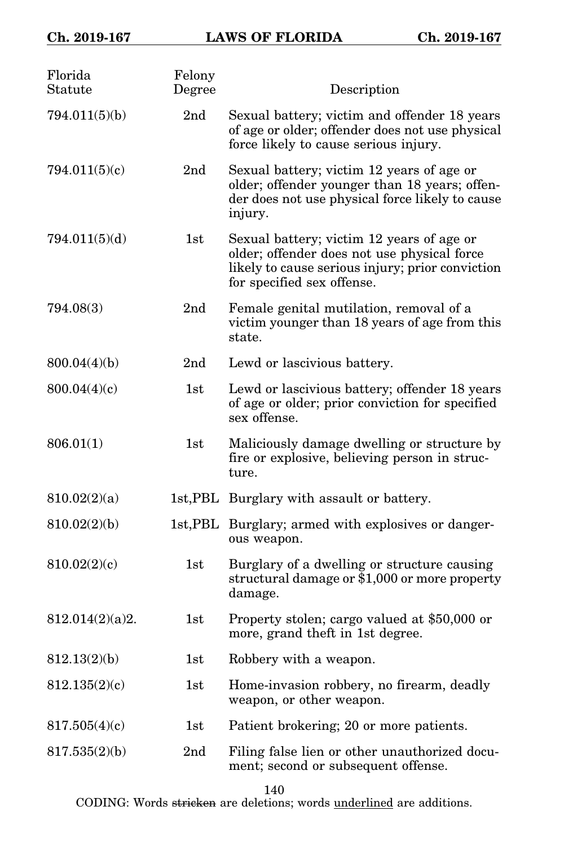| Florida<br>Statute | Felony<br>Degree | Description                                                                                                                                                                |
|--------------------|------------------|----------------------------------------------------------------------------------------------------------------------------------------------------------------------------|
| 794.011(5)(b)      | 2nd              | Sexual battery; victim and offender 18 years<br>of age or older; offender does not use physical<br>force likely to cause serious injury.                                   |
| 794.011(5)(c)      | 2 <sub>nd</sub>  | Sexual battery; victim 12 years of age or<br>older; offender younger than 18 years; offen-<br>der does not use physical force likely to cause<br>injury.                   |
| 794.011(5)(d)      | 1st              | Sexual battery; victim 12 years of age or<br>older; offender does not use physical force<br>likely to cause serious injury; prior conviction<br>for specified sex offense. |
| 794.08(3)          | 2 <sub>nd</sub>  | Female genital mutilation, removal of a<br>victim younger than 18 years of age from this<br>state.                                                                         |
| 800.04(4)(b)       | 2 <sub>nd</sub>  | Lewd or lascivious battery.                                                                                                                                                |
| 800.04(4)(c)       | 1st              | Lewd or lascivious battery; offender 18 years<br>of age or older; prior conviction for specified<br>sex offense.                                                           |
| 806.01(1)          | 1st              | Maliciously damage dwelling or structure by<br>fire or explosive, believing person in struc-<br>ture.                                                                      |
| 810.02(2)(a)       |                  | 1st, PBL Burglary with assault or battery.                                                                                                                                 |
| 810.02(2)(b)       |                  | 1st, PBL Burglary; armed with explosives or danger-<br>ous weapon.                                                                                                         |
| 810.02(2)(c)       | 1st              | Burglary of a dwelling or structure causing<br>structural damage or \$1,000 or more property<br>damage.                                                                    |
| 812.014(2)(a)2.    | 1st              | Property stolen; cargo valued at \$50,000 or<br>more, grand theft in 1st degree.                                                                                           |
| 812.13(2)(b)       | $_{\rm 1st}$     | Robbery with a weapon.                                                                                                                                                     |
| 812.135(2)(c)      | 1st              | Home-invasion robbery, no firearm, deadly<br>weapon, or other weapon.                                                                                                      |
| 817.505(4)(c)      | 1st              | Patient brokering; 20 or more patients.                                                                                                                                    |
| 817.535(2)(b)      | 2nd              | Filing false lien or other unauthorized docu-<br>ment; second or subsequent offense.                                                                                       |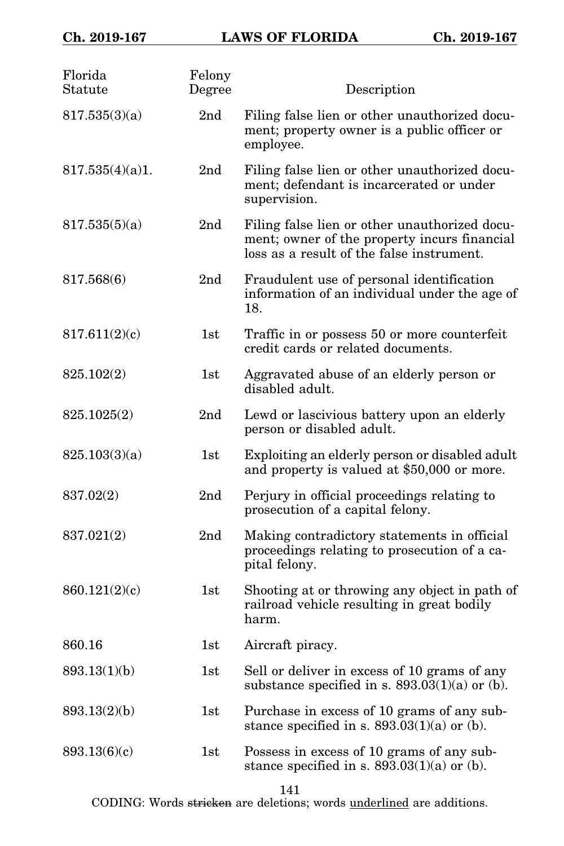| Florida<br>Statute | Felony<br>Degree | Description                                                                                                                                |
|--------------------|------------------|--------------------------------------------------------------------------------------------------------------------------------------------|
| 817.535(3)(a)      | 2 <sub>nd</sub>  | Filing false lien or other unauthorized docu-<br>ment; property owner is a public officer or<br>employee.                                  |
| 817.535(4)(a)1.    | 2 <sub>nd</sub>  | Filing false lien or other unauthorized docu-<br>ment; defendant is incarcerated or under<br>supervision.                                  |
| 817.535(5)(a)      | 2 <sub>nd</sub>  | Filing false lien or other unauthorized docu-<br>ment; owner of the property incurs financial<br>loss as a result of the false instrument. |
| 817.568(6)         | 2 <sub>nd</sub>  | Fraudulent use of personal identification<br>information of an individual under the age of<br>18.                                          |
| 817.611(2)(c)      | 1st              | Traffic in or possess 50 or more counterfeit<br>credit cards or related documents.                                                         |
| 825.102(2)         | 1st              | Aggravated abuse of an elderly person or<br>disabled adult.                                                                                |
| 825.1025(2)        | 2 <sub>nd</sub>  | Lewd or lascivious battery upon an elderly<br>person or disabled adult.                                                                    |
| 825.103(3)(a)      | 1st              | Exploiting an elderly person or disabled adult<br>and property is valued at \$50,000 or more.                                              |
| 837.02(2)          | 2 <sub>nd</sub>  | Perjury in official proceedings relating to<br>prosecution of a capital felony.                                                            |
| 837.021(2)         | 2 <sub>nd</sub>  | Making contradictory statements in official<br>proceedings relating to prosecution of a ca-<br>pital felony.                               |
| 860.121(2)(c)      | 1st              | Shooting at or throwing any object in path of<br>railroad vehicle resulting in great bodily<br>harm.                                       |
| 860.16             | 1st              | Aircraft piracy.                                                                                                                           |
| 893.13(1)(b)       | 1st              | Sell or deliver in excess of 10 grams of any<br>substance specified in s. $893.03(1)(a)$ or (b).                                           |
| 893.13(2)(b)       | 1st              | Purchase in excess of 10 grams of any sub-<br>stance specified in s. $893.03(1)(a)$ or (b).                                                |
| 893.13(6)(c)       | 1st              | Possess in excess of 10 grams of any sub-<br>stance specified in s. $893.03(1)(a)$ or (b).                                                 |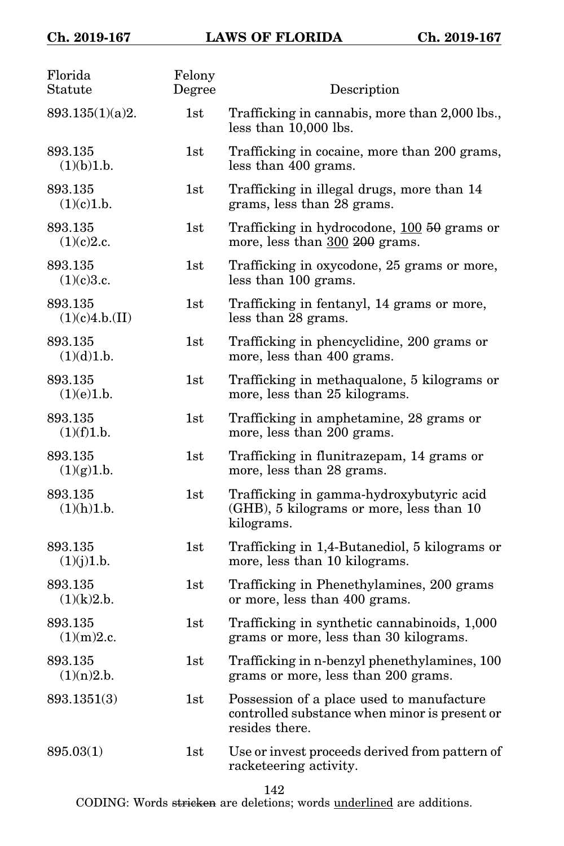| Florida<br>Statute        | Felony<br>Degree | Description                                                                                                  |
|---------------------------|------------------|--------------------------------------------------------------------------------------------------------------|
| 893.135(1)(a)2.           | 1st              | Trafficking in cannabis, more than 2,000 lbs.,<br>less than 10,000 lbs.                                      |
| 893.135<br>(1)(b)1.b.     | 1st              | Trafficking in cocaine, more than 200 grams,<br>less than 400 grams.                                         |
| 893.135<br>(1)(c)1.b.     | 1st              | Trafficking in illegal drugs, more than 14<br>grams, less than 28 grams.                                     |
| 893.135<br>(1)(c)2.c.     | 1st              | Trafficking in hydrocodone, 100 50 grams or<br>more, less than 300 200 grams.                                |
| 893.135<br>(1)(c)3.c.     | 1st              | Trafficking in oxycodone, 25 grams or more,<br>less than 100 grams.                                          |
| 893.135<br>(1)(c)4.b.(II) | 1st              | Trafficking in fentanyl, 14 grams or more,<br>less than 28 grams.                                            |
| 893.135<br>(1)(d)1.b.     | 1st              | Trafficking in phencyclidine, 200 grams or<br>more, less than 400 grams.                                     |
| 893.135<br>(1)(e)1.b.     | 1st              | Trafficking in methaqualone, 5 kilograms or<br>more, less than 25 kilograms.                                 |
| 893.135<br>(1)(f)1.b.     | 1st              | Trafficking in amphetamine, 28 grams or<br>more, less than 200 grams.                                        |
| 893.135<br>(1)(g)1.b.     | 1st              | Trafficking in flunitrazepam, 14 grams or<br>more, less than 28 grams.                                       |
| 893.135<br>(1)(h)1.b.     | 1st              | Trafficking in gamma-hydroxybutyric acid<br>(GHB), 5 kilograms or more, less than 10<br>kilograms.           |
| 893.135<br>(1)(j)1.b.     | 1st              | Trafficking in 1,4-Butanediol, 5 kilograms or<br>more, less than 10 kilograms.                               |
| 893.135<br>(1)(k)2.b.     | 1st              | Trafficking in Phenethylamines, 200 grams<br>or more, less than 400 grams.                                   |
| 893.135<br>(1)(m)2.c.     | 1st              | Trafficking in synthetic cannabinoids, 1,000<br>grams or more, less than 30 kilograms.                       |
| 893.135<br>(1)(n)2.b.     | 1st              | Trafficking in n-benzyl phenethylamines, 100<br>grams or more, less than 200 grams.                          |
| 893.1351(3)               | 1st              | Possession of a place used to manufacture<br>controlled substance when minor is present or<br>resides there. |
| 895.03(1)                 | 1st              | Use or invest proceeds derived from pattern of<br>racketeering activity.                                     |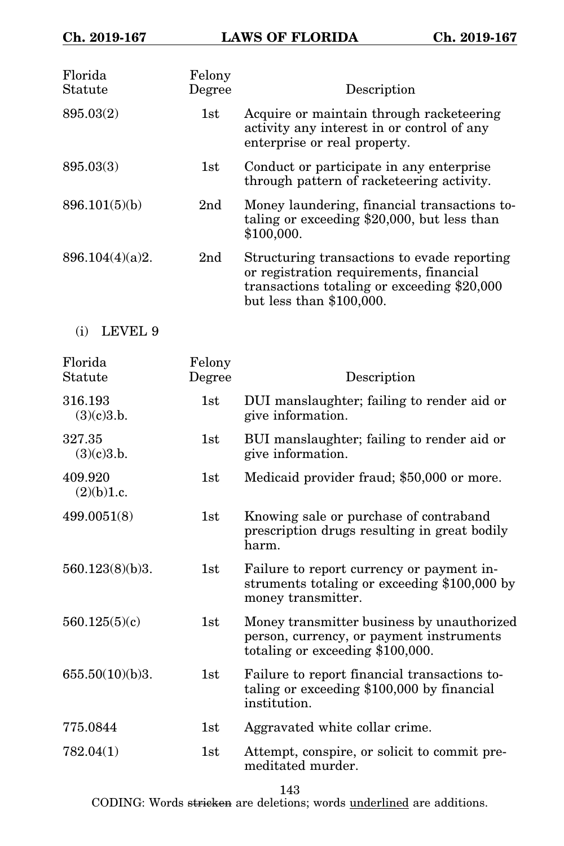| Florida<br>Statute    | Felony<br>Degree | Description                                                                                                                                                         |
|-----------------------|------------------|---------------------------------------------------------------------------------------------------------------------------------------------------------------------|
| 895.03(2)             | 1st              | Acquire or maintain through racketeering<br>activity any interest in or control of any<br>enterprise or real property.                                              |
| 895.03(3)             | 1st              | Conduct or participate in any enterprise<br>through pattern of racketeering activity.                                                                               |
| 896.101(5)(b)         | 2 <sub>nd</sub>  | Money laundering, financial transactions to-<br>taling or exceeding $$20,000$ , but less than<br>\$100,000.                                                         |
| 896.104(4)(a)2.       | 2 <sub>nd</sub>  | Structuring transactions to evade reporting<br>or registration requirements, financial<br>transactions totaling or exceeding \$20,000<br>but less than $$100,000$ . |
| LEVEL 9<br>(i)        |                  |                                                                                                                                                                     |
| Florida<br>Statute    | Felony<br>Degree | Description                                                                                                                                                         |
| 316.193<br>(3)(c)3.b. | 1st              | DUI manslaughter; failing to render aid or<br>give information.                                                                                                     |
| 327.35<br>(3)(c)3.b.  | 1st              | BUI manslaughter; failing to render aid or<br>give information.                                                                                                     |
| 409.920<br>(2)(b)1.c. | 1st              | Medicaid provider fraud; \$50,000 or more.                                                                                                                          |
| 499.0051(8)           | 1st              | Knowing sale or purchase of contraband<br>prescription drugs resulting in great bodily<br>harm.                                                                     |
| 560.123(8)(b)3.       | 1st              | Failure to report currency or payment in-<br>struments totaling or exceeding \$100,000 by<br>money transmitter.                                                     |
| 560.125(5)(c)         | 1st              | Money transmitter business by unauthorized<br>person, currency, or payment instruments<br>totaling or exceeding \$100,000.                                          |
| 655.50(10)(b)3.       | $1\mathrm{st}$   | Failure to report financial transactions to-<br>taling or exceeding \$100,000 by financial<br>institution.                                                          |
| 775.0844              | 1st              | Aggravated white collar crime.                                                                                                                                      |
| 782.04(1)             | 1st              | Attempt, conspire, or solicit to commit pre-<br>meditated murder.                                                                                                   |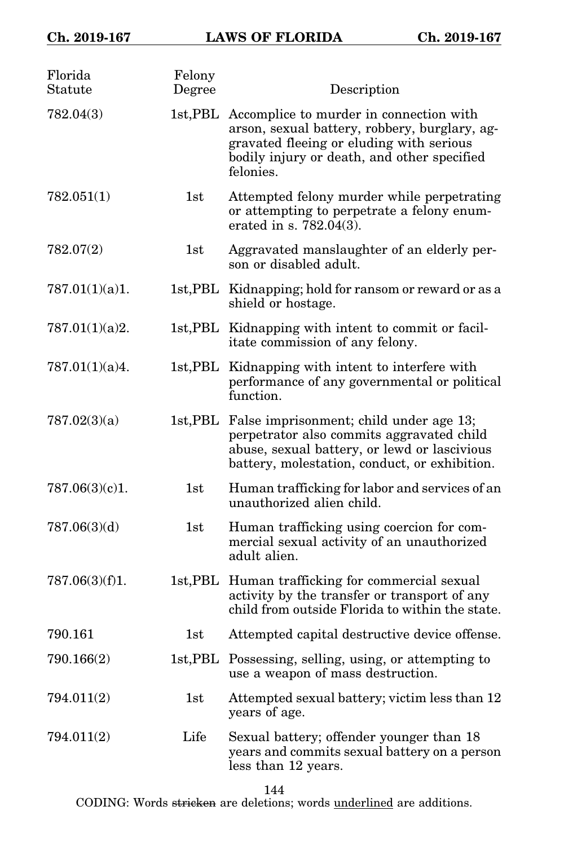| Florida<br>Statute | Felony<br>Degree    | Description                                                                                                                                                                                               |
|--------------------|---------------------|-----------------------------------------------------------------------------------------------------------------------------------------------------------------------------------------------------------|
| 782.04(3)          |                     | 1st, PBL Accomplice to murder in connection with<br>arson, sexual battery, robbery, burglary, ag-<br>gravated fleeing or eluding with serious<br>bodily injury or death, and other specified<br>felonies. |
| 782.051(1)         | 1st                 | Attempted felony murder while perpetrating<br>or attempting to perpetrate a felony enum-<br>erated in s. 782.04(3).                                                                                       |
| 782.07(2)          | 1st                 | Aggravated manslaughter of an elderly per-<br>son or disabled adult.                                                                                                                                      |
| 787.01(1)(a)1.     |                     | 1st, PBL Kidnapping; hold for ransom or reward or as a<br>shield or hostage.                                                                                                                              |
| 787.01(1)(a)2.     |                     | 1st, PBL Kidnapping with intent to commit or facil-<br>itate commission of any felony.                                                                                                                    |
| 787.01(1)(a)4.     | $1st, \mathrm{PBL}$ | Kidnapping with intent to interfere with<br>performance of any governmental or political<br>function.                                                                                                     |
| 787.02(3)(a)       |                     | 1st, PBL False imprisonment; child under age 13;<br>perpetrator also commits aggravated child<br>abuse, sexual battery, or lewd or lascivious<br>battery, molestation, conduct, or exhibition.            |
| 787.06(3)(c)1.     | 1st                 | Human trafficking for labor and services of an<br>unauthorized alien child.                                                                                                                               |
| 787.06(3)(d)       | 1st                 | Human trafficking using coercion for com-<br>mercial sexual activity of an unauthorized<br>adult alien.                                                                                                   |
| 787.06(3)(f)1.     |                     | 1st, PBL Human trafficking for commercial sexual<br>activity by the transfer or transport of any<br>child from outside Florida to within the state.                                                       |
| 790.161            | 1st                 | Attempted capital destructive device offense.                                                                                                                                                             |
| 790.166(2)         |                     | 1st, PBL Possessing, selling, using, or attempting to<br>use a weapon of mass destruction.                                                                                                                |
| 794.011(2)         | 1st                 | Attempted sexual battery; victim less than 12<br>years of age.                                                                                                                                            |
| 794.011(2)         | Life                | Sexual battery; offender younger than 18<br>years and commits sexual battery on a person<br>less than 12 years.                                                                                           |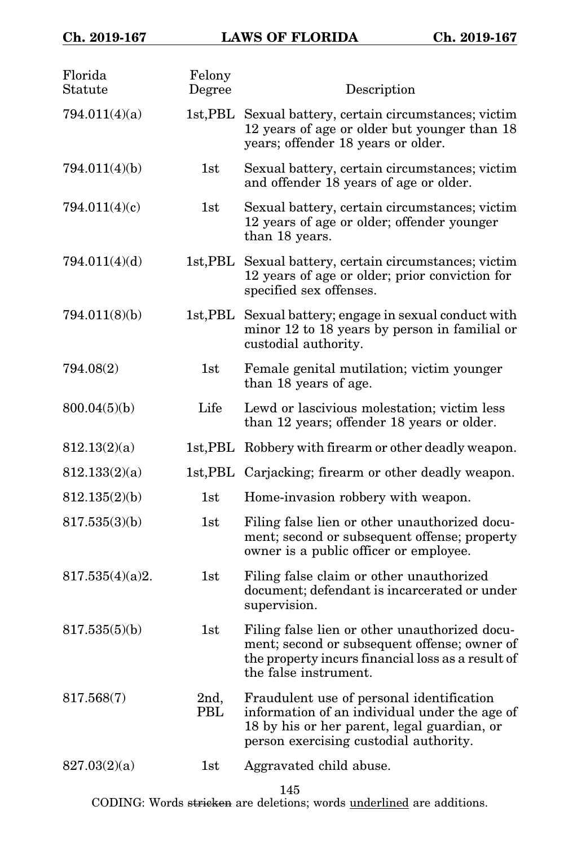| Florida<br>Statute | Felony<br>Degree    | Description                                                                                                                                                                         |
|--------------------|---------------------|-------------------------------------------------------------------------------------------------------------------------------------------------------------------------------------|
| 794.011(4)(a)      |                     | 1st, PBL Sexual battery, certain circumstances; victim<br>12 years of age or older but younger than 18<br>years; offender 18 years or older.                                        |
| 794.011(4)(b)      | 1st                 | Sexual battery, certain circumstances; victim<br>and offender 18 years of age or older.                                                                                             |
| 794.011(4)(c)      | 1st                 | Sexual battery, certain circumstances; victim<br>12 years of age or older; offender younger<br>than 18 years.                                                                       |
| 794.011(4)(d)      | $1st, \mathrm{PBL}$ | Sexual battery, certain circumstances; victim<br>12 years of age or older; prior conviction for<br>specified sex offenses.                                                          |
| 794.011(8)(b)      |                     | 1st, PBL Sexual battery; engage in sexual conduct with<br>minor 12 to 18 years by person in familial or<br>custodial authority.                                                     |
| 794.08(2)          | 1st                 | Female genital mutilation; victim younger<br>than 18 years of age.                                                                                                                  |
| 800.04(5)(b)       | Life                | Lewd or lascivious molestation; victim less<br>than 12 years; offender 18 years or older.                                                                                           |
| 812.13(2)(a)       |                     | 1st, PBL Robbery with firearm or other deadly weapon.                                                                                                                               |
| 812.133(2)(a)      |                     | 1st, PBL Carjacking; firearm or other deadly weapon.                                                                                                                                |
| 812.135(2)(b)      | 1st                 | Home-invasion robbery with weapon.                                                                                                                                                  |
| 817.535(3)(b)      | 1st                 | Filing false lien or other unauthorized docu-<br>ment; second or subsequent offense; property<br>owner is a public officer or employee.                                             |
| 817.535(4)(a)2.    | 1st                 | Filing false claim or other unauthorized<br>document; defendant is incarcerated or under<br>supervision.                                                                            |
| 817.535(5)(b)      | 1st                 | Filing false lien or other unauthorized docu-<br>ment; second or subsequent offense; owner of<br>the property incurs financial loss as a result of<br>the false instrument.         |
| 817.568(7)         | 2nd,<br>PBL         | Fraudulent use of personal identification<br>information of an individual under the age of<br>18 by his or her parent, legal guardian, or<br>person exercising custodial authority. |
| 827.03(2)(a)       | 1st                 | Aggravated child abuse.                                                                                                                                                             |

145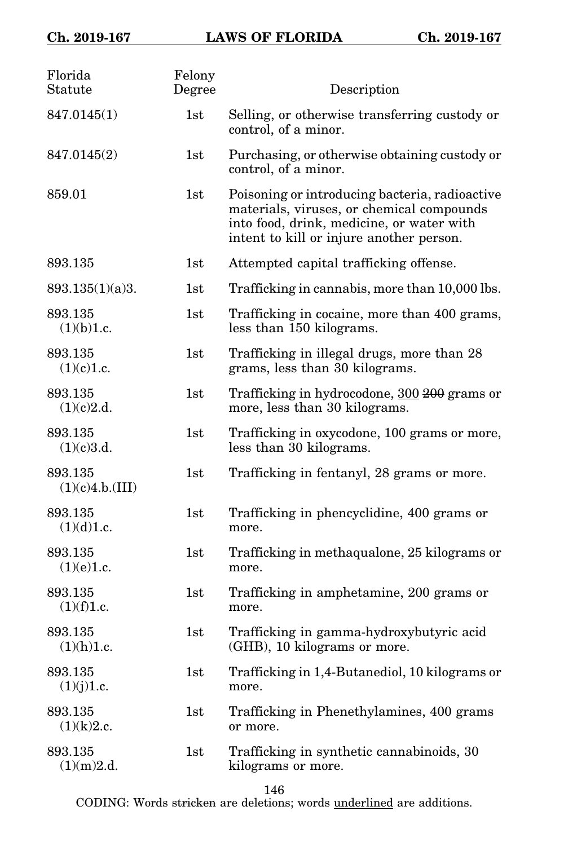| Florida<br>Statute         | Felony<br>Degree | Description                                                                                                                                                                          |
|----------------------------|------------------|--------------------------------------------------------------------------------------------------------------------------------------------------------------------------------------|
| 847.0145(1)                | 1st              | Selling, or otherwise transferring custody or<br>control, of a minor.                                                                                                                |
| 847.0145(2)                | 1st              | Purchasing, or otherwise obtaining custody or<br>control, of a minor.                                                                                                                |
| 859.01                     | 1st              | Poisoning or introducing bacteria, radioactive<br>materials, viruses, or chemical compounds<br>into food, drink, medicine, or water with<br>intent to kill or injure another person. |
| 893.135                    | 1st              | Attempted capital trafficking offense.                                                                                                                                               |
| 893.135(1)(a)3.            | 1st              | Trafficking in cannabis, more than 10,000 lbs.                                                                                                                                       |
| 893.135<br>(1)(b)1.c.      | 1st              | Trafficking in cocaine, more than 400 grams,<br>less than 150 kilograms.                                                                                                             |
| 893.135<br>(1)(c)1.c.      | 1st              | Trafficking in illegal drugs, more than 28<br>grams, less than 30 kilograms.                                                                                                         |
| 893.135<br>(1)(c)2.d.      | 1st              | Trafficking in hydrocodone, 300 200 grams or<br>more, less than 30 kilograms.                                                                                                        |
| 893.135<br>(1)(c)3.d.      | 1st              | Trafficking in oxycodone, 100 grams or more,<br>less than 30 kilograms.                                                                                                              |
| 893.135<br>(1)(c)4.b.(III) | 1st              | Trafficking in fentanyl, 28 grams or more.                                                                                                                                           |
| 893.135<br>(1)(d)1.c.      | 1st              | Trafficking in phencyclidine, 400 grams or<br>more.                                                                                                                                  |
| 893.135<br>(1)(e)1.c.      | 1st              | Trafficking in methaqualone, 25 kilograms or<br>more.                                                                                                                                |
| 893.135<br>(1)(f)1.c.      | 1st              | Trafficking in amphetamine, 200 grams or<br>more.                                                                                                                                    |
| 893.135<br>(1)(h)1.c.      | 1st              | Trafficking in gamma-hydroxybutyric acid<br>(GHB), 10 kilograms or more.                                                                                                             |
| 893.135<br>(1)(j)1.c.      | 1st              | Trafficking in 1,4-Butanediol, 10 kilograms or<br>more.                                                                                                                              |
| 893.135<br>(1)(k)2.c.      | 1st              | Trafficking in Phenethylamines, 400 grams<br>or more.                                                                                                                                |
| 893.135<br>(1)(m)2.d.      | 1st              | Trafficking in synthetic cannabinoids, 30<br>kilograms or more.                                                                                                                      |

146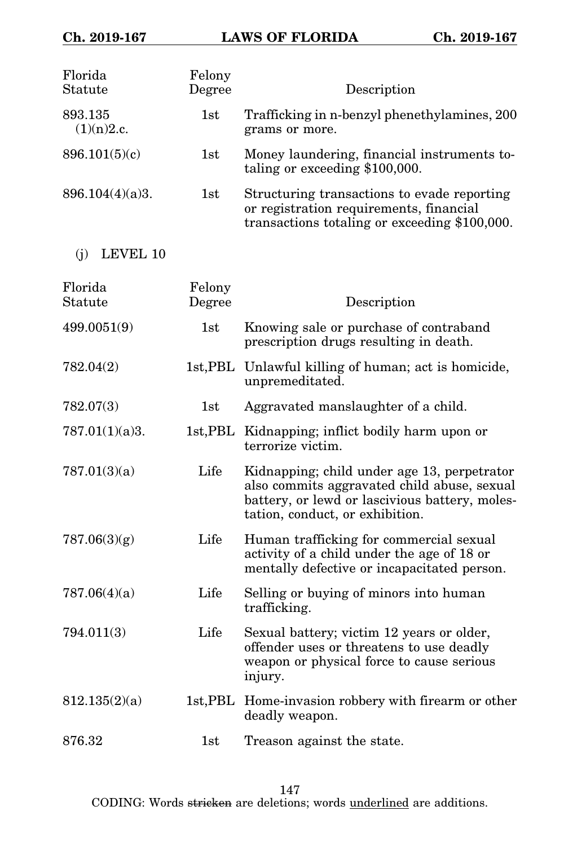| Florida<br>Statute    | Felony<br>Degree    | Description                                                                                                                                                                     |
|-----------------------|---------------------|---------------------------------------------------------------------------------------------------------------------------------------------------------------------------------|
| 893.135<br>(1)(n)2.c. | 1st                 | Trafficking in n-benzyl phenethylamines, 200<br>grams or more.                                                                                                                  |
| 896.101(5)(c)         | 1st                 | Money laundering, financial instruments to-<br>taling or exceeding \$100,000.                                                                                                   |
| 896.104(4)(a)3.       | 1st                 | Structuring transactions to evade reporting<br>or registration requirements, financial<br>transactions totaling or exceeding \$100,000.                                         |
| LEVEL 10<br>(i)       |                     |                                                                                                                                                                                 |
| Florida<br>Statute    | Felony<br>Degree    | Description                                                                                                                                                                     |
| 499.0051(9)           | 1st                 | Knowing sale or purchase of contraband<br>prescription drugs resulting in death.                                                                                                |
| 782.04(2)             |                     | 1st, PBL Unlawful killing of human; act is homicide,<br>unpremeditated.                                                                                                         |
| 782.07(3)             | 1st                 | Aggravated manslaughter of a child.                                                                                                                                             |
| 787.01(1)(a)3.        |                     | 1st, PBL Kidnapping; inflict bodily harm upon or<br>terrorize victim.                                                                                                           |
| 787.01(3)(a)          | Life                | Kidnapping; child under age 13, perpetrator<br>also commits aggravated child abuse, sexual<br>battery, or lewd or lascivious battery, moles-<br>tation, conduct, or exhibition. |
| 787.06(3)(g)          | Life                | Human trafficking for commercial sexual<br>activity of a child under the age of 18 or<br>mentally defective or incapacitated person.                                            |
| 787.06(4)(a)          | Life                | Selling or buying of minors into human<br>trafficking.                                                                                                                          |
| 794.011(3)            | Life                | Sexual battery; victim 12 years or older,<br>offender uses or threatens to use deadly<br>weapon or physical force to cause serious<br>injury.                                   |
| 812.135(2)(a)         | $1st, \mathsf{PBL}$ | Home-invasion robbery with firearm or other<br>deadly weapon.                                                                                                                   |
| 876.32                | 1st                 | Treason against the state.                                                                                                                                                      |

147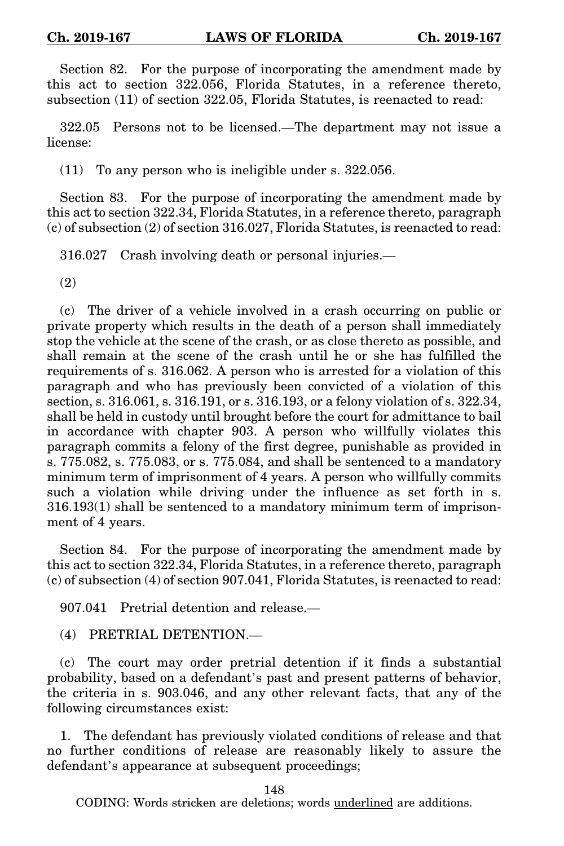Section 82. For the purpose of incorporating the amendment made by this act to section 322.056, Florida Statutes, in a reference thereto, subsection (11) of section 322.05, Florida Statutes, is reenacted to read:

322.05 Persons not to be licensed.—The department may not issue a license:

(11) To any person who is ineligible under s. 322.056.

Section 83. For the purpose of incorporating the amendment made by this act to section 322.34, Florida Statutes, in a reference thereto, paragraph (c) of subsection (2) of section 316.027, Florida Statutes, is reenacted to read:

316.027 Crash involving death or personal injuries.—

(2)

(c) The driver of a vehicle involved in a crash occurring on public or private property which results in the death of a person shall immediately stop the vehicle at the scene of the crash, or as close thereto as possible, and shall remain at the scene of the crash until he or she has fulfilled the requirements of s. 316.062. A person who is arrested for a violation of this paragraph and who has previously been convicted of a violation of this section, s. 316.061, s. 316.191, or s. 316.193, or a felony violation of s. 322.34, shall be held in custody until brought before the court for admittance to bail in accordance with chapter 903. A person who willfully violates this paragraph commits a felony of the first degree, punishable as provided in s. 775.082, s. 775.083, or s. 775.084, and shall be sentenced to a mandatory minimum term of imprisonment of 4 years. A person who willfully commits such a violation while driving under the influence as set forth in s. 316.193(1) shall be sentenced to a mandatory minimum term of imprisonment of 4 years.

Section 84. For the purpose of incorporating the amendment made by this act to section 322.34, Florida Statutes, in a reference thereto, paragraph (c) of subsection (4) of section 907.041, Florida Statutes, is reenacted to read:

907.041 Pretrial detention and release.—

(4) PRETRIAL DETENTION.—

(c) The court may order pretrial detention if it finds a substantial probability, based on a defendant's past and present patterns of behavior, the criteria in s. 903.046, and any other relevant facts, that any of the following circumstances exist:

1. The defendant has previously violated conditions of release and that no further conditions of release are reasonably likely to assure the defendant's appearance at subsequent proceedings;

148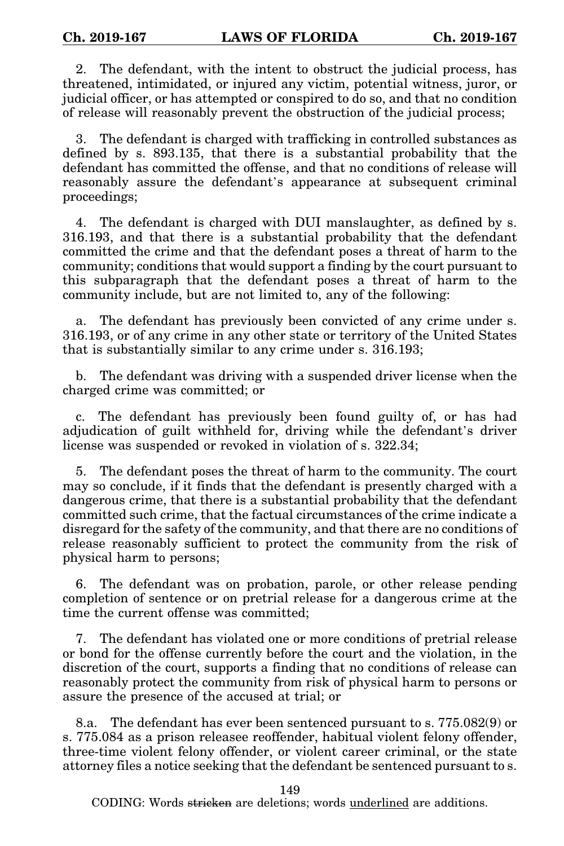2. The defendant, with the intent to obstruct the judicial process, has threatened, intimidated, or injured any victim, potential witness, juror, or judicial officer, or has attempted or conspired to do so, and that no condition of release will reasonably prevent the obstruction of the judicial process;

3. The defendant is charged with trafficking in controlled substances as defined by s. 893.135, that there is a substantial probability that the defendant has committed the offense, and that no conditions of release will reasonably assure the defendant's appearance at subsequent criminal proceedings;

4. The defendant is charged with DUI manslaughter, as defined by s. 316.193, and that there is a substantial probability that the defendant committed the crime and that the defendant poses a threat of harm to the community; conditions that would support a finding by the court pursuant to this subparagraph that the defendant poses a threat of harm to the community include, but are not limited to, any of the following:

a. The defendant has previously been convicted of any crime under s. 316.193, or of any crime in any other state or territory of the United States that is substantially similar to any crime under s. 316.193;

b. The defendant was driving with a suspended driver license when the charged crime was committed; or

c. The defendant has previously been found guilty of, or has had adjudication of guilt withheld for, driving while the defendant's driver license was suspended or revoked in violation of s. 322.34;

5. The defendant poses the threat of harm to the community. The court may so conclude, if it finds that the defendant is presently charged with a dangerous crime, that there is a substantial probability that the defendant committed such crime, that the factual circumstances of the crime indicate a disregard for the safety of the community, and that there are no conditions of release reasonably sufficient to protect the community from the risk of physical harm to persons;

6. The defendant was on probation, parole, or other release pending completion of sentence or on pretrial release for a dangerous crime at the time the current offense was committed;

7. The defendant has violated one or more conditions of pretrial release or bond for the offense currently before the court and the violation, in the discretion of the court, supports a finding that no conditions of release can reasonably protect the community from risk of physical harm to persons or assure the presence of the accused at trial; or

8.a. The defendant has ever been sentenced pursuant to s. 775.082(9) or s. 775.084 as a prison releasee reoffender, habitual violent felony offender, three-time violent felony offender, or violent career criminal, or the state attorney files a notice seeking that the defendant be sentenced pursuant to s.

149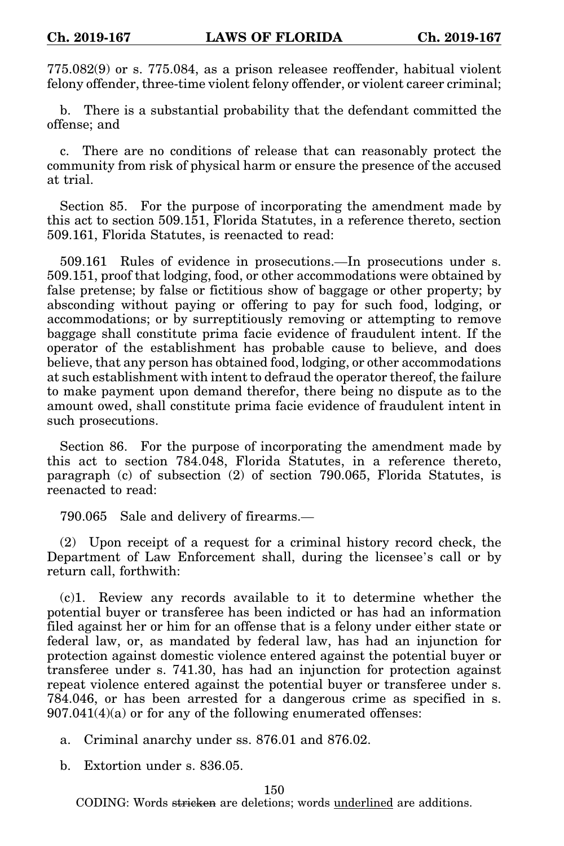775.082(9) or s. 775.084, as a prison releasee reoffender, habitual violent felony offender, three-time violent felony offender, or violent career criminal;

b. There is a substantial probability that the defendant committed the offense; and

c. There are no conditions of release that can reasonably protect the community from risk of physical harm or ensure the presence of the accused at trial.

Section 85. For the purpose of incorporating the amendment made by this act to section 509.151, Florida Statutes, in a reference thereto, section 509.161, Florida Statutes, is reenacted to read:

509.161 Rules of evidence in prosecutions.—In prosecutions under s. 509.151, proof that lodging, food, or other accommodations were obtained by false pretense; by false or fictitious show of baggage or other property; by absconding without paying or offering to pay for such food, lodging, or accommodations; or by surreptitiously removing or attempting to remove baggage shall constitute prima facie evidence of fraudulent intent. If the operator of the establishment has probable cause to believe, and does believe, that any person has obtained food, lodging, or other accommodations at such establishment with intent to defraud the operator thereof, the failure to make payment upon demand therefor, there being no dispute as to the amount owed, shall constitute prima facie evidence of fraudulent intent in such prosecutions.

Section 86. For the purpose of incorporating the amendment made by this act to section 784.048, Florida Statutes, in a reference thereto, paragraph (c) of subsection (2) of section 790.065, Florida Statutes, is reenacted to read:

790.065 Sale and delivery of firearms.—

(2) Upon receipt of a request for a criminal history record check, the Department of Law Enforcement shall, during the licensee's call or by return call, forthwith:

(c)1. Review any records available to it to determine whether the potential buyer or transferee has been indicted or has had an information filed against her or him for an offense that is a felony under either state or federal law, or, as mandated by federal law, has had an injunction for protection against domestic violence entered against the potential buyer or transferee under s. 741.30, has had an injunction for protection against repeat violence entered against the potential buyer or transferee under s. 784.046, or has been arrested for a dangerous crime as specified in s. 907.041(4)(a) or for any of the following enumerated offenses:

a. Criminal anarchy under ss. 876.01 and 876.02.

b. Extortion under s. 836.05.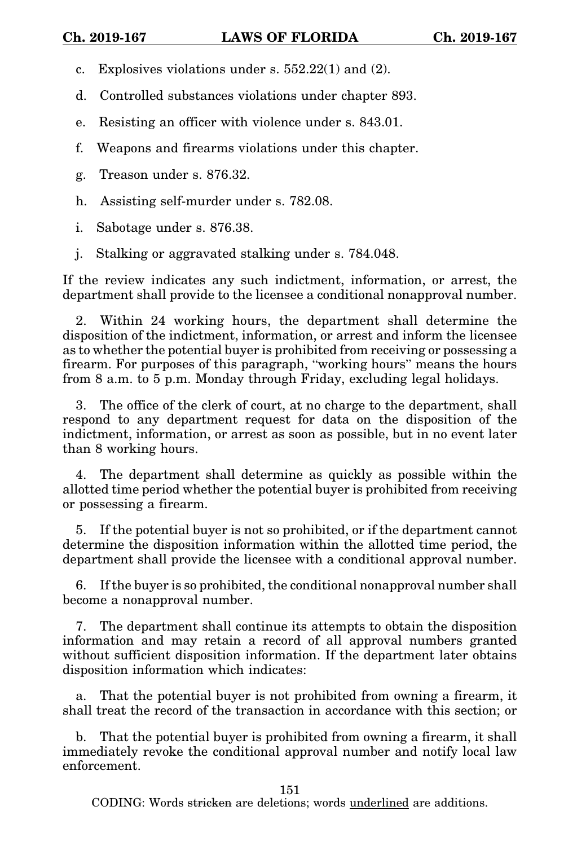c. Explosives violations under s. 552.22(1) and (2).

d. Controlled substances violations under chapter 893.

- e. Resisting an officer with violence under s. 843.01.
- f. Weapons and firearms violations under this chapter.
- g. Treason under s. 876.32.
- h. Assisting self-murder under s. 782.08.
- i. Sabotage under s. 876.38.
- j. Stalking or aggravated stalking under s. 784.048.

If the review indicates any such indictment, information, or arrest, the department shall provide to the licensee a conditional nonapproval number.

2. Within 24 working hours, the department shall determine the disposition of the indictment, information, or arrest and inform the licensee as to whether the potential buyer is prohibited from receiving or possessing a firearm. For purposes of this paragraph, "working hours" means the hours from 8 a.m. to 5 p.m. Monday through Friday, excluding legal holidays.

3. The office of the clerk of court, at no charge to the department, shall respond to any department request for data on the disposition of the indictment, information, or arrest as soon as possible, but in no event later than 8 working hours.

4. The department shall determine as quickly as possible within the allotted time period whether the potential buyer is prohibited from receiving or possessing a firearm.

5. If the potential buyer is not so prohibited, or if the department cannot determine the disposition information within the allotted time period, the department shall provide the licensee with a conditional approval number.

6. If the buyer is so prohibited, the conditional nonapproval number shall become a nonapproval number.

7. The department shall continue its attempts to obtain the disposition information and may retain a record of all approval numbers granted without sufficient disposition information. If the department later obtains disposition information which indicates:

a. That the potential buyer is not prohibited from owning a firearm, it shall treat the record of the transaction in accordance with this section; or

b. That the potential buyer is prohibited from owning a firearm, it shall immediately revoke the conditional approval number and notify local law enforcement.

151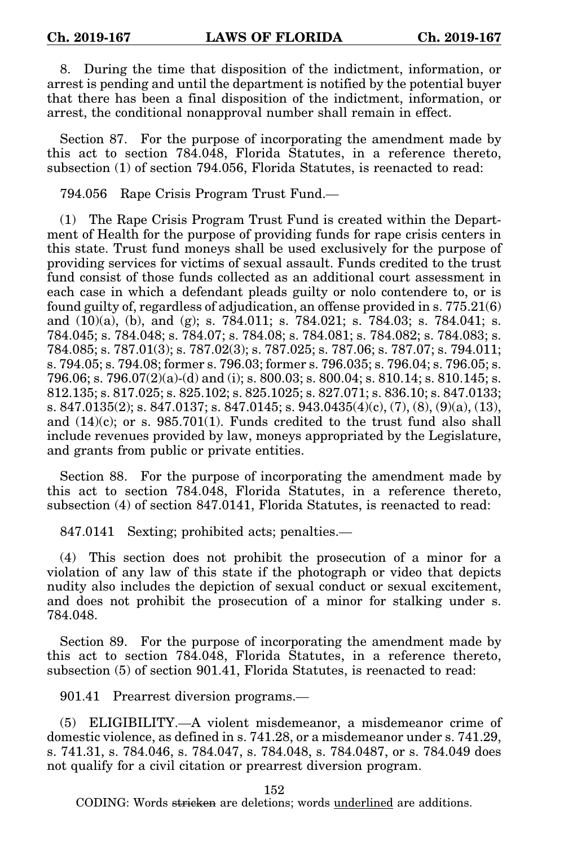8. During the time that disposition of the indictment, information, or arrest is pending and until the department is notified by the potential buyer that there has been a final disposition of the indictment, information, or arrest, the conditional nonapproval number shall remain in effect.

Section 87. For the purpose of incorporating the amendment made by this act to section 784.048, Florida Statutes, in a reference thereto, subsection (1) of section 794.056, Florida Statutes, is reenacted to read:

794.056 Rape Crisis Program Trust Fund.—

(1) The Rape Crisis Program Trust Fund is created within the Department of Health for the purpose of providing funds for rape crisis centers in this state. Trust fund moneys shall be used exclusively for the purpose of providing services for victims of sexual assault. Funds credited to the trust fund consist of those funds collected as an additional court assessment in each case in which a defendant pleads guilty or nolo contendere to, or is found guilty of, regardless of adjudication, an offense provided in s. 775.21(6) and (10)(a), (b), and (g); s. 784.011; s. 784.021; s. 784.03; s. 784.041; s. 784.045; s. 784.048; s. 784.07; s. 784.08; s. 784.081; s. 784.082; s. 784.083; s. 784.085; s. 787.01(3); s. 787.02(3); s. 787.025; s. 787.06; s. 787.07; s. 794.011; s. 794.05; s. 794.08; former s. 796.03; former s. 796.035; s. 796.04; s. 796.05; s. 796.06; s. 796.07 $(2)(a)$ -(d) and (i); s. 800.03; s. 800.04; s. 810.14; s. 810.145; s. 812.135; s. 817.025; s. 825.102; s. 825.1025; s. 827.071; s. 836.10; s. 847.0133; s. 847.0135(2); s. 847.0137; s. 847.0145; s. 943.0435(4)(c), (7), (8), (9)(a), (13), and  $(14)(c)$ ; or s. 985.701(1). Funds credited to the trust fund also shall include revenues provided by law, moneys appropriated by the Legislature, and grants from public or private entities.

Section 88. For the purpose of incorporating the amendment made by this act to section 784.048, Florida Statutes, in a reference thereto, subsection (4) of section 847.0141, Florida Statutes, is reenacted to read:

847.0141 Sexting; prohibited acts; penalties.—

(4) This section does not prohibit the prosecution of a minor for a violation of any law of this state if the photograph or video that depicts nudity also includes the depiction of sexual conduct or sexual excitement, and does not prohibit the prosecution of a minor for stalking under s. 784.048.

Section 89. For the purpose of incorporating the amendment made by this act to section 784.048, Florida Statutes, in a reference thereto, subsection (5) of section 901.41, Florida Statutes, is reenacted to read:

901.41 Prearrest diversion programs.—

(5) ELIGIBILITY.—A violent misdemeanor, a misdemeanor crime of domestic violence, as defined in s. 741.28, or a misdemeanor under s. 741.29, s. 741.31, s. 784.046, s. 784.047, s. 784.048, s. 784.0487, or s. 784.049 does not qualify for a civil citation or prearrest diversion program.

152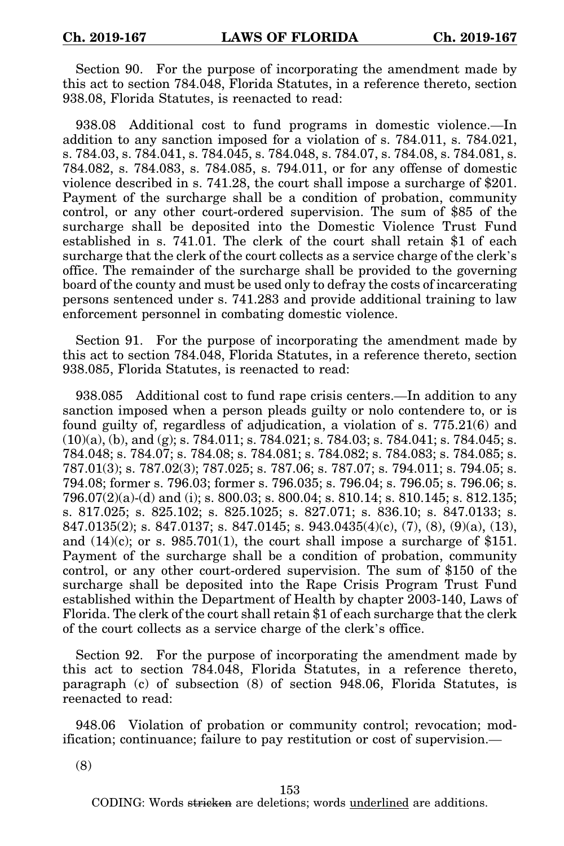Section 90. For the purpose of incorporating the amendment made by this act to section 784.048, Florida Statutes, in a reference thereto, section 938.08, Florida Statutes, is reenacted to read:

938.08 Additional cost to fund programs in domestic violence.—In addition to any sanction imposed for a violation of s. 784.011, s. 784.021, s. 784.03, s. 784.041, s. 784.045, s. 784.048, s. 784.07, s. 784.08, s. 784.081, s. 784.082, s. 784.083, s. 784.085, s. 794.011, or for any offense of domestic violence described in s. 741.28, the court shall impose a surcharge of \$201. Payment of the surcharge shall be a condition of probation, community control, or any other court-ordered supervision. The sum of \$85 of the surcharge shall be deposited into the Domestic Violence Trust Fund established in s. 741.01. The clerk of the court shall retain \$1 of each surcharge that the clerk of the court collects as a service charge of the clerk's office. The remainder of the surcharge shall be provided to the governing board of the county and must be used only to defray the costs of incarcerating persons sentenced under s. 741.283 and provide additional training to law enforcement personnel in combating domestic violence.

Section 91. For the purpose of incorporating the amendment made by this act to section 784.048, Florida Statutes, in a reference thereto, section 938.085, Florida Statutes, is reenacted to read:

938.085 Additional cost to fund rape crisis centers.—In addition to any sanction imposed when a person pleads guilty or nolo contendere to, or is found guilty of, regardless of adjudication, a violation of s. 775.21(6) and (10)(a), (b), and (g); s. 784.011; s. 784.021; s. 784.03; s. 784.041; s. 784.045; s. 784.048; s. 784.07; s. 784.08; s. 784.081; s. 784.082; s. 784.083; s. 784.085; s. 787.01(3); s. 787.02(3); 787.025; s. 787.06; s. 787.07; s. 794.011; s. 794.05; s. 794.08; former s. 796.03; former s. 796.035; s. 796.04; s. 796.05; s. 796.06; s. 796.07 $(2)(a)$ -(d) and (i); s. 800.03; s. 800.04; s. 810.14; s. 810.145; s. 812.135; s. 817.025; s. 825.102; s. 825.1025; s. 827.071; s. 836.10; s. 847.0133; s. 847.0135(2); s. 847.0137; s. 847.0145; s. 943.0435(4)(c), (7), (8), (9)(a), (13), and  $(14)(c)$ ; or s. 985.701(1), the court shall impose a surcharge of \$151. Payment of the surcharge shall be a condition of probation, community control, or any other court-ordered supervision. The sum of \$150 of the surcharge shall be deposited into the Rape Crisis Program Trust Fund established within the Department of Health by chapter 2003-140, Laws of Florida. The clerk of the court shall retain \$1 of each surcharge that the clerk of the court collects as a service charge of the clerk's office.

Section 92. For the purpose of incorporating the amendment made by this act to section 784.048, Florida Statutes, in a reference thereto, paragraph (c) of subsection (8) of section 948.06, Florida Statutes, is reenacted to read:

948.06 Violation of probation or community control; revocation; modification; continuance; failure to pay restitution or cost of supervision.—

(8)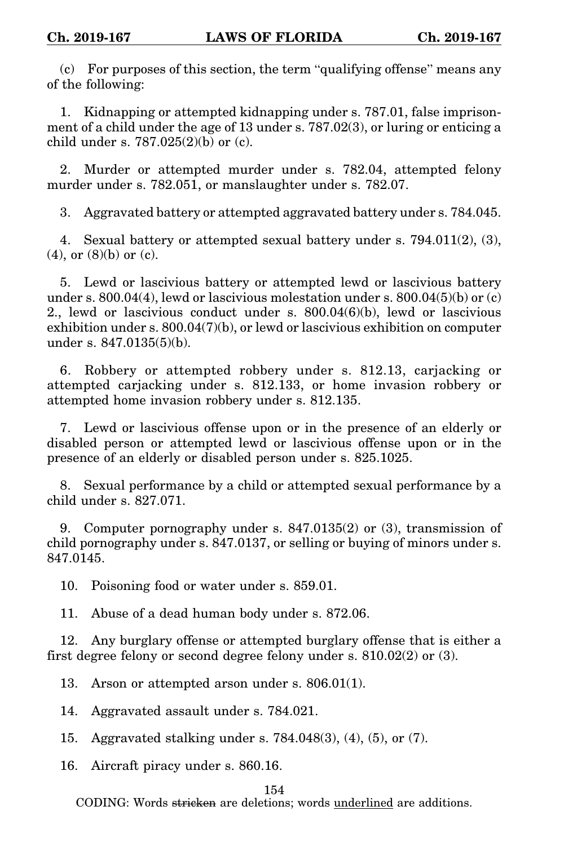(c) For purposes of this section, the term "qualifying offense" means any of the following:

1. Kidnapping or attempted kidnapping under s. 787.01, false imprisonment of a child under the age of 13 under s. 787.02(3), or luring or enticing a child under s. 787.025(2)(b) or (c).

2. Murder or attempted murder under s. 782.04, attempted felony murder under s. 782.051, or manslaughter under s. 782.07.

3. Aggravated battery or attempted aggravated battery under s. 784.045.

4. Sexual battery or attempted sexual battery under s. 794.011(2), (3), (4), or (8)(b) or (c).

5. Lewd or lascivious battery or attempted lewd or lascivious battery under s.  $800.04(4)$ , lewd or lascivious molestation under s.  $800.04(5)(b)$  or (c) 2., lewd or lascivious conduct under s. 800.04(6)(b), lewd or lascivious exhibition under s. 800.04(7)(b), or lewd or lascivious exhibition on computer under s. 847.0135(5)(b).

6. Robbery or attempted robbery under s. 812.13, carjacking or attempted carjacking under s. 812.133, or home invasion robbery or attempted home invasion robbery under s. 812.135.

7. Lewd or lascivious offense upon or in the presence of an elderly or disabled person or attempted lewd or lascivious offense upon or in the presence of an elderly or disabled person under s. 825.1025.

8. Sexual performance by a child or attempted sexual performance by a child under s. 827.071.

9. Computer pornography under s. 847.0135(2) or (3), transmission of child pornography under s. 847.0137, or selling or buying of minors under s. 847.0145.

10. Poisoning food or water under s. 859.01.

11. Abuse of a dead human body under s. 872.06.

12. Any burglary offense or attempted burglary offense that is either a first degree felony or second degree felony under s. 810.02(2) or (3).

13. Arson or attempted arson under s. 806.01(1).

14. Aggravated assault under s. 784.021.

15. Aggravated stalking under s. 784.048(3), (4), (5), or (7).

16. Aircraft piracy under s. 860.16.

# 154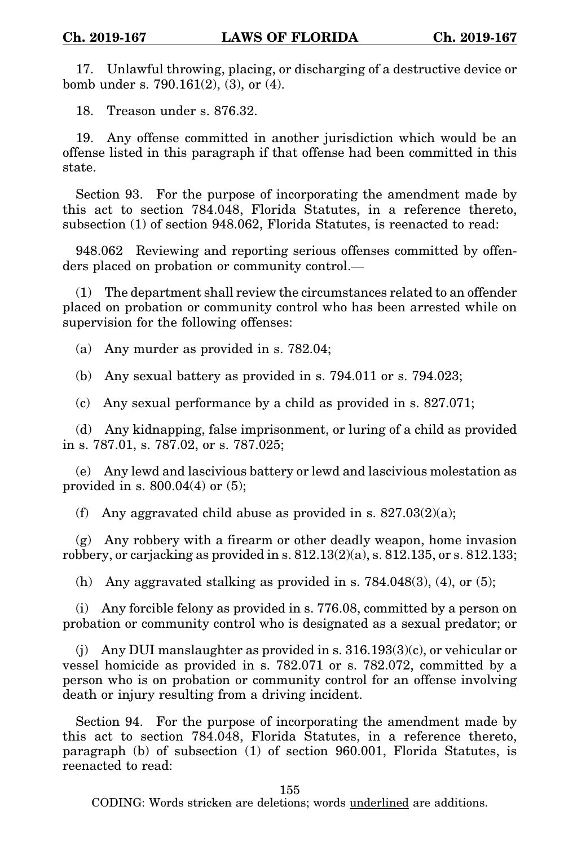17. Unlawful throwing, placing, or discharging of a destructive device or bomb under s. 790.161(2), (3), or (4).

18. Treason under s. 876.32.

19. Any offense committed in another jurisdiction which would be an offense listed in this paragraph if that offense had been committed in this state.

Section 93. For the purpose of incorporating the amendment made by this act to section 784.048, Florida Statutes, in a reference thereto, subsection (1) of section 948.062, Florida Statutes, is reenacted to read:

948.062 Reviewing and reporting serious offenses committed by offenders placed on probation or community control.—

(1) The department shall review the circumstances related to an offender placed on probation or community control who has been arrested while on supervision for the following offenses:

(a) Any murder as provided in s. 782.04;

(b) Any sexual battery as provided in s. 794.011 or s. 794.023;

(c) Any sexual performance by a child as provided in s. 827.071;

(d) Any kidnapping, false imprisonment, or luring of a child as provided in s. 787.01, s. 787.02, or s. 787.025;

(e) Any lewd and lascivious battery or lewd and lascivious molestation as provided in s.  $800.04(4)$  or  $(5)$ ;

(f) Any aggravated child abuse as provided in s.  $827.03(2)(a)$ ;

(g) Any robbery with a firearm or other deadly weapon, home invasion robbery, or carjacking as provided in s.  $812.13(2)(a)$ , s.  $812.135$ , or s.  $812.133$ ;

(h) Any aggravated stalking as provided in s.  $784.048(3)$ ,  $(4)$ , or  $(5)$ ;

(i) Any forcible felony as provided in s. 776.08, committed by a person on probation or community control who is designated as a sexual predator; or

(j) Any DUI manslaughter as provided in s. 316.193(3)(c), or vehicular or vessel homicide as provided in s. 782.071 or s. 782.072, committed by a person who is on probation or community control for an offense involving death or injury resulting from a driving incident.

Section 94. For the purpose of incorporating the amendment made by this act to section 784.048, Florida Statutes, in a reference thereto, paragraph (b) of subsection (1) of section 960.001, Florida Statutes, is reenacted to read:

155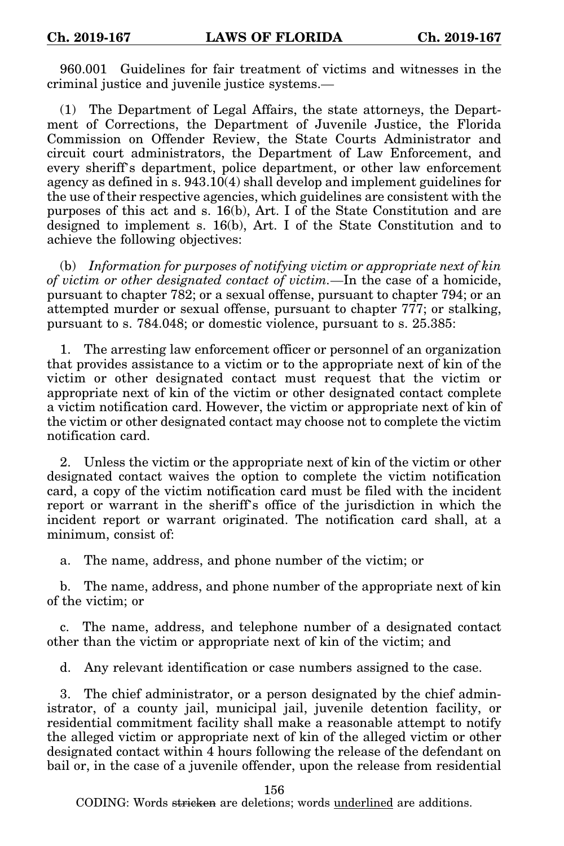960.001 Guidelines for fair treatment of victims and witnesses in the criminal justice and juvenile justice systems.—

(1) The Department of Legal Affairs, the state attorneys, the Department of Corrections, the Department of Juvenile Justice, the Florida Commission on Offender Review, the State Courts Administrator and circuit court administrators, the Department of Law Enforcement, and every sheriff's department, police department, or other law enforcement agency as defined in s. 943.10(4) shall develop and implement guidelines for the use of their respective agencies, which guidelines are consistent with the purposes of this act and s. 16(b), Art. I of the State Constitution and are designed to implement s. 16(b), Art. I of the State Constitution and to achieve the following objectives:

(b) *Information for purposes of notifying victim or appropriate next of kin of victim or other designated contact of victim.*—In the case of a homicide, pursuant to chapter 782; or a sexual offense, pursuant to chapter 794; or an attempted murder or sexual offense, pursuant to chapter 777; or stalking, pursuant to s. 784.048; or domestic violence, pursuant to s. 25.385:

1. The arresting law enforcement officer or personnel of an organization that provides assistance to a victim or to the appropriate next of kin of the victim or other designated contact must request that the victim or appropriate next of kin of the victim or other designated contact complete a victim notification card. However, the victim or appropriate next of kin of the victim or other designated contact may choose not to complete the victim notification card.

2. Unless the victim or the appropriate next of kin of the victim or other designated contact waives the option to complete the victim notification card, a copy of the victim notification card must be filed with the incident report or warrant in the sheriff's office of the jurisdiction in which the incident report or warrant originated. The notification card shall, at a minimum, consist of:

a. The name, address, and phone number of the victim; or

b. The name, address, and phone number of the appropriate next of kin of the victim; or

c. The name, address, and telephone number of a designated contact other than the victim or appropriate next of kin of the victim; and

d. Any relevant identification or case numbers assigned to the case.

3. The chief administrator, or a person designated by the chief administrator, of a county jail, municipal jail, juvenile detention facility, or residential commitment facility shall make a reasonable attempt to notify the alleged victim or appropriate next of kin of the alleged victim or other designated contact within 4 hours following the release of the defendant on bail or, in the case of a juvenile offender, upon the release from residential

156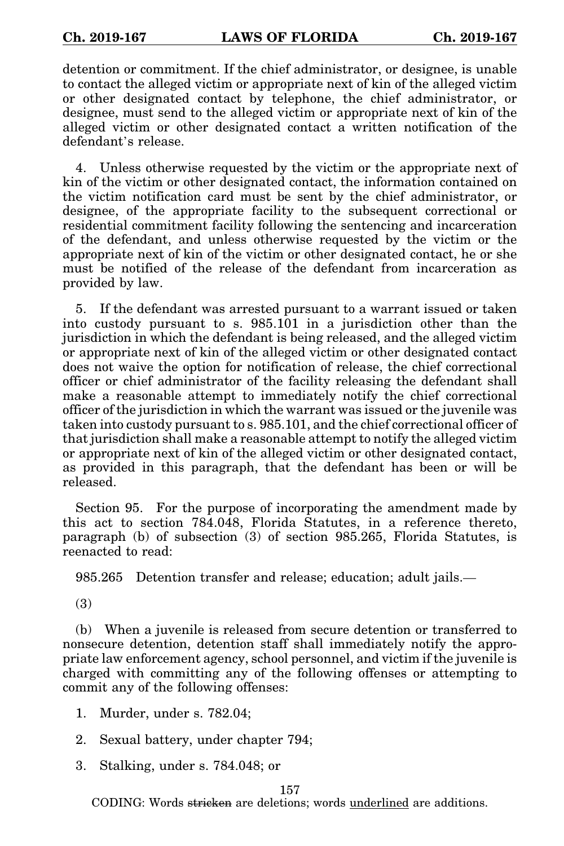detention or commitment. If the chief administrator, or designee, is unable to contact the alleged victim or appropriate next of kin of the alleged victim or other designated contact by telephone, the chief administrator, or designee, must send to the alleged victim or appropriate next of kin of the alleged victim or other designated contact a written notification of the defendant's release.

4. Unless otherwise requested by the victim or the appropriate next of kin of the victim or other designated contact, the information contained on the victim notification card must be sent by the chief administrator, or designee, of the appropriate facility to the subsequent correctional or residential commitment facility following the sentencing and incarceration of the defendant, and unless otherwise requested by the victim or the appropriate next of kin of the victim or other designated contact, he or she must be notified of the release of the defendant from incarceration as provided by law.

5. If the defendant was arrested pursuant to a warrant issued or taken into custody pursuant to s. 985.101 in a jurisdiction other than the jurisdiction in which the defendant is being released, and the alleged victim or appropriate next of kin of the alleged victim or other designated contact does not waive the option for notification of release, the chief correctional officer or chief administrator of the facility releasing the defendant shall make a reasonable attempt to immediately notify the chief correctional officer of the jurisdiction in which the warrant was issued or the juvenile was taken into custody pursuant to s. 985.101, and the chief correctional officer of that jurisdiction shall make a reasonable attempt to notify the alleged victim or appropriate next of kin of the alleged victim or other designated contact, as provided in this paragraph, that the defendant has been or will be released.

Section 95. For the purpose of incorporating the amendment made by this act to section 784.048, Florida Statutes, in a reference thereto, paragraph (b) of subsection (3) of section 985.265, Florida Statutes, is reenacted to read:

985.265 Detention transfer and release; education; adult jails.—

(3)

(b) When a juvenile is released from secure detention or transferred to nonsecure detention, detention staff shall immediately notify the appropriate law enforcement agency, school personnel, and victim if the juvenile is charged with committing any of the following offenses or attempting to commit any of the following offenses:

- 1. Murder, under s. 782.04;
- 2. Sexual battery, under chapter 794;
- 3. Stalking, under s. 784.048; or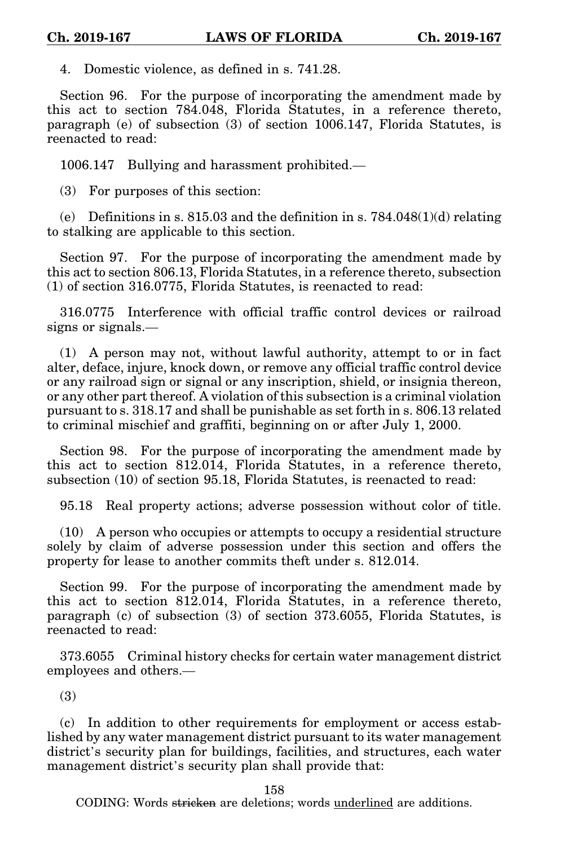4. Domestic violence, as defined in s. 741.28.

Section 96. For the purpose of incorporating the amendment made by this act to section 784.048, Florida Statutes, in a reference thereto, paragraph (e) of subsection (3) of section 1006.147, Florida Statutes, is reenacted to read:

1006.147 Bullying and harassment prohibited.—

(3) For purposes of this section:

(e) Definitions in s. 815.03 and the definition in s.  $784.048(1)(d)$  relating to stalking are applicable to this section.

Section 97. For the purpose of incorporating the amendment made by this act to section 806.13, Florida Statutes, in a reference thereto, subsection (1) of section 316.0775, Florida Statutes, is reenacted to read:

316.0775 Interference with official traffic control devices or railroad signs or signals.—

(1) A person may not, without lawful authority, attempt to or in fact alter, deface, injure, knock down, or remove any official traffic control device or any railroad sign or signal or any inscription, shield, or insignia thereon, or any other part thereof. A violation of this subsection is a criminal violation pursuant to s. 318.17 and shall be punishable as set forth in s. 806.13 related to criminal mischief and graffiti, beginning on or after July 1, 2000.

Section 98. For the purpose of incorporating the amendment made by this act to section 812.014, Florida Statutes, in a reference thereto, subsection (10) of section 95.18, Florida Statutes, is reenacted to read:

95.18 Real property actions; adverse possession without color of title.

(10) A person who occupies or attempts to occupy a residential structure solely by claim of adverse possession under this section and offers the property for lease to another commits theft under s. 812.014.

Section 99. For the purpose of incorporating the amendment made by this act to section 812.014, Florida Statutes, in a reference thereto, paragraph (c) of subsection (3) of section 373.6055, Florida Statutes, is reenacted to read:

373.6055 Criminal history checks for certain water management district employees and others.—

(3)

(c) In addition to other requirements for employment or access established by any water management district pursuant to its water management district's security plan for buildings, facilities, and structures, each water management district's security plan shall provide that:

158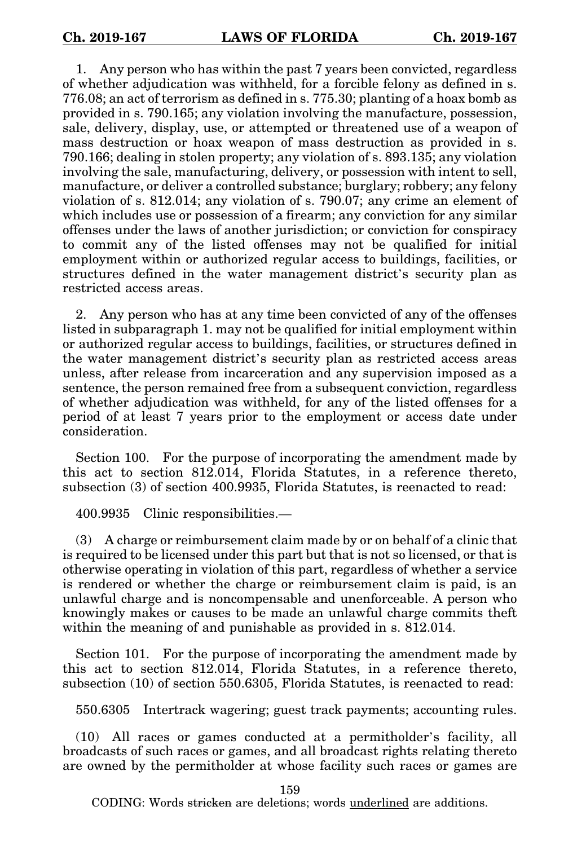1. Any person who has within the past 7 years been convicted, regardless of whether adjudication was withheld, for a forcible felony as defined in s. 776.08; an act of terrorism as defined in s. 775.30; planting of a hoax bomb as provided in s. 790.165; any violation involving the manufacture, possession, sale, delivery, display, use, or attempted or threatened use of a weapon of mass destruction or hoax weapon of mass destruction as provided in s. 790.166; dealing in stolen property; any violation of s. 893.135; any violation involving the sale, manufacturing, delivery, or possession with intent to sell, manufacture, or deliver a controlled substance; burglary; robbery; any felony violation of s. 812.014; any violation of s. 790.07; any crime an element of which includes use or possession of a firearm; any conviction for any similar offenses under the laws of another jurisdiction; or conviction for conspiracy to commit any of the listed offenses may not be qualified for initial employment within or authorized regular access to buildings, facilities, or structures defined in the water management district's security plan as restricted access areas.

2. Any person who has at any time been convicted of any of the offenses listed in subparagraph 1. may not be qualified for initial employment within or authorized regular access to buildings, facilities, or structures defined in the water management district's security plan as restricted access areas unless, after release from incarceration and any supervision imposed as a sentence, the person remained free from a subsequent conviction, regardless of whether adjudication was withheld, for any of the listed offenses for a period of at least 7 years prior to the employment or access date under consideration.

Section 100. For the purpose of incorporating the amendment made by this act to section 812.014, Florida Statutes, in a reference thereto, subsection (3) of section 400.9935, Florida Statutes, is reenacted to read:

400.9935 Clinic responsibilities.—

(3) A charge or reimbursement claim made by or on behalf of a clinic that is required to be licensed under this part but that is not so licensed, or that is otherwise operating in violation of this part, regardless of whether a service is rendered or whether the charge or reimbursement claim is paid, is an unlawful charge and is noncompensable and unenforceable. A person who knowingly makes or causes to be made an unlawful charge commits theft within the meaning of and punishable as provided in s. 812.014.

Section 101. For the purpose of incorporating the amendment made by this act to section 812.014, Florida Statutes, in a reference thereto, subsection (10) of section 550.6305, Florida Statutes, is reenacted to read:

550.6305 Intertrack wagering; guest track payments; accounting rules.

(10) All races or games conducted at a permitholder's facility, all broadcasts of such races or games, and all broadcast rights relating thereto are owned by the permitholder at whose facility such races or games are

159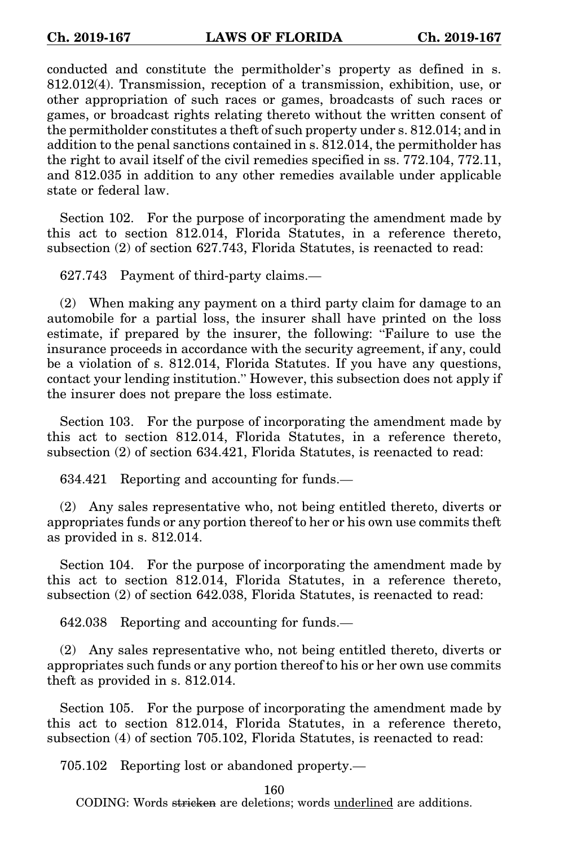conducted and constitute the permitholder's property as defined in s. 812.012(4). Transmission, reception of a transmission, exhibition, use, or other appropriation of such races or games, broadcasts of such races or games, or broadcast rights relating thereto without the written consent of the permitholder constitutes a theft of such property under s. 812.014; and in addition to the penal sanctions contained in s. 812.014, the permitholder has the right to avail itself of the civil remedies specified in ss. 772.104, 772.11, and 812.035 in addition to any other remedies available under applicable state or federal law.

Section 102. For the purpose of incorporating the amendment made by this act to section 812.014, Florida Statutes, in a reference thereto, subsection (2) of section 627.743, Florida Statutes, is reenacted to read:

627.743 Payment of third-party claims.—

(2) When making any payment on a third party claim for damage to an automobile for a partial loss, the insurer shall have printed on the loss estimate, if prepared by the insurer, the following: "Failure to use the insurance proceeds in accordance with the security agreement, if any, could be a violation of s. 812.014, Florida Statutes. If you have any questions, contact your lending institution." However, this subsection does not apply if the insurer does not prepare the loss estimate.

Section 103. For the purpose of incorporating the amendment made by this act to section 812.014, Florida Statutes, in a reference thereto, subsection (2) of section 634.421, Florida Statutes, is reenacted to read:

634.421 Reporting and accounting for funds.—

(2) Any sales representative who, not being entitled thereto, diverts or appropriates funds or any portion thereof to her or his own use commits theft as provided in s. 812.014.

Section 104. For the purpose of incorporating the amendment made by this act to section 812.014, Florida Statutes, in a reference thereto, subsection (2) of section 642.038, Florida Statutes, is reenacted to read:

642.038 Reporting and accounting for funds.—

(2) Any sales representative who, not being entitled thereto, diverts or appropriates such funds or any portion thereof to his or her own use commits theft as provided in s. 812.014.

Section 105. For the purpose of incorporating the amendment made by this act to section 812.014, Florida Statutes, in a reference thereto, subsection (4) of section 705.102, Florida Statutes, is reenacted to read:

705.102 Reporting lost or abandoned property.—

160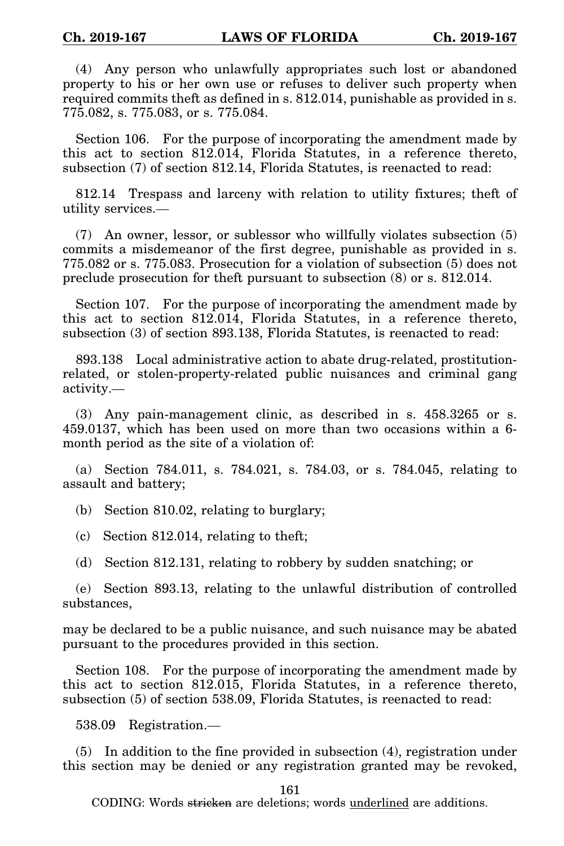(4) Any person who unlawfully appropriates such lost or abandoned property to his or her own use or refuses to deliver such property when required commits theft as defined in s. 812.014, punishable as provided in s. 775.082, s. 775.083, or s. 775.084.

Section 106. For the purpose of incorporating the amendment made by this act to section 812.014, Florida Statutes, in a reference thereto, subsection (7) of section 812.14, Florida Statutes, is reenacted to read:

812.14 Trespass and larceny with relation to utility fixtures; theft of utility services.—

(7) An owner, lessor, or sublessor who willfully violates subsection (5) commits a misdemeanor of the first degree, punishable as provided in s. 775.082 or s. 775.083. Prosecution for a violation of subsection (5) does not preclude prosecution for theft pursuant to subsection (8) or s. 812.014.

Section 107. For the purpose of incorporating the amendment made by this act to section 812.014, Florida Statutes, in a reference thereto, subsection (3) of section 893.138, Florida Statutes, is reenacted to read:

893.138 Local administrative action to abate drug-related, prostitutionrelated, or stolen-property-related public nuisances and criminal gang activity.—

(3) Any pain-management clinic, as described in s. 458.3265 or s. 459.0137, which has been used on more than two occasions within a 6 month period as the site of a violation of:

(a) Section 784.011, s. 784.021, s. 784.03, or s. 784.045, relating to assault and battery;

(b) Section 810.02, relating to burglary;

(c) Section 812.014, relating to theft;

(d) Section 812.131, relating to robbery by sudden snatching; or

(e) Section 893.13, relating to the unlawful distribution of controlled substances,

may be declared to be a public nuisance, and such nuisance may be abated pursuant to the procedures provided in this section.

Section 108. For the purpose of incorporating the amendment made by this act to section 812.015, Florida Statutes, in a reference thereto, subsection (5) of section 538.09, Florida Statutes, is reenacted to read:

538.09 Registration.—

(5) In addition to the fine provided in subsection (4), registration under this section may be denied or any registration granted may be revoked,

161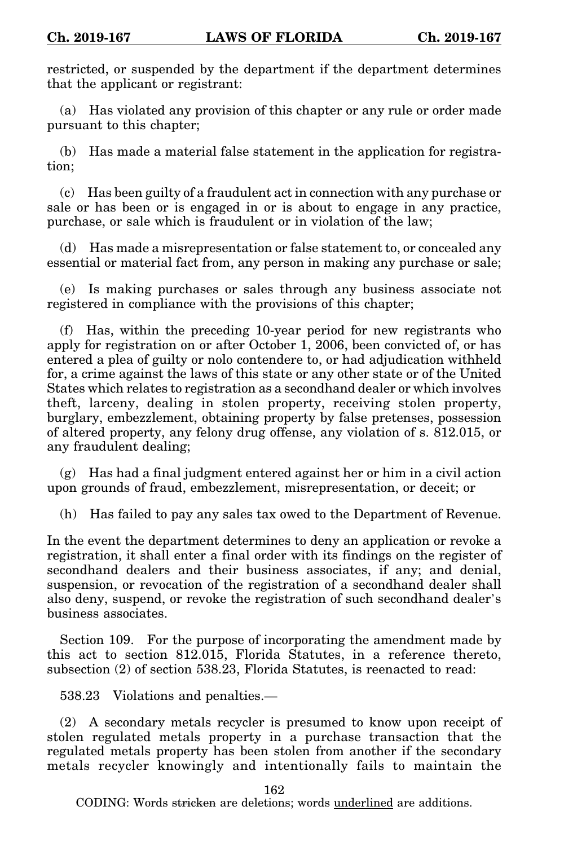restricted, or suspended by the department if the department determines that the applicant or registrant:

(a) Has violated any provision of this chapter or any rule or order made pursuant to this chapter;

(b) Has made a material false statement in the application for registration;

(c) Has been guilty of a fraudulent act in connection with any purchase or sale or has been or is engaged in or is about to engage in any practice, purchase, or sale which is fraudulent or in violation of the law;

(d) Has made a misrepresentation or false statement to, or concealed any essential or material fact from, any person in making any purchase or sale;

(e) Is making purchases or sales through any business associate not registered in compliance with the provisions of this chapter;

(f) Has, within the preceding 10-year period for new registrants who apply for registration on or after October 1, 2006, been convicted of, or has entered a plea of guilty or nolo contendere to, or had adjudication withheld for, a crime against the laws of this state or any other state or of the United States which relates to registration as a secondhand dealer or which involves theft, larceny, dealing in stolen property, receiving stolen property, burglary, embezzlement, obtaining property by false pretenses, possession of altered property, any felony drug offense, any violation of s. 812.015, or any fraudulent dealing;

(g) Has had a final judgment entered against her or him in a civil action upon grounds of fraud, embezzlement, misrepresentation, or deceit; or

(h) Has failed to pay any sales tax owed to the Department of Revenue.

In the event the department determines to deny an application or revoke a registration, it shall enter a final order with its findings on the register of secondhand dealers and their business associates, if any; and denial, suspension, or revocation of the registration of a secondhand dealer shall also deny, suspend, or revoke the registration of such secondhand dealer's business associates.

Section 109. For the purpose of incorporating the amendment made by this act to section 812.015, Florida Statutes, in a reference thereto, subsection (2) of section 538.23, Florida Statutes, is reenacted to read:

538.23 Violations and penalties.—

(2) A secondary metals recycler is presumed to know upon receipt of stolen regulated metals property in a purchase transaction that the regulated metals property has been stolen from another if the secondary metals recycler knowingly and intentionally fails to maintain the

162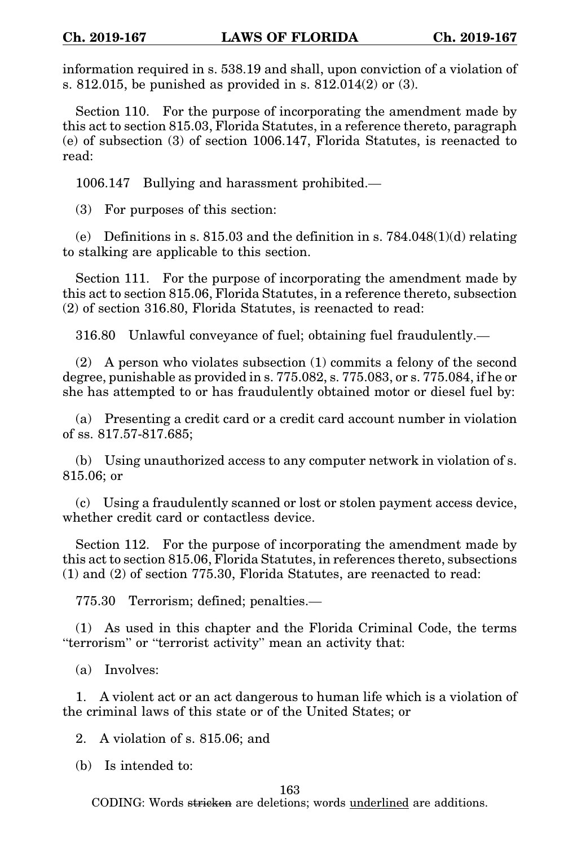information required in s. 538.19 and shall, upon conviction of a violation of s. 812.015, be punished as provided in s. 812.014(2) or (3).

Section 110. For the purpose of incorporating the amendment made by this act to section 815.03, Florida Statutes, in a reference thereto, paragraph (e) of subsection (3) of section 1006.147, Florida Statutes, is reenacted to read:

1006.147 Bullying and harassment prohibited.—

(3) For purposes of this section:

(e) Definitions in s. 815.03 and the definition in s.  $784.048(1)(d)$  relating to stalking are applicable to this section.

Section 111. For the purpose of incorporating the amendment made by this act to section 815.06, Florida Statutes, in a reference thereto, subsection (2) of section 316.80, Florida Statutes, is reenacted to read:

316.80 Unlawful conveyance of fuel; obtaining fuel fraudulently.—

(2) A person who violates subsection (1) commits a felony of the second degree, punishable as provided in s. 775.082, s. 775.083, or s. 775.084, if he or she has attempted to or has fraudulently obtained motor or diesel fuel by:

(a) Presenting a credit card or a credit card account number in violation of ss. 817.57-817.685;

(b) Using unauthorized access to any computer network in violation of s. 815.06; or

(c) Using a fraudulently scanned or lost or stolen payment access device, whether credit card or contactless device.

Section 112. For the purpose of incorporating the amendment made by this act to section 815.06, Florida Statutes, in references thereto, subsections (1) and (2) of section 775.30, Florida Statutes, are reenacted to read:

775.30 Terrorism; defined; penalties.—

(1) As used in this chapter and the Florida Criminal Code, the terms "terrorism" or "terrorist activity" mean an activity that:

(a) Involves:

1. A violent act or an act dangerous to human life which is a violation of the criminal laws of this state or of the United States; or

2. A violation of s. 815.06; and

(b) Is intended to:

## 163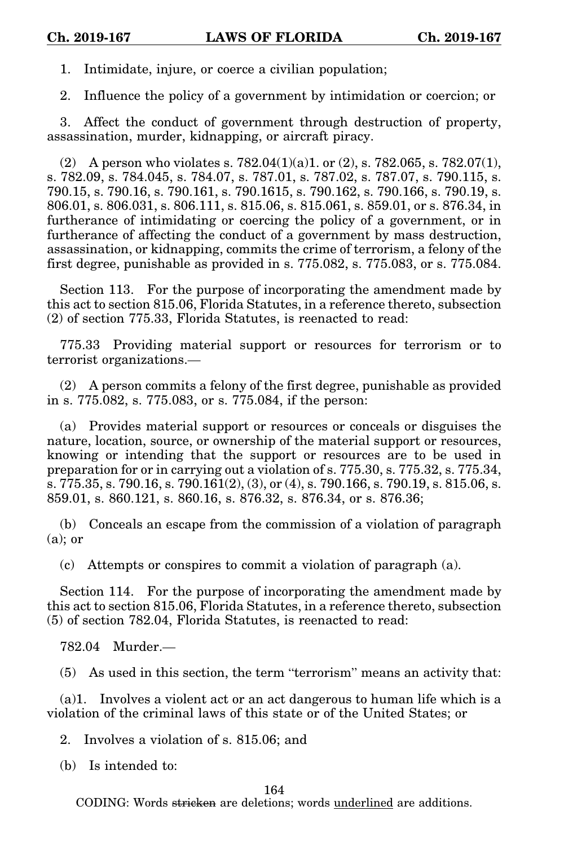1. Intimidate, injure, or coerce a civilian population;

2. Influence the policy of a government by intimidation or coercion; or

3. Affect the conduct of government through destruction of property, assassination, murder, kidnapping, or aircraft piracy.

(2) A person who violates s.  $782.04(1)(a)1$ . or (2), s.  $782.065$ , s.  $782.07(1)$ , s. 782.09, s. 784.045, s. 784.07, s. 787.01, s. 787.02, s. 787.07, s. 790.115, s. 790.15, s. 790.16, s. 790.161, s. 790.1615, s. 790.162, s. 790.166, s. 790.19, s. 806.01, s. 806.031, s. 806.111, s. 815.06, s. 815.061, s. 859.01, or s. 876.34, in furtherance of intimidating or coercing the policy of a government, or in furtherance of affecting the conduct of a government by mass destruction, assassination, or kidnapping, commits the crime of terrorism, a felony of the first degree, punishable as provided in s. 775.082, s. 775.083, or s. 775.084.

Section 113. For the purpose of incorporating the amendment made by this act to section 815.06, Florida Statutes, in a reference thereto, subsection (2) of section 775.33, Florida Statutes, is reenacted to read:

775.33 Providing material support or resources for terrorism or to terrorist organizations.—

(2) A person commits a felony of the first degree, punishable as provided in s. 775.082, s. 775.083, or s. 775.084, if the person:

(a) Provides material support or resources or conceals or disguises the nature, location, source, or ownership of the material support or resources, knowing or intending that the support or resources are to be used in preparation for or in carrying out a violation of s. 775.30, s. 775.32, s. 775.34, s. 775.35, s. 790.16, s. 790.161 $(2)$ ,  $(3)$ , or  $(4)$ , s. 790.166, s. 790.19, s. 815.06, s. 859.01, s. 860.121, s. 860.16, s. 876.32, s. 876.34, or s. 876.36;

(b) Conceals an escape from the commission of a violation of paragraph  $(a)$ ; or

(c) Attempts or conspires to commit a violation of paragraph (a).

Section 114. For the purpose of incorporating the amendment made by this act to section 815.06, Florida Statutes, in a reference thereto, subsection (5) of section 782.04, Florida Statutes, is reenacted to read:

782.04 Murder.—

(5) As used in this section, the term "terrorism" means an activity that:

(a)1. Involves a violent act or an act dangerous to human life which is a violation of the criminal laws of this state or of the United States; or

2. Involves a violation of s. 815.06; and

(b) Is intended to: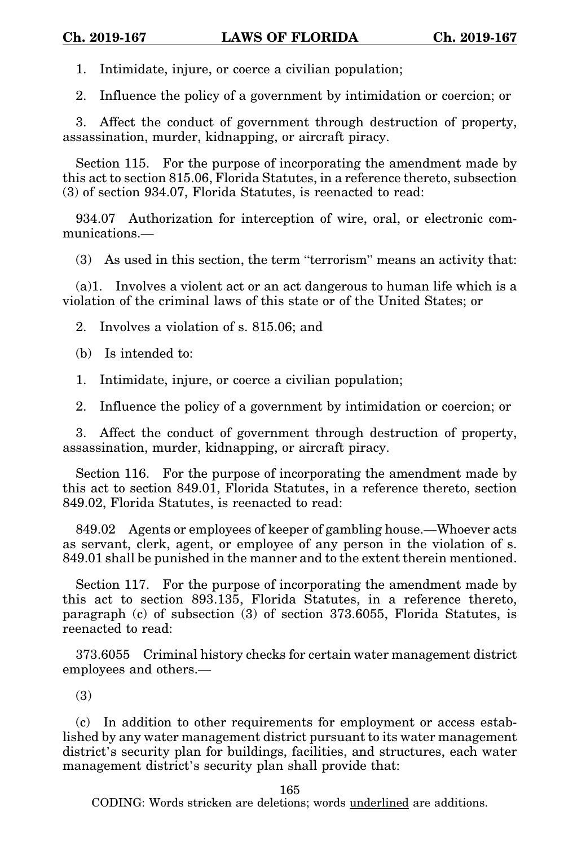1. Intimidate, injure, or coerce a civilian population;

2. Influence the policy of a government by intimidation or coercion; or

3. Affect the conduct of government through destruction of property, assassination, murder, kidnapping, or aircraft piracy.

Section 115. For the purpose of incorporating the amendment made by this act to section 815.06, Florida Statutes, in a reference thereto, subsection (3) of section 934.07, Florida Statutes, is reenacted to read:

934.07 Authorization for interception of wire, oral, or electronic communications.—

(3) As used in this section, the term "terrorism" means an activity that:

(a)1. Involves a violent act or an act dangerous to human life which is a violation of the criminal laws of this state or of the United States; or

2. Involves a violation of s. 815.06; and

(b) Is intended to:

1. Intimidate, injure, or coerce a civilian population;

2. Influence the policy of a government by intimidation or coercion; or

3. Affect the conduct of government through destruction of property, assassination, murder, kidnapping, or aircraft piracy.

Section 116. For the purpose of incorporating the amendment made by this act to section 849.01, Florida Statutes, in a reference thereto, section 849.02, Florida Statutes, is reenacted to read:

849.02 Agents or employees of keeper of gambling house.—Whoever acts as servant, clerk, agent, or employee of any person in the violation of s. 849.01 shall be punished in the manner and to the extent therein mentioned.

Section 117. For the purpose of incorporating the amendment made by this act to section 893.135, Florida Statutes, in a reference thereto, paragraph (c) of subsection (3) of section 373.6055, Florida Statutes, is reenacted to read:

373.6055 Criminal history checks for certain water management district employees and others.—

(3)

(c) In addition to other requirements for employment or access established by any water management district pursuant to its water management district's security plan for buildings, facilities, and structures, each water management district's security plan shall provide that:

165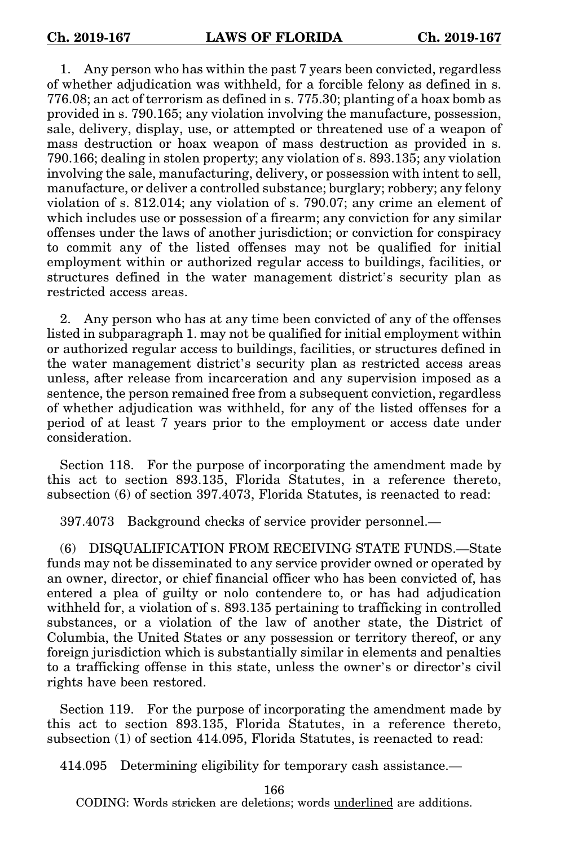1. Any person who has within the past 7 years been convicted, regardless of whether adjudication was withheld, for a forcible felony as defined in s. 776.08; an act of terrorism as defined in s. 775.30; planting of a hoax bomb as provided in s. 790.165; any violation involving the manufacture, possession, sale, delivery, display, use, or attempted or threatened use of a weapon of mass destruction or hoax weapon of mass destruction as provided in s. 790.166; dealing in stolen property; any violation of s. 893.135; any violation involving the sale, manufacturing, delivery, or possession with intent to sell, manufacture, or deliver a controlled substance; burglary; robbery; any felony violation of s. 812.014; any violation of s. 790.07; any crime an element of which includes use or possession of a firearm; any conviction for any similar offenses under the laws of another jurisdiction; or conviction for conspiracy to commit any of the listed offenses may not be qualified for initial employment within or authorized regular access to buildings, facilities, or structures defined in the water management district's security plan as restricted access areas.

2. Any person who has at any time been convicted of any of the offenses listed in subparagraph 1. may not be qualified for initial employment within or authorized regular access to buildings, facilities, or structures defined in the water management district's security plan as restricted access areas unless, after release from incarceration and any supervision imposed as a sentence, the person remained free from a subsequent conviction, regardless of whether adjudication was withheld, for any of the listed offenses for a period of at least 7 years prior to the employment or access date under consideration.

Section 118. For the purpose of incorporating the amendment made by this act to section 893.135, Florida Statutes, in a reference thereto, subsection (6) of section 397.4073, Florida Statutes, is reenacted to read:

397.4073 Background checks of service provider personnel.—

(6) DISQUALIFICATION FROM RECEIVING STATE FUNDS.—State funds may not be disseminated to any service provider owned or operated by an owner, director, or chief financial officer who has been convicted of, has entered a plea of guilty or nolo contendere to, or has had adjudication withheld for, a violation of s. 893.135 pertaining to trafficking in controlled substances, or a violation of the law of another state, the District of Columbia, the United States or any possession or territory thereof, or any foreign jurisdiction which is substantially similar in elements and penalties to a trafficking offense in this state, unless the owner's or director's civil rights have been restored.

Section 119. For the purpose of incorporating the amendment made by this act to section 893.135, Florida Statutes, in a reference thereto, subsection (1) of section 414.095, Florida Statutes, is reenacted to read:

414.095 Determining eligibility for temporary cash assistance.—

166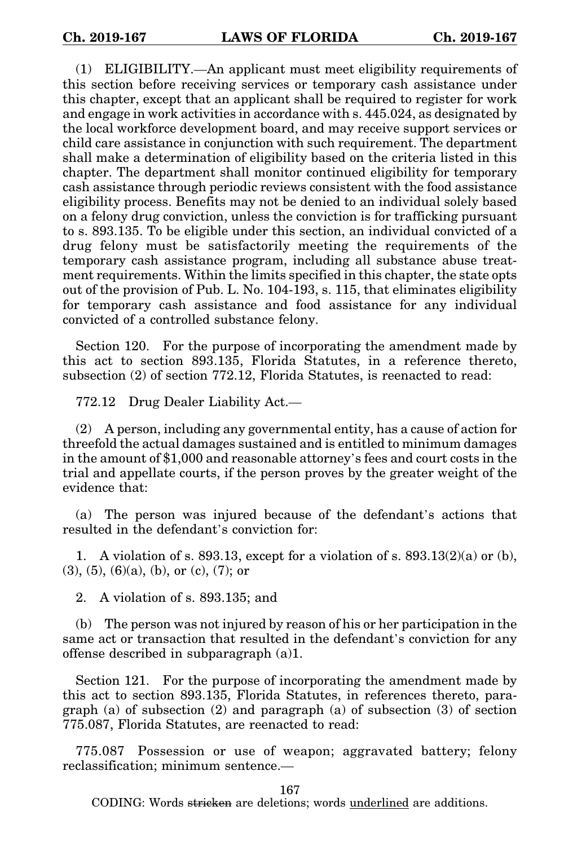(1) ELIGIBILITY.—An applicant must meet eligibility requirements of this section before receiving services or temporary cash assistance under this chapter, except that an applicant shall be required to register for work and engage in work activities in accordance with s. 445.024, as designated by the local workforce development board, and may receive support services or child care assistance in conjunction with such requirement. The department shall make a determination of eligibility based on the criteria listed in this chapter. The department shall monitor continued eligibility for temporary cash assistance through periodic reviews consistent with the food assistance eligibility process. Benefits may not be denied to an individual solely based on a felony drug conviction, unless the conviction is for trafficking pursuant to s. 893.135. To be eligible under this section, an individual convicted of a drug felony must be satisfactorily meeting the requirements of the temporary cash assistance program, including all substance abuse treatment requirements. Within the limits specified in this chapter, the state opts out of the provision of Pub. L. No. 104-193, s. 115, that eliminates eligibility for temporary cash assistance and food assistance for any individual convicted of a controlled substance felony.

Section 120. For the purpose of incorporating the amendment made by this act to section 893.135, Florida Statutes, in a reference thereto, subsection (2) of section 772.12, Florida Statutes, is reenacted to read:

772.12 Drug Dealer Liability Act.—

(2) A person, including any governmental entity, has a cause of action for threefold the actual damages sustained and is entitled to minimum damages in the amount of \$1,000 and reasonable attorney's fees and court costs in the trial and appellate courts, if the person proves by the greater weight of the evidence that:

(a) The person was injured because of the defendant's actions that resulted in the defendant's conviction for:

1. A violation of s. 893.13, except for a violation of s. 893.13 $(2)(a)$  or  $(b)$ ,  $(3)$ ,  $(5)$ ,  $(6)(a)$ ,  $(b)$ , or  $(c)$ ,  $(7)$ ; or

2. A violation of s. 893.135; and

(b) The person was not injured by reason of his or her participation in the same act or transaction that resulted in the defendant's conviction for any offense described in subparagraph (a)1.

Section 121. For the purpose of incorporating the amendment made by this act to section 893.135, Florida Statutes, in references thereto, paragraph (a) of subsection  $(2)$  and paragraph  $(a)$  of subsection  $(3)$  of section 775.087, Florida Statutes, are reenacted to read:

775.087 Possession or use of weapon; aggravated battery; felony reclassification; minimum sentence.—

167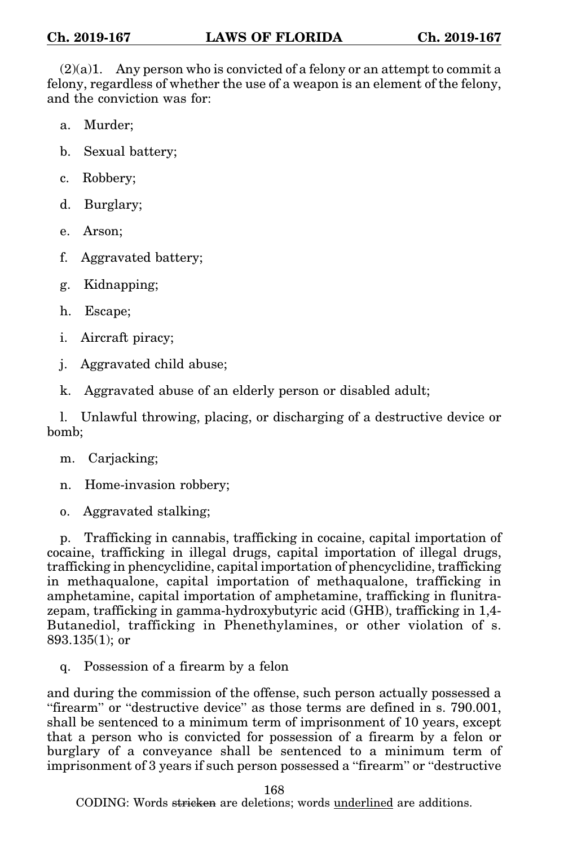$(2)(a)1$ . Any person who is convicted of a felony or an attempt to commit a felony, regardless of whether the use of a weapon is an element of the felony, and the conviction was for:

- a. Murder;
- b. Sexual battery;
- c. Robbery;
- d. Burglary;
- e. Arson;
- f. Aggravated battery;
- g. Kidnapping;
- h. Escape;
- i. Aircraft piracy;
- j. Aggravated child abuse;
- k. Aggravated abuse of an elderly person or disabled adult;

l. Unlawful throwing, placing, or discharging of a destructive device or bomb;

m. Carjacking;

n. Home-invasion robbery;

o. Aggravated stalking;

p. Trafficking in cannabis, trafficking in cocaine, capital importation of cocaine, trafficking in illegal drugs, capital importation of illegal drugs, trafficking in phencyclidine, capital importation of phencyclidine, trafficking in methaqualone, capital importation of methaqualone, trafficking in amphetamine, capital importation of amphetamine, trafficking in flunitrazepam, trafficking in gamma-hydroxybutyric acid (GHB), trafficking in 1,4- Butanediol, trafficking in Phenethylamines, or other violation of s. 893.135(1); or

q. Possession of a firearm by a felon

and during the commission of the offense, such person actually possessed a "firearm" or "destructive device" as those terms are defined in s. 790.001, shall be sentenced to a minimum term of imprisonment of 10 years, except that a person who is convicted for possession of a firearm by a felon or burglary of a conveyance shall be sentenced to a minimum term of imprisonment of 3 years if such person possessed a "firearm" or "destructive

168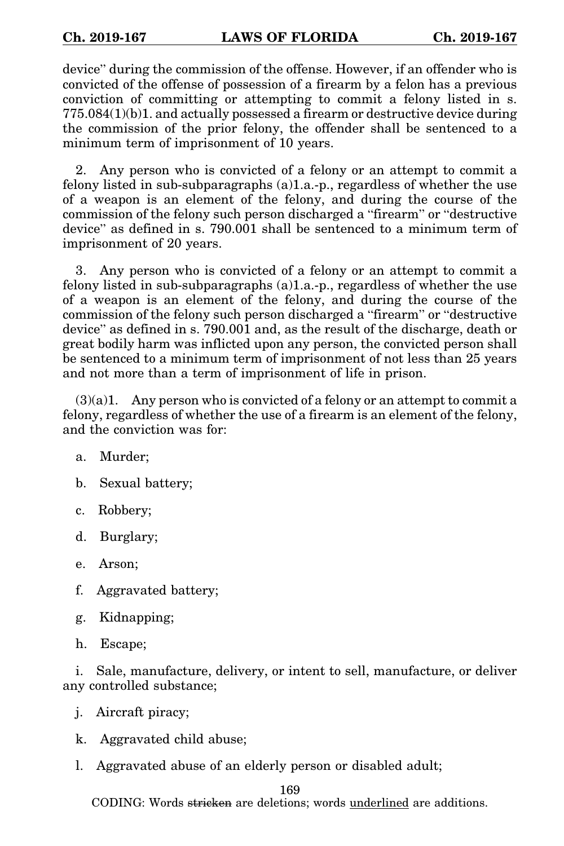device" during the commission of the offense. However, if an offender who is convicted of the offense of possession of a firearm by a felon has a previous conviction of committing or attempting to commit a felony listed in s. 775.084(1)(b)1. and actually possessed a firearm or destructive device during the commission of the prior felony, the offender shall be sentenced to a minimum term of imprisonment of 10 years.

2. Any person who is convicted of a felony or an attempt to commit a felony listed in sub-subparagraphs (a)1.a.-p., regardless of whether the use of a weapon is an element of the felony, and during the course of the commission of the felony such person discharged a "firearm" or "destructive device" as defined in s. 790.001 shall be sentenced to a minimum term of imprisonment of 20 years.

3. Any person who is convicted of a felony or an attempt to commit a felony listed in sub-subparagraphs (a)1.a.-p., regardless of whether the use of a weapon is an element of the felony, and during the course of the commission of the felony such person discharged a "firearm" or "destructive device" as defined in s. 790.001 and, as the result of the discharge, death or great bodily harm was inflicted upon any person, the convicted person shall be sentenced to a minimum term of imprisonment of not less than 25 years and not more than a term of imprisonment of life in prison.

 $(3)(a)1$ . Any person who is convicted of a felony or an attempt to commit a felony, regardless of whether the use of a firearm is an element of the felony, and the conviction was for:

- a. Murder;
- b. Sexual battery;
- c. Robbery;
- d. Burglary;
- e. Arson;
- f. Aggravated battery;
- g. Kidnapping;
- h. Escape;

i. Sale, manufacture, delivery, or intent to sell, manufacture, or deliver any controlled substance;

- j. Aircraft piracy;
- k. Aggravated child abuse;
- l. Aggravated abuse of an elderly person or disabled adult;

169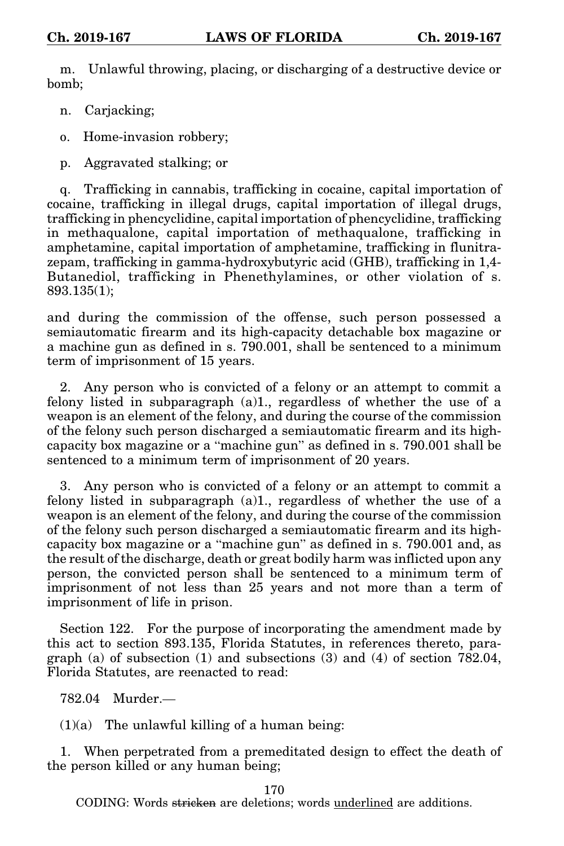m. Unlawful throwing, placing, or discharging of a destructive device or bomb;

n. Carjacking;

o. Home-invasion robbery;

p. Aggravated stalking; or

q. Trafficking in cannabis, trafficking in cocaine, capital importation of cocaine, trafficking in illegal drugs, capital importation of illegal drugs, trafficking in phencyclidine, capital importation of phencyclidine, trafficking in methaqualone, capital importation of methaqualone, trafficking in amphetamine, capital importation of amphetamine, trafficking in flunitrazepam, trafficking in gamma-hydroxybutyric acid (GHB), trafficking in 1,4- Butanediol, trafficking in Phenethylamines, or other violation of s. 893.135(1);

and during the commission of the offense, such person possessed a semiautomatic firearm and its high-capacity detachable box magazine or a machine gun as defined in s. 790.001, shall be sentenced to a minimum term of imprisonment of 15 years.

2. Any person who is convicted of a felony or an attempt to commit a felony listed in subparagraph  $(a)1$ , regardless of whether the use of a weapon is an element of the felony, and during the course of the commission of the felony such person discharged a semiautomatic firearm and its highcapacity box magazine or a "machine gun" as defined in s. 790.001 shall be sentenced to a minimum term of imprisonment of 20 years.

3. Any person who is convicted of a felony or an attempt to commit a felony listed in subparagraph (a)1., regardless of whether the use of a weapon is an element of the felony, and during the course of the commission of the felony such person discharged a semiautomatic firearm and its highcapacity box magazine or a "machine gun" as defined in s. 790.001 and, as the result of the discharge, death or great bodily harm was inflicted upon any person, the convicted person shall be sentenced to a minimum term of imprisonment of not less than 25 years and not more than a term of imprisonment of life in prison.

Section 122. For the purpose of incorporating the amendment made by this act to section 893.135, Florida Statutes, in references thereto, paragraph (a) of subsection (1) and subsections (3) and (4) of section 782.04, Florida Statutes, are reenacted to read:

782.04 Murder.—

 $(1)(a)$  The unlawful killing of a human being:

1. When perpetrated from a premeditated design to effect the death of the person killed or any human being;

170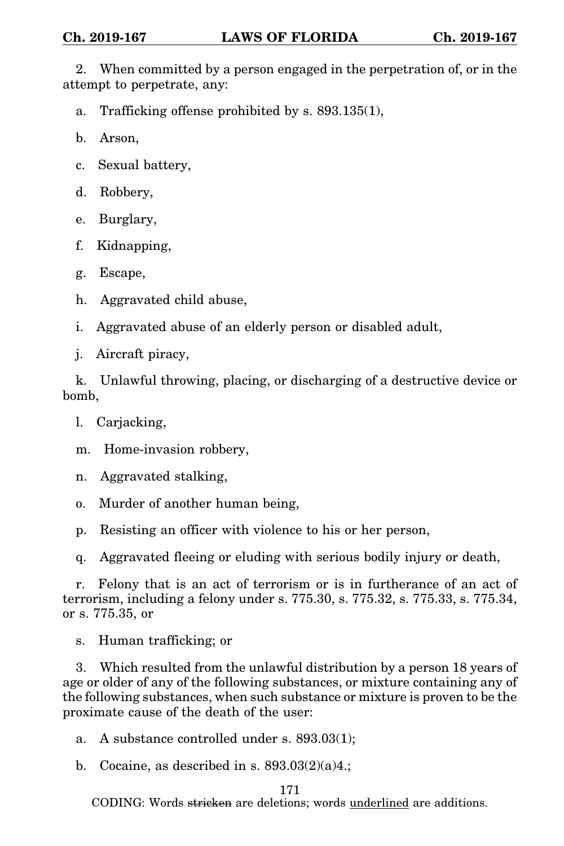2. When committed by a person engaged in the perpetration of, or in the attempt to perpetrate, any:

a. Trafficking offense prohibited by s. 893.135(1),

b. Arson,

c. Sexual battery,

d. Robbery,

e. Burglary,

f. Kidnapping,

g. Escape,

h. Aggravated child abuse,

i. Aggravated abuse of an elderly person or disabled adult,

j. Aircraft piracy,

k. Unlawful throwing, placing, or discharging of a destructive device or bomb,

l. Carjacking,

m. Home-invasion robbery,

n. Aggravated stalking,

o. Murder of another human being,

p. Resisting an officer with violence to his or her person,

q. Aggravated fleeing or eluding with serious bodily injury or death,

r. Felony that is an act of terrorism or is in furtherance of an act of terrorism, including a felony under s. 775.30, s. 775.32, s. 775.33, s. 775.34, or s. 775.35, or

s. Human trafficking; or

3. Which resulted from the unlawful distribution by a person 18 years of age or older of any of the following substances, or mixture containing any of the following substances, when such substance or mixture is proven to be the proximate cause of the death of the user:

a. A substance controlled under s. 893.03(1);

b. Cocaine, as described in s.  $893.03(2)(a)4$ .;

171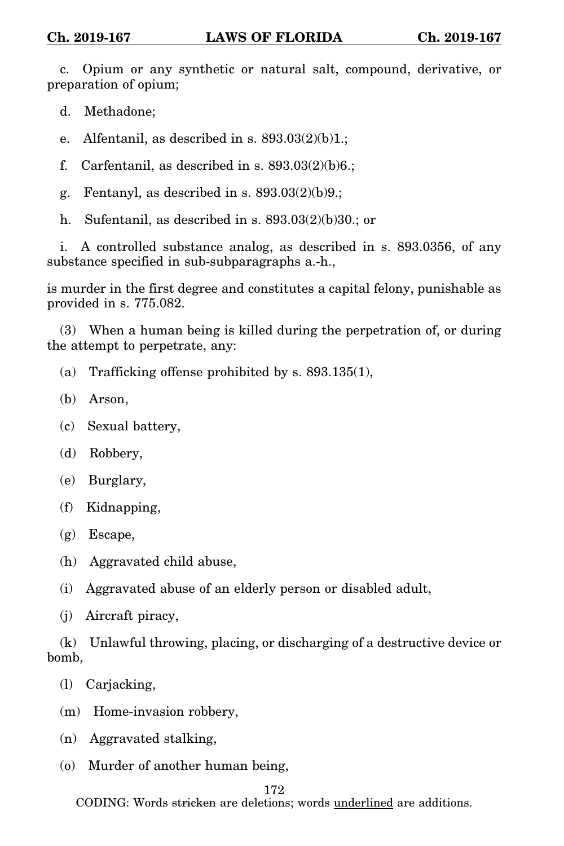c. Opium or any synthetic or natural salt, compound, derivative, or preparation of opium;

d. Methadone;

e. Alfentanil, as described in s.  $893.03(2)(b)1$ .;

f. Carfentanil, as described in s.  $893.03(2)(b)6$ .;

g. Fentanyl, as described in s.  $893.03(2)(b)9$ .;

h. Sufentanil, as described in s. 893.03(2)(b)30.; or

i. A controlled substance analog, as described in s. 893.0356, of any substance specified in sub-subparagraphs a.-h.,

is murder in the first degree and constitutes a capital felony, punishable as provided in s. 775.082.

(3) When a human being is killed during the perpetration of, or during the attempt to perpetrate, any:

(a) Trafficking offense prohibited by s. 893.135(1),

- (b) Arson,
- (c) Sexual battery,
- (d) Robbery,
- (e) Burglary,
- (f) Kidnapping,
- (g) Escape,
- (h) Aggravated child abuse,
- (i) Aggravated abuse of an elderly person or disabled adult,
- (j) Aircraft piracy,

(k) Unlawful throwing, placing, or discharging of a destructive device or bomb,

(l) Carjacking,

(m) Home-invasion robbery,

- (n) Aggravated stalking,
- (o) Murder of another human being,

## 172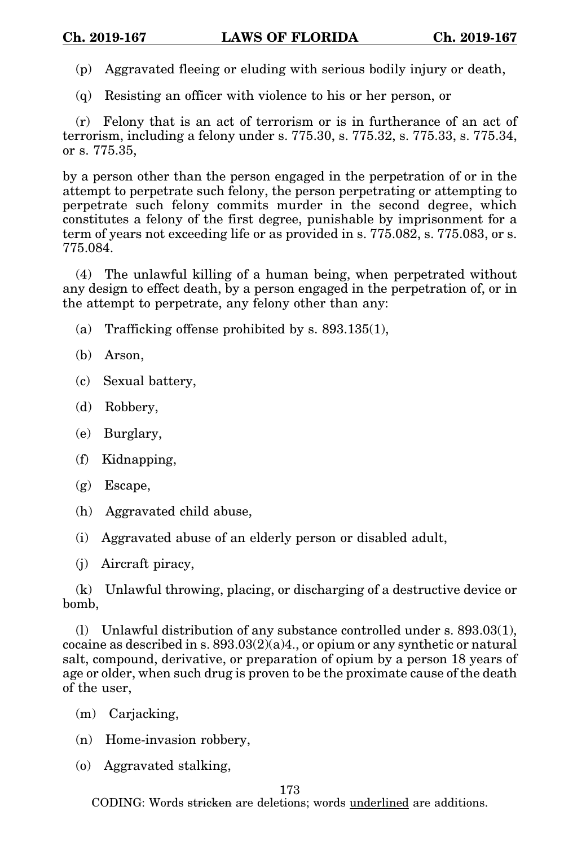- (p) Aggravated fleeing or eluding with serious bodily injury or death,
- (q) Resisting an officer with violence to his or her person, or

(r) Felony that is an act of terrorism or is in furtherance of an act of terrorism, including a felony under s. 775.30, s. 775.32, s. 775.33, s. 775.34, or s. 775.35,

by a person other than the person engaged in the perpetration of or in the attempt to perpetrate such felony, the person perpetrating or attempting to perpetrate such felony commits murder in the second degree, which constitutes a felony of the first degree, punishable by imprisonment for a term of years not exceeding life or as provided in s. 775.082, s. 775.083, or s. 775.084.

(4) The unlawful killing of a human being, when perpetrated without any design to effect death, by a person engaged in the perpetration of, or in the attempt to perpetrate, any felony other than any:

- (a) Trafficking offense prohibited by s. 893.135(1),
- (b) Arson,
- (c) Sexual battery,
- (d) Robbery,
- (e) Burglary,
- (f) Kidnapping,
- $(g)$  Escape,
- (h) Aggravated child abuse,
- (i) Aggravated abuse of an elderly person or disabled adult,
- (j) Aircraft piracy,

(k) Unlawful throwing, placing, or discharging of a destructive device or bomb,

(l) Unlawful distribution of any substance controlled under s. 893.03(1), cocaine as described in s.  $893.03(2)(a)4$ , or opium or any synthetic or natural salt, compound, derivative, or preparation of opium by a person 18 years of age or older, when such drug is proven to be the proximate cause of the death of the user,

- (m) Carjacking,
- (n) Home-invasion robbery,
- (o) Aggravated stalking,

173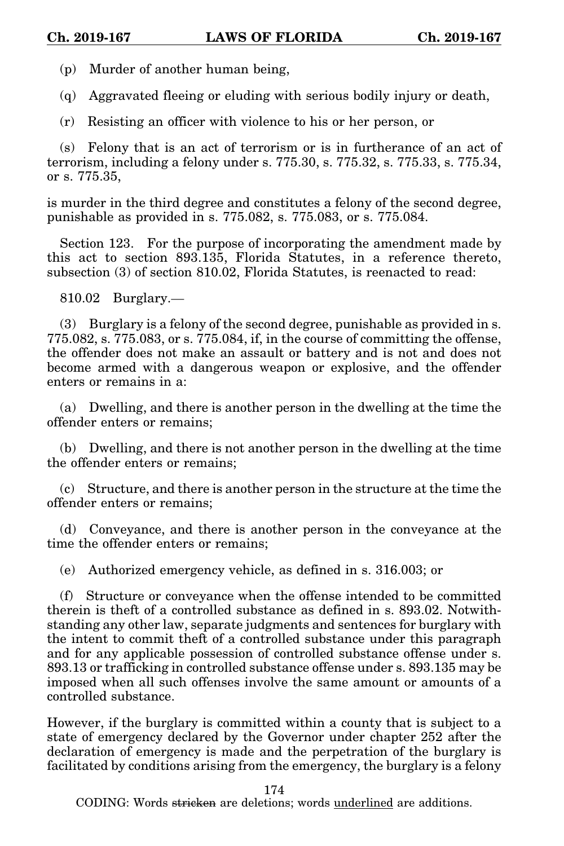(p) Murder of another human being,

(q) Aggravated fleeing or eluding with serious bodily injury or death,

(r) Resisting an officer with violence to his or her person, or

(s) Felony that is an act of terrorism or is in furtherance of an act of terrorism, including a felony under s. 775.30, s. 775.32, s. 775.33, s. 775.34, or s. 775.35,

is murder in the third degree and constitutes a felony of the second degree, punishable as provided in s. 775.082, s. 775.083, or s. 775.084.

Section 123. For the purpose of incorporating the amendment made by this act to section 893.135, Florida Statutes, in a reference thereto, subsection (3) of section 810.02, Florida Statutes, is reenacted to read:

810.02 Burglary.—

(3) Burglary is a felony of the second degree, punishable as provided in s. 775.082, s. 775.083, or s. 775.084, if, in the course of committing the offense, the offender does not make an assault or battery and is not and does not become armed with a dangerous weapon or explosive, and the offender enters or remains in a:

(a) Dwelling, and there is another person in the dwelling at the time the offender enters or remains;

(b) Dwelling, and there is not another person in the dwelling at the time the offender enters or remains;

(c) Structure, and there is another person in the structure at the time the offender enters or remains;

(d) Conveyance, and there is another person in the conveyance at the time the offender enters or remains;

(e) Authorized emergency vehicle, as defined in s. 316.003; or

(f) Structure or conveyance when the offense intended to be committed therein is theft of a controlled substance as defined in s. 893.02. Notwithstanding any other law, separate judgments and sentences for burglary with the intent to commit theft of a controlled substance under this paragraph and for any applicable possession of controlled substance offense under s. 893.13 or trafficking in controlled substance offense under s. 893.135 may be imposed when all such offenses involve the same amount or amounts of a controlled substance.

However, if the burglary is committed within a county that is subject to a state of emergency declared by the Governor under chapter 252 after the declaration of emergency is made and the perpetration of the burglary is facilitated by conditions arising from the emergency, the burglary is a felony

174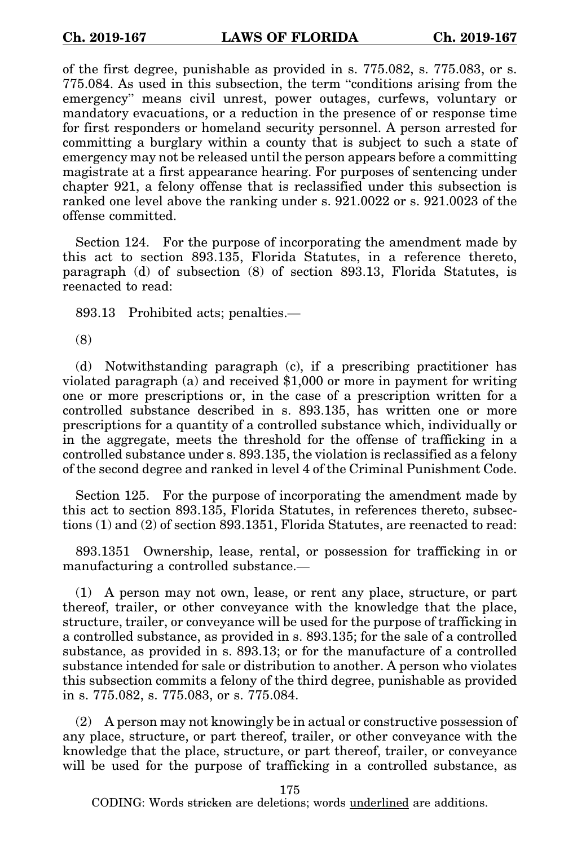of the first degree, punishable as provided in s. 775.082, s. 775.083, or s. 775.084. As used in this subsection, the term "conditions arising from the emergency" means civil unrest, power outages, curfews, voluntary or mandatory evacuations, or a reduction in the presence of or response time for first responders or homeland security personnel. A person arrested for committing a burglary within a county that is subject to such a state of emergency may not be released until the person appears before a committing magistrate at a first appearance hearing. For purposes of sentencing under chapter 921, a felony offense that is reclassified under this subsection is ranked one level above the ranking under s. 921.0022 or s. 921.0023 of the offense committed.

Section 124. For the purpose of incorporating the amendment made by this act to section 893.135, Florida Statutes, in a reference thereto, paragraph (d) of subsection (8) of section 893.13, Florida Statutes, is reenacted to read:

893.13 Prohibited acts; penalties.—

(8)

(d) Notwithstanding paragraph (c), if a prescribing practitioner has violated paragraph (a) and received \$1,000 or more in payment for writing one or more prescriptions or, in the case of a prescription written for a controlled substance described in s. 893.135, has written one or more prescriptions for a quantity of a controlled substance which, individually or in the aggregate, meets the threshold for the offense of trafficking in a controlled substance under s. 893.135, the violation is reclassified as a felony of the second degree and ranked in level 4 of the Criminal Punishment Code.

Section 125. For the purpose of incorporating the amendment made by this act to section 893.135, Florida Statutes, in references thereto, subsections (1) and (2) of section 893.1351, Florida Statutes, are reenacted to read:

893.1351 Ownership, lease, rental, or possession for trafficking in or manufacturing a controlled substance.—

(1) A person may not own, lease, or rent any place, structure, or part thereof, trailer, or other conveyance with the knowledge that the place, structure, trailer, or conveyance will be used for the purpose of trafficking in a controlled substance, as provided in s. 893.135; for the sale of a controlled substance, as provided in s. 893.13; or for the manufacture of a controlled substance intended for sale or distribution to another. A person who violates this subsection commits a felony of the third degree, punishable as provided in s. 775.082, s. 775.083, or s. 775.084.

(2) A person may not knowingly be in actual or constructive possession of any place, structure, or part thereof, trailer, or other conveyance with the knowledge that the place, structure, or part thereof, trailer, or conveyance will be used for the purpose of trafficking in a controlled substance, as

175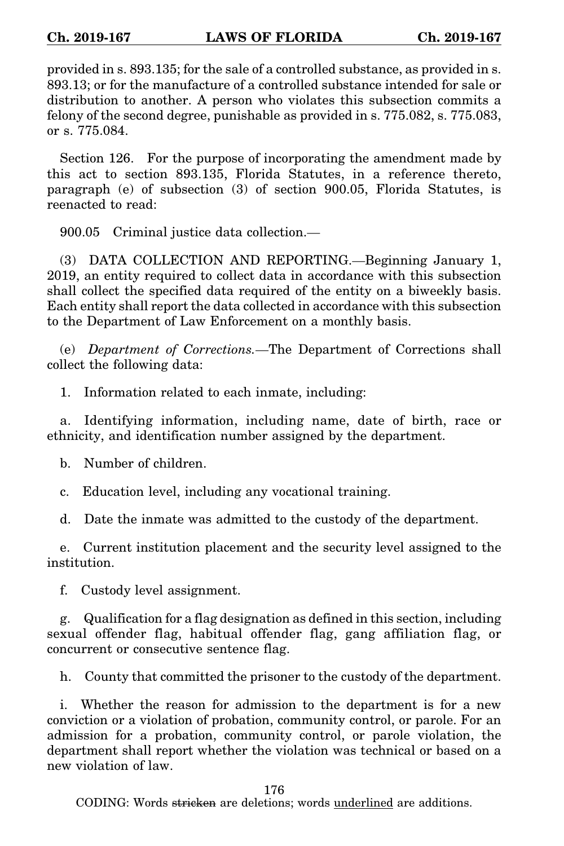provided in s. 893.135; for the sale of a controlled substance, as provided in s. 893.13; or for the manufacture of a controlled substance intended for sale or distribution to another. A person who violates this subsection commits a felony of the second degree, punishable as provided in s. 775.082, s. 775.083, or s. 775.084.

Section 126. For the purpose of incorporating the amendment made by this act to section 893.135, Florida Statutes, in a reference thereto, paragraph (e) of subsection (3) of section 900.05, Florida Statutes, is reenacted to read:

900.05 Criminal justice data collection.—

(3) DATA COLLECTION AND REPORTING.—Beginning January 1, 2019, an entity required to collect data in accordance with this subsection shall collect the specified data required of the entity on a biweekly basis. Each entity shall report the data collected in accordance with this subsection to the Department of Law Enforcement on a monthly basis.

(e) *Department of Corrections.*—The Department of Corrections shall collect the following data:

1. Information related to each inmate, including:

a. Identifying information, including name, date of birth, race or ethnicity, and identification number assigned by the department.

b. Number of children.

c. Education level, including any vocational training.

d. Date the inmate was admitted to the custody of the department.

e. Current institution placement and the security level assigned to the institution.

f. Custody level assignment.

g. Qualification for a flag designation as defined in this section, including sexual offender flag, habitual offender flag, gang affiliation flag, or concurrent or consecutive sentence flag.

h. County that committed the prisoner to the custody of the department.

i. Whether the reason for admission to the department is for a new conviction or a violation of probation, community control, or parole. For an admission for a probation, community control, or parole violation, the department shall report whether the violation was technical or based on a new violation of law.

176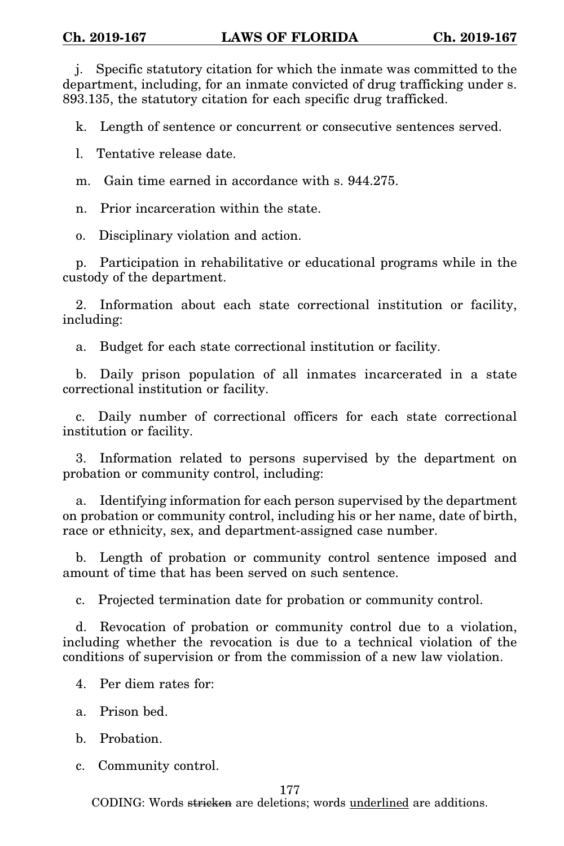j. Specific statutory citation for which the inmate was committed to the department, including, for an inmate convicted of drug trafficking under s. 893.135, the statutory citation for each specific drug trafficked.

k. Length of sentence or concurrent or consecutive sentences served.

l. Tentative release date.

m. Gain time earned in accordance with s. 944.275.

n. Prior incarceration within the state.

o. Disciplinary violation and action.

p. Participation in rehabilitative or educational programs while in the custody of the department.

2. Information about each state correctional institution or facility, including:

a. Budget for each state correctional institution or facility.

b. Daily prison population of all inmates incarcerated in a state correctional institution or facility.

c. Daily number of correctional officers for each state correctional institution or facility.

3. Information related to persons supervised by the department on probation or community control, including:

a. Identifying information for each person supervised by the department on probation or community control, including his or her name, date of birth, race or ethnicity, sex, and department-assigned case number.

b. Length of probation or community control sentence imposed and amount of time that has been served on such sentence.

c. Projected termination date for probation or community control.

d. Revocation of probation or community control due to a violation, including whether the revocation is due to a technical violation of the conditions of supervision or from the commission of a new law violation.

4. Per diem rates for:

a. Prison bed.

b. Probation.

c. Community control.

## 177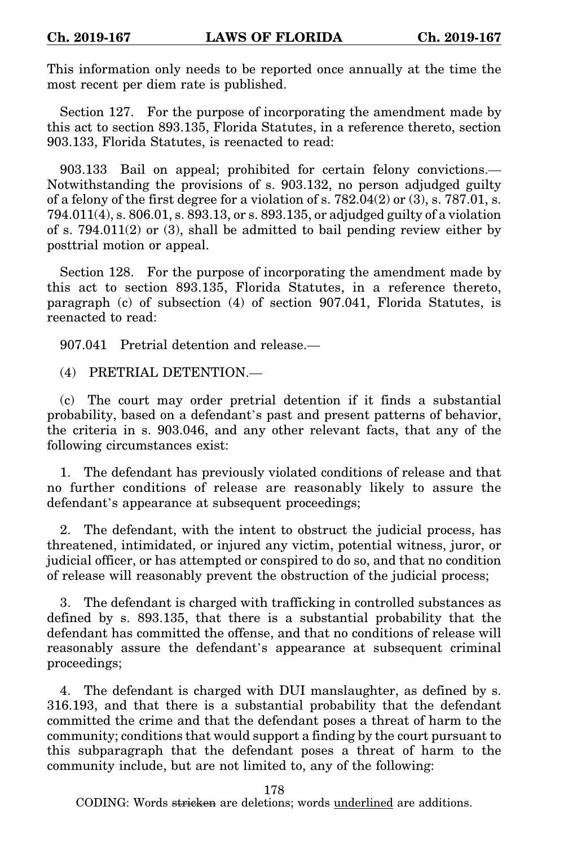This information only needs to be reported once annually at the time the most recent per diem rate is published.

Section 127. For the purpose of incorporating the amendment made by this act to section 893.135, Florida Statutes, in a reference thereto, section 903.133, Florida Statutes, is reenacted to read:

903.133 Bail on appeal; prohibited for certain felony convictions.— Notwithstanding the provisions of s. 903.132, no person adjudged guilty of a felony of the first degree for a violation of s.  $782.04(2)$  or  $(3)$ , s.  $787.01$ , s. 794.011(4), s. 806.01, s. 893.13, or s. 893.135, or adjudged guilty of a violation of s. 794.011(2) or (3), shall be admitted to bail pending review either by posttrial motion or appeal.

Section 128. For the purpose of incorporating the amendment made by this act to section 893.135, Florida Statutes, in a reference thereto, paragraph (c) of subsection (4) of section 907.041, Florida Statutes, is reenacted to read:

907.041 Pretrial detention and release.—

(4) PRETRIAL DETENTION.—

(c) The court may order pretrial detention if it finds a substantial probability, based on a defendant's past and present patterns of behavior, the criteria in s. 903.046, and any other relevant facts, that any of the following circumstances exist:

1. The defendant has previously violated conditions of release and that no further conditions of release are reasonably likely to assure the defendant's appearance at subsequent proceedings;

2. The defendant, with the intent to obstruct the judicial process, has threatened, intimidated, or injured any victim, potential witness, juror, or judicial officer, or has attempted or conspired to do so, and that no condition of release will reasonably prevent the obstruction of the judicial process;

3. The defendant is charged with trafficking in controlled substances as defined by s. 893.135, that there is a substantial probability that the defendant has committed the offense, and that no conditions of release will reasonably assure the defendant's appearance at subsequent criminal proceedings;

4. The defendant is charged with DUI manslaughter, as defined by s. 316.193, and that there is a substantial probability that the defendant committed the crime and that the defendant poses a threat of harm to the community; conditions that would support a finding by the court pursuant to this subparagraph that the defendant poses a threat of harm to the community include, but are not limited to, any of the following:

178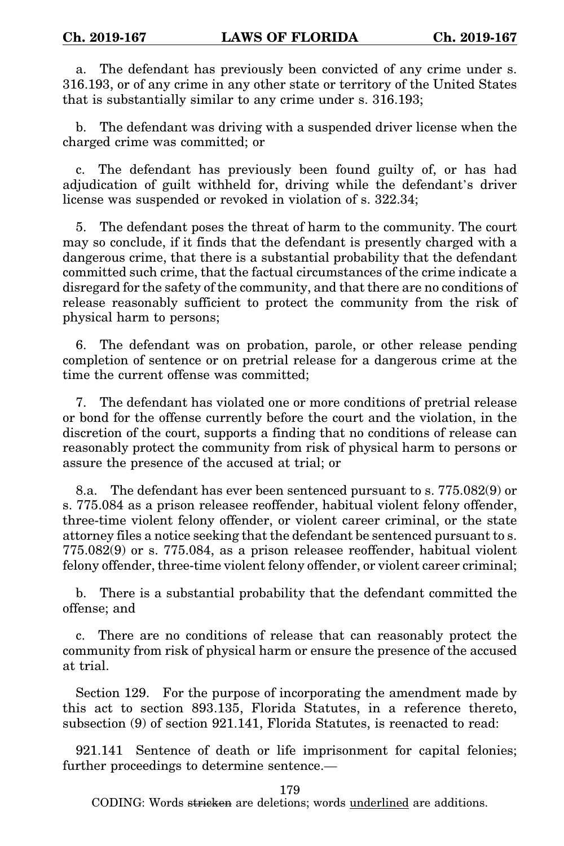a. The defendant has previously been convicted of any crime under s. 316.193, or of any crime in any other state or territory of the United States that is substantially similar to any crime under s. 316.193;

b. The defendant was driving with a suspended driver license when the charged crime was committed; or

c. The defendant has previously been found guilty of, or has had adjudication of guilt withheld for, driving while the defendant's driver license was suspended or revoked in violation of s. 322.34;

5. The defendant poses the threat of harm to the community. The court may so conclude, if it finds that the defendant is presently charged with a dangerous crime, that there is a substantial probability that the defendant committed such crime, that the factual circumstances of the crime indicate a disregard for the safety of the community, and that there are no conditions of release reasonably sufficient to protect the community from the risk of physical harm to persons;

6. The defendant was on probation, parole, or other release pending completion of sentence or on pretrial release for a dangerous crime at the time the current offense was committed;

7. The defendant has violated one or more conditions of pretrial release or bond for the offense currently before the court and the violation, in the discretion of the court, supports a finding that no conditions of release can reasonably protect the community from risk of physical harm to persons or assure the presence of the accused at trial; or

8.a. The defendant has ever been sentenced pursuant to s. 775.082(9) or s. 775.084 as a prison releasee reoffender, habitual violent felony offender, three-time violent felony offender, or violent career criminal, or the state attorney files a notice seeking that the defendant be sentenced pursuant to s. 775.082(9) or s. 775.084, as a prison releasee reoffender, habitual violent felony offender, three-time violent felony offender, or violent career criminal;

b. There is a substantial probability that the defendant committed the offense; and

c. There are no conditions of release that can reasonably protect the community from risk of physical harm or ensure the presence of the accused at trial.

Section 129. For the purpose of incorporating the amendment made by this act to section 893.135, Florida Statutes, in a reference thereto, subsection (9) of section 921.141, Florida Statutes, is reenacted to read:

921.141 Sentence of death or life imprisonment for capital felonies; further proceedings to determine sentence.—

179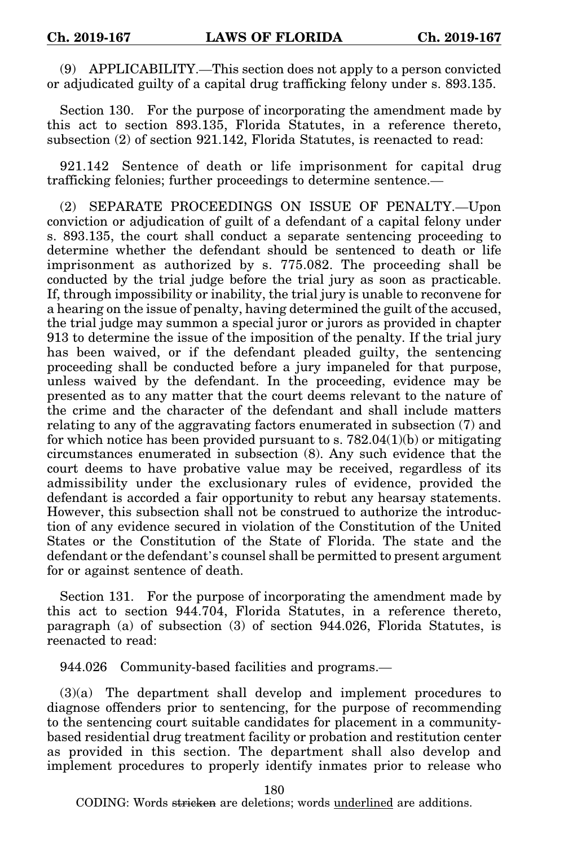(9) APPLICABILITY.—This section does not apply to a person convicted or adjudicated guilty of a capital drug trafficking felony under s. 893.135.

Section 130. For the purpose of incorporating the amendment made by this act to section 893.135, Florida Statutes, in a reference thereto, subsection (2) of section 921.142, Florida Statutes, is reenacted to read:

921.142 Sentence of death or life imprisonment for capital drug trafficking felonies; further proceedings to determine sentence.—

(2) SEPARATE PROCEEDINGS ON ISSUE OF PENALTY.—Upon conviction or adjudication of guilt of a defendant of a capital felony under s. 893.135, the court shall conduct a separate sentencing proceeding to determine whether the defendant should be sentenced to death or life imprisonment as authorized by s. 775.082. The proceeding shall be conducted by the trial judge before the trial jury as soon as practicable. If, through impossibility or inability, the trial jury is unable to reconvene for a hearing on the issue of penalty, having determined the guilt of the accused, the trial judge may summon a special juror or jurors as provided in chapter 913 to determine the issue of the imposition of the penalty. If the trial jury has been waived, or if the defendant pleaded guilty, the sentencing proceeding shall be conducted before a jury impaneled for that purpose, unless waived by the defendant. In the proceeding, evidence may be presented as to any matter that the court deems relevant to the nature of the crime and the character of the defendant and shall include matters relating to any of the aggravating factors enumerated in subsection (7) and for which notice has been provided pursuant to s.  $782.04(1)(b)$  or mitigating circumstances enumerated in subsection (8). Any such evidence that the court deems to have probative value may be received, regardless of its admissibility under the exclusionary rules of evidence, provided the defendant is accorded a fair opportunity to rebut any hearsay statements. However, this subsection shall not be construed to authorize the introduction of any evidence secured in violation of the Constitution of the United States or the Constitution of the State of Florida. The state and the defendant or the defendant's counsel shall be permitted to present argument for or against sentence of death.

Section 131. For the purpose of incorporating the amendment made by this act to section 944.704, Florida Statutes, in a reference thereto, paragraph (a) of subsection (3) of section 944.026, Florida Statutes, is reenacted to read:

944.026 Community-based facilities and programs.—

(3)(a) The department shall develop and implement procedures to diagnose offenders prior to sentencing, for the purpose of recommending to the sentencing court suitable candidates for placement in a communitybased residential drug treatment facility or probation and restitution center as provided in this section. The department shall also develop and implement procedures to properly identify inmates prior to release who

180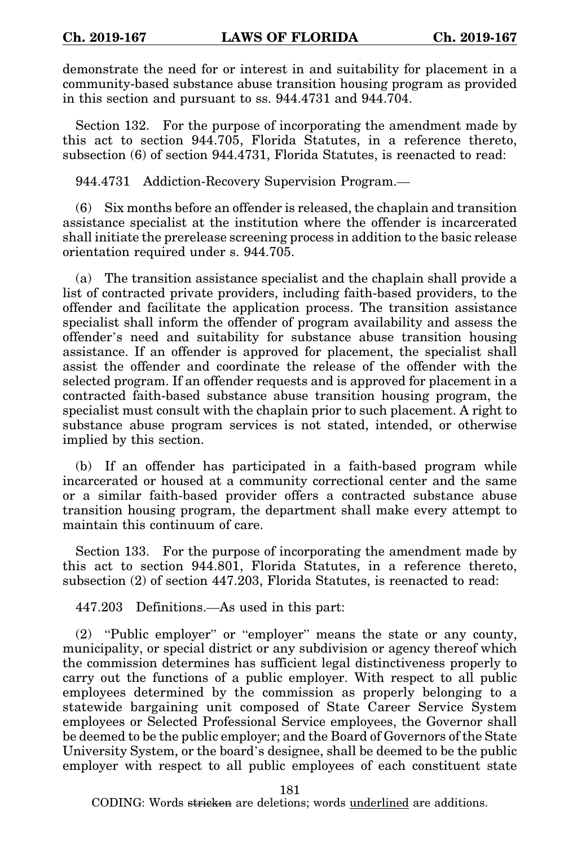demonstrate the need for or interest in and suitability for placement in a community-based substance abuse transition housing program as provided in this section and pursuant to ss. 944.4731 and 944.704.

Section 132. For the purpose of incorporating the amendment made by this act to section 944.705, Florida Statutes, in a reference thereto, subsection (6) of section 944.4731, Florida Statutes, is reenacted to read:

944.4731 Addiction-Recovery Supervision Program.—

(6) Six months before an offender is released, the chaplain and transition assistance specialist at the institution where the offender is incarcerated shall initiate the prerelease screening process in addition to the basic release orientation required under s. 944.705.

(a) The transition assistance specialist and the chaplain shall provide a list of contracted private providers, including faith-based providers, to the offender and facilitate the application process. The transition assistance specialist shall inform the offender of program availability and assess the offender's need and suitability for substance abuse transition housing assistance. If an offender is approved for placement, the specialist shall assist the offender and coordinate the release of the offender with the selected program. If an offender requests and is approved for placement in a contracted faith-based substance abuse transition housing program, the specialist must consult with the chaplain prior to such placement. A right to substance abuse program services is not stated, intended, or otherwise implied by this section.

(b) If an offender has participated in a faith-based program while incarcerated or housed at a community correctional center and the same or a similar faith-based provider offers a contracted substance abuse transition housing program, the department shall make every attempt to maintain this continuum of care.

Section 133. For the purpose of incorporating the amendment made by this act to section 944.801, Florida Statutes, in a reference thereto, subsection (2) of section 447.203, Florida Statutes, is reenacted to read:

447.203 Definitions.—As used in this part:

(2) "Public employer" or "employer" means the state or any county, municipality, or special district or any subdivision or agency thereof which the commission determines has sufficient legal distinctiveness properly to carry out the functions of a public employer. With respect to all public employees determined by the commission as properly belonging to a statewide bargaining unit composed of State Career Service System employees or Selected Professional Service employees, the Governor shall be deemed to be the public employer; and the Board of Governors of the State University System, or the board's designee, shall be deemed to be the public employer with respect to all public employees of each constituent state

181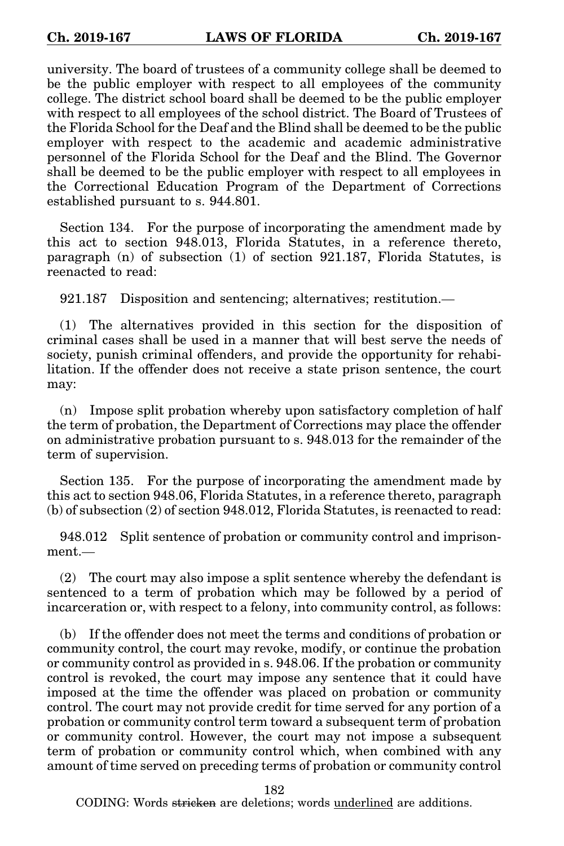university. The board of trustees of a community college shall be deemed to be the public employer with respect to all employees of the community college. The district school board shall be deemed to be the public employer with respect to all employees of the school district. The Board of Trustees of the Florida School for the Deaf and the Blind shall be deemed to be the public employer with respect to the academic and academic administrative personnel of the Florida School for the Deaf and the Blind. The Governor shall be deemed to be the public employer with respect to all employees in the Correctional Education Program of the Department of Corrections established pursuant to s. 944.801.

Section 134. For the purpose of incorporating the amendment made by this act to section 948.013, Florida Statutes, in a reference thereto, paragraph (n) of subsection (1) of section 921.187, Florida Statutes, is reenacted to read:

921.187 Disposition and sentencing; alternatives; restitution.—

(1) The alternatives provided in this section for the disposition of criminal cases shall be used in a manner that will best serve the needs of society, punish criminal offenders, and provide the opportunity for rehabilitation. If the offender does not receive a state prison sentence, the court may:

(n) Impose split probation whereby upon satisfactory completion of half the term of probation, the Department of Corrections may place the offender on administrative probation pursuant to s. 948.013 for the remainder of the term of supervision.

Section 135. For the purpose of incorporating the amendment made by this act to section 948.06, Florida Statutes, in a reference thereto, paragraph (b) of subsection (2) of section 948.012, Florida Statutes, is reenacted to read:

948.012 Split sentence of probation or community control and imprisonment.—

(2) The court may also impose a split sentence whereby the defendant is sentenced to a term of probation which may be followed by a period of incarceration or, with respect to a felony, into community control, as follows:

(b) If the offender does not meet the terms and conditions of probation or community control, the court may revoke, modify, or continue the probation or community control as provided in s. 948.06. If the probation or community control is revoked, the court may impose any sentence that it could have imposed at the time the offender was placed on probation or community control. The court may not provide credit for time served for any portion of a probation or community control term toward a subsequent term of probation or community control. However, the court may not impose a subsequent term of probation or community control which, when combined with any amount of time served on preceding terms of probation or community control

182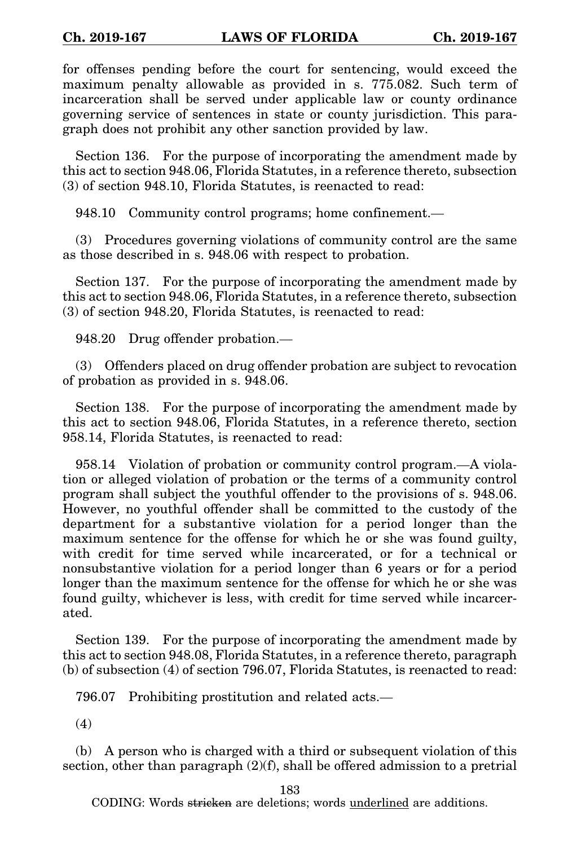for offenses pending before the court for sentencing, would exceed the maximum penalty allowable as provided in s. 775.082. Such term of incarceration shall be served under applicable law or county ordinance governing service of sentences in state or county jurisdiction. This paragraph does not prohibit any other sanction provided by law.

Section 136. For the purpose of incorporating the amendment made by this act to section 948.06, Florida Statutes, in a reference thereto, subsection (3) of section 948.10, Florida Statutes, is reenacted to read:

948.10 Community control programs; home confinement.—

(3) Procedures governing violations of community control are the same as those described in s. 948.06 with respect to probation.

Section 137. For the purpose of incorporating the amendment made by this act to section 948.06, Florida Statutes, in a reference thereto, subsection (3) of section 948.20, Florida Statutes, is reenacted to read:

948.20 Drug offender probation.—

(3) Offenders placed on drug offender probation are subject to revocation of probation as provided in s. 948.06.

Section 138. For the purpose of incorporating the amendment made by this act to section 948.06, Florida Statutes, in a reference thereto, section 958.14, Florida Statutes, is reenacted to read:

958.14 Violation of probation or community control program.—A violation or alleged violation of probation or the terms of a community control program shall subject the youthful offender to the provisions of s. 948.06. However, no youthful offender shall be committed to the custody of the department for a substantive violation for a period longer than the maximum sentence for the offense for which he or she was found guilty, with credit for time served while incarcerated, or for a technical or nonsubstantive violation for a period longer than 6 years or for a period longer than the maximum sentence for the offense for which he or she was found guilty, whichever is less, with credit for time served while incarcerated.

Section 139. For the purpose of incorporating the amendment made by this act to section 948.08, Florida Statutes, in a reference thereto, paragraph (b) of subsection (4) of section 796.07, Florida Statutes, is reenacted to read:

796.07 Prohibiting prostitution and related acts.—

(4)

(b) A person who is charged with a third or subsequent violation of this section, other than paragraph (2)(f), shall be offered admission to a pretrial

183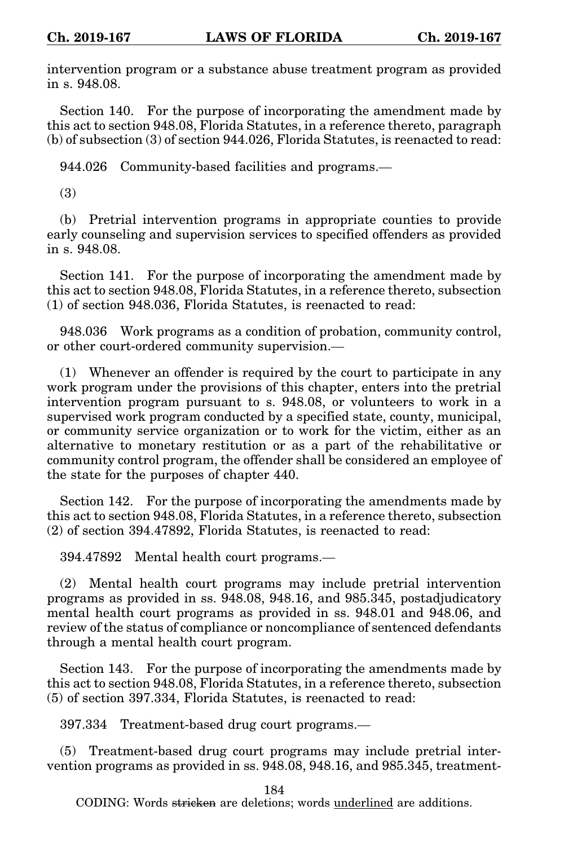intervention program or a substance abuse treatment program as provided in s. 948.08.

Section 140. For the purpose of incorporating the amendment made by this act to section 948.08, Florida Statutes, in a reference thereto, paragraph (b) of subsection (3) of section 944.026, Florida Statutes, is reenacted to read:

944.026 Community-based facilities and programs.—

(3)

(b) Pretrial intervention programs in appropriate counties to provide early counseling and supervision services to specified offenders as provided in s. 948.08.

Section 141. For the purpose of incorporating the amendment made by this act to section 948.08, Florida Statutes, in a reference thereto, subsection (1) of section 948.036, Florida Statutes, is reenacted to read:

948.036 Work programs as a condition of probation, community control, or other court-ordered community supervision.—

(1) Whenever an offender is required by the court to participate in any work program under the provisions of this chapter, enters into the pretrial intervention program pursuant to s. 948.08, or volunteers to work in a supervised work program conducted by a specified state, county, municipal, or community service organization or to work for the victim, either as an alternative to monetary restitution or as a part of the rehabilitative or community control program, the offender shall be considered an employee of the state for the purposes of chapter 440.

Section 142. For the purpose of incorporating the amendments made by this act to section 948.08, Florida Statutes, in a reference thereto, subsection (2) of section 394.47892, Florida Statutes, is reenacted to read:

394.47892 Mental health court programs.—

(2) Mental health court programs may include pretrial intervention programs as provided in ss. 948.08, 948.16, and 985.345, postadjudicatory mental health court programs as provided in ss. 948.01 and 948.06, and review of the status of compliance or noncompliance of sentenced defendants through a mental health court program.

Section 143. For the purpose of incorporating the amendments made by this act to section 948.08, Florida Statutes, in a reference thereto, subsection (5) of section 397.334, Florida Statutes, is reenacted to read:

397.334 Treatment-based drug court programs.—

(5) Treatment-based drug court programs may include pretrial intervention programs as provided in ss. 948.08, 948.16, and 985.345, treatment-

184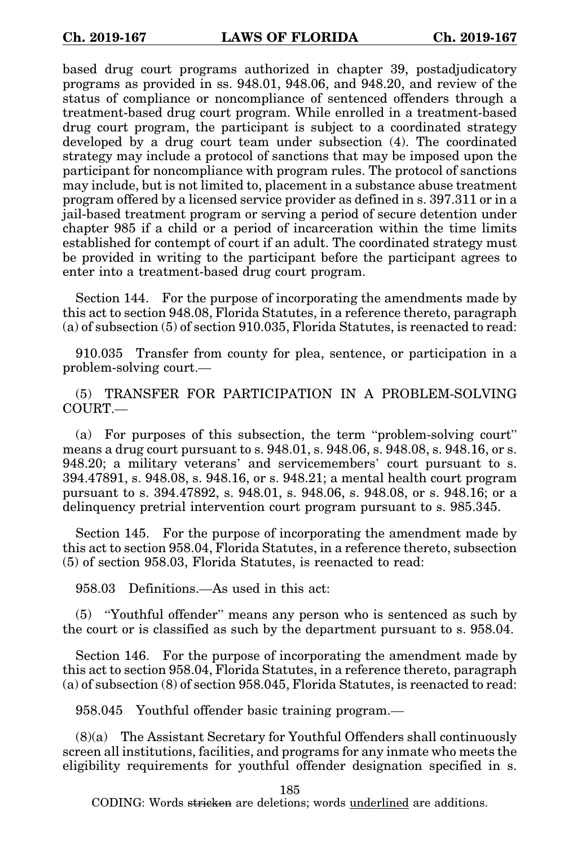based drug court programs authorized in chapter 39, postadjudicatory programs as provided in ss. 948.01, 948.06, and 948.20, and review of the status of compliance or noncompliance of sentenced offenders through a treatment-based drug court program. While enrolled in a treatment-based drug court program, the participant is subject to a coordinated strategy developed by a drug court team under subsection (4). The coordinated strategy may include a protocol of sanctions that may be imposed upon the participant for noncompliance with program rules. The protocol of sanctions may include, but is not limited to, placement in a substance abuse treatment program offered by a licensed service provider as defined in s. 397.311 or in a jail-based treatment program or serving a period of secure detention under chapter 985 if a child or a period of incarceration within the time limits established for contempt of court if an adult. The coordinated strategy must be provided in writing to the participant before the participant agrees to enter into a treatment-based drug court program.

Section 144. For the purpose of incorporating the amendments made by this act to section 948.08, Florida Statutes, in a reference thereto, paragraph (a) of subsection (5) of section 910.035, Florida Statutes, is reenacted to read:

910.035 Transfer from county for plea, sentence, or participation in a problem-solving court.—

(5) TRANSFER FOR PARTICIPATION IN A PROBLEM-SOLVING COURT.—

(a) For purposes of this subsection, the term "problem-solving court" means a drug court pursuant to s. 948.01, s. 948.06, s. 948.08, s. 948.16, or s. 948.20; a military veterans' and servicemembers' court pursuant to s. 394.47891, s. 948.08, s. 948.16, or s. 948.21; a mental health court program pursuant to s. 394.47892, s. 948.01, s. 948.06, s. 948.08, or s. 948.16; or a delinquency pretrial intervention court program pursuant to s. 985.345.

Section 145. For the purpose of incorporating the amendment made by this act to section 958.04, Florida Statutes, in a reference thereto, subsection (5) of section 958.03, Florida Statutes, is reenacted to read:

958.03 Definitions.—As used in this act:

(5) "Youthful offender" means any person who is sentenced as such by the court or is classified as such by the department pursuant to s. 958.04.

Section 146. For the purpose of incorporating the amendment made by this act to section 958.04, Florida Statutes, in a reference thereto, paragraph (a) of subsection (8) of section 958.045, Florida Statutes, is reenacted to read:

958.045 Youthful offender basic training program.—

(8)(a) The Assistant Secretary for Youthful Offenders shall continuously screen all institutions, facilities, and programs for any inmate who meets the eligibility requirements for youthful offender designation specified in s.

185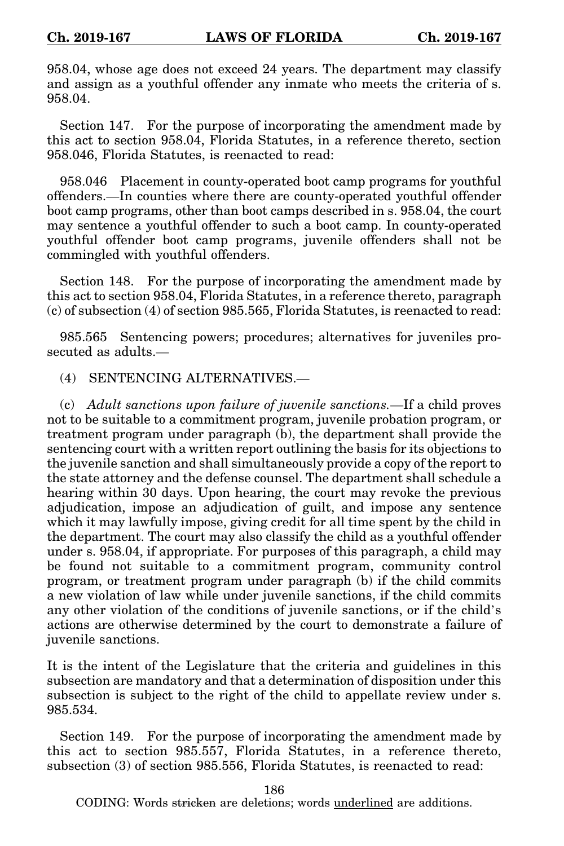958.04, whose age does not exceed 24 years. The department may classify and assign as a youthful offender any inmate who meets the criteria of s. 958.04.

Section 147. For the purpose of incorporating the amendment made by this act to section 958.04, Florida Statutes, in a reference thereto, section 958.046, Florida Statutes, is reenacted to read:

958.046 Placement in county-operated boot camp programs for youthful offenders.—In counties where there are county-operated youthful offender boot camp programs, other than boot camps described in s. 958.04, the court may sentence a youthful offender to such a boot camp. In county-operated youthful offender boot camp programs, juvenile offenders shall not be commingled with youthful offenders.

Section 148. For the purpose of incorporating the amendment made by this act to section 958.04, Florida Statutes, in a reference thereto, paragraph (c) of subsection (4) of section 985.565, Florida Statutes, is reenacted to read:

985.565 Sentencing powers; procedures; alternatives for juveniles prosecuted as adults.—

(4) SENTENCING ALTERNATIVES.—

(c) *Adult sanctions upon failure of juvenile sanctions.*—If a child proves not to be suitable to a commitment program, juvenile probation program, or treatment program under paragraph (b), the department shall provide the sentencing court with a written report outlining the basis for its objections to the juvenile sanction and shall simultaneously provide a copy of the report to the state attorney and the defense counsel. The department shall schedule a hearing within 30 days. Upon hearing, the court may revoke the previous adjudication, impose an adjudication of guilt, and impose any sentence which it may lawfully impose, giving credit for all time spent by the child in the department. The court may also classify the child as a youthful offender under s. 958.04, if appropriate. For purposes of this paragraph, a child may be found not suitable to a commitment program, community control program, or treatment program under paragraph (b) if the child commits a new violation of law while under juvenile sanctions, if the child commits any other violation of the conditions of juvenile sanctions, or if the child's actions are otherwise determined by the court to demonstrate a failure of juvenile sanctions.

It is the intent of the Legislature that the criteria and guidelines in this subsection are mandatory and that a determination of disposition under this subsection is subject to the right of the child to appellate review under s. 985.534.

Section 149. For the purpose of incorporating the amendment made by this act to section 985.557, Florida Statutes, in a reference thereto, subsection (3) of section 985.556, Florida Statutes, is reenacted to read:

186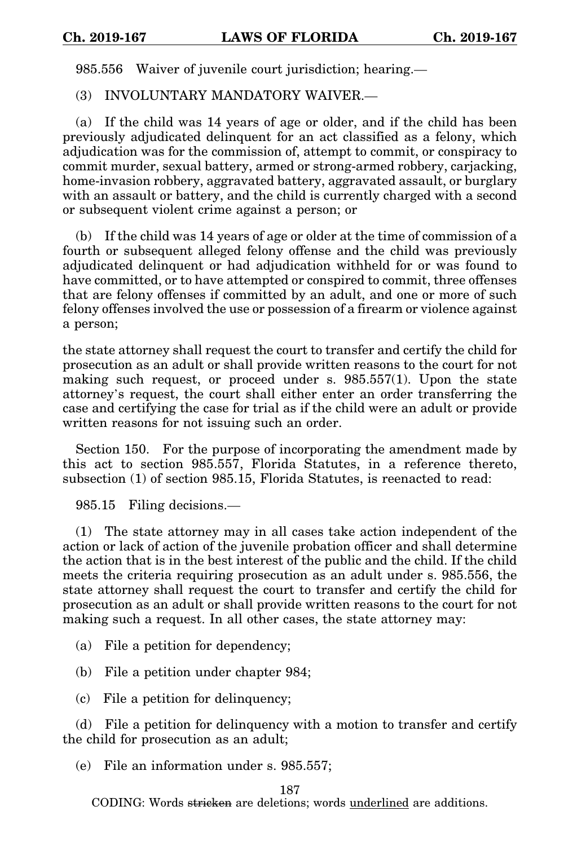985.556 Waiver of juvenile court jurisdiction; hearing.—

(3) INVOLUNTARY MANDATORY WAIVER.—

(a) If the child was 14 years of age or older, and if the child has been previously adjudicated delinquent for an act classified as a felony, which adjudication was for the commission of, attempt to commit, or conspiracy to commit murder, sexual battery, armed or strong-armed robbery, carjacking, home-invasion robbery, aggravated battery, aggravated assault, or burglary with an assault or battery, and the child is currently charged with a second or subsequent violent crime against a person; or

(b) If the child was 14 years of age or older at the time of commission of a fourth or subsequent alleged felony offense and the child was previously adjudicated delinquent or had adjudication withheld for or was found to have committed, or to have attempted or conspired to commit, three offenses that are felony offenses if committed by an adult, and one or more of such felony offenses involved the use or possession of a firearm or violence against a person;

the state attorney shall request the court to transfer and certify the child for prosecution as an adult or shall provide written reasons to the court for not making such request, or proceed under s. 985.557(1). Upon the state attorney's request, the court shall either enter an order transferring the case and certifying the case for trial as if the child were an adult or provide written reasons for not issuing such an order.

Section 150. For the purpose of incorporating the amendment made by this act to section 985.557, Florida Statutes, in a reference thereto, subsection (1) of section 985.15, Florida Statutes, is reenacted to read:

985.15 Filing decisions.—

(1) The state attorney may in all cases take action independent of the action or lack of action of the juvenile probation officer and shall determine the action that is in the best interest of the public and the child. If the child meets the criteria requiring prosecution as an adult under s. 985.556, the state attorney shall request the court to transfer and certify the child for prosecution as an adult or shall provide written reasons to the court for not making such a request. In all other cases, the state attorney may:

- (a) File a petition for dependency;
- (b) File a petition under chapter 984;
- (c) File a petition for delinquency;

(d) File a petition for delinquency with a motion to transfer and certify the child for prosecution as an adult;

(e) File an information under s. 985.557;

187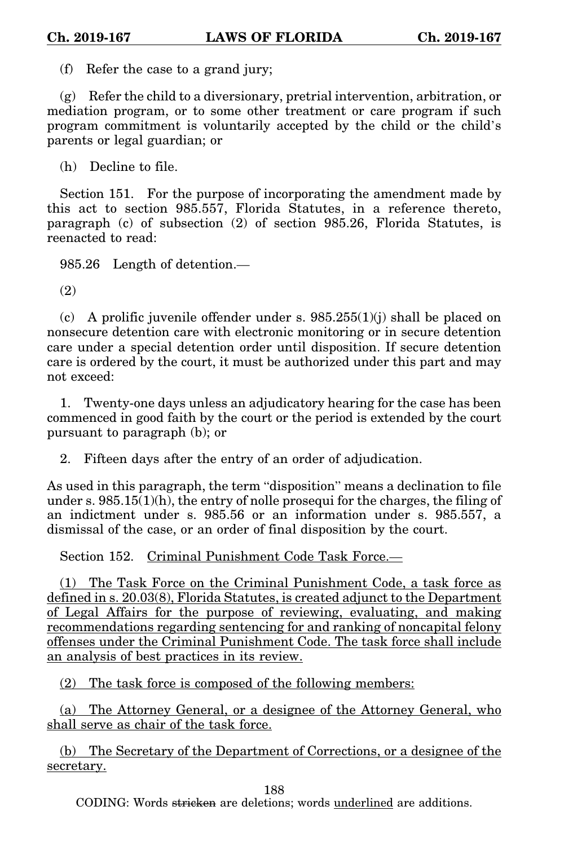(f) Refer the case to a grand jury;

(g) Refer the child to a diversionary, pretrial intervention, arbitration, or mediation program, or to some other treatment or care program if such program commitment is voluntarily accepted by the child or the child's parents or legal guardian; or

(h) Decline to file.

Section 151. For the purpose of incorporating the amendment made by this act to section 985.557, Florida Statutes, in a reference thereto, paragraph (c) of subsection (2) of section 985.26, Florida Statutes, is reenacted to read:

985.26 Length of detention.—

(2)

(c) A prolific juvenile offender under s.  $985.255(1)(j)$  shall be placed on nonsecure detention care with electronic monitoring or in secure detention care under a special detention order until disposition. If secure detention care is ordered by the court, it must be authorized under this part and may not exceed:

1. Twenty-one days unless an adjudicatory hearing for the case has been commenced in good faith by the court or the period is extended by the court pursuant to paragraph (b); or

2. Fifteen days after the entry of an order of adjudication.

As used in this paragraph, the term "disposition" means a declination to file under s.  $985.15(1)(h)$ , the entry of nolle prosequi for the charges, the filing of an indictment under s. 985.56 or an information under s. 985.557, a dismissal of the case, or an order of final disposition by the court.

Section 152. Criminal Punishment Code Task Force.-

(1) The Task Force on the Criminal Punishment Code, a task force as defined in s. 20.03(8), Florida Statutes, is created adjunct to the Department of Legal Affairs for the purpose of reviewing, evaluating, and making recommendations regarding sentencing for and ranking of noncapital felony offenses under the Criminal Punishment Code. The task force shall include an analysis of best practices in its review.

(2) The task force is composed of the following members:

(a) The Attorney General, or a designee of the Attorney General, who shall serve as chair of the task force.

(b) The Secretary of the Department of Corrections, or a designee of the secretary.

188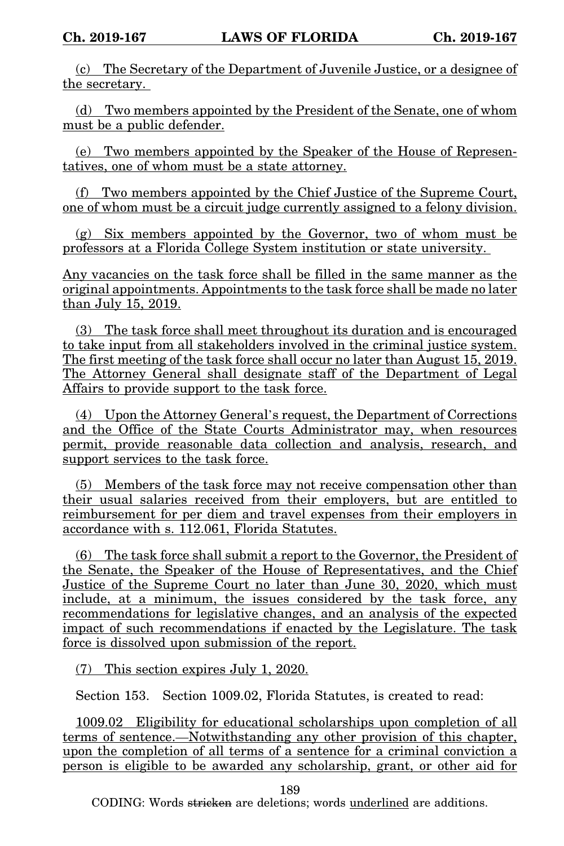(c) The Secretary of the Department of Juvenile Justice, or a designee of the secretary.

(d) Two members appointed by the President of the Senate, one of whom must be a public defender.

(e) Two members appointed by the Speaker of the House of Representatives, one of whom must be a state attorney.

(f) Two members appointed by the Chief Justice of the Supreme Court, one of whom must be a circuit judge currently assigned to a felony division.

(g) Six members appointed by the Governor, two of whom must be professors at a Florida College System institution or state university.

Any vacancies on the task force shall be filled in the same manner as the original appointments. Appointments to the task force shall be made no later than July 15, 2019.

(3) The task force shall meet throughout its duration and is encouraged to take input from all stakeholders involved in the criminal justice system. The first meeting of the task force shall occur no later than August 15, 2019. The Attorney General shall designate staff of the Department of Legal Affairs to provide support to the task force.

(4) Upon the Attorney General's request, the Department of Corrections and the Office of the State Courts Administrator may, when resources permit, provide reasonable data collection and analysis, research, and support services to the task force.

(5) Members of the task force may not receive compensation other than their usual salaries received from their employers, but are entitled to reimbursement for per diem and travel expenses from their employers in accordance with s. 112.061, Florida Statutes.

(6) The task force shall submit a report to the Governor, the President of the Senate, the Speaker of the House of Representatives, and the Chief Justice of the Supreme Court no later than June 30, 2020, which must include, at a minimum, the issues considered by the task force, any recommendations for legislative changes, and an analysis of the expected impact of such recommendations if enacted by the Legislature. The task force is dissolved upon submission of the report.

(7) This section expires July 1, 2020.

Section 153. Section 1009.02, Florida Statutes, is created to read:

1009.02 Eligibility for educational scholarships upon completion of all terms of sentence.—Notwithstanding any other provision of this chapter, upon the completion of all terms of a sentence for a criminal conviction a person is eligible to be awarded any scholarship, grant, or other aid for

189